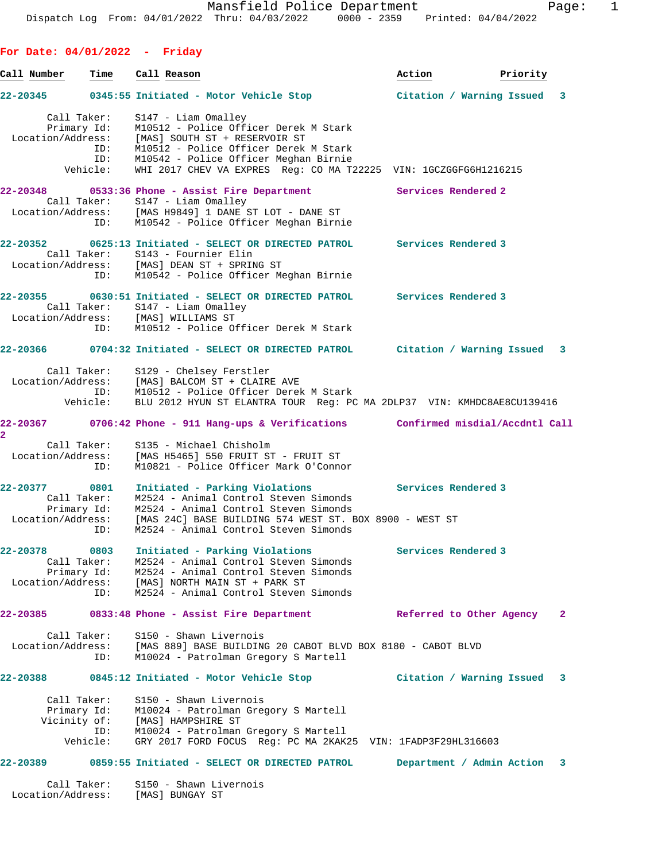**Call Number Time Call Reason Action Priority 22-20345 0345:55 Initiated - Motor Vehicle Stop Citation / Warning Issued 3** Call Taker: S147 - Liam Omalley Primary Id: M10512 - Police Officer Derek M Stark Location/Address: [MAS] SOUTH ST + RESERVOIR ST ID: M10512 - Police Officer Derek M Stark ID: M10542 - Police Officer Meghan Birnie Vehicle: WHI 2017 CHEV VA EXPRES Reg: CO MA T22225 VIN: 1GCZGGFG6H1216215 **22-20348 0533:36 Phone - Assist Fire Department Services Rendered 2**  Call Taker: S147 - Liam Omalley Location/Address: [MAS H9849] 1 DANE ST LOT - DANE ST ID: M10542 - Police Officer Meghan Birnie **22-20352 0625:13 Initiated - SELECT OR DIRECTED PATROL Services Rendered 3**  Call Taker: S143 - Fournier Elin Location/Address: [MAS] DEAN ST + SPRING ST ID: M10542 - Police Officer Meghan Birnie **22-20355 0630:51 Initiated - SELECT OR DIRECTED PATROL Services Rendered 3**  Call Taker: S147 - Liam Omalley Location/Address: [MAS] WILLIAMS ST ID: M10512 - Police Officer Derek M Stark **22-20366 0704:32 Initiated - SELECT OR DIRECTED PATROL Citation / Warning Issued 3** Call Taker: S129 - Chelsey Ferstler Location/Address: [MAS] BALCOM ST + CLAIRE AVE ID: M10512 - Police Officer Derek M Stark Vehicle: BLU 2012 HYUN ST ELANTRA TOUR Reg: PC MA 2DLP37 VIN: KMHDC8AE8CU139416 **22-20367 0706:42 Phone - 911 Hang-ups & Verifications Confirmed misdial/Accdntl Call 2**  Call Taker: S135 - Michael Chisholm Location/Address: [MAS H5465] 550 FRUIT ST - FRUIT ST ID: M10821 - Police Officer Mark O'Connor **22-20377 0801 Initiated - Parking Violations Services Rendered 3**  Call Taker: M2524 - Animal Control Steven Simonds Primary Id: M2524 - Animal Control Steven Simonds Location/Address: [MAS 24C] BASE BUILDING 574 WEST ST. BOX 8900 - WEST ST ID: M2524 - Animal Control Steven Simonds **22-20378 0803 Initiated - Parking Violations Services Rendered 3**  Call Taker: M2524 - Animal Control Steven Simonds Primary Id: M2524 - Animal Control Steven Simonds Location/Address: [MAS] NORTH MAIN ST + PARK ST ID: M2524 - Animal Control Steven Simonds **22-20385 0833:48 Phone - Assist Fire Department Referred to Other Agency 2** Call Taker: S150 - Shawn Livernois Location/Address: [MAS 889] BASE BUILDING 20 CABOT BLVD BOX 8180 - CABOT BLVD ID: M10024 - Patrolman Gregory S Martell **22-20388 0845:12 Initiated - Motor Vehicle Stop Citation / Warning Issued 3** Call Taker: S150 - Shawn Livernois Primary Id: M10024 - Patrolman Gregory S Martell Vicinity of: [MAS] HAMPSHIRE ST ID: M10024 - Patrolman Gregory S Martell Vehicle: GRY 2017 FORD FOCUS Reg: PC MA 2KAK25 VIN: 1FADP3F29HL316603 **22-20389 0859:55 Initiated - SELECT OR DIRECTED PATROL Department / Admin Action 3**

Call Taker: S150 - Shawn Livernois Location/Address: [MAS] BUNGAY ST

**For Date: 04/01/2022 - Friday**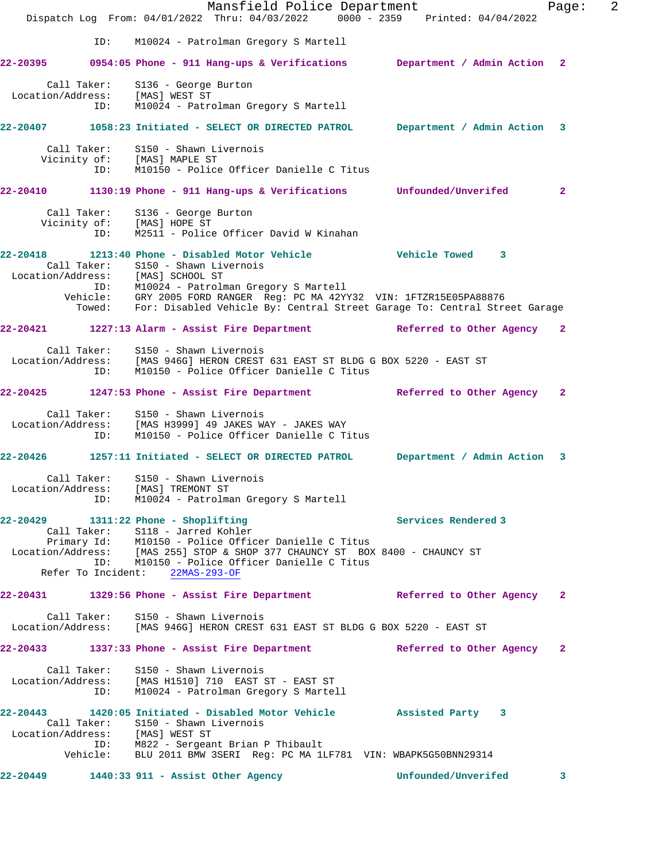|                                                                                                                                                                          |     |                                                                                      | Mansfield Police Department<br>Dispatch Log From: 04/01/2022 Thru: 04/03/2022 0000 - 2359 Printed: 04/04/2022                                                                                                                               |  |                     |                             | Page:        | $\overline{2}$ |
|--------------------------------------------------------------------------------------------------------------------------------------------------------------------------|-----|--------------------------------------------------------------------------------------|---------------------------------------------------------------------------------------------------------------------------------------------------------------------------------------------------------------------------------------------|--|---------------------|-----------------------------|--------------|----------------|
|                                                                                                                                                                          | ID: |                                                                                      | M10024 - Patrolman Gregory S Martell                                                                                                                                                                                                        |  |                     |                             |              |                |
| 22-20395 0954:05 Phone - 911 Hang-ups & Verifications Department / Admin Action 2                                                                                        |     |                                                                                      |                                                                                                                                                                                                                                             |  |                     |                             |              |                |
| Location/Address: [MAS] WEST ST                                                                                                                                          |     | Call Taker: S136 - George Burton                                                     | ID: M10024 - Patrolman Gregory S Martell                                                                                                                                                                                                    |  |                     |                             |              |                |
| 22-20407 1058:23 Initiated - SELECT OR DIRECTED PATROL Department / Admin Action 3                                                                                       |     |                                                                                      |                                                                                                                                                                                                                                             |  |                     |                             |              |                |
|                                                                                                                                                                          | ID: | Call Taker: S150 - Shawn Livernois<br>Vicinity of: [MAS] MAPLE ST                    | M10150 - Police Officer Danielle C Titus                                                                                                                                                                                                    |  |                     |                             |              |                |
| 22-20410 1130:19 Phone - 911 Hang-ups & Verifications Unfounded/Unverifed                                                                                                |     |                                                                                      |                                                                                                                                                                                                                                             |  |                     |                             | $\mathbf{2}$ |                |
|                                                                                                                                                                          | ID: | Call Taker: S136 - George Burton<br>Vicinity of: [MAS] HOPE ST<br>TD: M2511 - Police | M2511 - Police Officer David W Kinahan                                                                                                                                                                                                      |  |                     |                             |              |                |
| 22-20418 1213:40 Phone - Disabled Motor Vehicle 6 7 Vehicle Towed 3                                                                                                      |     | Call Taker: S150 - Shawn Livernois                                                   |                                                                                                                                                                                                                                             |  |                     |                             |              |                |
|                                                                                                                                                                          |     |                                                                                      | Location/Address: [MAS] SCHOOL ST<br>ID: M10024 - Patrolman Gregory S Martell<br>Vehicle: GRY 2005 FORD RANGER Reg: PC MA 42YY32 VIN: 1FTZR15E05PA88876<br>Towed: For: Disabled Vehicle By: Central Street Garage To: Central Street Garage |  |                     |                             |              |                |
| 22-20421 1227:13 Alarm - Assist Fire Department Referred to Other Agency 2                                                                                               |     |                                                                                      |                                                                                                                                                                                                                                             |  |                     |                             |              |                |
| Location/Address: [MAS 946G] HERON CREST 631 EAST ST BLDG G BOX 5220 - EAST ST                                                                                           | ID: | Call Taker: S150 - Shawn Livernois                                                   | M10150 - Police Officer Danielle C Titus                                                                                                                                                                                                    |  |                     |                             |              |                |
| 22-20425 1247:53 Phone - Assist Fire Department Referred to Other Agency 2                                                                                               |     |                                                                                      |                                                                                                                                                                                                                                             |  |                     |                             |              |                |
| Location/Address: [MAS H3999] 49 JAKES WAY - JAKES WAY                                                                                                                   | ID: | Call Taker: S150 - Shawn Livernois                                                   | M10150 - Police Officer Danielle C Titus                                                                                                                                                                                                    |  |                     |                             |              |                |
|                                                                                                                                                                          |     |                                                                                      |                                                                                                                                                                                                                                             |  |                     | Department / Admin Action 3 |              |                |
| Call Taker:<br>Location/Address: [MAS] TREMONT ST                                                                                                                        | ID: | S150 - Shawn Livernois                                                               | M10024 - Patrolman Gregory S Martell                                                                                                                                                                                                        |  |                     |                             |              |                |
| $22-20429$ 1311:22 Phone - Shoplifting                                                                                                                                   |     |                                                                                      |                                                                                                                                                                                                                                             |  | Services Rendered 3 |                             |              |                |
| Call Taker: S118 - Jarred Kohler<br>Primary Id: M10150 - Police Officer Danielle C Titus<br>Location/Address: [MAS 255] STOP & SHOP 377 CHAUNCY ST BOX 8400 - CHAUNCY ST |     | Refer To Incident: 22MAS-293-OF                                                      | ID: M10150 - Police Officer Danielle C Titus                                                                                                                                                                                                |  |                     |                             |              |                |
| 22-20431 1329:56 Phone - Assist Fire Department Referred to Other Agency 2                                                                                               |     |                                                                                      |                                                                                                                                                                                                                                             |  |                     |                             |              |                |
| Location/Address: [MAS 946G] HERON CREST 631 EAST ST BLDG G BOX 5220 - EAST ST                                                                                           |     | Call Taker: S150 - Shawn Livernois                                                   |                                                                                                                                                                                                                                             |  |                     |                             |              |                |
| 22-20433 1337:33 Phone - Assist Fire Department 1992 - 20433 10 Neterned to Other Agency                                                                                 |     |                                                                                      |                                                                                                                                                                                                                                             |  |                     |                             | $\mathbf{2}$ |                |
| Location/Address: [MAS H1510] 710 EAST ST - EAST ST                                                                                                                      | ID: | Call Taker: S150 - Shawn Livernois                                                   | M10024 - Patrolman Gregory S Martell                                                                                                                                                                                                        |  |                     |                             |              |                |
| 22-20443 1420:05 Initiated - Disabled Motor Vehicle 3 Assisted Party 3<br>Location/Address: [MAS] WEST ST                                                                |     | Call Taker: S150 - Shawn Livernois                                                   |                                                                                                                                                                                                                                             |  |                     |                             |              |                |
|                                                                                                                                                                          |     |                                                                                      | ID: M822 - Sergeant Brian P Thibault<br>Vehicle: BLU 2011 BMW 3SERI Reg: PC MA 1LF781 VIN: WBAPK5G50BNN29314                                                                                                                                |  |                     |                             |              |                |
| 22-20449                                                                                                                                                                 |     |                                                                                      | 1440:33 911 - Assist Other Agency                                                                                                                                                                                                           |  |                     | Unfounded/Unverifed         | $\mathbf{3}$ |                |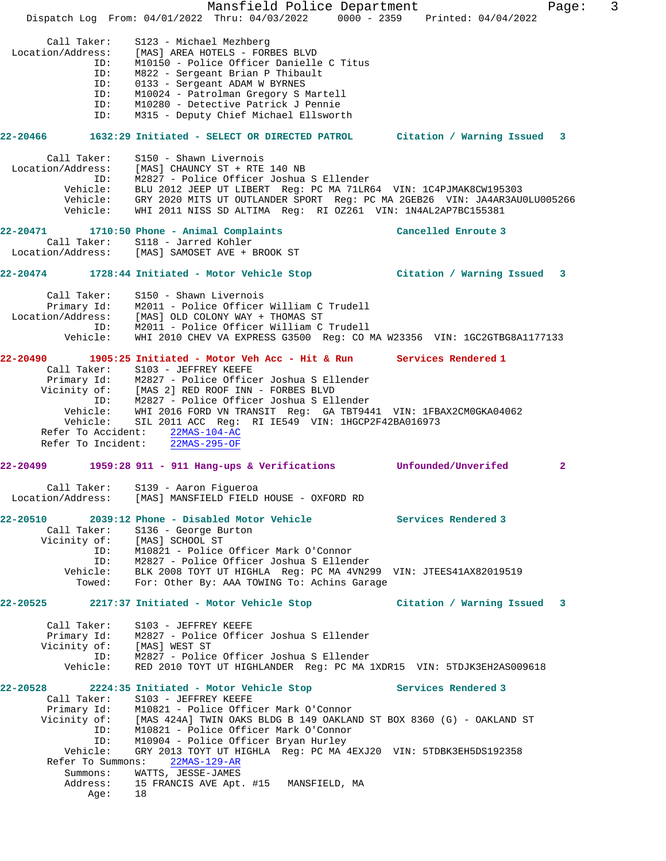|                            | Mansfield Police Department                                                                             |                     | 3<br>Page:   |
|----------------------------|---------------------------------------------------------------------------------------------------------|---------------------|--------------|
|                            | Dispatch Log From: 04/01/2022 Thru: 04/03/2022 0000 - 2359 Printed: 04/04/2022                          |                     |              |
|                            |                                                                                                         |                     |              |
| Call Taker:                | S123 - Michael Mezhberg                                                                                 |                     |              |
| Location/Address:          | [MAS] AREA HOTELS - FORBES BLVD                                                                         |                     |              |
| ID:                        | M10150 - Police Officer Danielle C Titus                                                                |                     |              |
| ID:                        | M822 - Sergeant Brian P Thibault                                                                        |                     |              |
| ID:                        | 0133 - Sergeant ADAM W BYRNES                                                                           |                     |              |
| ID:                        | M10024 - Patrolman Gregory S Martell                                                                    |                     |              |
| ID:<br>ID:                 | M10280 - Detective Patrick J Pennie<br>M315 - Deputy Chief Michael Ellsworth                            |                     |              |
|                            |                                                                                                         |                     |              |
|                            | 22-20466 1632:29 Initiated - SELECT OR DIRECTED PATROL Citation / Warning Issued 3                      |                     |              |
|                            |                                                                                                         |                     |              |
| Call Taker:                | S150 - Shawn Livernois                                                                                  |                     |              |
|                            | Location/Address: [MAS] CHAUNCY ST + RTE 140 NB                                                         |                     |              |
|                            | ID: M2827 - Police Officer Joshua S Ellender                                                            |                     |              |
|                            | Vehicle: BLU 2012 JEEP UT LIBERT Req: PC MA 71LR64 VIN: 1C4PJMAK8CW195303                               |                     |              |
|                            | Vehicle: GRY 2020 MITS UT OUTLANDER SPORT Reg: PC MA 2GEB26 VIN: JA4AR3AU0LU005266                      |                     |              |
| Vehicle:                   | WHI 2011 NISS SD ALTIMA Req: RI 0Z261 VIN: 1N4AL2AP7BC155381                                            |                     |              |
|                            |                                                                                                         |                     |              |
| $22 - 20471$               | 1710:50 Phone - Animal Complaints                                                                       | Cancelled Enroute 3 |              |
|                            | Call Taker: S118 - Jarred Kohler<br>Location/Address: [MAS] SAMOSET AVE + BROOK ST                      |                     |              |
|                            |                                                                                                         |                     |              |
|                            |                                                                                                         |                     |              |
|                            | 22-20474 1728:44 Initiated - Motor Vehicle Stop [11] Citation / Warning Issued 3                        |                     |              |
|                            |                                                                                                         |                     |              |
|                            | Call Taker: S150 - Shawn Livernois<br>Primary Id: M2011 - Police Officer William C Trudell              |                     |              |
|                            | Location/Address: [MAS] OLD COLONY WAY + THOMAS ST                                                      |                     |              |
|                            | ID: M2011 - Police Officer William C Trudell                                                            |                     |              |
| Vehicle:                   | WHI 2010 CHEV VA EXPRESS G3500 Reg: CO MA W23356 VIN: 1GC2GTBG8A1177133                                 |                     |              |
|                            |                                                                                                         |                     |              |
|                            | 22-20490 1905:25 Initiated - Motor Veh Acc - Hit & Run Services Rendered 1                              |                     |              |
|                            | Call Taker: S103 - JEFFREY KEEFE                                                                        |                     |              |
|                            | Primary Id: M2827 - Police Officer Joshua S Ellender<br>Vicinity of: [MAS 2] RED ROOF INN - FORBES BLVD |                     |              |
|                            |                                                                                                         |                     |              |
|                            | ID: M2827 - Police Officer Joshua S Ellender                                                            |                     |              |
|                            | Vehicle: WHI 2016 FORD VN TRANSIT Req: GA TBT9441 VIN: 1FBAX2CM0GKA04062                                |                     |              |
|                            | Vehicle: SIL 2011 ACC Reg: RI IE549 VIN: 1HGCP2F42BA016973                                              |                     |              |
|                            | Refer To Accident: 22MAS-104-AC                                                                         |                     |              |
|                            | Refer To Incident: 22MAS-295-OF                                                                         |                     |              |
| 22-20499                   | 1959:28 911 - 911 Hang-ups & Verifications                                                              | Unfounded/Unverifed | $\mathbf{2}$ |
|                            |                                                                                                         |                     |              |
|                            | Call Taker: S139 - Aaron Figueroa                                                                       |                     |              |
|                            | Location/Address: [MAS] MANSFIELD FIELD HOUSE - OXFORD RD                                               |                     |              |
|                            |                                                                                                         |                     |              |
|                            | 22-20510 2039:12 Phone - Disabled Motor Vehicle Services Rendered 3                                     |                     |              |
|                            |                                                                                                         |                     |              |
|                            | Call Taker: S136 - George Burton<br>Vicinity of: [MAS] SCHOOL ST                                        |                     |              |
|                            | ID: M10821 - Police Officer Mark O'Connor                                                               |                     |              |
|                            | ID: M2827 - Police Officer Joshua S Ellender                                                            |                     |              |
|                            | Vehicle: BLK 2008 TOYT UT HIGHLA Reg: PC MA 4VN299 VIN: JTEES41AX82019519                               |                     |              |
|                            | Towed: For: Other By: AAA TOWING To: Achins Garage                                                      |                     |              |
|                            |                                                                                                         |                     |              |
|                            | 22-20525 2217:37 Initiated - Motor Vehicle Stop Citation / Warning Issued 3                             |                     |              |
|                            |                                                                                                         |                     |              |
| Call Taker:                | S103 - JEFFREY KEEFE                                                                                    |                     |              |
| Vicinity of: [MAS] WEST ST | Primary Id: M2827 - Police Officer Joshua S Ellender                                                    |                     |              |
|                            | ID: M2827 - Police Officer Joshua S Ellender                                                            |                     |              |
| Vehicle:                   | RED 2010 TOYT UT HIGHLANDER Reg: PC MA 1XDR15 VIN: 5TDJK3EH2AS009618                                    |                     |              |
|                            |                                                                                                         |                     |              |
|                            | 22-20528 2224:35 Initiated - Motor Vehicle Stop Services Rendered 3                                     |                     |              |
| Call Taker:                | S103 - JEFFREY KEEFE                                                                                    |                     |              |
|                            | Primary Id: M10821 - Police Officer Mark O'Connor                                                       |                     |              |
|                            | Vicinity of: [MAS 424A] TWIN OAKS BLDG B 149 OAKLAND ST BOX 8360 (G) - OAKLAND ST                       |                     |              |
| ID:                        | M10821 - Police Officer Mark O'Connor                                                                   |                     |              |
|                            |                                                                                                         |                     |              |
| ID:                        | M10904 - Police Officer Bryan Hurley                                                                    |                     |              |
| Vehicle:                   | GRY 2013 TOYT UT HIGHLA Req: PC MA 4EXJ20 VIN: 5TDBK3EH5DS192358                                        |                     |              |
| Refer To Summons:          | 22MAS-129-AR                                                                                            |                     |              |
| Summons:                   | WATTS, JESSE-JAMES                                                                                      |                     |              |
| Address:<br>Age:           | 15 FRANCIS AVE Apt. #15 MANSFIELD, MA<br>18                                                             |                     |              |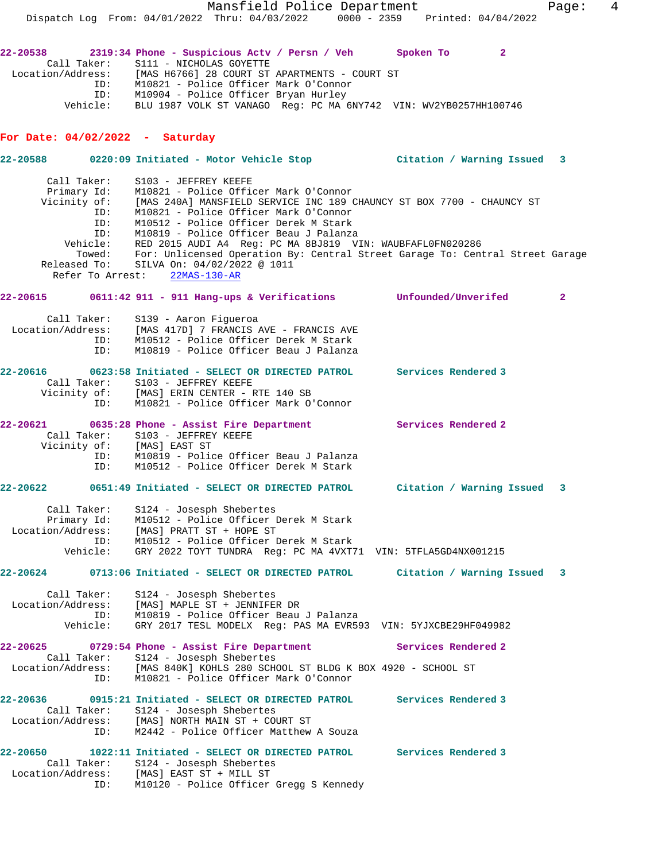Mansfield Police Department Fage: 4 Dispatch Log From: 04/01/2022 Thru: 04/03/2022 0000 - 2359 Printed: 04/04/2022 **22-20538 2319:34 Phone - Suspicious Actv / Persn / Veh Spoken To 2**  Call Taker: S111 - NICHOLAS GOYETTE Location/Address: [MAS H6766] 28 COURT ST APARTMENTS - COURT ST ID: M10821 - Police Officer Mark O'Connor ID: M10904 - Police Officer Bryan Hurley Vehicle: BLU 1987 VOLK ST VANAGO Reg: PC MA 6NY742 VIN: WV2YB0257HH100746 **For Date: 04/02/2022 - Saturday 22-20588 0220:09 Initiated - Motor Vehicle Stop Citation / Warning Issued 3** Call Taker: S103 - JEFFREY KEEFE Primary Id: M10821 - Police Officer Mark O'Connor Vicinity of: [MAS 240A] MANSFIELD SERVICE INC 189 CHAUNCY ST BOX 7700 - CHAUNCY ST ID: M10821 - Police Officer Mark O'Connor ID: M10512 - Police Officer Derek M Stark ID: M10819 - Police Officer Beau J Palanza Vehicle: RED 2015 AUDI A4 Reg: PC MA 8BJ819 VIN: WAUBFAFL0FN020286

 Towed: For: Unlicensed Operation By: Central Street Garage To: Central Street Garage Released To: SILVA On: 04/02/2022 @ 1011 Refer To Arrest: 22MAS-130-AR

**22-20615 0611:42 911 - 911 Hang-ups & Verifications Unfounded/Unverifed 2**

 Call Taker: S139 - Aaron Figueroa Location/Address: [MAS 417D] 7 FRANCIS AVE - FRANCIS AVE ID: M10512 - Police Officer Derek M Stark ID: M10819 - Police Officer Beau J Palanza

#### **22-20616 0623:58 Initiated - SELECT OR DIRECTED PATROL Services Rendered 3**  Call Taker: S103 - JEFFREY KEEFE Vicinity of: [MAS] ERIN CENTER - RTE 140 SB ID: M10821 - Police Officer Mark O'Connor

22-20621 **0635:28 Phone - Assist Fire Department** Services Rendered 2 Call Taker: S103 - JEFFREY KEEFE Vicinity of: [MAS] EAST ST ID: M10819 - Police Officer Beau J Palanza ID: M10512 - Police Officer Derek M Stark

## **22-20622 0651:49 Initiated - SELECT OR DIRECTED PATROL Citation / Warning Issued 3**

| Call Taker:       | S124 - Josesph Shebertes                                      |
|-------------------|---------------------------------------------------------------|
| Primary Id:       | M10512 - Police Officer Derek M Stark                         |
| Location/Address: | [MAS] PRATT ST + HOPE ST                                      |
| TD:               | M10512 - Police Officer Derek M Stark                         |
| Vehicle:          | GRY 2022 TOYT TUNDRA Req: PC MA 4VXT71 VIN: 5TFLA5GD4NX001215 |

**22-20624 0713:06 Initiated - SELECT OR DIRECTED PATROL Citation / Warning Issued 3**

 Call Taker: S124 - Josesph Shebertes Location/Address: [MAS] MAPLE ST + JENNIFER DR ID: M10819 - Police Officer Beau J Palanza Vehicle: GRY 2017 TESL MODELX Reg: PAS MA EVR593 VIN: 5YJXCBE29HF049982

### **22-20625 0729:54 Phone - Assist Fire Department Services Rendered 2**  Call Taker: S124 - Josesph Shebertes Location/Address: [MAS 840K] KOHLS 280 SCHOOL ST BLDG K BOX 4920 - SCHOOL ST ID: M10821 - Police Officer Mark O'Connor

**22-20636 0915:21 Initiated - SELECT OR DIRECTED PATROL Services Rendered 3**  Call Taker: S124 - Josesph Shebertes Location/Address: [MAS] NORTH MAIN ST + COURT ST ID: M2442 - Police Officer Matthew A Souza **22-20650 1022:11 Initiated - SELECT OR DIRECTED PATROL Services Rendered 3** 

# Call Taker: S124 - Josesph Shebertes Location/Address: [MAS] EAST ST + MILL ST ID: M10120 - Police Officer Gregg S Kennedy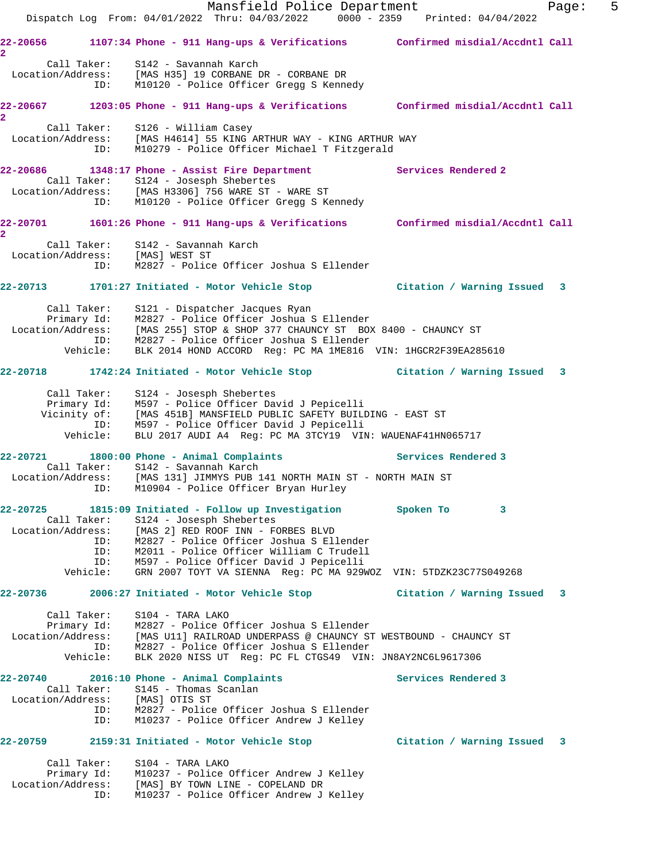|                                                                   | Mansfield Police Department<br>Dispatch Log From: 04/01/2022 Thru: 04/03/2022 0000 - 2359 Printed: 04/04/2022                                                                                                                                                                                                                 |                             | 5<br>Page: |
|-------------------------------------------------------------------|-------------------------------------------------------------------------------------------------------------------------------------------------------------------------------------------------------------------------------------------------------------------------------------------------------------------------------|-----------------------------|------------|
| $\overline{2}$                                                    | 22-20656 1107:34 Phone - 911 Hang-ups & Verifications Confirmed misdial/Accdntl Call                                                                                                                                                                                                                                          |                             |            |
|                                                                   | Call Taker: S142 - Savannah Karch<br>Location/Address: [MAS H35] 19 CORBANE DR - CORBANE DR<br>ID: M10120 - Police Officer Gregg S Kennedy                                                                                                                                                                                    |                             |            |
| $\overline{2}$                                                    | 22-20667 1203:05 Phone - 911 Hang-ups & Verifications Confirmed misdial/Accdntl Call                                                                                                                                                                                                                                          |                             |            |
| ID:                                                               | Call Taker: S126 - William Casey<br>Location/Address: [MAS H4614] 55 KING ARTHUR WAY - KING ARTHUR WAY<br>M10279 - Police Officer Michael T Fitzgerald                                                                                                                                                                        |                             |            |
|                                                                   | 22-20686 1348:17 Phone - Assist Fire Department<br>Call Taker: S124 - Josesph Shebertes<br>Location/Address: [MAS H3306] 756 WARE ST - WARE ST<br>ID: M10120 - Police Officer Gregg S Kennedy                                                                                                                                 | Services Rendered 2         |            |
| $\overline{2}$                                                    | 22-20701 1601:26 Phone - 911 Hang-ups & Verifications Confirmed misdial/Accdntl Call                                                                                                                                                                                                                                          |                             |            |
| Location/Address: [MAS] WEST ST                                   | Call Taker: S142 - Savannah Karch<br>ID: M2827 - Police Officer Joshua S Ellender                                                                                                                                                                                                                                             |                             |            |
|                                                                   | 22-20713 1701:27 Initiated - Motor Vehicle Stop Citation / Warning Issued 3                                                                                                                                                                                                                                                   |                             |            |
|                                                                   | Call Taker: S121 - Dispatcher Jacques Ryan<br>Primary Id: M2827 - Police Officer Joshua S Ellender<br>Location/Address: [MAS 255] STOP & SHOP 377 CHAUNCY ST BOX 8400 - CHAUNCY ST<br>ID: M2827 - Police Officer Joshua S Ellender<br>Vehicle: BLK 2014 HOND ACCORD Reg: PC MA 1ME816 VIN: 1HGCR2F39EA285610                  |                             |            |
|                                                                   | 22-20718 1742:24 Initiated - Motor Vehicle Stop Citation / Warning Issued 3                                                                                                                                                                                                                                                   |                             |            |
| Vehicle:                                                          | Call Taker: S124 - Josesph Shebertes<br>Primary Id: M597 - Police Officer David J Pepicelli<br>Vicinity of: [MAS 451B] MANSFIELD PUBLIC SAFETY BUILDING - EAST ST<br>ID: M597 - Police Officer David J Pepicelli<br>BLU 2017 AUDI A4 Reg: PC MA 3TCY19 VIN: WAUENAF41HN065717                                                 |                             |            |
|                                                                   | $22-20721$ 1800:00 Phone - Animal Complaints                                                                                                                                                                                                                                                                                  | <b>Services Rendered 3</b>  |            |
|                                                                   | Call Taker: S142 - Savannah Karch<br>Location/Address: [MAS 131] JIMMYS PUB 141 NORTH MAIN ST - NORTH MAIN ST<br>ID: M10904 - Police Officer Bryan Hurley                                                                                                                                                                     |                             |            |
| Call Taker:<br>Location/Address:<br>ID:<br>ID:<br>ID:<br>Vehicle: | 22-20725 1815:09 Initiated - Follow up Investigation<br>S124 - Josesph Shebertes<br>[MAS 2] RED ROOF INN - FORBES BLVD<br>M2827 - Police Officer Joshua S Ellender<br>M2011 - Police Officer William C Trudell<br>M597 - Police Officer David J Pepicelli<br>GRN 2007 TOYT VA SIENNA Reg: PC MA 929WOZ VIN: 5TDZK23C77S049268 | Spoken To<br>$\sim$ 3       |            |
| 22-20736                                                          | 2006:27 Initiated - Motor Vehicle Stop                                                                                                                                                                                                                                                                                        | Citation / Warning Issued 3 |            |
| Call Taker:<br>Vehicle:                                           | S104 - TARA LAKO<br>Primary Id: M2827 - Police Officer Joshua S Ellender<br>Location/Address: [MAS U11] RAILROAD UNDERPASS @ CHAUNCY ST WESTBOUND - CHAUNCY ST<br>ID: M2827 - Police Officer Joshua S Ellender<br>BLK 2020 NISS UT Req: PC FL CTGS49 VIN: JN8AY2NC6L9617306                                                   |                             |            |
| Location/Address: [MAS] OTIS ST<br>ID:<br>ID:                     | $22-20740$ 2016:10 Phone - Animal Complaints<br>Call Taker: S145 - Thomas Scanlan<br>M2827 - Police Officer Joshua S Ellender<br>M10237 - Police Officer Andrew J Kelley                                                                                                                                                      | Services Rendered 3         |            |
|                                                                   |                                                                                                                                                                                                                                                                                                                               | Citation / Warning Issued   | 3          |
| Call Taker:<br>Location/Address:<br>ID:                           | S104 - TARA LAKO<br>Primary Id: M10237 - Police Officer Andrew J Kelley<br>[MAS] BY TOWN LINE - COPELAND DR<br>M10237 - Police Officer Andrew J Kelley                                                                                                                                                                        |                             |            |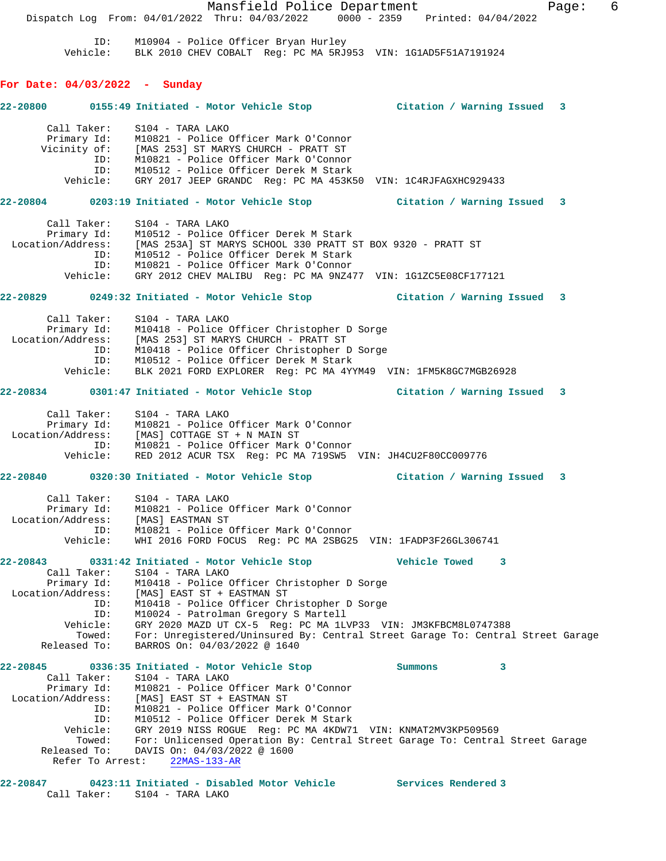Mansfield Police Department Fage: 6 Dispatch Log From: 04/01/2022 Thru: 04/03/2022 0000 - 2359 Printed: 04/04/2022 ID: M10904 - Police Officer Bryan Hurley Vehicle: BLK 2010 CHEV COBALT Reg: PC MA 5RJ953 VIN: 1G1AD5F51A7191924 **For Date: 04/03/2022 - Sunday 22-20800 0155:49 Initiated - Motor Vehicle Stop Citation / Warning Issued 3** Call Taker: S104 - TARA LAKO Primary Id: M10821 - Police Officer Mark O'Connor Vicinity of: [MAS 253] ST MARYS CHURCH - PRATT ST ID: M10821 - Police Officer Mark O'Connor ID: M10821 - Police Officer Mark O'Connor<br>ID: M10512 - Police Officer Derek M Stark Vehicle: GRY 2017 JEEP GRANDC Reg: PC MA 453K50 VIN: 1C4RJFAGXHC929433 **22-20804 0203:19 Initiated - Motor Vehicle Stop Citation / Warning Issued 3** Call Taker: S104 - TARA LAKO Primary Id: M10512 - Police Officer Derek M Stark Location/Address: [MAS 253A] ST MARYS SCHOOL 330 PRATT ST BOX 9320 - PRATT ST ID: M10512 - Police Officer Derek M Stark ID: M10821 - Police Officer Mark O'Connor Vehicle: GRY 2012 CHEV MALIBU Reg: PC MA 9NZ477 VIN: 1G1ZC5E08CF177121 **22-20829 0249:32 Initiated - Motor Vehicle Stop Citation / Warning Issued 3** Call Taker: S104 - TARA LAKO Primary Id: M10418 - Police Officer Christopher D Sorge Location/Address: [MAS 253] ST MARYS CHURCH - PRATT ST ID: M10418 - Police Officer Christopher D Sorge ID: M10512 - Police Officer Derek M Stark Vehicle: BLK 2021 FORD EXPLORER Reg: PC MA 4YYM49 VIN: 1FM5K8GC7MGB26928 **22-20834 0301:47 Initiated - Motor Vehicle Stop Citation / Warning Issued 3** Call Taker: S104 - TARA LAKO Primary Id: M10821 - Police Officer Mark O'Connor Location/Address: [MAS] COTTAGE ST + N MAIN ST ID: M10821 - Police Officer Mark O'Connor Vehicle: RED 2012 ACUR TSX Reg: PC MA 719SW5 VIN: JH4CU2F80CC009776 **22-20840 0320:30 Initiated - Motor Vehicle Stop Citation / Warning Issued 3** Call Taker: S104 - TARA LAKO Primary Id: M10821 - Police Officer Mark O'Connor Location/Address: [MAS] EASTMAN ST ID: M10821 - Police Officer Mark O'Connor Vehicle: WHI 2016 FORD FOCUS Reg: PC MA 2SBG25 VIN: 1FADP3F26GL306741 **22-20843 0331:42 Initiated - Motor Vehicle Stop Vehicle Towed 3**  Call Taker: S104 - TARA LAKO Primary Id: M10418 - Police Officer Christopher D Sorge Location/Address: [MAS] EAST ST + EASTMAN ST ID: M10418 - Police Officer Christopher D Sorge ID: M10024 - Patrolman Gregory S Martell Vehicle: GRY 2020 MAZD UT CX-5 Reg: PC MA 1LVP33 VIN: JM3KFBCM8L0747388 Towed: For: Unregistered/Uninsured By: Central Street Garage To: Central Street Garage Released To: BARROS On: 04/03/2022 @ 1640 **22-20845 0336:35 Initiated - Motor Vehicle Stop Summons 3**  Call Taker: S104 - TARA LAKO Primary Id: M10821 - Police Officer Mark O'Connor Location/Address: [MAS] EAST ST + EASTMAN ST ID: M10821 - Police Officer Mark O'Connor ID: M10512 - Police Officer Derek M Stark Vehicle: GRY 2019 NISS ROGUE Reg: PC MA 4KDW71 VIN: KNMAT2MV3KP509569 Towed: For: Unlicensed Operation By: Central Street Garage To: Central Street Garage Released To: DAVIS On: 04/03/2022 @ 1600 Refer To Arrest: 22MAS-133-AR

**22-20847 0423:11 Initiated - Disabled Motor Vehicle Services Rendered 3**  Call Taker: S104 - TARA LAKO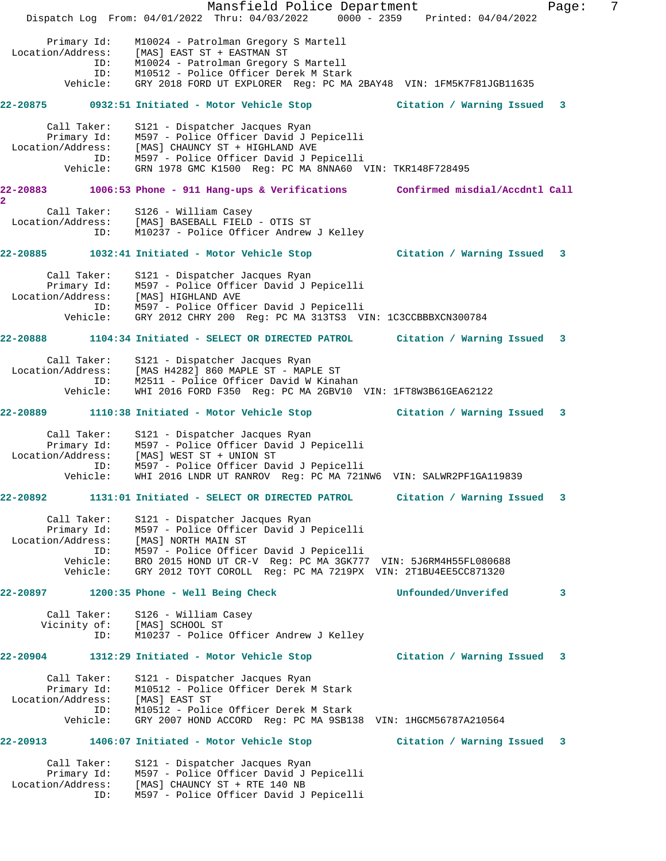Mansfield Police Department Fage: 7 Dispatch Log From: 04/01/2022 Thru: 04/03/2022 0000 - 2359 Printed: 04/04/2022 Primary Id: M10024 - Patrolman Gregory S Martell Location/Address: [MAS] EAST ST + EASTMAN ST ID: M10024 - Patrolman Gregory S Martell ID: M10512 - Police Officer Derek M Stark Vehicle: GRY 2018 FORD UT EXPLORER Reg: PC MA 2BAY48 VIN: 1FM5K7F81JGB11635 **22-20875 0932:51 Initiated - Motor Vehicle Stop Citation / Warning Issued 3** Call Taker: S121 - Dispatcher Jacques Ryan Primary Id: M597 - Police Officer David J Pepicelli Location/Address: [MAS] CHAUNCY ST + HIGHLAND AVE ID: M597 - Police Officer David J Pepicelli Vehicle: GRN 1978 GMC K1500 Reg: PC MA 8NNA60 VIN: TKR148F728495 **22-20883 1006:53 Phone - 911 Hang-ups & Verifications Confirmed misdial/Accdntl Call 2**  Call Taker: S126 - William Casey Location/Address: [MAS] BASEBALL FIELD - OTIS ST ID: M10237 - Police Officer Andrew J Kelley **22-20885 1032:41 Initiated - Motor Vehicle Stop Citation / Warning Issued 3** Call Taker: S121 - Dispatcher Jacques Ryan Primary Id: M597 - Police Officer David J Pepicelli Location/Address: [MAS] HIGHLAND AVE ID: M597 - Police Officer David J Pepicelli Vehicle: GRY 2012 CHRY 200 Reg: PC MA 313TS3 VIN: 1C3CCBBBXCN300784 **22-20888 1104:34 Initiated - SELECT OR DIRECTED PATROL Citation / Warning Issued 3** Call Taker: S121 - Dispatcher Jacques Ryan Location/Address: [MAS H4282] 860 MAPLE ST - MAPLE ST ID: M2511 - Police Officer David W Kinahan Vehicle: WHI 2016 FORD F350 Reg: PC MA 2GBV10 VIN: 1FT8W3B61GEA62122 **22-20889 1110:38 Initiated - Motor Vehicle Stop Citation / Warning Issued 3** Call Taker: S121 - Dispatcher Jacques Ryan Primary Id: M597 - Police Officer David J Pepicelli Location/Address: [MAS] WEST ST + UNION ST ID: M597 - Police Officer David J Pepicelli Vehicle: WHI 2016 LNDR UT RANROV Reg: PC MA 721NW6 VIN: SALWR2PF1GA119839 **22-20892 1131:01 Initiated - SELECT OR DIRECTED PATROL Citation / Warning Issued 3** Call Taker: S121 - Dispatcher Jacques Ryan Primary Id: M597 - Police Officer David J Pepicelli Location/Address: [MAS] NORTH MAIN ST ID: M597 - Police Officer David J Pepicelli Vehicle: BRO 2015 HOND UT CR-V Reg: PC MA 3GK777 VIN: 5J6RM4H55FL080688 Vehicle: GRY 2012 TOYT COROLL Reg: PC MA 7219PX VIN: 2T1BU4EE5CC871320 **22-20897 1200:35 Phone - Well Being Check Unfounded/Unverifed 3** Call Taker: S126 - William Casey Vicinity of: [MAS] SCHOOL ST ID: M10237 - Police Officer Andrew J Kelley **22-20904 1312:29 Initiated - Motor Vehicle Stop Citation / Warning Issued 3** Call Taker: S121 - Dispatcher Jacques Ryan Primary Id: M10512 - Police Officer Derek M Stark Location/Address: [MAS] EAST ST ID: M10512 - Police Officer Derek M Stark Vehicle: GRY 2007 HOND ACCORD Reg: PC MA 9SB138 VIN: 1HGCM56787A210564 **22-20913 1406:07 Initiated - Motor Vehicle Stop Citation / Warning Issued 3** Call Taker: S121 - Dispatcher Jacques Ryan Primary Id: M597 - Police Officer David J Pepicelli Location/Address: [MAS] CHAUNCY ST + RTE 140 NB ID: M597 - Police Officer David J Pepicelli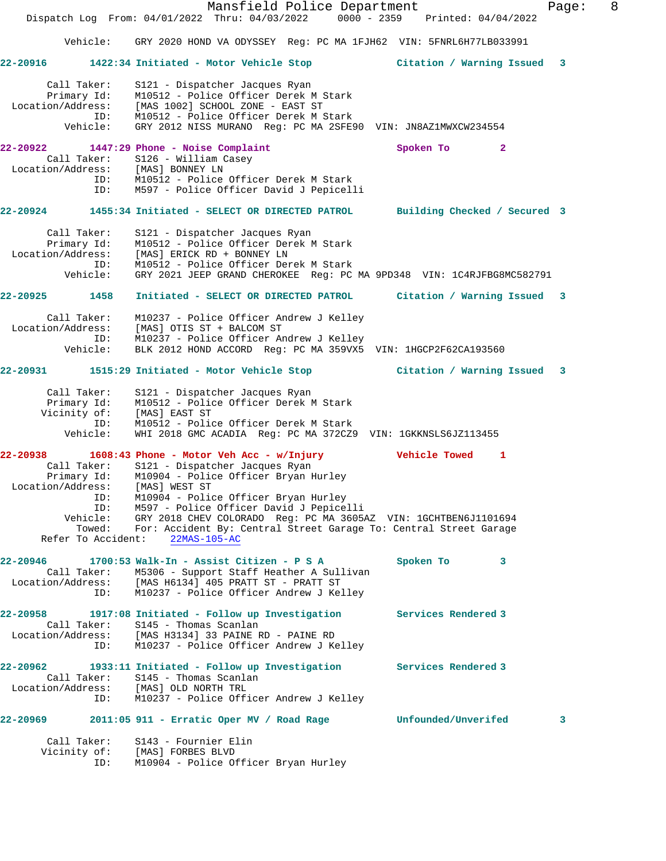|                                                                                                                       | Mansfield Police Department<br>Dispatch Log From: 04/01/2022 Thru: 04/03/2022 0000 - 2359 Printed: 04/04/2022                                                                                                                                                                                                                                                                    |                              | Page: | 8 |
|-----------------------------------------------------------------------------------------------------------------------|----------------------------------------------------------------------------------------------------------------------------------------------------------------------------------------------------------------------------------------------------------------------------------------------------------------------------------------------------------------------------------|------------------------------|-------|---|
|                                                                                                                       | Vehicle: GRY 2020 HOND VA ODYSSEY Reg: PC MA 1FJH62 VIN: 5FNRL6H77LB033991                                                                                                                                                                                                                                                                                                       |                              |       |   |
| 22-20916                                                                                                              | 1422:34 Initiated - Motor Vehicle Stop                                                                                                                                                                                                                                                                                                                                           | Citation / Warning Issued    | 3     |   |
| Call Taker:<br>Primary Id:<br>Location/Address:<br>ID:<br>Vehicle:                                                    | S121 - Dispatcher Jacques Ryan<br>M10512 - Police Officer Derek M Stark<br>[MAS 1002] SCHOOL ZONE - EAST ST<br>M10512 - Police Officer Derek M Stark<br>GRY 2012 NISS MURANO Reg: PC MA 2SFE90 VIN: JN8AZ1MWXCW234554                                                                                                                                                            |                              |       |   |
| 22-20922<br>Call Taker:<br>Location/Address: [MAS] BONNEY LN<br>ID:<br>ID:                                            | 1447:29 Phone - Noise Complaint<br>S126 - William Casey<br>M10512 - Police Officer Derek M Stark<br>M597 - Police Officer David J Pepicelli                                                                                                                                                                                                                                      | Spoken To<br>$\mathbf{2}$    |       |   |
| 22-20924                                                                                                              | 1455:34 Initiated - SELECT OR DIRECTED PATROL                                                                                                                                                                                                                                                                                                                                    | Building Checked / Secured 3 |       |   |
| Call Taker:<br>Primary Id:<br>Location/Address:<br>ID:<br>Vehicle:                                                    | S121 - Dispatcher Jacques Ryan<br>M10512 - Police Officer Derek M Stark<br>[MAS] ERICK RD + BONNEY LN<br>M10512 - Police Officer Derek M Stark<br>GRY 2021 JEEP GRAND CHEROKEE Req: PC MA 9PD348 VIN: 1C4RJFBG8MC582791                                                                                                                                                          |                              |       |   |
| 1458<br>22-20925                                                                                                      | Initiated - SELECT OR DIRECTED PATROL Citation / Warning Issued 3                                                                                                                                                                                                                                                                                                                |                              |       |   |
| Call Taker:<br>Location/Address:<br>ID:<br>Vehicle:                                                                   | M10237 - Police Officer Andrew J Kelley<br>[MAS] OTIS ST + BALCOM ST<br>M10237 - Police Officer Andrew J Kelley<br>BLK 2012 HOND ACCORD Reg: PC MA 359VX5 VIN: 1HGCP2F62CA193560                                                                                                                                                                                                 |                              |       |   |
|                                                                                                                       | 22-20931 1515:29 Initiated - Motor Vehicle Stop                                                                                                                                                                                                                                                                                                                                  | Citation / Warning Issued    | 3     |   |
| Call Taker:<br>Primary Id:<br>Vicinity of:<br>ID:<br>Vehicle:                                                         | S121 - Dispatcher Jacques Ryan<br>M10512 - Police Officer Derek M Stark<br>[MAS] EAST ST<br>M10512 - Police Officer Derek M Stark<br>WHI 2018 GMC ACADIA Reg: PC MA 372CZ9 VIN: 1GKKNSLS6JZ113455                                                                                                                                                                                |                              |       |   |
| 22-20938<br>Call Taker:<br>Primary Id:<br>Location/Address:<br>ID:<br>ID:<br>Vehicle:<br>Towed:<br>Refer To Accident: | $1608:43$ Phone - Motor Veh Acc - w/Injury<br>S121 - Dispatcher Jacques Ryan<br>M10904 - Police Officer Bryan Hurley<br>[MAS] WEST ST<br>M10904 - Police Officer Bryan Hurley<br>M597 - Police Officer David J Pepicelli<br>GRY 2018 CHEV COLORADO Reg: PC MA 3605AZ VIN: 1GCHTBEN6J1101694<br>For: Accident By: Central Street Garage To: Central Street Garage<br>22MAS-105-AC | Vehicle Towed<br>-1          |       |   |
| 22-20946<br>Call Taker:<br>Location/Address:<br>ID:                                                                   | 1700:53 Walk-In - Assist Citizen - P S A<br>M5306 - Support Staff Heather A Sullivan<br>[MAS H6134] 405 PRATT ST - PRATT ST<br>M10237 - Police Officer Andrew J Kelley                                                                                                                                                                                                           | Spoken To<br>3               |       |   |
| 22-20958<br>Call Taker:<br>ID:                                                                                        | 1917:08 Initiated - Follow up Investigation Services Rendered 3<br>S145 - Thomas Scanlan<br>Location/Address: [MAS H3134] 33 PAINE RD - PAINE RD<br>M10237 - Police Officer Andrew J Kelley                                                                                                                                                                                      |                              |       |   |
| 22-20962<br>ID:                                                                                                       | 1933:11 Initiated - Follow up Investigation<br>Call Taker: S145 - Thomas Scanlan<br>Location/Address: [MAS] OLD NORTH TRL<br>M10237 - Police Officer Andrew J Kelley                                                                                                                                                                                                             | Services Rendered 3          |       |   |
| 22-20969                                                                                                              | $2011:05$ 911 - Erratic Oper MV / Road Rage                                                                                                                                                                                                                                                                                                                                      | Unfounded/Unverifed          | 3     |   |
| Call Taker:<br>Vicinity of:<br>ID:                                                                                    | S143 - Fournier Elin<br>[MAS] FORBES BLVD<br>M10904 - Police Officer Bryan Hurley                                                                                                                                                                                                                                                                                                |                              |       |   |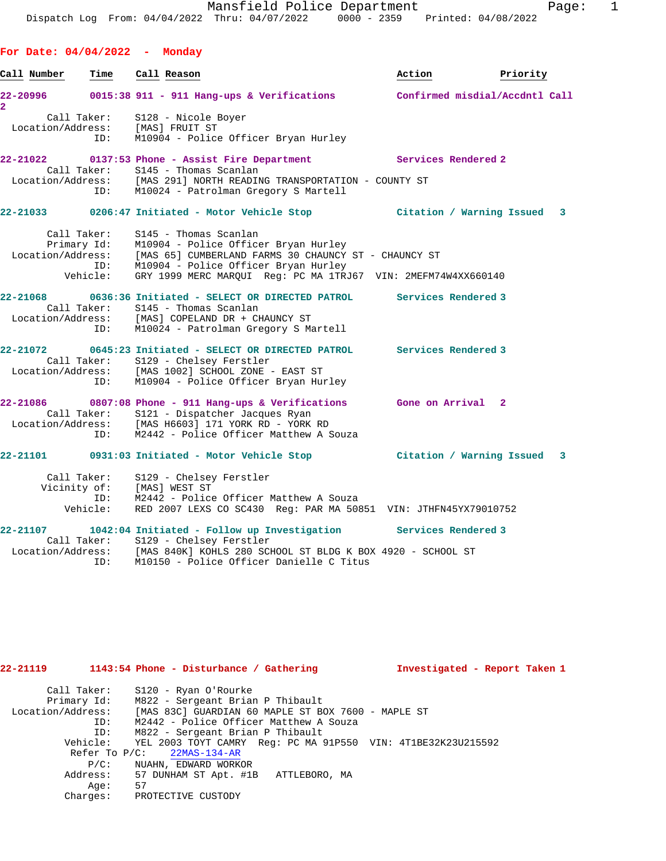Call Number **Time Call Reason Action Action** Priority

**For Date: 04/04/2022 - Monday**

**2** 

**22-20996 0015:38 911 - 911 Hang-ups & Verifications Confirmed misdial/Accdntl Call** Call Taker: S128 - Nicole Boyer Location/Address: [MAS] FRUIT ST ID: M10904 - Police Officer Bryan Hurley **22-21022 0137:53 Phone - Assist Fire Department Services Rendered 2**  Call Taker: S145 - Thomas Scanlan Location/Address: [MAS 291] NORTH READING TRANSPORTATION - COUNTY ST ID: M10024 - Patrolman Gregory S Martell **22-21033 0206:47 Initiated - Motor Vehicle Stop Citation / Warning Issued 3** Call Taker: S145 - Thomas Scanlan Primary Id: M10904 - Police Officer Bryan Hurley Location/Address: [MAS 65] CUMBERLAND FARMS 30 CHAUNCY ST - CHAUNCY ST ID: M10904 - Police Officer Bryan Hurley Vehicle: GRY 1999 MERC MARQUI Reg: PC MA 1TRJ67 VIN: 2MEFM74W4XX660140 **22-21068 0636:36 Initiated - SELECT OR DIRECTED PATROL Services Rendered 3**  Call Taker: S145 - Thomas Scanlan Location/Address: [MAS] COPELAND DR + CHAUNCY ST ID: M10024 - Patrolman Gregory S Martell **22-21072 0645:23 Initiated - SELECT OR DIRECTED PATROL Services Rendered 3**  Call Taker: S129 - Chelsey Ferstler Location/Address: [MAS 1002] SCHOOL ZONE - EAST ST ID: M10904 - Police Officer Bryan Hurley **22-21086 0807:08 Phone - 911 Hang-ups & Verifications Gone on Arrival 2**  Call Taker: S121 - Dispatcher Jacques Ryan<br>Location/Address: [MAS H6603] 171 YORK RD - YORK [MAS H6603] 171 YORK RD - YORK RD ID: M2442 - Police Officer Matthew A Souza **22-21101 0931:03 Initiated - Motor Vehicle Stop Citation / Warning Issued 3** Call Taker: S129 - Chelsey Ferstler Vicinity of: [MAS] WEST ST

| ID:               | M2442 - Police Officer Matthew A Souza                          |                     |
|-------------------|-----------------------------------------------------------------|---------------------|
| Vehicle:          | RED 2007 LEXS CO SC430 Reg: PAR MA 50851 VIN: JTHFN45YX79010752 |                     |
| 22-21107          | 1042:04 Initiated - Follow up Investigation                     | Services Rendered 3 |
|                   | Call Taker: S129 - Chelsey Ferstler                             |                     |
| Location/Address: | [MAS 840K] KOHLS 280 SCHOOL ST BLDG K BOX 4920 - SCHOOL ST      |                     |
| ID:               | M10150 - Police Officer Danielle C Titus                        |                     |

| 22-21119          |                  | 1143:54 Phone - Disturbance / Gathering                               | Investigated - Report Taken 1 |
|-------------------|------------------|-----------------------------------------------------------------------|-------------------------------|
|                   | Call Taker:      | S120 - Ryan O'Rourke                                                  |                               |
|                   | Primary Id:      | M822 - Sergeant Brian P Thibault                                      |                               |
| Location/Address: |                  | [MAS 83C] GUARDIAN 60 MAPLE ST BOX 7600 - MAPLE ST                    |                               |
|                   | ID:              | M2442 - Police Officer Matthew A Souza                                |                               |
|                   | ID:              | M822 - Sergeant Brian P Thibault                                      |                               |
|                   |                  | Vehicle: YEL 2003 TOYT CAMRY Req: PC MA 91P550 VIN: 4T1BE32K23U215592 |                               |
|                   | Refer To $P/C$ : | $22MAS-134-AR$                                                        |                               |
|                   | $P/C$ :          | NUAHN, EDWARD WORKOR                                                  |                               |
|                   | Address:         | 57 DUNHAM ST Apt. #1B ATTLEBORO, MA                                   |                               |
|                   | Aae:             | 57                                                                    |                               |
|                   | Charges:         | PROTECTIVE CUSTODY                                                    |                               |
|                   |                  |                                                                       |                               |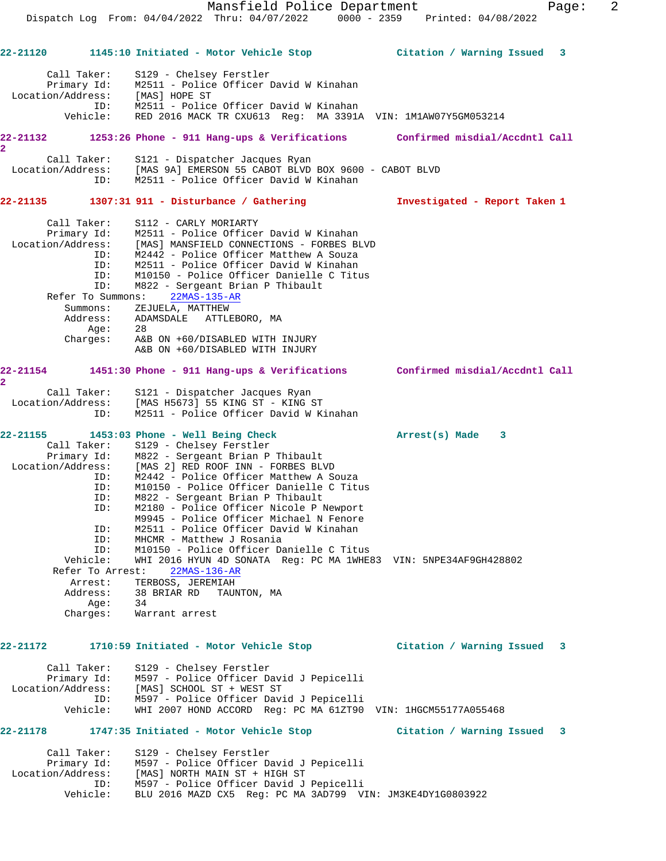Mansfield Police Department Fage: 2 Dispatch Log From: 04/04/2022 Thru: 04/07/2022 0000 - 2359 Printed: 04/08/2022 **22-21120 1145:10 Initiated - Motor Vehicle Stop Citation / Warning Issued 3** Call Taker: S129 - Chelsey Ferstler Primary Id: M2511 - Police Officer David W Kinahan Location/Address: [MAS] HOPE ST ID: M2511 - Police Officer David W Kinahan Vehicle: RED 2016 MACK TR CXU613 Reg: MA 3391A VIN: 1M1AW07Y5GM053214 **22-21132 1253:26 Phone - 911 Hang-ups & Verifications Confirmed misdial/Accdntl Call 2**  Call Taker: S121 - Dispatcher Jacques Ryan Location/Address: [MAS 9A] EMERSON 55 CABOT BLVD BOX 9600 - CABOT BLVD ID: M2511 - Police Officer David W Kinahan **22-21135 1307:31 911 - Disturbance / Gathering Investigated - Report Taken 1** Call Taker: S112 - CARLY MORIARTY Primary Id: M2511 - Police Officer David W Kinahan Location/Address: [MAS] MANSFIELD CONNECTIONS - FORBES BLVD ID: M2442 - Police Officer Matthew A Souza ID: M2511 - Police Officer David W Kinahan ID: M10150 - Police Officer Danielle C Titus<br>ID: M822 - Sergeant Brian P Thibault M822 - Sergeant Brian P Thibault Refer To Summons: 22MAS-135-AR Summons: ZEJUELA, MATTHEW Address: ADAMSDALE ATTLEBORO, MA Age: 28 Charges: A&B ON +60/DISABLED WITH INJURY A&B ON +60/DISABLED WITH INJURY **22-21154 1451:30 Phone - 911 Hang-ups & Verifications Confirmed misdial/Accdntl Call 2**  Call Taker: S121 - Dispatcher Jacques Ryan Location/Address: [MAS H5673] 55 KING ST - KING ST ID: M2511 - Police Officer David W Kinahan **22-21155 1453:03 Phone - Well Being Check Arrest(s) Made 3**  Call Taker: S129 - Chelsey Ferstler Primary Id: M822 - Sergeant Brian P Thibault Location/Address: [MAS 2] RED ROOF INN - FORBES BLVD ID: M2442 - Police Officer Matthew A Souza ID: M10150 - Police Officer Danielle C Titus ID: M822 - Sergeant Brian P Thibault ID: M2180 - Police Officer Nicole P Newport M9945 - Police Officer Michael N Fenore ID: M2511 - Police Officer David W Kinahan ID: MHCMR - Matthew J Rosania ID: M10150 - Police Officer Danielle C Titus Vehicle: WHI 2016 HYUN 4D SONATA Reg: PC MA 1WHE83 VIN: 5NPE34AF9GH428802 Refer To Arrest: 22MAS-136-AR Arrest: TERBOSS, JEREMIAH Address: 38 BRIAR RD TAUNTON, MA Age: 34 Charges: Warrant arrest **22-21172 1710:59 Initiated - Motor Vehicle Stop Citation / Warning Issued 3** Call Taker: S129 - Chelsey Ferstler Primary Id: M597 - Police Officer David J Pepicelli Location/Address: [MAS] SCHOOL ST + WEST ST ID: M597 - Police Officer David J Pepicelli Vehicle: WHI 2007 HOND ACCORD Reg: PC MA 61ZT90 VIN: 1HGCM55177A055468 **22-21178 1747:35 Initiated - Motor Vehicle Stop Citation / Warning Issued 3** Call Taker: S129 - Chelsey Ferstler Primary Id: M597 - Police Officer David J Pepicelli Location/Address: [MAS] NORTH MAIN ST + HIGH ST ID: M597 - Police Officer David J Pepicelli Vehicle: BLU 2016 MAZD CX5 Reg: PC MA 3AD799 VIN: JM3KE4DY1G0803922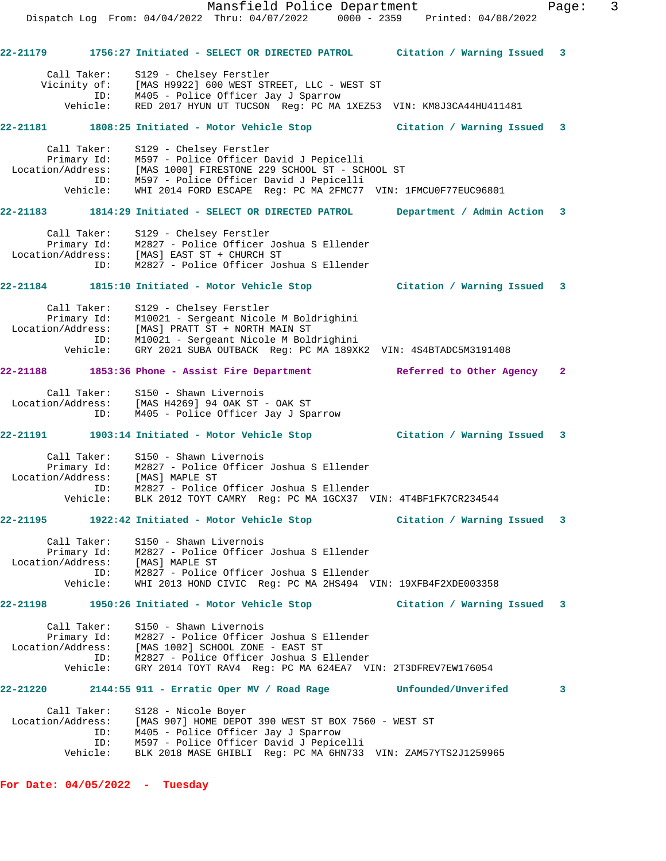Mansfield Police Department Fage: 3 Dispatch Log From: 04/04/2022 Thru: 04/07/2022 0000 - 2359 Printed: 04/08/2022 **22-21179 1756:27 Initiated - SELECT OR DIRECTED PATROL Citation / Warning Issued 3** Call Taker: S129 - Chelsey Ferstler Vicinity of: [MAS H9922] 600 WEST STREET, LLC - WEST ST ID: M405 - Police Officer Jay J Sparrow Vehicle: RED 2017 HYUN UT TUCSON Reg: PC MA 1XEZ53 VIN: KM8J3CA44HU411481 **22-21181 1808:25 Initiated - Motor Vehicle Stop Citation / Warning Issued 3** Call Taker: S129 - Chelsey Ferstler Primary Id: M597 - Police Officer David J Pepicelli Location/Address: [MAS 1000] FIRESTONE 229 SCHOOL ST - SCHOOL ST ID: M597 - Police Officer David J Pepicelli Vehicle: WHI 2014 FORD ESCAPE Reg: PC MA 2FMC77 VIN: 1FMCU0F77EUC96801 **22-21183 1814:29 Initiated - SELECT OR DIRECTED PATROL Department / Admin Action 3** Call Taker: S129 - Chelsey Ferstler Primary Id: M2827 - Police Officer Joshua S Ellender Location/Address: [MAS] EAST ST + CHURCH ST ID: M2827 - Police Officer Joshua S Ellender **22-21184 1815:10 Initiated - Motor Vehicle Stop Citation / Warning Issued 3** Call Taker: S129 - Chelsey Ferstler Primary Id: M10021 - Sergeant Nicole M Boldrighini Location/Address: [MAS] PRATT ST + NORTH MAIN ST ID: M10021 - Sergeant Nicole M Boldrighini Vehicle: GRY 2021 SUBA OUTBACK Reg: PC MA 189XK2 VIN: 4S4BTADC5M3191408 **22-21188 1853:36 Phone - Assist Fire Department Referred to Other Agency 2** Call Taker: S150 - Shawn Livernois Location/Address: [MAS H4269] 94 OAK ST - OAK ST ID: M405 - Police Officer Jay J Sparrow **22-21191 1903:14 Initiated - Motor Vehicle Stop Citation / Warning Issued 3** Call Taker: S150 - Shawn Livernois Primary Id: M2827 - Police Officer Joshua S Ellender Location/Address: [MAS] MAPLE ST ID: M2827 - Police Officer Joshua S Ellender Vehicle: BLK 2012 TOYT CAMRY Reg: PC MA 1GCX37 VIN: 4T4BF1FK7CR234544 **22-21195 1922:42 Initiated - Motor Vehicle Stop Citation / Warning Issued 3** Call Taker: S150 - Shawn Livernois Primary Id:  $\frac{1}{100}$  - Police Officer Joshua S Ellender Location/Address: [MAS] MAPLE ST ID: M2827 - Police Officer Joshua S Ellender Vehicle: WHI 2013 HOND CIVIC Reg: PC MA 2HS494 VIN: 19XFB4F2XDE003358 **22-21198 1950:26 Initiated - Motor Vehicle Stop Citation / Warning Issued 3** Call Taker: S150 - Shawn Livernois Primary Id: M2827 - Police Officer Joshua S Ellender Location/Address: [MAS 1002] SCHOOL ZONE - EAST ST ID: M2827 - Police Officer Joshua S Ellender Vehicle: GRY 2014 TOYT RAV4 Reg: PC MA 624EA7 VIN: 2T3DFREV7EW176054 **22-21220 2144:55 911 - Erratic Oper MV / Road Rage Unfounded/Unverifed 3** Call Taker: S128 - Nicole Boyer Location/Address: [MAS 907] HOME DEPOT 390 WEST ST BOX 7560 - WEST ST ID: M405 - Police Officer Jay J Sparrow ID: M597 - Police Officer David J Pepicelli Vehicle: BLK 2018 MASE GHIBLI Reg: PC MA 6HN733 VIN: ZAM57YTS2J1259965

**For Date: 04/05/2022 - Tuesday**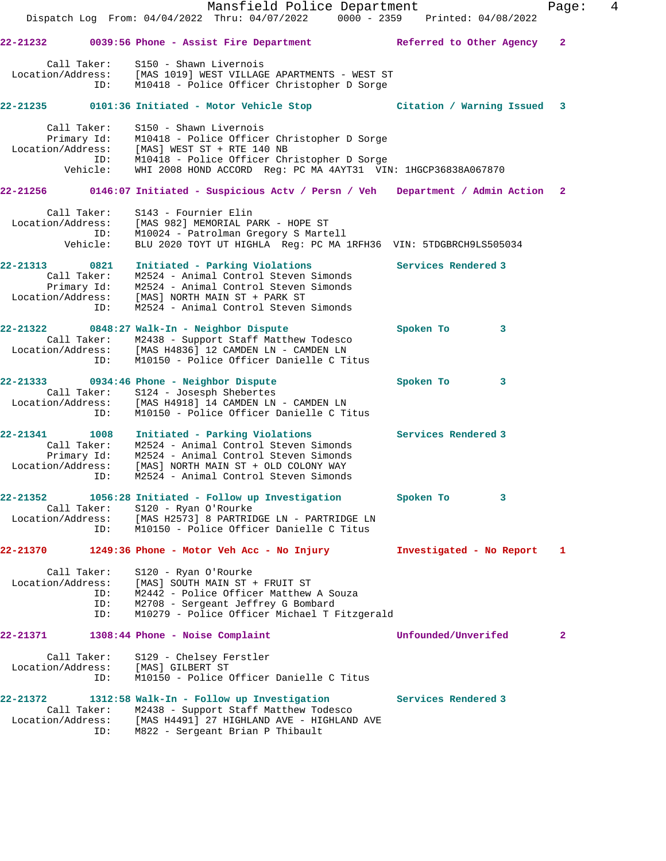|                                  |             | Mansfield Police Department<br>Dispatch Log From: 04/04/2022 Thru: 04/07/2022 0000 - 2359 Printed: 04/08/2022 |                           | Page:          | 4 |
|----------------------------------|-------------|---------------------------------------------------------------------------------------------------------------|---------------------------|----------------|---|
|                                  |             |                                                                                                               |                           |                |   |
| 22-21232                         |             | 0039:56 Phone - Assist Fire Department                                                                        | Referred to Other Agency  | $\overline{a}$ |   |
| Call Taker:                      |             | S150 - Shawn Livernois                                                                                        |                           |                |   |
|                                  |             | Location/Address: [MAS 1019] WEST VILLAGE APARTMENTS - WEST ST                                                |                           |                |   |
|                                  | ID:         | M10418 - Police Officer Christopher D Sorge                                                                   |                           |                |   |
| 22-21235                         |             | 0101:36 Initiated - Motor Vehicle Stop                                                                        | Citation / Warning Issued | 3              |   |
| Call Taker:                      |             | S150 - Shawn Livernois                                                                                        |                           |                |   |
|                                  |             | Primary Id: M10418 - Police Officer Christopher D Sorge Location/Address: [MAS] WEST ST + RTE 140 NB          |                           |                |   |
|                                  |             | ID: M10418 - Police Officer Christopher D Sorge                                                               |                           |                |   |
|                                  | Vehicle:    | WHI 2008 HOND ACCORD Reg: PC MA 4AYT31 VIN: 1HGCP36838A067870                                                 |                           |                |   |
|                                  |             | 22-21256 0146:07 Initiated - Suspicious Actv / Persn / Veh Department / Admin Action 2                        |                           |                |   |
|                                  |             | Call Taker: S143 - Fournier Elin                                                                              |                           |                |   |
|                                  |             | Location/Address: [MAS 982] MEMORIAL PARK - HOPE ST                                                           |                           |                |   |
|                                  | ID:         | M10024 - Patrolman Gregory S Martell                                                                          |                           |                |   |
|                                  | Vehicle:    | BLU 2020 TOYT UT HIGHLA Req: PC MA 1RFH36 VIN: 5TDGBRCH9LS505034                                              |                           |                |   |
| 22-21313 0821                    |             | Initiated - Parking Violations                                                                                | Services Rendered 3       |                |   |
|                                  |             | Call Taker: M2524 - Animal Control Steven Simonds                                                             |                           |                |   |
|                                  |             | Primary Id: M2524 - Animal Control Steven Simonds<br>ion/Address: [MAS] NORTH MAIN ST + PARK ST               |                           |                |   |
| Location/Address:                | ID:         | M2524 - Animal Control Steven Simonds                                                                         |                           |                |   |
|                                  |             |                                                                                                               |                           |                |   |
|                                  |             | 22-21322 0848:27 Walk-In - Neighbor Dispute                                                                   | Spoken To<br>$\mathbf{3}$ |                |   |
|                                  |             | Call Taker: M2438 - Support Staff Matthew Todesco<br>Location/Address: [MAS H4836] 12 CAMDEN LN - CAMDEN LN   |                           |                |   |
|                                  | ID:         | M10150 - Police Officer Danielle C Titus                                                                      |                           |                |   |
|                                  |             | 22-21333 0934:46 Phone - Neighbor Dispute                                                                     | Spoken To<br>3            |                |   |
|                                  |             | Call Taker: S124 - Josesph Shebertes                                                                          |                           |                |   |
|                                  |             | Location/Address: [MAS H4918] 14 CAMDEN LN - CAMDEN LN                                                        |                           |                |   |
|                                  | ID:         | M10150 - Police Officer Danielle C Titus                                                                      |                           |                |   |
| 22-21341                         | 1008        | Initiated - Parking Violations                                                                                | Services Rendered 3       |                |   |
|                                  | Call Taker: | M2524 - Animal Control Steven Simonds                                                                         |                           |                |   |
|                                  |             | Primary Id: M2524 - Animal Control Steven Simonds                                                             |                           |                |   |
| Location/Address:                | ID:         | [MAS] NORTH MAIN ST + OLD COLONY WAY<br>M2524 - Animal Control Steven Simonds                                 |                           |                |   |
|                                  |             |                                                                                                               |                           |                |   |
| 22-21352                         |             | 1056:28 Initiated - Follow up Investigation                                                                   | Spoken To<br>3            |                |   |
| Call Taker:<br>Location/Address: |             | S120 - Ryan O'Rourke<br>[MAS H2573] 8 PARTRIDGE LN - PARTRIDGE LN                                             |                           |                |   |
|                                  | ID:         | M10150 - Police Officer Danielle C Titus                                                                      |                           |                |   |
| 22-21370                         |             | 1249:36 Phone - Motor Veh Acc - No Injury                                                                     | Investigated - No Report  | 1              |   |
|                                  |             |                                                                                                               |                           |                |   |
| Call Taker:<br>Location/Address: |             | S120 - Ryan O'Rourke<br>[MAS] SOUTH MAIN ST + FRUIT ST                                                        |                           |                |   |
|                                  | ID:         | M2442 - Police Officer Matthew A Souza                                                                        |                           |                |   |
|                                  | ID:         | M2708 - Sergeant Jeffrey G Bombard                                                                            |                           |                |   |
|                                  | ID:         | M10279 - Police Officer Michael T Fitzgerald                                                                  |                           |                |   |
| 22-21371                         |             | 1308:44 Phone - Noise Complaint                                                                               | Unfounded/Unverifed       | 2              |   |
| Call Taker:                      |             | S129 - Chelsey Ferstler                                                                                       |                           |                |   |
| Location/Address:                |             | [MAS] GILBERT ST                                                                                              |                           |                |   |
|                                  | ID:         | M10150 - Police Officer Danielle C Titus                                                                      |                           |                |   |
| 22-21372                         |             | 1312:58 Walk-In - Follow up Investigation                                                                     | Services Rendered 3       |                |   |
| Call Taker:                      |             | M2438 - Support Staff Matthew Todesco                                                                         |                           |                |   |
| Location/Address:                |             | [MAS H4491] 27 HIGHLAND AVE - HIGHLAND AVE                                                                    |                           |                |   |
|                                  | ID:         | M822 - Sergeant Brian P Thibault                                                                              |                           |                |   |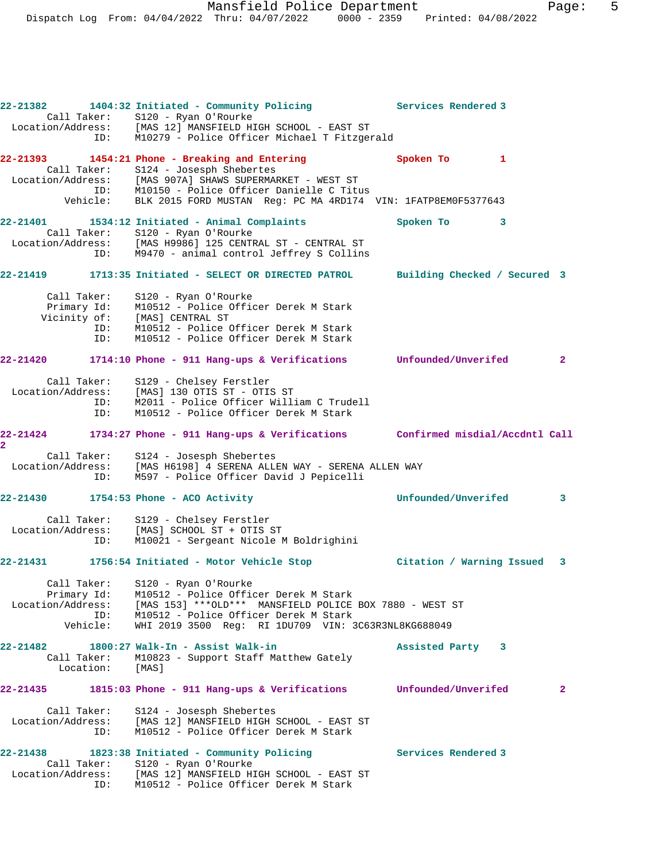**22-21382 1404:32 Initiated - Community Policing Services Rendered 3**  Call Taker: S120 - Ryan O'Rourke Location/Address: [MAS 12] MANSFIELD HIGH SCHOOL - EAST ST ID: M10279 - Police Officer Michael T Fitzgerald **22-21393 1454:21 Phone - Breaking and Entering Spoken To 1**  Call Taker: S124 - Josesph Shebertes Location/Address: [MAS 907A] SHAWS SUPERMARKET - WEST ST ID: M10150 - Police Officer Danielle C Titus Vehicle: BLK 2015 FORD MUSTAN Reg: PC MA 4RD174 VIN: 1FATP8EM0F5377643 **22-21401 1534:12 Initiated - Animal Complaints Spoken To 3**  Call Taker: S120 - Ryan O'Rourke Location/Address: [MAS H9986] 125 CENTRAL ST - CENTRAL ST ID: M9470 - animal control Jeffrey S Collins **22-21419 1713:35 Initiated - SELECT OR DIRECTED PATROL Building Checked / Secured 3** Call Taker: S120 - Ryan O'Rourke Primary Id: M10512 - Police Officer Derek M Stark Vicinity of: [MAS] CENTRAL ST<br>ID: M10512 - Police ID: M10512 - Police Officer Derek M Stark M10512 - Police Officer Derek M Stark **22-21420 1714:10 Phone - 911 Hang-ups & Verifications Unfounded/Unverifed 2** Call Taker: S129 - Chelsey Ferstler Location/Address: [MAS] 130 OTIS ST - OTIS ST<br>ID: M2011 - Police Officer Will: ID: M2011 - Police Officer William C Trudell M10512 - Police Officer Derek M Stark **22-21424 1734:27 Phone - 911 Hang-ups & Verifications Confirmed misdial/Accdntl Call 2**  Call Taker: S124 - Josesph Shebertes Location/Address: [MAS H6198] 4 SERENA ALLEN WAY - SERENA ALLEN WAY ID: M597 - Police Officer David J Pepicelli **22-21430 1754:53 Phone - ACO Activity Unfounded/Unverifed 3** Call Taker: S129 - Chelsey Ferstler Location/Address: [MAS] SCHOOL ST + OTIS ST ID: M10021 - Sergeant Nicole M Boldrighini **22-21431 1756:54 Initiated - Motor Vehicle Stop Citation / Warning Issued 3** Call Taker: S120 - Ryan O'Rourke Primary Id: M10512 - Police Officer Derek M Stark Location/Address: [MAS 153] \*\*\*OLD\*\*\* MANSFIELD POLICE BOX 7880 - WEST ST ID: M10512 - Police Officer Derek M Stark Vehicle: WHI 2019 3500 Reg: RI 1DU709 VIN: 3C63R3NL8KG688049 **22-21482 1800:27 Walk-In - Assist Walk-in Assisted Party 3**  Call Taker: M10823 - Support Staff Matthew Gately Location: [MAS] **22-21435 1815:03 Phone - 911 Hang-ups & Verifications Unfounded/Unverifed 2** Call Taker: S124 - Josesph Shebertes<br>Location/Address: [MAS 12] MANSFIELD HIGH S [MAS 12] MANSFIELD HIGH SCHOOL - EAST ST ID: M10512 - Police Officer Derek M Stark **22-21438 1823:38 Initiated - Community Policing Services Rendered 3**  Call Taker: S120 - Ryan O'Rourke Location/Address: [MAS 12] MANSFIELD HIGH SCHOOL - EAST ST ID: M10512 - Police Officer Derek M Stark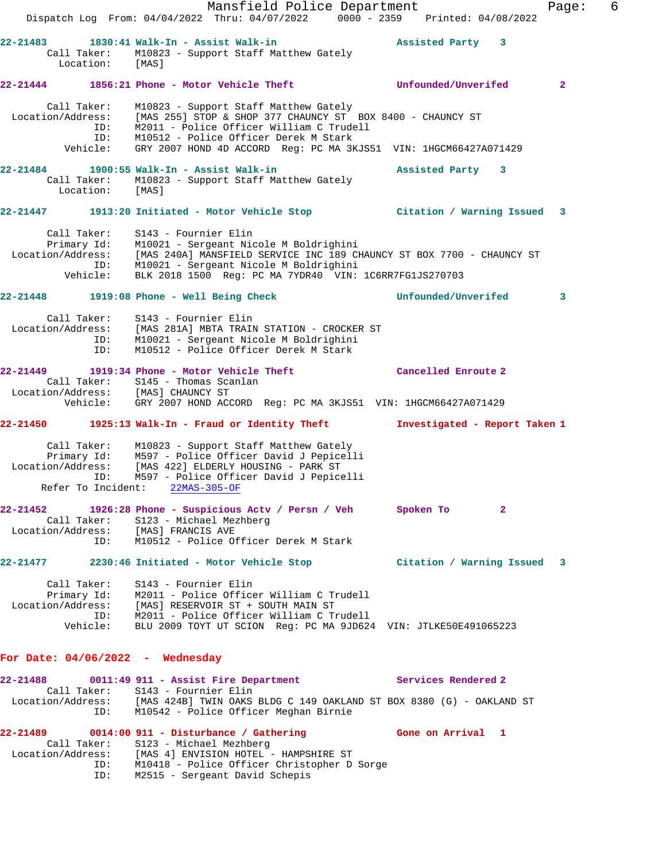|                                                     | Mansfield Police Department                                                                                                                                                                                                                                                               |                               | 6<br>Page:     |
|-----------------------------------------------------|-------------------------------------------------------------------------------------------------------------------------------------------------------------------------------------------------------------------------------------------------------------------------------------------|-------------------------------|----------------|
|                                                     | Dispatch Log From: 04/04/2022 Thru: 04/07/2022 0000 - 2359 Printed: 04/08/2022                                                                                                                                                                                                            |                               |                |
| Location: [MAS]                                     | 22-21483 1830:41 Walk-In - Assist Walk-in<br>Call Taker: M10823 - Support Staff Matthew Gately                                                                                                                                                                                            | Assisted Party 3              |                |
|                                                     | 22-21444 1856:21 Phone - Motor Vehicle Theft ___________________________________                                                                                                                                                                                                          |                               | $\overline{2}$ |
| Call Taker:<br>ID:<br>Vehicle:                      | M10823 - Support Staff Matthew Gately<br>Location/Address: [MAS 255] STOP & SHOP 377 CHAUNCY ST BOX 8400 - CHAUNCY ST<br>ID: M2011 - Police Officer William C Trudell<br>M10512 - Police Officer Derek M Stark<br>GRY 2007 HOND 4D ACCORD Reg: PC MA 3KJS51 VIN: 1HGCM66427A071429        |                               |                |
| 22-21484<br>Call Taker:<br>Location: [MAS]          | 1900:55 Walk-In - Assist Walk-in<br>M10823 - Support Staff Matthew Gately                                                                                                                                                                                                                 | Assisted Party 3              |                |
|                                                     | 22-21447 1913:20 Initiated - Motor Vehicle Stop Citation / Warning Issued 3                                                                                                                                                                                                               |                               |                |
| Vehicle:                                            | Call Taker: S143 - Fournier Elin<br>Primary Id: M10021 - Sergeant Nicole M Boldrighini<br>Location/Address: [MAS 240A] MANSFIELD SERVICE INC 189 CHAUNCY ST BOX 7700 - CHAUNCY ST<br>ID: M10021 - Sergeant Nicole M Boldrighini<br>BLK 2018 1500 Reg: PC MA 7YDR40 VIN: 1C6RR7FG1JS270703 |                               |                |
|                                                     | 22-21448 1919:08 Phone - Well Being Check                                                                                                                                                                                                                                                 | Unfounded/Unverifed           | 3              |
| ID:<br>ID:                                          | Call Taker: S143 - Fournier Elin<br>Location/Address: [MAS 281A] MBTA TRAIN STATION - CROCKER ST<br>M10021 - Sergeant Nicole M Boldrighini<br>M10512 - Police Officer Derek M Stark                                                                                                       |                               |                |
|                                                     | 22-21449    1919:34 Phone - Motor Vehicle Theft<br>Call Taker: S145 - Thomas Scanlan<br>Location/Address: [MAS] CHAUNCY ST<br>Vehicle: GRY 2007 HOND ACCORD Reg: PC MA 3KJS51 VIN: 1HGCM66427A071429                                                                                      | Cancelled Enroute 2           |                |
|                                                     | 22-21450 1925:13 Walk-In - Fraud or Identity Theft                                                                                                                                                                                                                                        | Investigated - Report Taken 1 |                |
| ID:                                                 | Call Taker: M10823 - Support Staff Matthew Gately<br>Primary Id: M597 - Police Officer David J Pepicelli<br>Location/Address: [MAS 422] ELDERLY HOUSING - PARK ST<br>M597 - Police Officer David J Pepicelli<br>Refer To Incident: 22MAS-305-OF                                           |                               |                |
| $22 - 21452$<br>Location/Address: [MAS] FRANCIS AVE | 1926:28 Phone - Suspicious Actv / Persn / Veh<br>Call Taker: S123 - Michael Mezhberg<br>ID: M10512 - Police Officer Derek M Stark                                                                                                                                                         | Spoken To<br>$\mathbf{2}$     |                |
|                                                     | 22-21477 2230:46 Initiated - Motor Vehicle Stop Citation / Warning Issued 3                                                                                                                                                                                                               |                               |                |
| Call Taker:                                         | S143 - Fournier Elin<br>Primary Id: M2011 - Police Officer William C Trudell<br>Location/Address: [MAS] RESERVOIR ST + SOUTH MAIN ST<br>ID: M2011 - Police Officer William C Trudell<br>Vehicle: BLU 2009 TOYT UT SCION Req: PC MA 9JD624 VIN: JTLKE50E491065223                          |                               |                |
| For Date: $04/06/2022 -$ Wednesday                  |                                                                                                                                                                                                                                                                                           |                               |                |
| 22-21488                                            | 0011:49 911 - Assist Fire Department Services Rendered 2                                                                                                                                                                                                                                  |                               |                |
|                                                     | Call Taker: S143 - Fournier Elin<br>Location/Address: [MAS 424B] TWIN OAKS BLDG C 149 OAKLAND ST BOX 8380 (G) - OAKLAND ST<br>ID: M10542 - Police Officer Meghan Birnie                                                                                                                   |                               |                |
| ID:                                                 | 22-21489 0014:00 911 - Disturbance / Gathering The Gone on Arrival 1<br>Call Taker: S123 - Michael Mezhberg<br>Location/Address: [MAS 4] ENVISION HOTEL - HAMPSHIRE ST<br>ID: M10418 - Police Officer Christopher D Sorge<br>M2515 - Sergeant David Schepis                               |                               |                |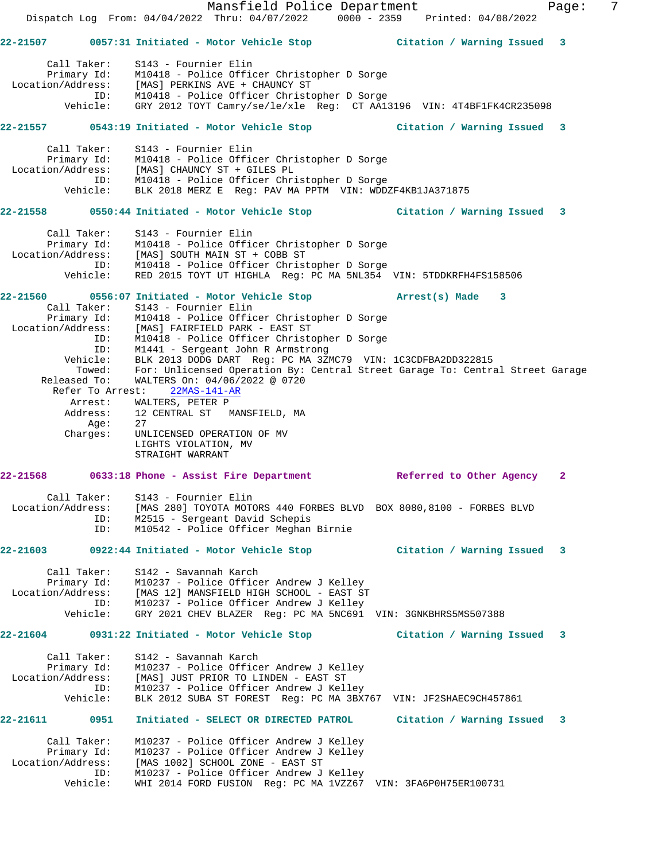Mansfield Police Department Fage: 7 Dispatch Log From: 04/04/2022 Thru: 04/07/2022 0000 - 2359 Printed: 04/08/2022 **22-21507 0057:31 Initiated - Motor Vehicle Stop Citation / Warning Issued 3** Call Taker: S143 - Fournier Elin Primary Id: M10418 - Police Officer Christopher D Sorge Location/Address: [MAS] PERKINS AVE + CHAUNCY ST ID: M10418 - Police Officer Christopher D Sorge Vehicle: GRY 2012 TOYT Camry/se/le/xle Reg: CT AA13196 VIN: 4T4BF1FK4CR235098 **22-21557 0543:19 Initiated - Motor Vehicle Stop Citation / Warning Issued 3** Call Taker: S143 - Fournier Elin Primary Id: M10418 - Police Officer Christopher D Sorge Location/Address: [MAS] CHAUNCY ST + GILES PL ID: M10418 - Police Officer Christopher D Sorge Vehicle: BLK 2018 MERZ E Reg: PAV MA PPTM VIN: WDDZF4KB1JA371875 **22-21558 0550:44 Initiated - Motor Vehicle Stop Citation / Warning Issued 3** Call Taker: S143 - Fournier Elin Primary Id: M10418 - Police Officer Christopher D Sorge Location/Address: [MAS] SOUTH MAIN ST + COBB ST ID: M10418 - Police Officer Christopher D Sorge Vehicle: RED 2015 TOYT UT HIGHLA Reg: PC MA 5NL354 VIN: 5TDDKRFH4FS158506 **22-21560 0556:07 Initiated - Motor Vehicle Stop Arrest(s) Made 3**  Call Taker: S143 - Fournier Elin Primary Id: M10418 - Police Officer Christopher D Sorge Location/Address: [MAS] FAIRFIELD PARK - EAST ST ID: M10418 - Police Officer Christopher D Sorge ID: M1441 - Sergeant John R Armstrong Vehicle: BLK 2013 DODG DART Reg: PC MA 3ZMC79 VIN: 1C3CDFBA2DD322815 Towed: For: Unlicensed Operation By: Central Street Garage To: Central Street Garage Released To: WALTERS On: 04/06/2022 @ 0720 Refer To Arrest: 22MAS-141-AR Arrest: WALTERS, PETER P Address: 12 CENTRAL ST MANSFIELD, MA Age: 27 Charges: UNLICENSED OPERATION OF MV LIGHTS VIOLATION, MV STRAIGHT WARRANT **22-21568 0633:18 Phone - Assist Fire Department Referred to Other Agency 2** Call Taker: S143 - Fournier Elin Location/Address: [MAS 280] TOYOTA MOTORS 440 FORBES BLVD BOX 8080,8100 - FORBES BLVD ID: M2515 - Sergeant David Schepis ID: M10542 - Police Officer Meghan Birnie **22-21603 0922:44 Initiated - Motor Vehicle Stop Citation / Warning Issued 3** Call Taker: S142 - Savannah Karch Primary Id: M10237 - Police Officer Andrew J Kelley Location/Address: [MAS 12] MANSFIELD HIGH SCHOOL - EAST ST ID: M10237 - Police Officer Andrew J Kelley Vehicle: GRY 2021 CHEV BLAZER Reg: PC MA 5NC691 VIN: 3GNKBHRS5MS507388 **22-21604 0931:22 Initiated - Motor Vehicle Stop Citation / Warning Issued 3** Call Taker: S142 - Savannah Karch Primary Id: M10237 - Police Officer Andrew J Kelley Location/Address: [MAS] JUST PRIOR TO LINDEN - EAST ST ID: M10237 - Police Officer Andrew J Kelley Vehicle: BLK 2012 SUBA ST FOREST Reg: PC MA 3BX767 VIN: JF2SHAEC9CH457861 **22-21611 0951 Initiated - SELECT OR DIRECTED PATROL Citation / Warning Issued 3** Call Taker: M10237 - Police Officer Andrew J Kelley Primary Id: M10237 - Police Officer Andrew J Kelley Location/Address: [MAS 1002] SCHOOL ZONE - EAST ST ID: M10237 - Police Officer Andrew J Kelley Vehicle: WHI 2014 FORD FUSION Reg: PC MA 1VZZ67 VIN: 3FA6P0H75ER100731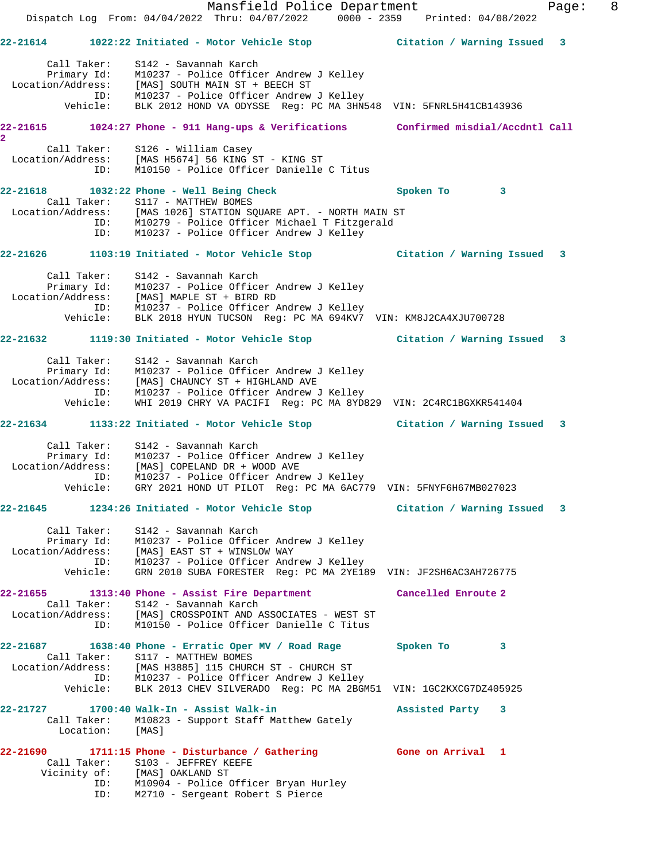Mansfield Police Department Fage: 8 Dispatch Log From: 04/04/2022 Thru: 04/07/2022 0000 - 2359 Printed: 04/08/2022 **22-21614 1022:22 Initiated - Motor Vehicle Stop Citation / Warning Issued 3** Call Taker: S142 - Savannah Karch Primary Id: M10237 - Police Officer Andrew J Kelley Location/Address: [MAS] SOUTH MAIN ST + BEECH ST ID: M10237 - Police Officer Andrew J Kelley Vehicle: BLK 2012 HOND VA ODYSSE Reg: PC MA 3HN548 VIN: 5FNRL5H41CB143936 **22-21615 1024:27 Phone - 911 Hang-ups & Verifications Confirmed misdial/Accdntl Call 2**  Call Taker: S126 - William Casey Location/Address: [MAS H5674] 56 KING ST - KING ST ID: M10150 - Police Officer Danielle C Titus **22-21618 1032:22 Phone - Well Being Check Spoken To 3**  Call Taker: S117 - MATTHEW BOMES Location/Address: [MAS 1026] STATION SQUARE APT. - NORTH MAIN ST ID: M10279 - Police Officer Michael T Fitzgerald ID: M10237 - Police Officer Andrew J Kelley **22-21626 1103:19 Initiated - Motor Vehicle Stop Citation / Warning Issued 3** Call Taker: S142 - Savannah Karch Primary Id: M10237 - Police Officer Andrew J Kelley Location/Address: [MAS] MAPLE ST + BIRD RD ID: M10237 - Police Officer Andrew J Kelley Vehicle: BLK 2018 HYUN TUCSON Reg: PC MA 694KV7 VIN: KM8J2CA4XJU700728 **22-21632 1119:30 Initiated - Motor Vehicle Stop Citation / Warning Issued 3** Call Taker: S142 - Savannah Karch Primary Id: M10237 - Police Officer Andrew J Kelley Location/Address: [MAS] CHAUNCY ST + HIGHLAND AVE ID: M10237 - Police Officer Andrew J Kelley Vehicle: WHI 2019 CHRY VA PACIFI Reg: PC MA 8YD829 VIN: 2C4RC1BGXKR541404 **22-21634 1133:22 Initiated - Motor Vehicle Stop Citation / Warning Issued 3** Call Taker: S142 - Savannah Karch Primary Id: M10237 - Police Officer Andrew J Kelley Location/Address: [MAS] COPELAND DR + WOOD AVE ID: M10237 - Police Officer Andrew J Kelley Vehicle: GRY 2021 HOND UT PILOT Reg: PC MA 6AC779 VIN: 5FNYF6H67MB027023 **22-21645 1234:26 Initiated - Motor Vehicle Stop Citation / Warning Issued 3** Call Taker: S142 - Savannah Karch Primary Id: M10237 - Police Officer Andrew J Kelley Location/Address: [MAS] EAST ST + WINSLOW WAY ID: M10237 - Police Officer Andrew J Kelley Vehicle: GRN 2010 SUBA FORESTER Reg: PC MA 2YE189 VIN: JF2SH6AC3AH726775 **22-21655 1313:40 Phone - Assist Fire Department Cancelled Enroute 2**  Call Taker: S142 - Savannah Karch Location/Address: [MAS] CROSSPOINT AND ASSOCIATES - WEST ST ID: M10150 - Police Officer Danielle C Titus **22-21687 1638:40 Phone - Erratic Oper MV / Road Rage Spoken To 3**  Call Taker: S117 - MATTHEW BOMES Location/Address: [MAS H3885] 115 CHURCH ST - CHURCH ST ID: M10237 - Police Officer Andrew J Kelley Vehicle: BLK 2013 CHEV SILVERADO Reg: PC MA 2BGM51 VIN: 1GC2KXCG7DZ405925 **22-21727 1700:40 Walk-In - Assist Walk-in Assisted Party 3**  Call Taker: M10823 - Support Staff Matthew Gately Location: [MAS] **22-21690 1711:15 Phone - Disturbance / Gathering Gone on Arrival 1**  Call Taker: S103 - JEFFREY KEEFE Vicinity of: [MAS] OAKLAND ST ID: M10904 - Police Officer Bryan Hurley ID: M2710 - Sergeant Robert S Pierce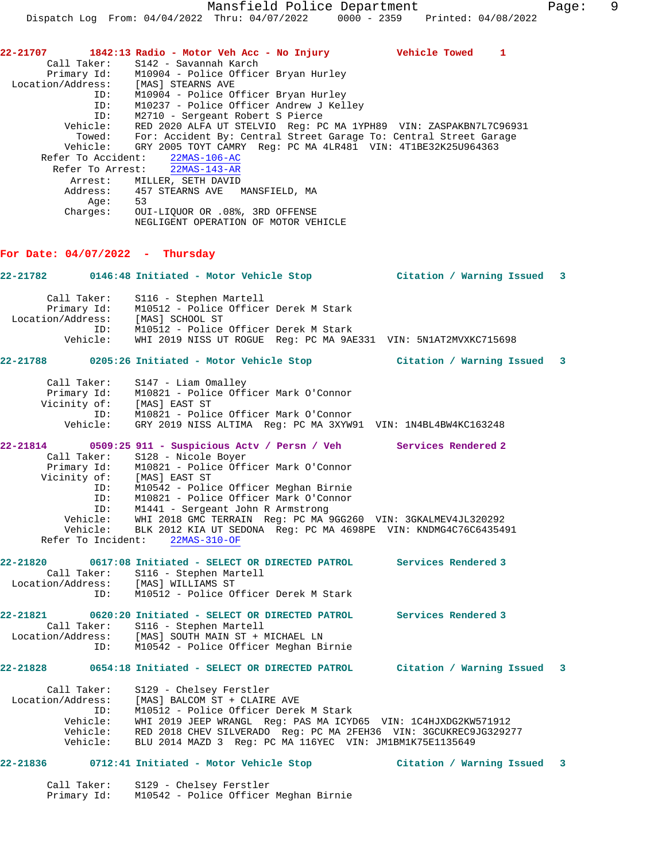**22-21707 1842:13 Radio - Motor Veh Acc - No Injury Vehicle Towed 1**  Call Taker: S142 - Savannah Karch Primary Id: M10904 - Police Officer Bryan Hurley Location/Address: [MAS] STEARNS AVE ID: M10904 - Police Officer Bryan Hurley ID: M10237 - Police Officer Andrew J Kelley ID: M2710 - Sergeant Robert S Pierce Vehicle: RED 2020 ALFA UT STELVIO Reg: PC MA 1YPH89 VIN: ZASPAKBN7L7C96931 Towed: For: Accident By: Central Street Garage To: Central Street Garage Vehicle: GRY 2005 TOYT CAMRY Reg: PC MA 4LR481 VIN: 4T1BE32K25U964363 Refer To Accident: 22MAS-106-AC Refer To Arrest: 22MAS-143-AR Arrest: MILLER, SETH DAVID Address: 457 STEARNS AVE MANSFIELD, MA Age: 53

 Charges: OUI-LIQUOR OR .08%, 3RD OFFENSE NEGLIGENT OPERATION OF MOTOR VEHICLE

#### **For Date: 04/07/2022 - Thursday**

**22-21782 0146:48 Initiated - Motor Vehicle Stop Citation / Warning Issued 3** Call Taker: S116 - Stephen Martell Primary Id: M10512 - Police Officer Derek M Stark Location/Address: [MAS] SCHOOL ST ID: M10512 - Police Officer Derek M Stark Vehicle: WHI 2019 NISS UT ROGUE Reg: PC MA 9AE331 VIN: 5N1AT2MVXKC715698 **22-21788 0205:26 Initiated - Motor Vehicle Stop Citation / Warning Issued 3** Call Taker: S147 - Liam Omalley Primary Id: M10821 - Police Officer Mark O'Connor Vicinity of: [MAS] EAST ST ID: M10821 - Police Officer Mark O'Connor Vehicle: GRY 2019 NISS ALTIMA Reg: PC MA 3XYW91 VIN: 1N4BL4BW4KC163248 **22-21814 0509:25 911 - Suspicious Actv / Persn / Veh Services Rendered 2**  Call Taker: S128 - Nicole Boyer Primary Id: M10821 - Police Officer Mark O'Connor Vicinity of: [MAS] EAST ST ID: M10542 - Police Officer Meghan Birnie ID: M10821 - Police Officer Mark O'Connor ID: M1441 - Sergeant John R Armstrong Vehicle: WHI 2018 GMC TERRAIN Reg: PC MA 9GG260 VIN: 3GKALMEV4JL320292 Vehicle: BLK 2012 KIA UT SEDONA Reg: PC MA 4698PE VIN: KNDMG4C76C6435491 Refer To Incident: 22MAS-310-OF **22-21820 0617:08 Initiated - SELECT OR DIRECTED PATROL Services Rendered 3**  Call Taker: S116 - Stephen Martell Location/Address: [MAS] WILLIAMS ST ID: M10512 - Police Officer Derek M Stark **22-21821 0620:20 Initiated - SELECT OR DIRECTED PATROL Services Rendered 3**  Call Taker: S116 - Stephen Martell Location/Address: [MAS] SOUTH MAIN ST + MICHAEL LN ID: M10542 - Police Officer Meghan Birnie **22-21828 0654:18 Initiated - SELECT OR DIRECTED PATROL Citation / Warning Issued 3** Call Taker: S129 - Chelsey Ferstler Location/Address: [MAS] BALCOM ST + CLAIRE AVE ID: M10512 - Police Officer Derek M Stark Vehicle: WHI 2019 JEEP WRANGL Reg: PAS MA ICYD65 VIN: 1C4HJXDG2KW571912 Vehicle: RED 2018 CHEV SILVERADO Reg: PC MA 2FEH36 VIN: 3GCUKREC9JG329277 Vehicle: BLU 2014 MAZD 3 Reg: PC MA 116YEC VIN: JM1BM1K75E1135649 **22-21836 0712:41 Initiated - Motor Vehicle Stop Citation / Warning Issued 3**

 Call Taker: S129 - Chelsey Ferstler Primary Id: M10542 - Police Officer Meghan Birnie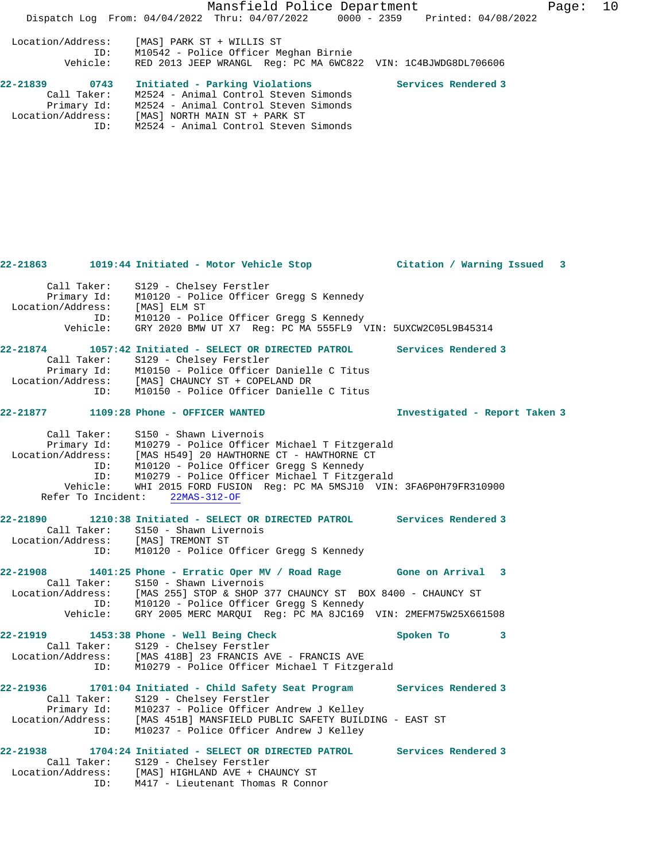Mansfield Police Department Fage: 10 Dispatch Log From: 04/04/2022 Thru: 04/07/2022 0000 - 2359 Printed: 04/08/2022 Location/Address: [MAS] PARK ST + WILLIS ST ID: M10542 - Police Officer Meghan Birnie Vehicle: RED 2013 JEEP WRANGL Reg: PC MA 6WC822 VIN: 1C4BJWDG8DL706606 **22-21839 0743 Initiated - Parking Violations Services Rendered 3**  Call Taker: M2524 - Animal Control Steven Simonds Primary Id: M2524 - Animal Control Steven Simonds Location/Address: [MAS] NORTH MAIN ST + PARK ST ID: M2524 - Animal Control Steven Simonds

|                   |                            | 22-21863 1019:44 Initiated - Motor Vehicle Stop               Citation / Warning Issued                                                                                                                                              |                               |   | $\mathbf{3}$ |
|-------------------|----------------------------|--------------------------------------------------------------------------------------------------------------------------------------------------------------------------------------------------------------------------------------|-------------------------------|---|--------------|
| Location/Address: | Call Taker:<br>Primary Id: | S129 - Chelsey Ferstler<br>M10120 - Police Officer Gregg S Kennedy<br>[MAS] ELM ST                                                                                                                                                   |                               |   |              |
|                   | ID:<br>Vehicle:            | M10120 - Police Officer Gregg S Kennedy<br>GRY 2020 BMW UT X7 Reg: PC MA 555FL9 VIN: 5UXCW2C05L9B45314                                                                                                                               |                               |   |              |
| 22-21874          |                            | 1057:42 Initiated - SELECT OR DIRECTED PATROL Services Rendered 3                                                                                                                                                                    |                               |   |              |
|                   |                            | Call Taker: S129 - Chelsey Ferstler<br>Primary Id: M10150 - Police Officer Danielle C Titus                                                                                                                                          |                               |   |              |
|                   |                            |                                                                                                                                                                                                                                      |                               |   |              |
|                   |                            | Location/Address: [MAS] CHAUNCY ST + COPELAND DR<br>ID: M10150 - Police Officer Danielle C Titus                                                                                                                                     |                               |   |              |
|                   |                            |                                                                                                                                                                                                                                      |                               |   |              |
| 22-21877          |                            | 1109:28 Phone - OFFICER WANTED                                                                                                                                                                                                       | Investigated - Report Taken 3 |   |              |
|                   | Call Taker:                | S150 - Shawn Livernois                                                                                                                                                                                                               |                               |   |              |
|                   |                            | Primary Id: M10279 - Police Officer Michael T Fitzgerald                                                                                                                                                                             |                               |   |              |
|                   |                            |                                                                                                                                                                                                                                      |                               |   |              |
|                   |                            | Location/Address: [MAS H549] 20 HAWTHORNE CT - HAWTHORNE CT<br>ID: M10120 - Police Officer Gregg S Kennedy<br>ID: M10279 - Police Officer Michael T Fitzgerald<br>Vehicle: WHI 2015 FORD FUSION Reg: PC MA 5MSJ10 VIN: 3FA6P0H79FR31 |                               |   |              |
|                   |                            |                                                                                                                                                                                                                                      |                               |   |              |
|                   |                            | Refer To Incident: 22MAS-312-OF                                                                                                                                                                                                      |                               |   |              |
|                   |                            | 22-21890 1210:38 Initiated - SELECT OR DIRECTED PATROL Services Rendered 3                                                                                                                                                           |                               |   |              |
|                   |                            | Call Taker: S150 - Shawn Livernois                                                                                                                                                                                                   |                               |   |              |
|                   |                            | Location/Address: [MAS] TREMONT ST                                                                                                                                                                                                   |                               |   |              |
|                   | ID:                        | M10120 - Police Officer Gregg S Kennedy                                                                                                                                                                                              |                               |   |              |
|                   |                            | 22-21908 1401:25 Phone - Erratic Oper MV / Road Rage Gone on Arrival                                                                                                                                                                 |                               | 3 |              |
|                   | Call Taker:                | S150 - Shawn Livernois                                                                                                                                                                                                               |                               |   |              |
|                   |                            | Location/Address: [MAS 255] STOP & SHOP 377 CHAUNCY ST BOX 8400 - CHAUNCY ST ID: M10120 - Police Officer Gregg S Kennedy                                                                                                             |                               |   |              |
|                   |                            |                                                                                                                                                                                                                                      |                               |   |              |
|                   |                            | Vehicle: GRY 2005 MERC MARQUI Reg: PC MA 8JC169 VIN: 2MEFM75W25X661508                                                                                                                                                               |                               |   |              |
| 22-21919          |                            | 1453:38 Phone - Well Being Check                                                                                                                                                                                                     | Spoken To                     | 3 |              |
|                   |                            | Call Taker: S129 - Chelsey Ferstler                                                                                                                                                                                                  |                               |   |              |
| Location/Address: |                            | [MAS 418B] 23 FRANCIS AVE - FRANCIS AVE                                                                                                                                                                                              |                               |   |              |
|                   | ID:                        | M10279 - Police Officer Michael T Fitzgerald                                                                                                                                                                                         |                               |   |              |
|                   |                            | 22-21936 1701:04 Initiated - Child Safety Seat Program Services Rendered 3                                                                                                                                                           |                               |   |              |
|                   | Call Taker:                | S129 - Chelsey Ferstler                                                                                                                                                                                                              |                               |   |              |
|                   |                            | Primary Id: M10237 - Police Officer Andrew J Kelley<br>Location/Address: [MAS 451B] MANSFIELD PUBLIC SAFETY BUILDING - EAST ST                                                                                                       |                               |   |              |
|                   | ID:                        | M10237 - Police Officer Andrew J Kelley                                                                                                                                                                                              |                               |   |              |
|                   |                            | 22-21938 1704:24 Initiated - SELECT OR DIRECTED PATROL Services Rendered 3                                                                                                                                                           |                               |   |              |
|                   |                            | Call Taker: S129 - Chelsey Ferstler                                                                                                                                                                                                  |                               |   |              |
|                   |                            | Location/Address: [MAS] HIGHLAND AVE + CHAUNCY ST                                                                                                                                                                                    |                               |   |              |
|                   |                            | ID: M417 - Lieutenant Thomas R Connor                                                                                                                                                                                                |                               |   |              |
|                   |                            |                                                                                                                                                                                                                                      |                               |   |              |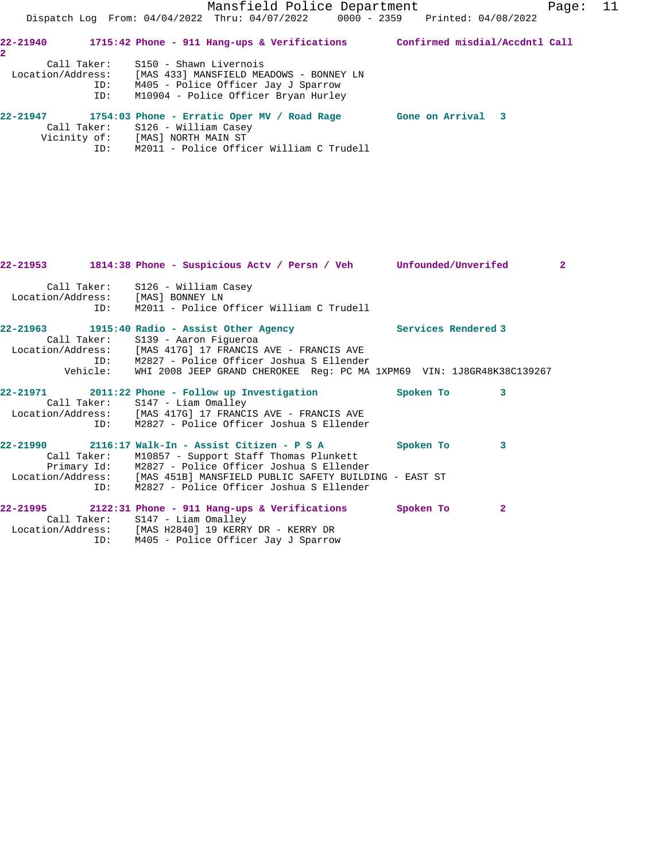Call Taker: S126 - William Casey Vicinity of: [MAS] NORTH MAIN ST

ID: M2011 - Police Officer William C Trudell

ID: M405 - Police Officer Jay J Sparrow

|                                   | 22-21953 1814:38 Phone - Suspicious Actv / Persn / Veh Unfounded/Unverifed                                                                                                                                                                                                                           |           |              | $\overline{2}$ |
|-----------------------------------|------------------------------------------------------------------------------------------------------------------------------------------------------------------------------------------------------------------------------------------------------------------------------------------------------|-----------|--------------|----------------|
| Location/Address: [MAS] BONNEY LN | Call Taker: S126 - William Casey<br>ID: M2011 - Police Officer William C Trudell                                                                                                                                                                                                                     |           |              |                |
|                                   | 22-21963 1915:40 Radio - Assist Other Agency Services Rendered 3<br>Call Taker: S139 - Aaron Figueroa<br>Location/Address: [MAS 417G] 17 FRANCIS AVE - FRANCIS AVE<br>ID: M2827 - Police Officer Joshua S Ellender<br>Vehicle: WHI 2008 JEEP GRAND CHEROKEE Req: PC MA 1XPM69 VIN: 1J8GR48K38C139267 |           |              |                |
|                                   | 22-21971 2011:22 Phone - Follow up Investigation<br>Call Taker: S147 - Liam Omalley<br>Location/Address: [MAS 417G] 17 FRANCIS AVE - FRANCIS AVE<br>ID: M2827 - Police Officer Joshua S Ellender                                                                                                     | Spoken To | 3            |                |
|                                   | Call Taker: M10857 - Support Staff Thomas Plunkett<br>Primary Id: M2827 - Police Officer Joshua S Ellender<br>Location/Address: [MAS 451B] MANSFIELD PUBLIC SAFETY BUILDING - EAST ST<br>ID: M2827 - Police Officer Joshua S Ellender                                                                | Spoken To | 3            |                |
|                                   | $22-21995$ 2122:31 Phone - 911 Hang-ups & Verifications<br>Call Taker: S147 - Liam Omalley<br>Location/Address: [MAS H2840] 19 KERRY DR - KERRY DR                                                                                                                                                   | Spoken To | $\mathbf{2}$ |                |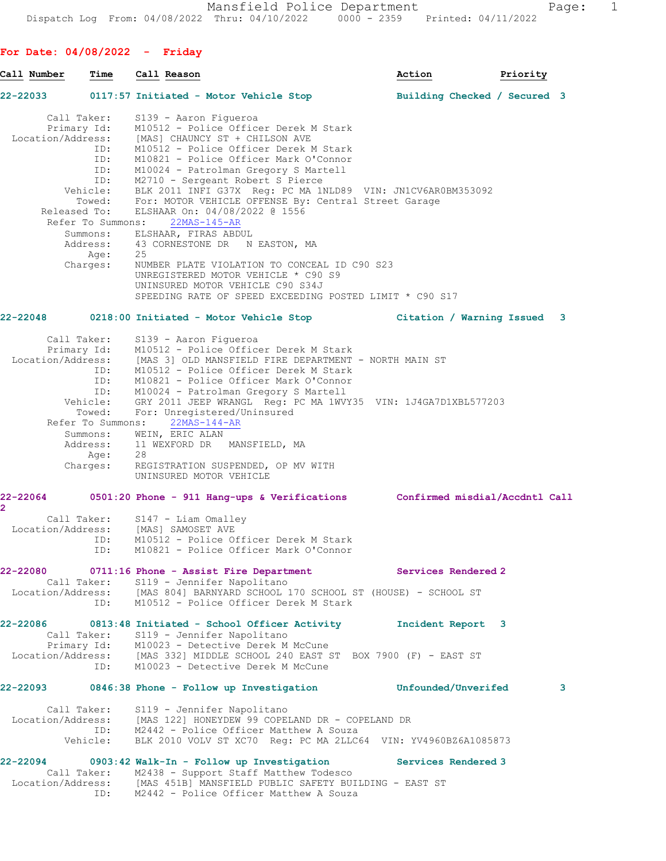**For Date: 04/08/2022 - Friday**

| Call Number                | Time                                                                    | Call Reason                                                                                                                                                                                                                                                                                                                                                                                                                                    | Action                       | Priority |   |
|----------------------------|-------------------------------------------------------------------------|------------------------------------------------------------------------------------------------------------------------------------------------------------------------------------------------------------------------------------------------------------------------------------------------------------------------------------------------------------------------------------------------------------------------------------------------|------------------------------|----------|---|
| 22-22033 22-23             |                                                                         | 0117:57 Initiated - Motor Vehicle Stop                                                                                                                                                                                                                                                                                                                                                                                                         | Building Checked / Secured 3 |          |   |
|                            | Call Taker:<br>Primary Id:<br>ID:<br>ID:<br>ID:<br>ID:                  | S139 - Aaron Figueroa<br>M10512 - Police Officer Derek M Stark<br>Location/Address: [MAS] CHAUNCY ST + CHILSON AVE<br>M10512 - Police Officer Derek M Stark<br>M10821 - Police Officer Mark O'Connor<br>M10024 - Patrolman Gregory S Martell<br>M2710 - Sergeant Robert S Pierce                                                                                                                                                               |                              |          |   |
| Released To:               | Vehicle:<br>Towed:<br>Refer To Summons:<br>Summons:<br>Age:<br>Charges: | BLK 2011 INFI G37X Reg: PC MA 1NLD89 VIN: JN1CV6AR0BM353092<br>For: MOTOR VEHICLE OFFENSE By: Central Street Garage<br>ELSHAAR On: 04/08/2022 @ 1556<br>$22MAS-145-AR$<br>ELSHAAR, FIRAS ABDUL<br>Address: 43 CORNESTONE DR N EASTON, MA<br>25<br>NUMBER PLATE VIOLATION TO CONCEAL ID C90 S23<br>UNREGISTERED MOTOR VEHICLE * C90 S9                                                                                                          |                              |          |   |
|                            |                                                                         | UNINSURED MOTOR VEHICLE C90 S34J<br>SPEEDING RATE OF SPEED EXCEEDING POSTED LIMIT * C90 S17                                                                                                                                                                                                                                                                                                                                                    |                              |          |   |
| 22-22048                   |                                                                         | 0218:00 Initiated - Motor Vehicle Stop  Citation / Warning Issued 3                                                                                                                                                                                                                                                                                                                                                                            |                              |          |   |
|                            | Call Taker:<br>Primary Id:<br>ID:<br>Towed:<br>Refer To Summons:        | S139 - Aaron Figueroa<br>M10512 - Police Officer Derek M Stark<br>Location/Address: [MAS 3] OLD MANSFIELD FIRE DEPARTMENT - NORTH MAIN ST<br>M10512 - Police Officer Derek M Stark<br>ID: M10821 - Police Officer Mark O'Connor<br>ID: M10024 - Patrolman Gregory S Martell<br>Vehicle: GRY 2011 JEEP WRANGL Req: PC MA 1WVY<br>GRY 2011 JEEP WRANGL Reg: PC MA 1WVY35 VIN: 1J4GA7D1XBL577203<br>For: Unregistered/Uninsured<br>$22MAS-144-AR$ |                              |          |   |
|                            | Summons:<br>Age:<br>Charges:                                            | WEIN, ERIC ALAN<br>Address: 11 WEXFORD DR MANSFIELD, MA<br>28<br>REGISTRATION SUSPENDED, OP MV WITH<br>UNINSURED MOTOR VEHICLE                                                                                                                                                                                                                                                                                                                 |                              |          |   |
| 22-22064<br>$\overline{2}$ |                                                                         | 0501:20 Phone - 911 Hang-ups & Verifications Confirmed misdial/Accdntl Call                                                                                                                                                                                                                                                                                                                                                                    |                              |          |   |
| Location/Address:          | Call Taker:<br>ID:<br>ID:                                               | $S147$ - Liam Omalley<br>[MAS] SAMOSET AVE<br>M10512 - Police Officer Derek M Stark<br>M10821 - Police Officer Mark O'Connor                                                                                                                                                                                                                                                                                                                   |                              |          |   |
|                            |                                                                         | 22-22080 0711:16 Phone - Assist Fire Department                                                                                                                                                                                                                                                                                                                                                                                                | Services Rendered 2          |          |   |
|                            |                                                                         | Call Taker: S119 - Jennifer Napolitano<br>Location/Address: [MAS 804] BARNYARD SCHOOL 170 SCHOOL ST (HOUSE) - SCHOOL ST<br>ID: M10512 - Police Officer Derek M Stark                                                                                                                                                                                                                                                                           |                              |          |   |
|                            |                                                                         | 22-22086 0813:48 Initiated - School Officer Activity 1ncident Report 3<br>Call Taker: S119 - Jennifer Napolitano<br>Primary Id: M10023 - Detective Derek M McCune<br>Location/Address: [MAS 332] MIDDLE SCHOOL 240 EAST ST BOX 7900 (F) - EAST ST<br>ID: M10023 - Detective Derek M McCune                                                                                                                                                     |                              |          |   |
| 22-22093                   |                                                                         | 0846:38 Phone - Follow up Investigation bunfounded/Unverifed                                                                                                                                                                                                                                                                                                                                                                                   |                              |          | 3 |
|                            | Call Taker:                                                             | S119 - Jennifer Napolitano<br>Location/Address: [MAS 122] HONEYDEW 99 COPELAND DR - COPELAND DR<br>ID: M2442 - Police Officer Matthew A Souza<br>Vehicle: BLK 2010 VOLV ST XC70 Reg: PC MA 2LLC64 VIN: YV4960BZ6A1085873                                                                                                                                                                                                                       |                              |          |   |
| 22-22094                   |                                                                         | 0903:42 Walk-In - Follow up Investigation<br>Call Taker: M2438 - Support Staff Matthew Todesco<br>Location/Address: [MAS 451B] MANSFIELD PUBLIC SAFETY BUILDING - EAST ST<br>ID: M2442 - Police Officer Matthew A Souza                                                                                                                                                                                                                        | Services Rendered 3          |          |   |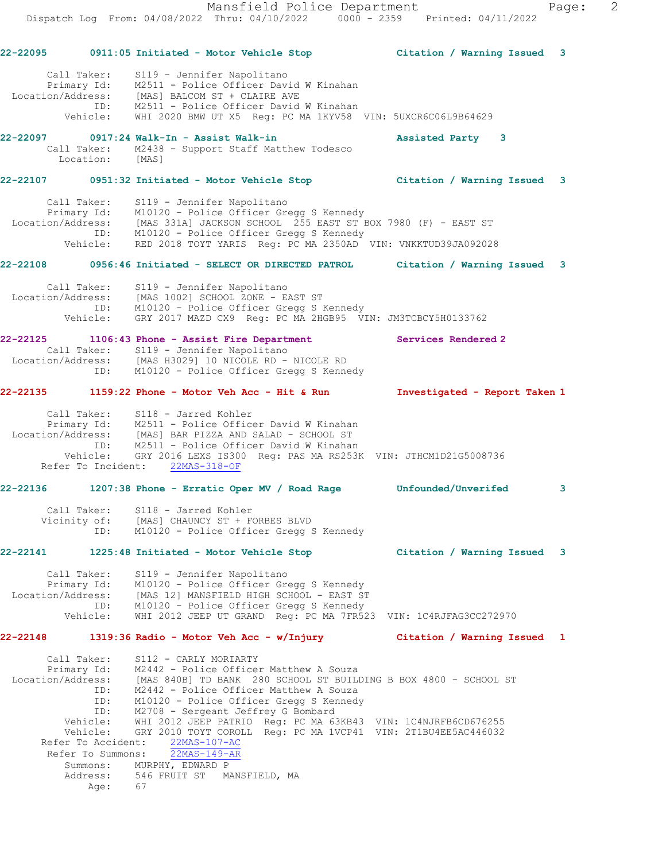Mansfield Police Department Fage: 2 Dispatch Log From: 04/08/2022 Thru: 04/10/2022 0000 - 2359 Printed: 04/11/2022 **22-22095 0911:05 Initiated - Motor Vehicle Stop Citation / Warning Issued 3** Call Taker: S119 - Jennifer Napolitano Primary Id: M2511 - Police Officer David W Kinahan Location/Address: [MAS] BALCOM ST + CLAIRE AVE ID: M2511 - Police Officer David W Kinahan Vehicle: WHI 2020 BMW UT X5 Reg: PC MA 1KYV58 VIN: 5UXCR6C06L9B64629 **22-22097 0917:24 Walk-In - Assist Walk-in Assisted Party 3**  Call Taker: M2438 - Support Staff Matthew Todesco Location: [MAS] **22-22107 0951:32 Initiated - Motor Vehicle Stop Citation / Warning Issued 3** Call Taker: S119 - Jennifer Napolitano Primary Id: M10120 - Police Officer Gregg S Kennedy Location/Address: [MAS 331A] JACKSON SCHOOL 255 EAST ST BOX 7980 (F) - EAST ST ID: M10120 - Police Officer Gregg S Kennedy Vehicle: RED 2018 TOYT YARIS Reg: PC MA 2350AD VIN: VNKKTUD39JA092028 **22-22108 0956:46 Initiated - SELECT OR DIRECTED PATROL Citation / Warning Issued 3** Call Taker: S119 - Jennifer Napolitano Location/Address: [MAS 1002] SCHOOL ZONE - EAST ST ID: M10120 - Police Officer Gregg S Kennedy Vehicle: GRY 2017 MAZD CX9 Reg: PC MA 2HGB95 VIN: JM3TCBCY5H0133762 **22-22125 1106:43 Phone - Assist Fire Department Services Rendered 2**  Call Taker: S119 - Jennifer Napolitano Location/Address: [MAS H3029] 10 NICOLE RD - NICOLE RD ID: M10120 - Police Officer Gregg S Kennedy **22-22135 1159:22 Phone - Motor Veh Acc - Hit & Run Investigated - Report Taken 1** Call Taker: S118 - Jarred Kohler Primary Id: M2511 - Police Officer David W Kinahan Location/Address: [MAS] BAR PIZZA AND SALAD - SCHOOL ST ID: M2511 - Police Officer David W Kinahan Vehicle: GRY 2016 LEXS IS300 Reg: PAS MA RS253K VIN: JTHCM1D21G5008736 Refer To Incident: 22MAS-318-OF **22-22136 1207:38 Phone - Erratic Oper MV / Road Rage Unfounded/Unverifed 3** Call Taker: S118 - Jarred Kohler Vicinity of: [MAS] CHAUNCY ST + FORBES BLVD ID: M10120 - Police Officer Gregg S Kennedy **22-22141 1225:48 Initiated - Motor Vehicle Stop Citation / Warning Issued 3** Call Taker: S119 - Jennifer Napolitano Primary Id: M10120 - Police Officer Gregg S Kennedy Location/Address: [MAS 12] MANSFIELD HIGH SCHOOL - EAST ST ID: M10120 - Police Officer Gregg S Kennedy Vehicle: WHI 2012 JEEP UT GRAND Reg: PC MA 7FR523 VIN: 1C4RJFAG3CC272970 **22-22148 1319:36 Radio - Motor Veh Acc - w/Injury Citation / Warning Issued 1** Call Taker: S112 - CARLY MORIARTY Primary Id: M2442 - Police Officer Matthew A Souza Location/Address: [MAS 840B] TD BANK 280 SCHOOL ST BUILDING B BOX 4800 - SCHOOL ST ID: M2442 - Police Officer Matthew A Souza ID: M10120 - Police Officer Gregg S Kennedy

 ID: M2708 - Sergeant Jeffrey G Bombard Vehicle: WHI 2012 JEEP PATRIO Reg: PC MA 63KB43 VIN: 1C4NJRFB6CD676255 Vehicle: GRY 2010 TOYT COROLL Reg: PC MA 1VCP41 VIN: 2T1BU4EE5AC446032 Refer To Accident: 22MAS-107-AC

 Refer To Summons: 22MAS-149-AR Summons: MURPHY, EDWARD P Address: 546 FRUIT ST MANSFIELD, MA Age: 67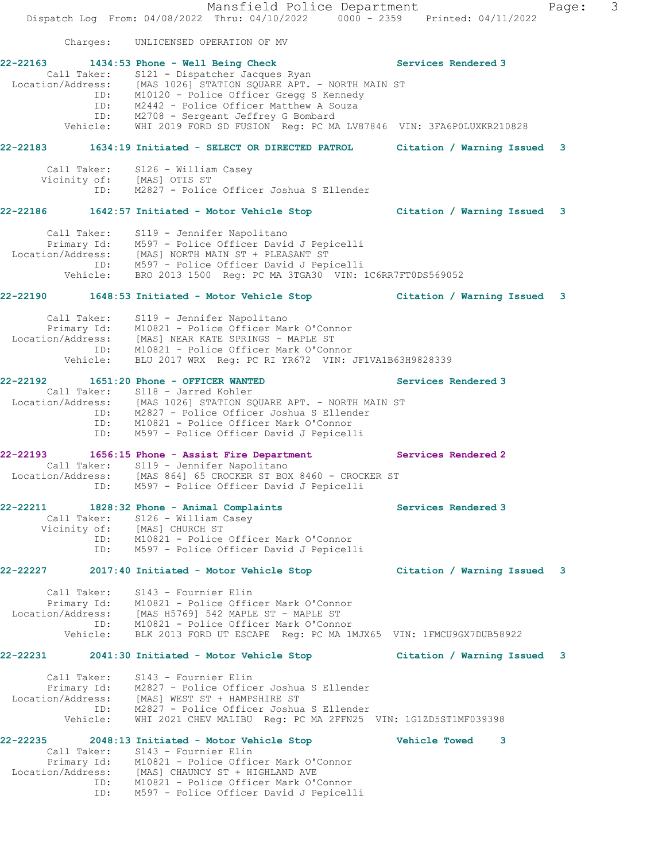Mansfield Police Department Fage: 3 Dispatch Log From: 04/08/2022 Thru: 04/10/2022 0000 - 2359 Printed: 04/11/2022 Charges: UNLICENSED OPERATION OF MV **22-22163 1434:53 Phone - Well Being Check Services Rendered 3**  Call Taker: S121 - Dispatcher Jacques Ryan Location/Address: [MAS 1026] STATION SQUARE APT. - NORTH MAIN ST ID: M10120 - Police Officer Gregg S Kennedy ID: M2442 - Police Officer Matthew A Souza ID: M2708 - Sergeant Jeffrey G Bombard Vehicle: WHI 2019 FORD SD FUSION Reg: PC MA LV87846 VIN: 3FA6P0LUXKR210828 **22-22183 1634:19 Initiated - SELECT OR DIRECTED PATROL Citation / Warning Issued 3** Call Taker: S126 - William Casey Vicinity of: [MAS] OTIS ST ID: M2827 - Police Officer Joshua S Ellender **22-22186 1642:57 Initiated - Motor Vehicle Stop Citation / Warning Issued 3** Call Taker: S119 - Jennifer Napolitano Primary Id: M597 - Police Officer David J Pepicelli Location/Address: [MAS] NORTH MAIN ST + PLEASANT ST ID: M597 - Police Officer David J Pepicelli Vehicle: BRO 2013 1500 Reg: PC MA 3TGA30 VIN: 1C6RR7FT0DS569052 **22-22190 1648:53 Initiated - Motor Vehicle Stop Citation / Warning Issued 3** Call Taker: S119 - Jennifer Napolitano Primary Id: M10821 - Police Officer Mark O'Connor Location/Address: [MAS] NEAR KATE SPRINGS - MAPLE ST ID: M10821 - Police Officer Mark O'Connor Vehicle: BLU 2017 WRX Reg: PC RI YR672 VIN: JF1VA1B63H9828339 **22-22192 1651:20 Phone - OFFICER WANTED Services Rendered 3**  Call Taker: S118 - Jarred Kohler Location/Address: [MAS 1026] STATION SQUARE APT. - NORTH MAIN ST ID: M2827 - Police Officer Joshua S Ellender ID: M10821 - Police Officer Mark O'Connor ID: M597 - Police Officer David J Pepicelli **22-22193 1656:15 Phone - Assist Fire Department Services Rendered 2**  Call Taker: S119 - Jennifer Napolitano Location/Address: [MAS 864] 65 CROCKER ST BOX 8460 - CROCKER ST ID: M597 - Police Officer David J Pepicelli **22-22211 1828:32 Phone - Animal Complaints Services Rendered 3**  Call Taker: S126 - William Casey Vicinity of: [MAS] CHURCH ST ID: M10821 - Police Officer Mark O'Connor ID: M597 - Police Officer David J Pepicelli **22-22227 2017:40 Initiated - Motor Vehicle Stop Citation / Warning Issued 3** Call Taker: S143 - Fournier Elin Primary Id: M10821 - Police Officer Mark O'Connor Location/Address: [MAS H5769] 542 MAPLE ST - MAPLE ST ID: M10821 - Police Officer Mark O'Connor Vehicle: BLK 2013 FORD UT ESCAPE Reg: PC MA 1MJX65 VIN: 1FMCU9GX7DUB58922 **22-22231 2041:30 Initiated - Motor Vehicle Stop Citation / Warning Issued 3** Call Taker: S143 - Fournier Elin Primary Id: M2827 - Police Officer Joshua S Ellender Location/Address: [MAS] WEST ST + HAMPSHIRE ST ID: M2827 - Police Officer Joshua S Ellender Vehicle: WHI 2021 CHEV MALIBU Reg: PC MA 2FFN25 VIN: 1G1ZD5ST1MF039398 **22-22235 2048:13 Initiated - Motor Vehicle Stop Vehicle Towed 3**  Call Taker: S143 - Fournier Elin Primary Id: M10821 - Police Officer Mark O'Connor Location/Address: [MAS] CHAUNCY ST + HIGHLAND AVE ID: M10821 - Police Officer Mark O'Connor

ID: M597 - Police Officer David J Pepicelli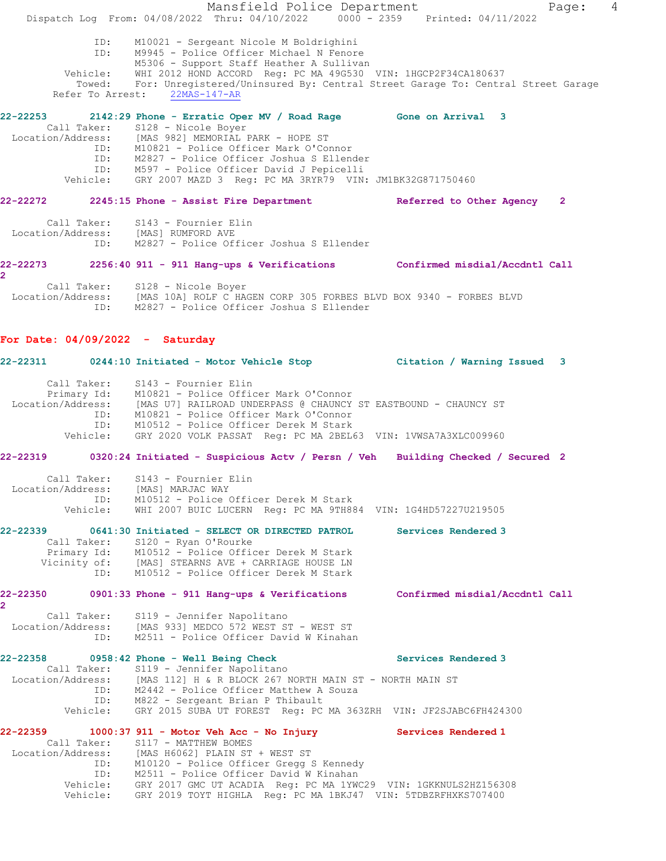Mansfield Police Department Fage: 4 Dispatch Log From: 04/08/2022 Thru: 04/10/2022 0000 - 2359 Printed: 04/11/2022 ID: M10021 - Sergeant Nicole M Boldrighini ID: M9945 - Police Officer Michael N Fenore M5306 - Support Staff Heather A Sullivan Vehicle: WHI 2012 HOND ACCORD Reg: PC MA 49G530 VIN: 1HGCP2F34CA180637 ehicle: MHI 2012 HOND HOOND NOY, IS HI 120000 TERN 2018<br>Towed: For: Unregistered/Uninsured By: Central Street Garage To: Central Street Garage<br>er To Arrest: 22MAS-147-AR Refer To Arrest: **22-22253 2142:29 Phone - Erratic Oper MV / Road Rage Gone on Arrival 3**  Call Taker: S128 - Nicole Boyer Location/Address: [MAS 982] MEMORIAL PARK - HOPE ST ID: M10821 - Police Officer Mark O'Connor ID: M2827 - Police Officer Joshua S Ellender ID: M597 - Police Officer David J Pepicelli Vehicle: GRY 2007 MAZD 3 Reg: PC MA 3RYR79 VIN: JM1BK32G871750460 **22-22272 2245:15 Phone - Assist Fire Department Referred to Other Agency 2** Call Taker: S143 - Fournier Elin Location/Address: [MAS] RUMFORD AVE ID: M2827 - Police Officer Joshua S Ellender **22-22273 2256:40 911 - 911 Hang-ups & Verifications Confirmed misdial/Accdntl Call 2**  Call Taker: S128 - Nicole Boyer Location/Address: [MAS 10A] ROLF C HAGEN CORP 305 FORBES BLVD BOX 9340 - FORBES BLVD ID: M2827 - Police Officer Joshua S Ellender **For Date: 04/09/2022 - Saturday 22-22311 0244:10 Initiated - Motor Vehicle Stop Citation / Warning Issued 3** Call Taker: S143 - Fournier Elin Primary Id: M10821 - Police Officer Mark O'Connor Location/Address: [MAS U7] RAILROAD UNDERPASS @ CHAUNCY ST EASTBOUND - CHAUNCY ST ID: M10821 - Police Officer Mark O'Connor ID: M10512 - Police Officer Derek M Stark<br>Vehicle: GRY 2020 VOLK PASSAT Reg: PC MA 2BEL6 GRY 2020 VOLK PASSAT Reg: PC MA 2BEL63 VIN: 1VWSA7A3XLC009960 **22-22319 0320:24 Initiated - Suspicious Actv / Persn / Veh Building Checked / Secured 2** Call Taker: S143 - Fournier Elin Location/Address: [MAS] MARJAC WAY ID: M10512 - Police Officer Derek M Stark Vehicle: WHI 2007 BUIC LUCERN Reg: PC MA 9TH884 VIN: 1G4HD57227U219505 **22-22339 0641:30 Initiated - SELECT OR DIRECTED PATROL Services Rendered 3**  Call Taker: S120 - Ryan O'Rourke Primary Id: M10512 - Police Officer Derek M Stark<br>Vicinity of: [MAS] STEARNS AVE + CARRIAGE HOUSE LN of: [MAS] STEARNS AVE + CARRIAGE HOUSE LN<br>ID: M10512 - Police Officer Derek M Stark M10512 - Police Officer Derek M Stark **22-22350 0901:33 Phone - 911 Hang-ups & Verifications Confirmed misdial/Accdntl Call 2**  Call Taker: S119 - Jennifer Napolitano Location/Address: [MAS 933] MEDCO 572 WEST ST - WEST ST ID: M2511 - Police Officer David W Kinahan **22-22358 0958:42 Phone - Well Being Check Services Rendered 3**  Call Taker: S119 - Jennifer Napolitano<br>Location/Address: [MAS 112] H & R BLOCK 267 N [MAS 112] H & R BLOCK 267 NORTH MAIN ST - NORTH MAIN ST ID: M2442 - Police Officer Matthew A Souza ID: M822 - Sergeant Brian P Thibault Vehicle: GRY 2015 SUBA UT FOREST Reg: PC MA 363ZRH VIN: JF2SJABC6FH424300 **22-22359 1000:37 911 - Motor Veh Acc - No Injury Services Rendered 1**  Call Taker: S117 - MATTHEW BOMES Location/Address: [MAS H6062] PLAIN ST + WEST ST ID: M10120 - Police Officer Gregg S Kennedy ID: M2511 - Police Officer David W Kinahan Vehicle: GRY 2017 GMC UT ACADIA Reg: PC MA 1YWC29 VIN: 1GKKNULS2HZ156308 Vehicle: GRY 2019 TOYT HIGHLA Reg: PC MA 1BKJ47 VIN: 5TDBZRFHXKS707400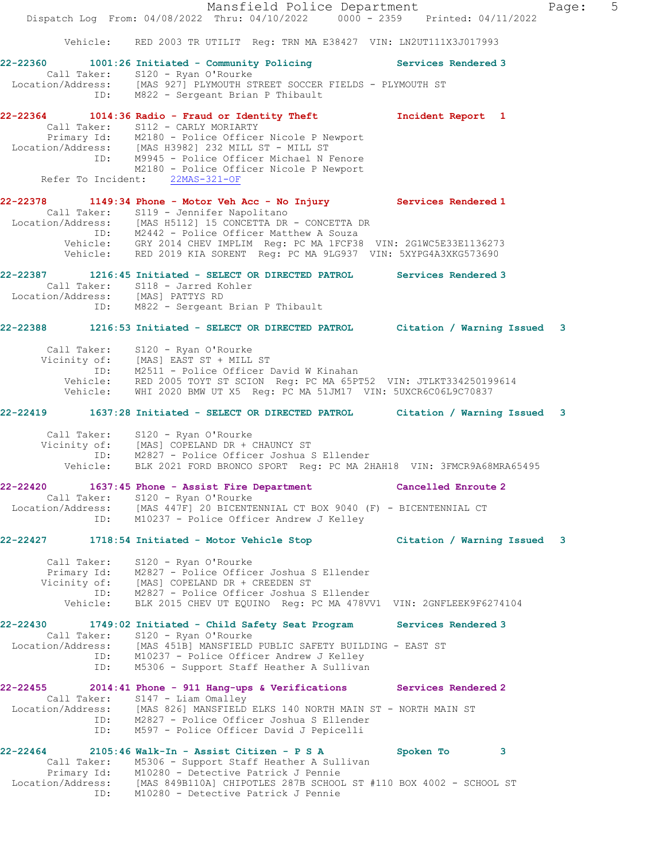Mansfield Police Department Fage: 5 Dispatch Log From: 04/08/2022 Thru: 04/10/2022 0000 - 2359 Printed: 04/11/2022 Vehicle: RED 2003 TR UTILIT Reg: TRN MA E38427 VIN: LN2UT111X3J017993 **22-22360 1001:26 Initiated - Community Policing Services Rendered 3**  Call Taker: S120 - Ryan O'Rourke Location/Address: [MAS 927] PLYMOUTH STREET SOCCER FIELDS - PLYMOUTH ST ID: M822 - Sergeant Brian P Thibault **22-22364 1014:36 Radio - Fraud or Identity Theft Incident Report 1**  Call Taker: S112 - CARLY MORIARTY Primary Id: M2180 - Police Officer Nicole P Newport Location/Address: [MAS H3982] 232 MILL ST - MILL ST ID: M9945 - Police Officer Michael N Fenore M2180 - Police Officer Nicole P Newport Refer To Incident: 22MAS-321-OF **22-22378 1149:34 Phone - Motor Veh Acc - No Injury Services Rendered 1**  Call Taker: S119 - Jennifer Napolitano Location/Address: [MAS H5112] 15 CONCETTA DR - CONCETTA DR ID: M2442 - Police Officer Matthew A Souza Vehicle: GRY 2014 CHEV IMPLIM Reg: PC MA 1FCF38 VIN: 2G1WC5E33E1136273 Vehicle: RED 2019 KIA SORENT Reg: PC MA 9LG937 VIN: 5XYPG4A3XKG573690 **22-22387 1216:45 Initiated - SELECT OR DIRECTED PATROL Services Rendered 3**  Call Taker: S118 - Jarred Kohler Location/Address: [MAS] PATTYS RD ID: M822 - Sergeant Brian P Thibault **22-22388 1216:53 Initiated - SELECT OR DIRECTED PATROL Citation / Warning Issued 3** Call Taker: S120 - Ryan O'Rourke Vicinity of: [MAS] EAST ST + MILL ST ID: M2511 - Police Officer David W Kinahan Vehicle: RED 2005 TOYT ST SCION Reg: PC MA 65PT52 VIN: JTLKT334250199614 Vehicle: WHI 2020 BMW UT X5 Reg: PC MA 51JM17 VIN: 5UXCR6C06L9C70837 **22-22419 1637:28 Initiated - SELECT OR DIRECTED PATROL Citation / Warning Issued 3** Call Taker: S120 - Ryan O'Rourke Vicinity of: [MAS] COPELAND DR + CHAUNCY ST ID: M2827 - Police Officer Joshua S Ellender Vehicle: BLK 2021 FORD BRONCO SPORT Reg: PC MA 2HAH18 VIN: 3FMCR9A68MRA65495 **22-22420 1637:45 Phone - Assist Fire Department Cancelled Enroute 2**  Call Taker: S120 - Ryan O'Rourke Location/Address: [MAS 447F] 20 BICENTENNIAL CT BOX 9040 (F) - BICENTENNIAL CT ID: M10237 - Police Officer Andrew J Kelley **22-22427 1718:54 Initiated - Motor Vehicle Stop Citation / Warning Issued 3** Call Taker: S120 - Ryan O'Rourke Primary Id: M2827 - Police Officer Joshua S Ellender Vicinity of: [MAS] COPELAND DR + CREEDEN ST ID: M2827 - Police Officer Joshua S Ellender Vehicle: BLK 2015 CHEV UT EQUINO Reg: PC MA 478VV1 VIN: 2GNFLEEK9F6274104 **22-22430 1749:02 Initiated - Child Safety Seat Program Services Rendered 3**  Call Taker: S120 - Ryan O'Rourke Location/Address: [MAS 451B] MANSFIELD PUBLIC SAFETY BUILDING - EAST ST ID: M10237 - Police Officer Andrew J Kelley ID: M5306 - Support Staff Heather A Sullivan **22-22455 2014:41 Phone - 911 Hang-ups & Verifications Services Rendered 2**  Call Taker: S147 - Liam Omalley Location/Address: [MAS 826] MANSFIELD ELKS 140 NORTH MAIN ST - NORTH MAIN ST ID: M2827 - Police Officer Joshua S Ellender ID: M597 - Police Officer David J Pepicelli **22-22464 2105:46 Walk-In - Assist Citizen - P S A Spoken To 3**  Call Taker: M5306 - Support Staff Heather A Sullivan Primary Id: M10280 - Detective Patrick J Pennie Location/Address: [MAS 849B110A] CHIPOTLES 287B SCHOOL ST #110 BOX 4002 - SCHOOL ST ID: M10280 - Detective Patrick J Pennie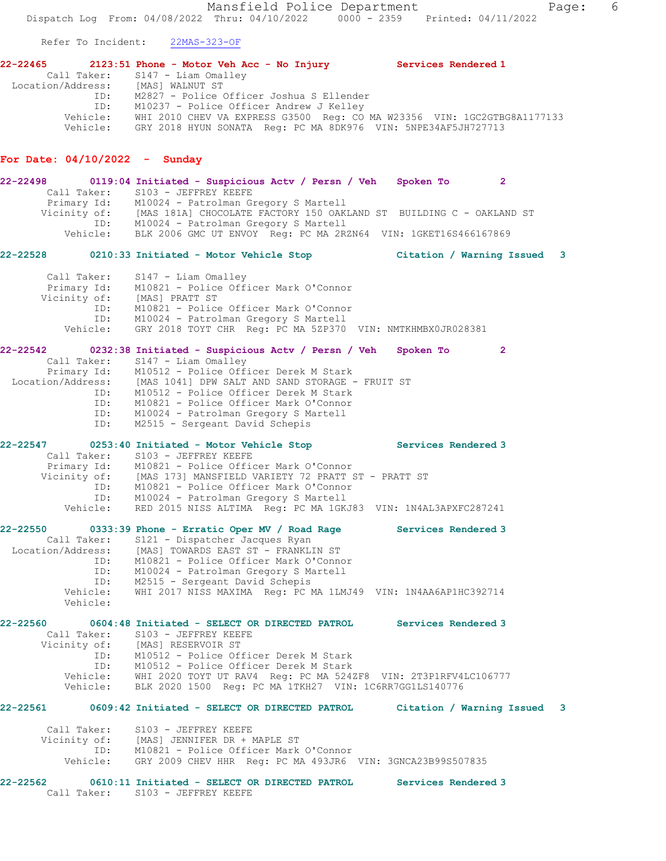Mansfield Police Department Fage: 6 Dispatch Log From: 04/08/2022 Thru: 04/10/2022 0000 - 2359 Printed: 04/11/2022 Refer To Incident: 22MAS-323-OF **22-22465 2123:51 Phone - Motor Veh Acc - No Injury Services Rendered 1**  Call Taker: S147 - Liam Omalley Location/Address: [MAS] WALNUT ST ID: M2827 - Police Officer Joshua S Ellender ID: M10237 - Police Officer Andrew J Kelley Vehicle: WHI 2010 CHEV VA EXPRESS G3500 Reg: CO MA W23356 VIN: 1GC2GTBG8A1177133 Vehicle: GRY 2018 HYUN SONATA Reg: PC MA 8DK976 VIN: 5NPE34AF5JH727713 **For Date: 04/10/2022 - Sunday 22-22498 0119:04 Initiated - Suspicious Actv / Persn / Veh Spoken To 2**  Call Taker: S103 - JEFFREY KEEFE Primary Id: M10024 - Patrolman Gregory S Martell Vicinity of: [MAS 181A] CHOCOLATE FACTORY 150 OAKLAND ST BUILDING C - OAKLAND ST ID: M10024 - Patrolman Gregory S Martell Vehicle: BLK 2006 GMC UT ENVOY Reg: PC MA 2RZN64 VIN: 1GKET16S466167869 **22-22528 0210:33 Initiated - Motor Vehicle Stop Citation / Warning Issued 3** Call Taker: S147 - Liam Omalley Primary Id: M10821 - Police Officer Mark O'Connor Vicinity of: [MAS] PRATT ST<br>ID: M10821 - Police M10821 - Police Officer Mark O'Connor ID: M10024 - Patrolman Gregory S Martell Vehicle: GRY 2018 TOYT CHR Reg: PC MA 5ZP370 VIN: NMTKHMBX0JR028381 **22-22542 0232:38 Initiated - Suspicious Actv / Persn / Veh Spoken To 2**  Call Taker: S147 - Liam Omalley Primary Id: M10512 - Police Officer Derek M Stark Location/Address: [MAS 1041] DPW SALT AND SAND STORAGE - FRUIT ST ID: M10512 - Police Officer Derek M Stark ID: M10821 - Police Officer Mark O'Connor ID: M10024 - Patrolman Gregory S Martell ID: M2515 - Sergeant David Schepis **22-22547 0253:40 Initiated - Motor Vehicle Stop Services Rendered 3**  Call Taker: S103 - JEFFREY KEEFE Primary Id: M10821 - Police Officer Mark O'Connor Vicinity of: [MAS 173] MANSFIELD VARIETY 72 PRATT ST - PRATT ST ID: M10821 - Police Officer Mark O'Connor ID: M10024 - Patrolman Gregory S Martell Vehicle: RED 2015 NISS ALTIMA Reg: PC MA 1GKJ83 VIN: 1N4AL3APXFC287241 **22-22550 0333:39 Phone - Erratic Oper MV / Road Rage Services Rendered 3**  Call Taker: S121 - Dispatcher Jacques Ryan Location/Address: [MAS] TOWARDS EAST ST - FRANKLIN ST ID: M10821 - Police Officer Mark O'Connor ID: M10024 - Patrolman Gregory S Martell ID: M2515 - Sergeant David Schepis Vehicle: WHI 2017 NISS MAXIMA Reg: PC MA 1LMJ49 VIN: 1N4AA6AP1HC392714 Vehicle: **22-22560 0604:48 Initiated - SELECT OR DIRECTED PATROL Services Rendered 3**  Call Taker: S103 - JEFFREY KEEFE Vicinity of: [MAS] RESERVOIR ST ID: M10512 - Police Officer Derek M Stark ID: M10512 - Police Officer Derek M Stark Vehicle: WHI 2020 TOYT UT RAV4 Reg: PC MA 524ZF8 VIN: 2T3P1RFV4LC106777 Vehicle: BLK 2020 1500 Reg: PC MA 1TKH27 VIN: 1C6RR7GG1LS140776 **22-22561 0609:42 Initiated - SELECT OR DIRECTED PATROL Citation / Warning Issued 3**

 Call Taker: S103 - JEFFREY KEEFE Vicinity of: [MAS] JENNIFER DR + MAPLE ST ID: M10821 - Police Officer Mark O'Connor Vehicle: GRY 2009 CHEV HHR Reg: PC MA 493JR6 VIN: 3GNCA23B99S507835

**22-22562 0610:11 Initiated - SELECT OR DIRECTED PATROL Services Rendered 3**  Call Taker: S103 - JEFFREY KEEFE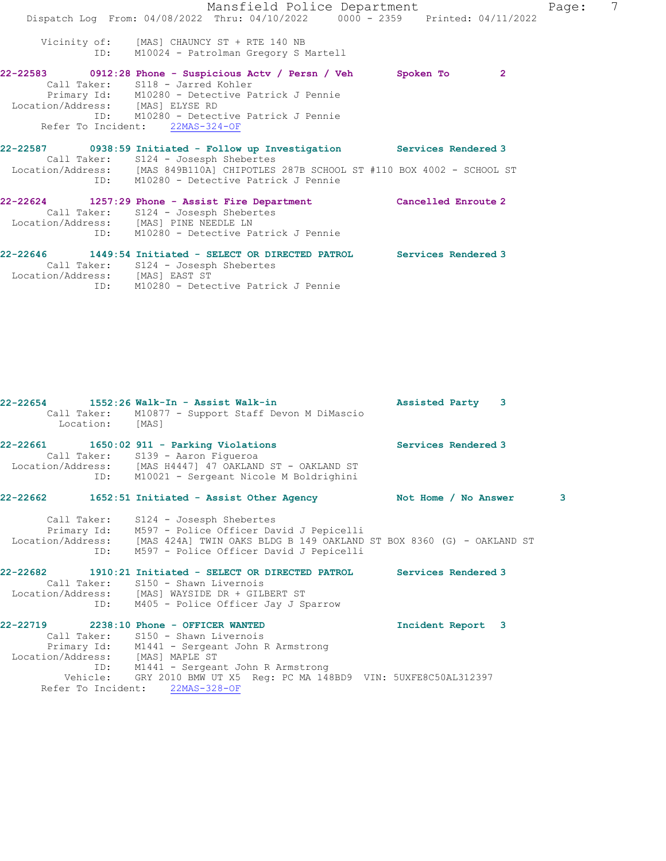Mansfield Police Department Fage: 7 Dispatch Log From: 04/08/2022 Thru: 04/10/2022 0000 - 2359 Printed: 04/11/2022 Vicinity of: [MAS] CHAUNCY ST + RTE 140 NB ID: M10024 - Patrolman Gregory S Martell **22-22583 0912:28 Phone - Suspicious Actv / Persn / Veh Spoken To 2**  Call Taker: S118 - Jarred Kohler Primary Id: M10280 - Detective Patrick J Pennie Location/Address: [MAS] ELYSE RD ID: M10280 - Detective Patrick J Pennie Refer To Incident: 22MAS-324-OF **22-22587 0938:59 Initiated - Follow up Investigation Services Rendered 3**  Call Taker: S124 - Josesph Shebertes Location/Address: [MAS 849B110A] CHIPOTLES 287B SCHOOL ST #110 BOX 4002 - SCHOOL ST ID: M10280 - Detective Patrick J Pennie **22-22624 1257:29 Phone - Assist Fire Department Cancelled Enroute 2**  Call Taker: S124 - Josesph Shebertes Location/Address: [MAS] PINE NEEDLE LN ID: M10280 - Detective Patrick J Pennie **22-22646 1449:54 Initiated - SELECT OR DIRECTED PATROL Services Rendered 3**  Call Taker: S124 - Josesph Shebertes

Location/Address: [MAS] EAST ST

ID: M10280 - Detective Patrick J Pennie

**22-22654 1552:26 Walk-In - Assist Walk-in Assisted Party 3**  Call Taker: M10877 - Support Staff Devon M DiMascio Location: **22-22661 1650:02 911 - Parking Violations Services Rendered 3**  Call Taker: S139 - Aaron Figueroa Location/Address: [MAS H4447] 47 OAKLAND ST - OAKLAND ST ID: M10021 - Sergeant Nicole M Boldrighini **22-22662 1652:51 Initiated - Assist Other Agency Not Home / No Answer 3** Call Taker: S124 - Josesph Shebertes Primary Id: M597 - Police Officer David J Pepicelli Location/Address: [MAS 424A] TWIN OAKS BLDG B 149 OAKLAND ST BOX 8360 (G) - OAKLAND ST ID: M597 - Police Officer David J Pepicelli **22-22682 1910:21 Initiated - SELECT OR DIRECTED PATROL Services Rendered 3**  Call Taker: S150 - Shawn Livernois Location/Address: [MAS] WAYSIDE DR + GILBERT ST ID: M405 - Police Officer Jay J Sparrow **22-22719 2238:10 Phone - OFFICER WANTED Incident Report 3**  Call Taker: S150 - Shawn Livernois Primary Id: M1441 - Sergeant John R Armstrong Location/Address: [MAS] MAPLE ST ID: M1441 - Sergeant John R Armstrong Vehicle: GRY 2010 BMW UT X5 Reg: PC MA 148BD9 VIN: 5UXFE8C50AL312397 Refer To Incident: 22MAS-328-OF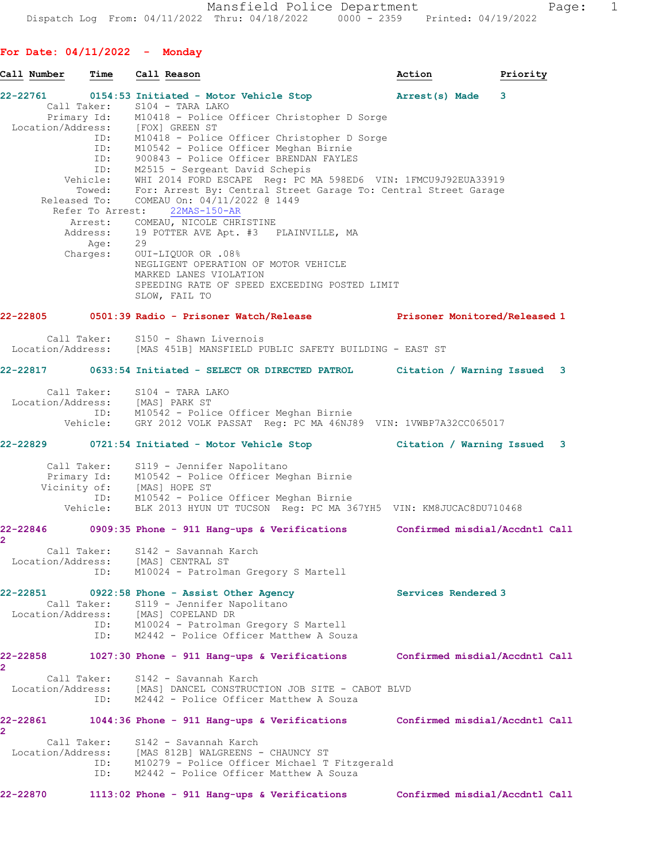**For Date: 04/11/2022 - Monday**

| Call Number                           | Time               | Call Reason                                                                                                                                                                                                                                                                                                                                    | Priority<br>Action                                                                   |  |
|---------------------------------------|--------------------|------------------------------------------------------------------------------------------------------------------------------------------------------------------------------------------------------------------------------------------------------------------------------------------------------------------------------------------------|--------------------------------------------------------------------------------------|--|
|                                       |                    | 22-22761 0154:53 Initiated - Motor Vehicle Stop (arrest(s) Made 3<br>Call Taker: S104 - TARA LAKO<br>Primary Id: M10418 - Police Officer Christopher D Sorge<br>Location/Address: [FOX] GREEN ST<br>ID: M10418 - Police Officer Christopher D Sorge<br>ID: M10542 - Police Officer Meghan Birnie<br>ID: 900843 - Police Officer BRENDAN FAYLES |                                                                                      |  |
|                                       |                    | ID: M2515 - Sergeant David Schepis<br>Vehicle: WHI 2014 FORD ESCAPE Reg: PC MA 598ED6 VIN: 1FMCU9J92EUA33919<br>Towed: For: Arrest By: Central Street Garage To: Central Street Garage                                                                                                                                                         |                                                                                      |  |
|                                       |                    | Released To: COMEAU On: 04/11/2022 @ 1449<br>Refer To Arrest: 22MAS-150-AR<br>Arrest: COMEAU, NICOLE CHRISTINE<br>Address: 19 POTTER AVE Apt. #3 PLAINVILLE, MA<br>Age: 29                                                                                                                                                                     |                                                                                      |  |
|                                       |                    | Charges: OUI-LIQUOR OR .08%<br>NEGLIGENT OPERATION OF MOTOR VEHICLE<br>MARKED LANES VIOLATION<br>SPEEDING RATE OF SPEED EXCEEDING POSTED LIMIT<br>SLOW, FAIL TO                                                                                                                                                                                |                                                                                      |  |
|                                       |                    |                                                                                                                                                                                                                                                                                                                                                | 22-22805 0501:39 Radio - Prisoner Watch/Release Manuel Prisoner Monitored/Released 1 |  |
|                                       |                    | Call Taker: S150 - Shawn Livernois<br>Location/Address: [MAS 451B] MANSFIELD PUBLIC SAFETY BUILDING - EAST ST                                                                                                                                                                                                                                  |                                                                                      |  |
|                                       |                    |                                                                                                                                                                                                                                                                                                                                                | 22-22817 0633:54 Initiated - SELECT OR DIRECTED PATROL Citation / Warning Issued 3   |  |
|                                       |                    | Call Taker: S104 - TARA LAKO<br>Location/Address: [MAS] PARK ST<br>ID: M10542 - Police Officer Meghan Birnie<br>Vehicle: GRY 2012 VOLK PASSAT Reg: PC MA 46NJ89 VIN: 1VWBP7A32CC065017                                                                                                                                                         |                                                                                      |  |
|                                       |                    |                                                                                                                                                                                                                                                                                                                                                | 22-22829 0721:54 Initiated - Motor Vehicle Stop Citation / Warning Issued 3          |  |
|                                       |                    | Call Taker: S119 - Jennifer Napolitano<br>Primary Id: M10542 - Police Officer Meghan Birnie<br>Vicinity of: [MAS] HOPE ST<br>ID: M10542 - Police Officer Meghan Birnie                                                                                                                                                                         |                                                                                      |  |
|                                       |                    | Vehicle: BLK 2013 HYUN UT TUCSON Reg: PC MA 367YH5 VIN: KM8JUCAC8DU710468                                                                                                                                                                                                                                                                      |                                                                                      |  |
| $\overline{2}$                        | Call Taker:        | S142 - Savannah Karch                                                                                                                                                                                                                                                                                                                          | 22-22846 0909:35 Phone - 911 Hang-ups & Verifications Confirmed misdial/Accdntl Call |  |
| Location/Address:                     | ID:                | [MAS] CENTRAL ST<br>M10024 - Patrolman Gregory S Martell                                                                                                                                                                                                                                                                                       |                                                                                      |  |
| 22-22851                              | ID:                | 0922:58 Phone - Assist Other Agency<br>Call Taker: S119 - Jennifer Napolitano<br>Location/Address: [MAS] COPELAND DR<br>ID: M10024 - Patrolman Gregory S Martell<br>M2442 - Police Officer Matthew A Souza                                                                                                                                     | Services Rendered 3                                                                  |  |
| 22-22858<br>2                         |                    | 1027:30 Phone - 911 Hang-ups & Verifications                                                                                                                                                                                                                                                                                                   | Confirmed misdial/Accdntl Call                                                       |  |
|                                       | ID:                | Call Taker: S142 - Savannah Karch<br>Location/Address: [MAS] DANCEL CONSTRUCTION JOB SITE - CABOT BLVD<br>M2442 - Police Officer Matthew A Souza                                                                                                                                                                                               |                                                                                      |  |
| 22-22861<br>$\mathbf{2}^{\mathsf{r}}$ |                    | 1044:36 Phone - 911 Hang-ups & Verifications                                                                                                                                                                                                                                                                                                   | Confirmed misdial/Accdntl Call                                                       |  |
|                                       | Call Taker:<br>ID: | S142 - Savannah Karch<br>Location/Address: [MAS 812B] WALGREENS - CHAUNCY ST<br>ID: M10279 - Police Officer Michael T Fitzgerald<br>M2442 - Police Officer Matthew A Souza                                                                                                                                                                     |                                                                                      |  |
| 22-22870                              |                    | 1113:02 Phone - 911 Hang-ups & Verifications                                                                                                                                                                                                                                                                                                   | Confirmed misdial/Accdntl Call                                                       |  |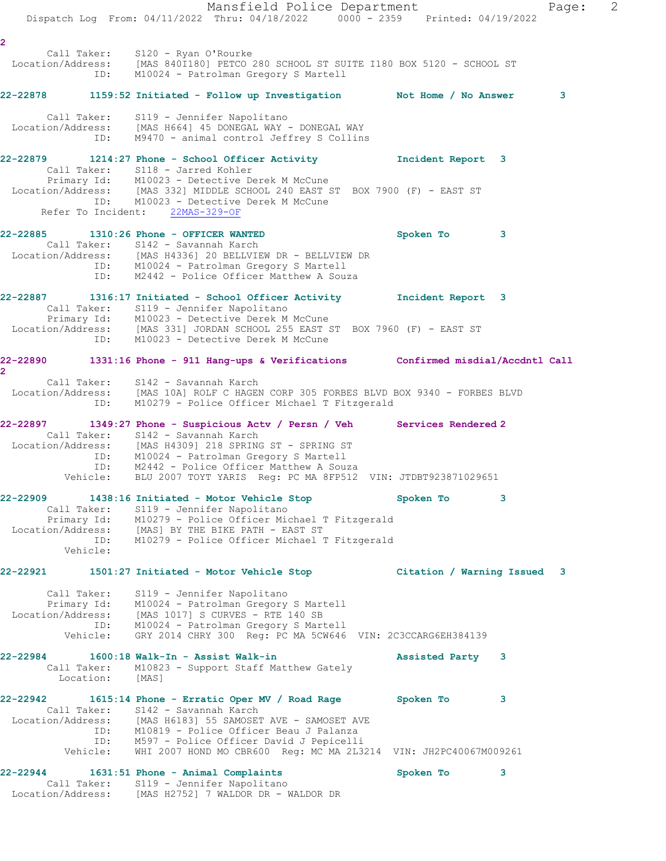Mansfield Police Department Fage: 2 Dispatch Log From: 04/11/2022 Thru: 04/18/2022 0000 - 2359 Printed: 04/19/2022 **2**  Call Taker: S120 - Ryan O'Rourke Location/Address: [MAS 840I180] PETCO 280 SCHOOL ST SUITE I180 BOX 5120 - SCHOOL ST ID: M10024 - Patrolman Gregory S Martell **22-22878 1159:52 Initiated - Follow up Investigation Not Home / No Answer 3** Call Taker: S119 - Jennifer Napolitano Location/Address: [MAS H664] 45 DONEGAL WAY - DONEGAL WAY ID: M9470 - animal control Jeffrey S Collins **22-22879 1214:27 Phone - School Officer Activity Incident Report 3**  Call Taker: S118 - Jarred Kohler Primary Id: M10023 - Detective Derek M McCune Location/Address: [MAS 332] MIDDLE SCHOOL 240 EAST ST BOX 7900 (F) - EAST ST ID: M10023 - Detective Derek M McCune Refer To Incident: 22MAS-329-OF **22-22885 1310:26 Phone - OFFICER WANTED Spoken To 3**  Call Taker: S142 - Savannah Karch Location/Address: [MAS H4336] 20 BELLVIEW DR - BELLVIEW DR ID: M10024 - Patrolman Gregory S Martell ID: M2442 - Police Officer Matthew A Souza **22-22887 1316:17 Initiated - School Officer Activity Incident Report 3**  Call Taker: S119 - Jennifer Napolitano Primary Id: M10023 - Detective Derek M McCune Location/Address: [MAS 331] JORDAN SCHOOL 255 EAST ST BOX 7960 (F) - EAST ST ID: M10023 - Detective Derek M McCune **22-22890 1331:16 Phone - 911 Hang-ups & Verifications Confirmed misdial/Accdntl Call 2**  Call Taker: S142 - Savannah Karch Location/Address: [MAS 10A] ROLF C HAGEN CORP 305 FORBES BLVD BOX 9340 - FORBES BLVD ID: M10279 - Police Officer Michael T Fitzgerald **22-22897 1349:27 Phone - Suspicious Actv / Persn / Veh Services Rendered 2**  Call Taker: S142 - Savannah Karch Location/Address: [MAS H4309] 218 SPRING ST - SPRING ST ID: M10024 - Patrolman Gregory S Martell ID: M2442 - Police Officer Matthew A Souza Vehicle: BLU 2007 TOYT YARIS Reg: PC MA 8FP512 VIN: JTDBT923871029651 **22-22909 1438:16 Initiated - Motor Vehicle Stop Spoken To 3**  Call Taker: S119 - Jennifer Napolitano Primary Id: M10279 - Police Officer Michael T Fitzgerald Location/Address: [MAS] BY THE BIKE PATH - EAST ST ID: M10279 - Police Officer Michael T Fitzgerald Vehicle: **22-22921 1501:27 Initiated - Motor Vehicle Stop Citation / Warning Issued 3** Call Taker: S119 - Jennifer Napolitano Primary Id: M10024 - Patrolman Gregory S Martell Location/Address: [MAS 1017] S CURVES - RTE 140 SB ID: M10024 - Patrolman Gregory S Martell Vehicle: GRY 2014 CHRY 300 Reg: PC MA 5CW646 VIN: 2C3CCARG6EH384139 **22-22984 1600:18 Walk-In - Assist Walk-in Assisted Party 3**  Call Taker: M10823 - Support Staff Matthew Gately Location: [MAS] **22-22942 1615:14 Phone - Erratic Oper MV / Road Rage Spoken To 3**  Call Taker: S142 - Savannah Karch Location/Address: [MAS H6183] 55 SAMOSET AVE - SAMOSET AVE ID: M10819 - Police Officer Beau J Palanza ID: M597 - Police Officer David J Pepicelli Vehicle: WHI 2007 HOND MO CBR600 Reg: MC MA 2L3214 VIN: JH2PC40067M009261 **22-22944 1631:51 Phone - Animal Complaints Spoken To 3**  Call Taker: S119 - Jennifer Napolitano Location/Address: [MAS H2752] 7 WALDOR DR - WALDOR DR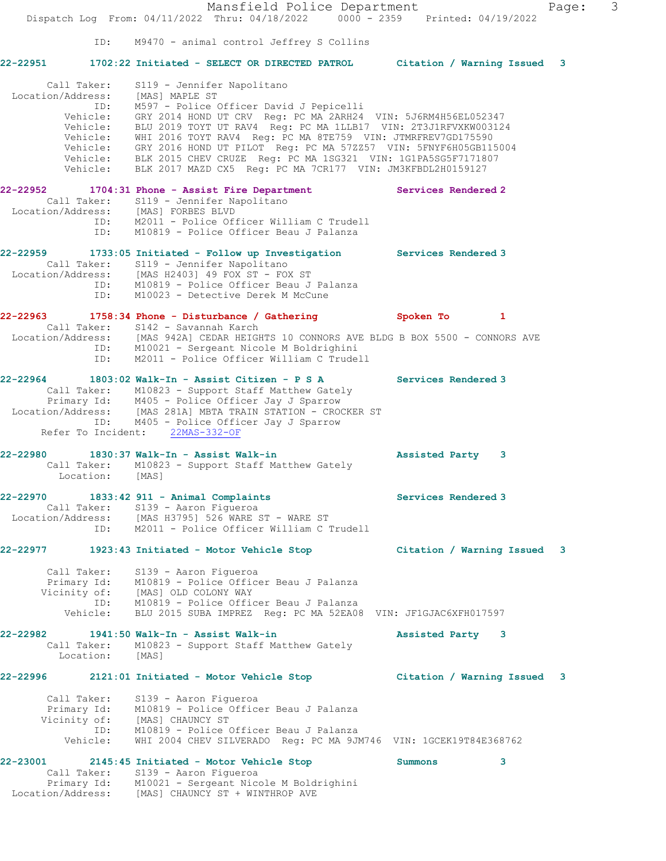Mansfield Police Department Fage: 3 Dispatch Log From: 04/11/2022 Thru: 04/18/2022 0000 - 2359 Printed: 04/19/2022 ID: M9470 - animal control Jeffrey S Collins **22-22951 1702:22 Initiated - SELECT OR DIRECTED PATROL Citation / Warning Issued 3** Call Taker: S119 - Jennifer Napolitano Location/Address: [MAS] MAPLE ST ID: M597 - Police Officer David J Pepicelli Vehicle: GRY 2014 HOND UT CRV Reg: PC MA 2ARH24 VIN: 5J6RM4H56EL052347 Vehicle: BLU 2019 TOYT UT RAV4 Reg: PC MA 1LLB17 VIN: 2T3J1RFVXKW003124 Vehicle: WHI 2016 TOYT RAV4 Reg: PC MA 8TE759 VIN: JTMRFREV7GD175590 Vehicle: GRY 2016 HOND UT PILOT Reg: PC MA 57ZZ57 VIN: 5FNYF6H05GB115004 Vehicle: BLK 2015 CHEV CRUZE Reg: PC MA 1SG321 VIN: 1G1PA5SG5F7171807 Vehicle: BLK 2017 MAZD CX5 Reg: PC MA 7CR177 VIN: JM3KFBDL2H0159127 **22-22952 1704:31 Phone - Assist Fire Department Services Rendered 2**  Call Taker: S119 - Jennifer Napolitano Location/Address: [MAS] FORBES BLVD ID: M2011 - Police Officer William C Trudell ID: M10819 - Police Officer Beau J Palanza **22-22959 1733:05 Initiated - Follow up Investigation Services Rendered 3**  Call Taker: S119 - Jennifer Napolitano Location/Address: [MAS H2403] 49 FOX ST - FOX ST ID: M10819 - Police Officer Beau J Palanza ID: M10023 - Detective Derek M McCune **22-22963 1758:34 Phone - Disturbance / Gathering Spoken To 1**  Call Taker: S142 - Savannah Karch Location/Address: [MAS 942A] CEDAR HEIGHTS 10 CONNORS AVE BLDG B BOX 5500 - CONNORS AVE ID: M10021 - Sergeant Nicole M Boldrighini ID: M2011 - Police Officer William C Trudell **22-22964 1803:02 Walk-In - Assist Citizen - P S A Services Rendered 3**  Call Taker: M10823 - Support Staff Matthew Gately Primary Id: M405 - Police Officer Jay J Sparrow Location/Address: [MAS 281A] MBTA TRAIN STATION - CROCKER ST ID: M405 - Police Officer Jay J Sparrow Refer To Incident: 22MAS-332-OF **22-22980 1830:37 Walk-In - Assist Walk-in Assisted Party 3**  Call Taker: M10823 - Support Staff Matthew Gately Location: [MAS] **22-22970 1833:42 911 - Animal Complaints Services Rendered 3**  Call Taker: S139 - Aaron Figueroa Location/Address: [MAS H3795] 526 WARE ST - WARE ST ID: M2011 - Police Officer William C Trudell **22-22977 1923:43 Initiated - Motor Vehicle Stop Citation / Warning Issued 3** Call Taker: S139 - Aaron Figueroa Primary Id: M10819 - Police Officer Beau J Palanza Vicinity of: [MAS] OLD COLONY WAY ID: M10819 - Police Officer Beau J Palanza Vehicle: BLU 2015 SUBA IMPREZ Reg: PC MA 52EA08 VIN: JF1GJAC6XFH017597 **22-22982 1941:50 Walk-In - Assist Walk-in Assisted Party 3**  Call Taker: M10823 - Support Staff Matthew Gately Location: [MAS] **22-22996 2121:01 Initiated - Motor Vehicle Stop Citation / Warning Issued 3** Call Taker: S139 - Aaron Figueroa Primary Id: M10819 - Police Officer Beau J Palanza Vicinity of: [MAS] CHAUNCY ST ID: M10819 - Police Officer Beau J Palanza Vehicle: WHI 2004 CHEV SILVERADO Reg: PC MA 9JM746 VIN: 1GCEK19T84E368762 **22-23001 2145:45 Initiated - Motor Vehicle Stop Summons 3**  Call Taker: S139 - Aaron Figueroa Primary Id: M10021 - Sergeant Nicole M Boldrighini

Location/Address: [MAS] CHAUNCY ST + WINTHROP AVE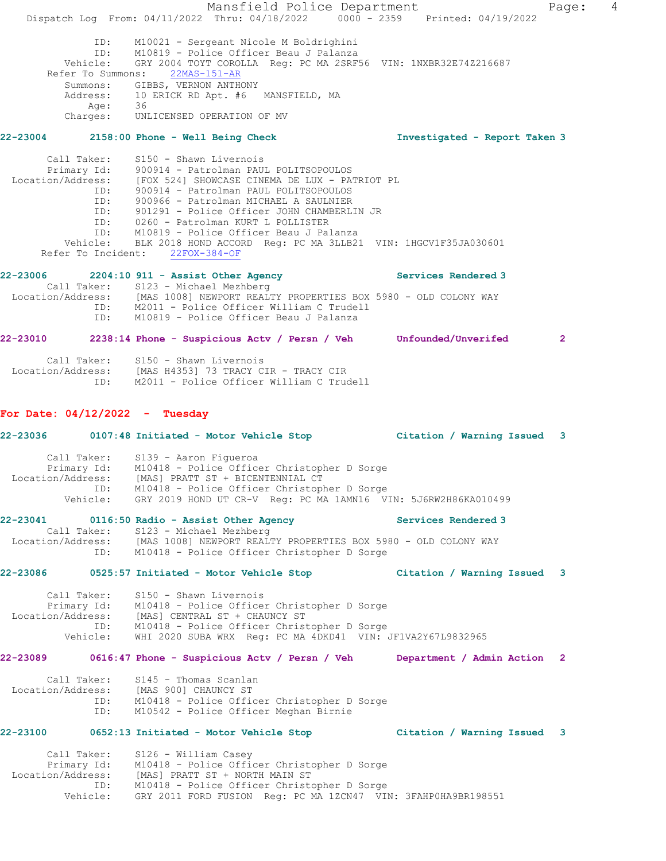Mansfield Police Department Fage: 4 Dispatch Log From: 04/11/2022 Thru: 04/18/2022 0000 - 2359 Printed: 04/19/2022 ID: M10021 - Sergeant Nicole M Boldrighini ID: M10819 - Police Officer Beau J Palanza Vehicle: GRY 2004 TOYT COROLLA Reg: PC MA 2SRF56 VIN: 1NXBR32E74Z216687 Refer To Summons: 22MAS-151-AR Summons: GIBBS, VERNON ANTHONY Address: 10 ERICK RD Apt. #6 MANSFIELD, MA Age: 36 Charges: UNLICENSED OPERATION OF MV **22-23004 2158:00 Phone - Well Being Check Investigated - Report Taken 3** Call Taker: S150 - Shawn Livernois Primary Id: 900914 - Patrolman PAUL POLITSOPOULOS Location/Address: [FOX 524] SHOWCASE CINEMA DE LUX - PATRIOT PL ID: 900914 - Patrolman PAUL POLITSOPOULOS ID: 900966 - Patrolman MICHAEL A SAULNIER ID: 901291 - Police Officer JOHN CHAMBERLIN JR ID: 0260 - Patrolman KURT L POLLISTER ID: M10819 - Police Officer Beau J Palanza Vehicle: BLK 2018 HOND ACCORD Reg: PC MA 3LLB21 VIN: 1HGCV1F35JA030601 Refer To Incident: 22FOX-384-OF **22-23006 2204:10 911 - Assist Other Agency Services Rendered 3**  Call Taker: S123 - Michael Mezhberg Location/Address: [MAS 1008] NEWPORT REALTY PROPERTIES BOX 5980 - OLD COLONY WAY ID: M2011 - Police Officer William C Trudell ID: M10819 - Police Officer Beau J Palanza **22-23010 2238:14 Phone - Suspicious Actv / Persn / Veh Unfounded/Unverifed 2** Call Taker: S150 - Shawn Livernois Location/Address: [MAS H4353] 73 TRACY CIR - TRACY CIR ID: M2011 - Police Officer William C Trudell **For Date: 04/12/2022 - Tuesday 22-23036 0107:48 Initiated - Motor Vehicle Stop Citation / Warning Issued 3** Call Taker: S139 - Aaron Figueroa Primary Id: M10418 - Police Officer Christopher D Sorge Location/Address: [MAS] PRATT ST + BICENTENNIAL CT ID: M10418 - Police Officer Christopher D Sorge Vehicle: GRY 2019 HOND UT CR-V Reg: PC MA 1AMN16 VIN: 5J6RW2H86KA010499 **22-23041 0116:50 Radio - Assist Other Agency Services Rendered 3**  Call Taker: S123 - Michael Mezhberg Location/Address: [MAS 1008] NEWPORT REALTY PROPERTIES BOX 5980 - OLD COLONY WAY ID: M10418 - Police Officer Christopher D Sorge **22-23086 0525:57 Initiated - Motor Vehicle Stop Citation / Warning Issued 3** Call Taker: S150 - Shawn Livernois Primary Id: M10418 - Police Officer Christopher D Sorge Location/Address: [MAS] CENTRAL ST + CHAUNCY ST ID: M10418 - Police Officer Christopher D Sorge Vehicle: WHI 2020 SUBA WRX Reg: PC MA 4DKD41 VIN: JF1VA2Y67L9832965 **22-23089 0616:47 Phone - Suspicious Actv / Persn / Veh Department / Admin Action 2** Call Taker: S145 - Thomas Scanlan Location/Address: [MAS 900] CHAUNCY ST ID: M10418 - Police Officer Christopher D Sorge ID: M10542 - Police Officer Meghan Birnie **22-23100 0652:13 Initiated - Motor Vehicle Stop Citation / Warning Issued 3** Call Taker: S126 - William Casey Primary Id: M10418 - Police Officer Christopher D Sorge Location/Address: [MAS] PRATT ST + NORTH MAIN ST ID: M10418 - Police Officer Christopher D Sorge Vehicle: GRY 2011 FORD FUSION Reg: PC MA 1ZCN47 VIN: 3FAHP0HA9BR198551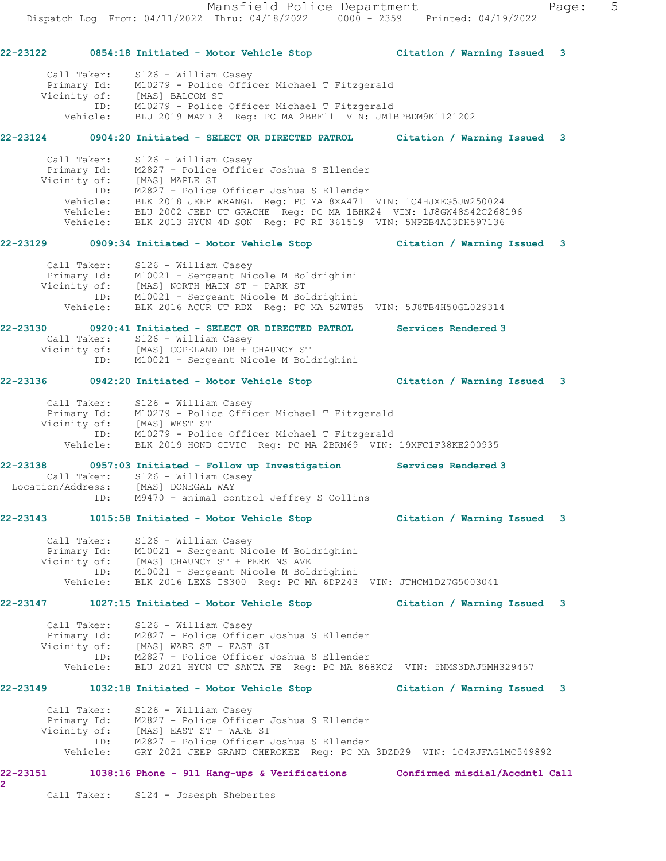Mansfield Police Department Fage: 5 Dispatch Log From: 04/11/2022 Thru: 04/18/2022 0000 - 2359 Printed: 04/19/2022 **22-23122 0854:18 Initiated - Motor Vehicle Stop Citation / Warning Issued 3** Call Taker: S126 - William Casey Primary Id: M10279 - Police Officer Michael T Fitzgerald Vicinity of: [MAS] BALCOM ST ID: M10279 - Police Officer Michael T Fitzgerald Vehicle: BLU 2019 MAZD 3 Reg: PC MA 2BBF11 VIN: JM1BPBDM9K1121202 **22-23124 0904:20 Initiated - SELECT OR DIRECTED PATROL Citation / Warning Issued 3** Call Taker: S126 - William Casey Primary Id: M2827 - Police Officer Joshua S Ellender Vicinity of: [MAS] MAPLE ST ID: M2827 - Police Officer Joshua S Ellender Vehicle: BLK 2018 JEEP WRANGL Reg: PC MA 8XA471 VIN: 1C4HJXEG5JW250024 Vehicle: BLU 2002 JEEP UT GRACHE Reg: PC MA 1BHK24 VIN: 1J8GW48S42C268196 Vehicle: BLK 2013 HYUN 4D SON Reg: PC RI 361519 VIN: 5NPEB4AC3DH597136 **22-23129 0909:34 Initiated - Motor Vehicle Stop Citation / Warning Issued 3** Call Taker: S126 - William Casey Primary Id: M10021 - Sergeant Nicole M Boldrighini Vicinity of: [MAS] NORTH MAIN ST + PARK ST ID: M10021 - Sergeant Nicole M Boldrighini Vehicle: BLK 2016 ACUR UT RDX Reg: PC MA 52WT85 VIN: 5J8TB4H50GL029314 **22-23130 0920:41 Initiated - SELECT OR DIRECTED PATROL Services Rendered 3**  Call Taker: S126 - William Casey Vicinity of: [MAS] COPELAND DR + CHAUNCY ST ID: M10021 - Sergeant Nicole M Boldrighini **22-23136 0942:20 Initiated - Motor Vehicle Stop Citation / Warning Issued 3** Call Taker: S126 - William Casey Primary Id: M10279 - Police Officer Michael T Fitzgerald Vicinity of: [MAS] WEST ST ID: M10279 - Police Officer Michael T Fitzgerald Vehicle: BLK 2019 HOND CIVIC Reg: PC MA 2BRM69 VIN: 19XFC1F38KE200935 **22-23138 0957:03 Initiated - Follow up Investigation Services Rendered 3**  Call Taker: S126 - William Casey Location/Address: [MAS] DONEGAL WAY ID: M9470 - animal control Jeffrey S Collins **22-23143 1015:58 Initiated - Motor Vehicle Stop Citation / Warning Issued 3** Call Taker: S126 - William Casey Primary Id: M10021 - Sergeant Nicole M Boldrighini Vicinity of: [MAS] CHAUNCY ST + PERKINS AVE ID: M10021 - Sergeant Nicole M Boldrighini Vehicle: BLK 2016 LEXS IS300 Reg: PC MA 6DP243 VIN: JTHCM1D27G5003041 **22-23147 1027:15 Initiated - Motor Vehicle Stop Citation / Warning Issued 3** Call Taker: S126 - William Casey Primary Id: M2827 - Police Officer Joshua S Ellender Vicinity of: [MAS] WARE ST + EAST ST ID: M2827 - Police Officer Joshua S Ellender Vehicle: BLU 2021 HYUN UT SANTA FE Reg: PC MA 868KC2 VIN: 5NMS3DAJ5MH329457 **22-23149 1032:18 Initiated - Motor Vehicle Stop Citation / Warning Issued 3** Call Taker: S126 - William Casey Primary Id: M2827 - Police Officer Joshua S Ellender Vicinity of: [MAS] EAST ST + WARE ST ID: M2827 - Police Officer Joshua S Ellender Vehicle: GRY 2021 JEEP GRAND CHEROKEE Reg: PC MA 3DZD29 VIN: 1C4RJFAG1MC549892 **22-23151 1038:16 Phone - 911 Hang-ups & Verifications Confirmed misdial/Accdntl Call 2** 

Call Taker: S124 - Josesph Shebertes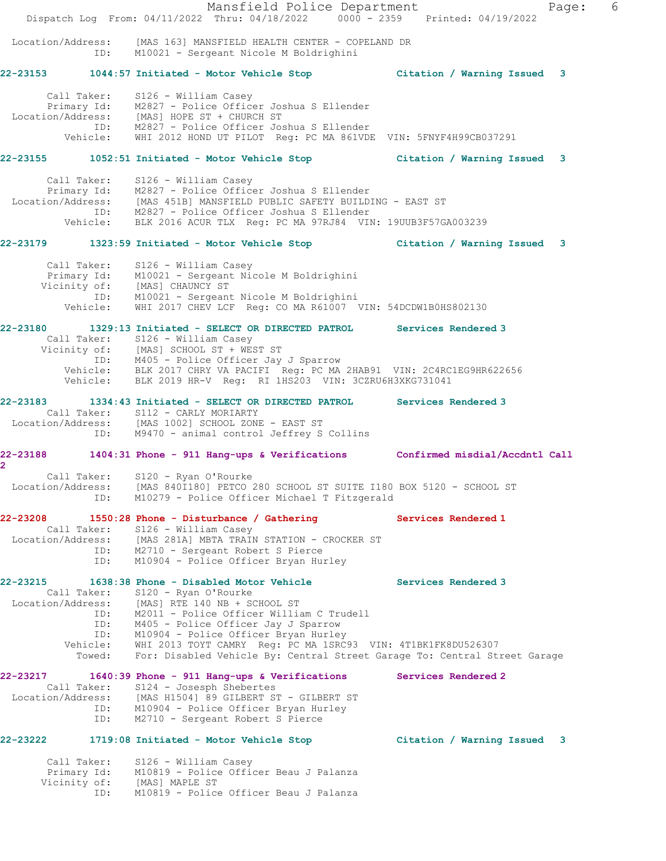|                                       | Dispatch Log From: 04/11/2022 Thru: 04/18/2022 0000 - 2359 Printed: 04/19/2022                                                                                                                                                                                                                                                                   | Mansfield Police Department |                                                                           | 6<br>Page: |
|---------------------------------------|--------------------------------------------------------------------------------------------------------------------------------------------------------------------------------------------------------------------------------------------------------------------------------------------------------------------------------------------------|-----------------------------|---------------------------------------------------------------------------|------------|
| Location/Address:                     | [MAS 163] MANSFIELD HEALTH CENTER - COPELAND DR<br>ID: M10021 - Sergeant Nicole M Boldrighini                                                                                                                                                                                                                                                    |                             |                                                                           |            |
|                                       | 22-23153 1044:57 Initiated - Motor Vehicle Stop Citation / Warning Issued 3                                                                                                                                                                                                                                                                      |                             |                                                                           |            |
|                                       | Call Taker: S126 - William Casey<br>Primary Id: M2827 - Police Officer Joshua S Ellender<br>Location/Address: [MAS] HOPE ST + CHURCH ST<br>ID: M2827 - Police Officer Joshua S Ellender<br>Vehicle: WHI 2012 HOND UT PILOT Req: PC MA 861VDE VIN: 5FNYF4H99CB037291                                                                              |                             |                                                                           |            |
|                                       | 22-23155 1052:51 Initiated - Motor Vehicle Stop Citation / Warning Issued 3                                                                                                                                                                                                                                                                      |                             |                                                                           |            |
|                                       | Call Taker: S126 - William Casey<br>Primary Id: M2827 - Police Officer Joshua S Ellender<br>Location/Address: [MAS 451B] MANSFIELD PUBLIC SAFETY BUILDING - EAST ST<br>ID: M2827 - Police Officer Joshua S Ellender<br>Vehicle: BLK 2016 ACUR TLX Reg: PC MA 97RJ84 VIN: 19UUB3F57GA003239                                                       |                             |                                                                           |            |
|                                       | 22-23179 1323:59 Initiated - Motor Vehicle Stop Citation / Warning Issued 3                                                                                                                                                                                                                                                                      |                             |                                                                           |            |
|                                       | Call Taker: S126 - William Casey<br>Primary Id: M10021 - Sergeant Nicole M Boldrighini<br>Vicinity of: [MAS] CHAUNCY ST<br>ID: M10021 - Sergeant Nicole M Boldrighini<br>Vehicle: WHI 2017 CHEV LCF Reg: CO MA R61007 VIN: 54DCDW1B0HS802130                                                                                                     |                             |                                                                           |            |
|                                       | 22-23180 1329:13 Initiated - SELECT OR DIRECTED PATROL Services Rendered 3<br>Call Taker: S126 - William Casey<br>Vicinity of: [MAS] SCHOOL ST + WEST ST<br>ID: M405 - Police Officer Jay J Sparrow<br>Vehicle: BLK 2017 CHRY VA PACIFI Reg: PC MA 2HAB91 VIN: 2C4RC1EG9HR622656<br>Vehicle: BLK 2019 HR-V Reg: RI 1HS203 VIN: 3CZRU6H3XKG731041 |                             |                                                                           |            |
| 22-23183                              | 1334:43 Initiated - SELECT OR DIRECTED PATROL Services Rendered 3<br>Call Taker: S112 - CARLY MORIARTY<br>Location/Address: [MAS 1002] SCHOOL ZONE - EAST ST                                                                                                                                                                                     |                             |                                                                           |            |
|                                       | ID: M9470 - animal control Jeffrey S Collins                                                                                                                                                                                                                                                                                                     |                             |                                                                           |            |
| $\mathbf{2}^{\circ}$                  | 22-23188 1404:31 Phone - 911 Hang-ups & Verifications Confirmed misdial/Accdntl Call                                                                                                                                                                                                                                                             |                             |                                                                           |            |
| Call Taker:<br>ID:                    | S120 - Ryan O'Rourke<br>Location/Address: [MAS 840I180] PETCO 280 SCHOOL ST SUITE I180 BOX 5120 - SCHOOL ST<br>M10279 - Police Officer Michael T Fitzgerald                                                                                                                                                                                      |                             |                                                                           |            |
| 22-23208                              | 1550:28 Phone - Disturbance / Gathering<br>Call Taker: S126 - William Casey                                                                                                                                                                                                                                                                      |                             | Services Rendered 1                                                       |            |
|                                       | Location/Address: [MAS 281A] MBTA TRAIN STATION - CROCKER ST<br>ID: M2710 - Sergeant Robert S Pierce<br>ID: M10904 - Police Officer Bryan Hurley                                                                                                                                                                                                 |                             |                                                                           |            |
| 22-23215<br>Call Taker:<br>ID:<br>ID: | 1638:38 Phone - Disabled Motor Vehicle<br>S120 - Ryan O'Rourke<br>Location/Address: [MAS] RTE 140 NB + SCHOOL ST<br>M2011 - Police Officer William C Trudell<br>ID: M405 - Police Officer Jay J Sparrow<br>M10904 - Police Officer Bryan Hurley                                                                                                  |                             | Services Rendered 3                                                       |            |
| Towed:                                | Vehicle: WHI 2013 TOYT CAMRY Reg: PC MA 1SRC93 VIN: 4T1BK1FK8DU526307                                                                                                                                                                                                                                                                            |                             | For: Disabled Vehicle By: Central Street Garage To: Central Street Garage |            |
| 22-23217                              | 1640:39 Phone - 911 Hang-ups & Verifications Services Rendered 2<br>Call Taker: S124 - Josesph Shebertes<br>Location/Address: [MAS H1504] 89 GILBERT ST - GILBERT ST<br>ID: M10904 - Police Officer Bryan Hurley<br>ID: M2710 - Sergeant Robert S Pierce                                                                                         |                             |                                                                           |            |
| 22-23222                              | 1719:08 Initiated - Motor Vehicle Stop                                                                                                                                                                                                                                                                                                           |                             | Citation / Warning Issued 3                                               |            |
| Call Taker:<br>ID:                    | S126 - William Casey<br>Primary Id: M10819 - Police Officer Beau J Palanza<br>Vicinity of: [MAS] MAPLE ST<br>M10819 - Police Officer Beau J Palanza                                                                                                                                                                                              |                             |                                                                           |            |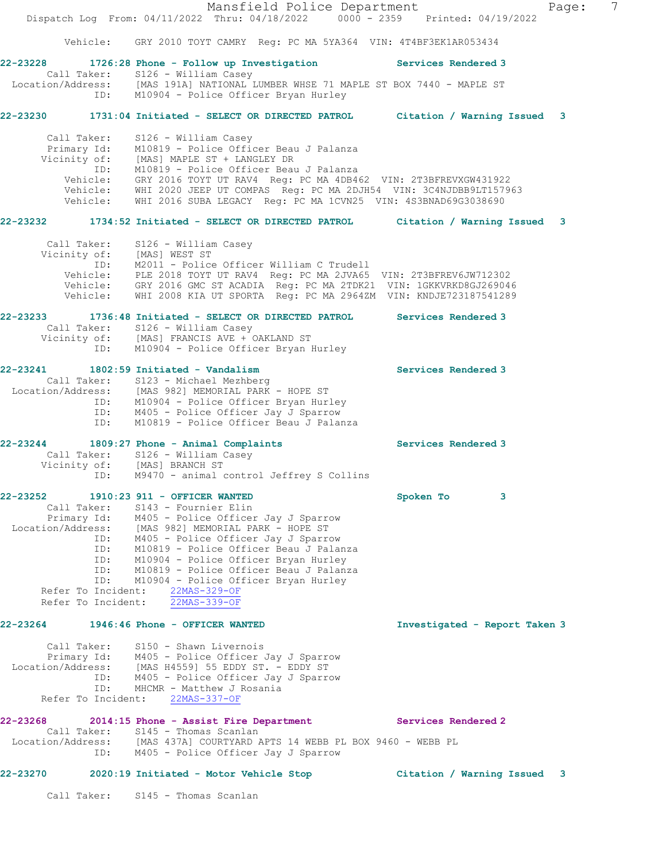Mansfield Police Department Fage: 7 Dispatch Log From: 04/11/2022 Thru: 04/18/2022 0000 - 2359 Printed: 04/19/2022 Vehicle: GRY 2010 TOYT CAMRY Reg: PC MA 5YA364 VIN: 4T4BF3EK1AR053434 **22-23228 1726:28 Phone - Follow up Investigation Services Rendered 3**  Call Taker: S126 - William Casey Location/Address: [MAS 191A] NATIONAL LUMBER WHSE 71 MAPLE ST BOX 7440 - MAPLE ST ID: M10904 - Police Officer Bryan Hurley **22-23230 1731:04 Initiated - SELECT OR DIRECTED PATROL Citation / Warning Issued 3** Call Taker: S126 - William Casey Primary Id: M10819 - Police Officer Beau J Palanza Vicinity of: [MAS] MAPLE ST + LANGLEY DR ID: M10819 - Police Officer Beau J Palanza Vehicle: GRY 2016 TOYT UT RAV4 Reg: PC MA 4DB462 VIN: 2T3BFREVXGW431922 Vehicle: WHI 2020 JEEP UT COMPAS Reg: PC MA 2DJH54 VIN: 3C4NJDBB9LT157963 Vehicle: WHI 2016 SUBA LEGACY Reg: PC MA 1CVN25 VIN: 4S3BNAD69G3038690 **22-23232 1734:52 Initiated - SELECT OR DIRECTED PATROL Citation / Warning Issued 3** Call Taker: S126 - William Casey Vicinity of: [MAS] WEST ST ID: M2011 - Police Officer William C Trudell Vehicle: PLE 2018 TOYT UT RAV4 Reg: PC MA 2JVA65 VIN: 2T3BFREV6JW712302 Vehicle: GRY 2016 GMC ST ACADIA Reg: PC MA 2TDK21 VIN: 1GKKVRKD8GJ269046 Vehicle: WHI 2008 KIA UT SPORTA Reg: PC MA 2964ZM VIN: KNDJE723187541289 **22-23233 1736:48 Initiated - SELECT OR DIRECTED PATROL Services Rendered 3**  Call Taker: S126 - William Casey Vicinity of: [MAS] FRANCIS AVE + OAKLAND ST ID: M10904 - Police Officer Bryan Hurley **22-23241 1802:59 Initiated - Vandalism Services Rendered 3**  Call Taker: S123 - Michael Mezhberg Location/Address: [MAS 982] MEMORIAL PARK - HOPE ST ID: M10904 - Police Officer Bryan Hurley ID: M405 - Police Officer Jay J Sparrow ID: M10819 - Police Officer Beau J Palanza **22-23244 1809:27 Phone - Animal Complaints Services Rendered 3**  Call Taker: S126 - William Casey Vicinity of: [MAS] BRANCH ST ID: M9470 - animal control Jeffrey S Collins **22-23252 1910:23 911 - OFFICER WANTED Spoken To 3**  Call Taker: S143 - Fournier Elin Primary Id: M405 - Police Officer Jay J Sparrow Location/Address: [MAS 982] MEMORIAL PARK - HOPE ST ID: M405 - Police Officer Jay J Sparrow ID: M10819 - Police Officer Beau J Palanza ID: M10904 - Police Officer Bryan Hurley ID: M10819 - Police Officer Beau J Palanza ID: M10904 - Police Officer Bryan Hurley Refer To Incident: 22MAS-329-OF Refer To Incident: 22MAS-339-OF **22-23264 1946:46 Phone - OFFICER WANTED Investigated - Report Taken 3** Call Taker: S150 - Shawn Livernois Primary Id: 0100 Shawn Eiverhols<br>Primary Id: 0405 - Police Officer Jay J Sparrow<br>Condition Location/Address: [MAS H4559] 55 EDDY ST. - EDDY ST ID: M405 - Police Officer Jay J Sparrow ID: MHCMR - Matthew J Rosania Refer To Incident: 22MAS-337-OF **22-23268 2014:15 Phone - Assist Fire Department Services Rendered 2**  Call Taker: S145 - Thomas Scanlan Location/Address: [MAS 437A] COURTYARD APTS 14 WEBB PL BOX 9460 - WEBB PL ID: M405 - Police Officer Jay J Sparrow **22-23270 2020:19 Initiated - Motor Vehicle Stop Citation / Warning Issued 3**

Call Taker: S145 - Thomas Scanlan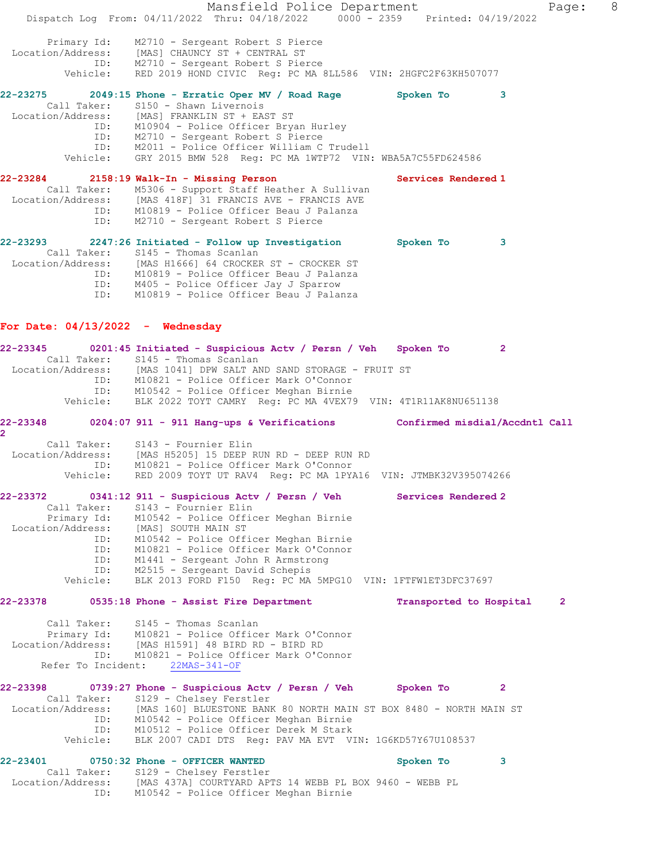Mansfield Police Department Fage: 8 Dispatch Log From: 04/11/2022 Thru: 04/18/2022 0000 - 2359 Printed: 04/19/2022 Primary Id: M2710 - Sergeant Robert S Pierce Location/Address: [MAS] CHAUNCY ST + CENTRAL ST ID: M2710 - Sergeant Robert S Pierce Vehicle: RED 2019 HOND CIVIC Reg: PC MA 8LL586 VIN: 2HGFC2F63KH507077 **22-23275 2049:15 Phone - Erratic Oper MV / Road Rage Spoken To 3**  Call Taker: S150 - Shawn Livernois Location/Address: [MAS] FRANKLIN ST + EAST ST ID: M10904 - Police Officer Bryan Hurley ID: M2710 - Sergeant Robert S Pierce ID: M2011 - Police Officer William C Trudell Vehicle: GRY 2015 BMW 528 Reg: PC MA 1WTP72 VIN: WBA5A7C55FD624586 **22-23284 2158:19 Walk-In - Missing Person Services Rendered 1**  Call Taker: M5306 - Support Staff Heather A Sullivan Location/Address: [MAS 418F] 31 FRANCIS AVE - FRANCIS AVE ID: M10819 - Police Officer Beau J Palanza ID: M2710 - Sergeant Robert S Pierce **22-23293 2247:26 Initiated - Follow up Investigation Spoken To 3**  Call Taker: S145 - Thomas Scanlan Location/Address: [MAS H1666] 64 CROCKER ST - CROCKER ST ID: M10819 - Police Officer Beau J Palanza ID: M405 - Police Officer Jay J Sparrow ID: M10819 - Police Officer Beau J Palanza **For Date: 04/13/2022 - Wednesday 22-23345 0201:45 Initiated - Suspicious Actv / Persn / Veh Spoken To 2**  Call Taker: S145 - Thomas Scanlan Location/Address: [MAS 1041] DPW SALT AND SAND STORAGE - FRUIT ST ID: M10821 - Police Officer Mark O'Connor ID: M10542 - Police Officer Meghan Birnie Vehicle: BLK 2022 TOYT CAMRY Reg: PC MA 4VEX79 VIN: 4T1R11AK8NU651138 **22-23348 0204:07 911 - 911 Hang-ups & Verifications Confirmed misdial/Accdntl Call 2**  Call Taker: S143 - Fournier Elin Location/Address: [MAS H5205] 15 DEEP RUN RD - DEEP RUN RD ID: M10821 - Police Officer Mark O'Connor Vehicle: RED 2009 TOYT UT RAV4 Reg: PC MA 1PYA16 VIN: JTMBK32V395074266 **22-23372 0341:12 911 - Suspicious Actv / Persn / Veh Services Rendered 2**  Call Taker: S143 - Fournier Elin Primary Id: M10542 - Police Officer Meghan Birnie Location/Address: [MAS] SOUTH MAIN ST ID: M10542 - Police Officer Meghan Birnie ID: M10821 - Police Officer Mark O'Connor ID: M1441 - Sergeant John R Armstrong ID: M2515 - Sergeant David Schepis Vehicle: BLK 2013 FORD F150 Reg: PC MA 5MPG10 VIN: 1FTFW1ET3DFC37697 **22-23378 0535:18 Phone - Assist Fire Department Transported to Hospital 2** Call Taker: S145 - Thomas Scanlan Primary Id: M10821 - Police Officer Mark O'Connor Location/Address: [MAS H1591] 48 BIRD RD - BIRD RD ID: M10821 - Police Officer Mark O'Connor Refer To Incident: 22MAS-341-OF **22-23398 0739:27 Phone - Suspicious Actv / Persn / Veh Spoken To 2**  Call Taker: S129 - Chelsey Ferstler<br>Location/Address: [MAS 160] BLUESTONE BANE [MAS 160] BLUESTONE BANK 80 NORTH MAIN ST BOX 8480 - NORTH MAIN ST ID: M10542 - Police Officer Meghan Birnie ID: M10512 - Police Officer Derek M Stark Vehicle: BLK 2007 CADI DTS Reg: PAV MA EVT VIN: 1G6KD57Y67U108537 **22-23401 0750:32 Phone - OFFICER WANTED Spoken To 3**  Call Taker: S129 - Chelsey Ferstler Location/Address: [MAS 437A] COURTYARD APTS 14 WEBB PL BOX 9460 - WEBB PL<br>Location/Address: [MAS 437A] COURTYARD Microsoft County ID: M10542 - Police Officer Meghan Birnie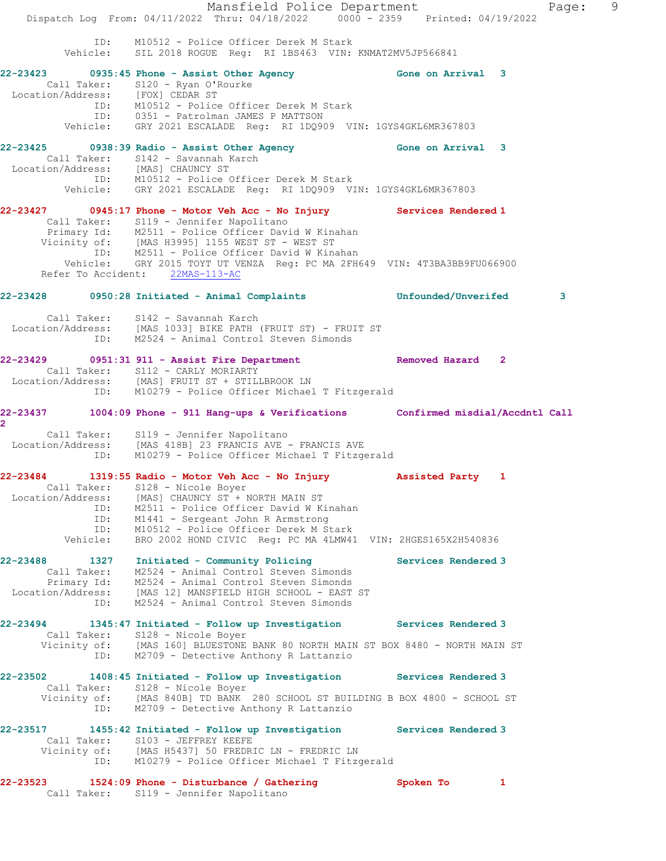|                                                                   | Mansfield Police Department<br>Dispatch Log From: 04/11/2022 Thru: 04/18/2022   0000 - 2359   Printed: 04/19/2022                                                                                                                                                                                               |                           | 9<br>Page: |
|-------------------------------------------------------------------|-----------------------------------------------------------------------------------------------------------------------------------------------------------------------------------------------------------------------------------------------------------------------------------------------------------------|---------------------------|------------|
|                                                                   | ID: M10512 - Police Officer Derek M Stark<br>Vehicle: SIL 2018 ROGUE Reg: RI 1BS463 VIN: KNMAT2MV5JP566841                                                                                                                                                                                                      |                           |            |
|                                                                   | 22-23423 0935:45 Phone - Assist Other Agency 6one on Arrival 3<br>Call Taker: S120 - Ryan O'Rourke<br>Location/Address: [FOX] CEDAR ST<br>ID: M10512 - Police Officer Derek M Stark<br>ID: 0351 - Patrolman JAMES P MATTSON<br>Vehicle: GRY 2021 ESCALADE Reg: RI 1DQ909 VIN: 1GYS4GKL6MR367803                 |                           |            |
|                                                                   | 22-23425 0938:39 Radio - Assist Other Agency Cone on Arrival 3<br>Call Taker: S142 - Savannah Karch<br>Location/Address: [MAS] CHAUNCY ST<br>ID: M10512 - Police Officer Derek M Stark<br>Vehicle: GRY 2021 ESCALADE Reg: RI 1DQ909 VIN: 1GYS4GKL6MR367803                                                      |                           |            |
|                                                                   | 22-23427 0945:17 Phone - Motor Veh Acc - No Injury Services Rendered 1<br>Call Taker: S119 - Jennifer Napolitano<br>Primary Id: M2511 - Police Officer David W Kinahan<br>Vicinity of: [MAS H3995] 1155 WEST ST - WEST ST<br>ID: M2511 - Police Officer David W Kinahan<br>Vehicle: GRY 2015 TOYT UT VENZA Reg: |                           |            |
|                                                                   | Refer To Accident: 22MAS-113-AC                                                                                                                                                                                                                                                                                 |                           |            |
|                                                                   | 22-23428 0950:28 Initiated - Animal Complaints 6 Unfounded/Unverifed                                                                                                                                                                                                                                            |                           | 3          |
|                                                                   | Call Taker: S142 - Savannah Karch<br>Location/Address: [MAS 1033] BIKE PATH (FRUIT ST) - FRUIT ST<br>ID: M2524 - Animal Control Steven Simonds                                                                                                                                                                  |                           |            |
|                                                                   | 22-23429 0951:31 911 - Assist Fire Department Removed Hazard 2<br>Call Taker: S112 - CARLY MORIARTY<br>Call Taker: SILZ - CARLI POSSIMAL<br>Location/Address: [MAS] FRUIT ST + STILLBROOK LN<br>ID: M10279 - Police Officer Michael T Fitzgerald                                                                |                           |            |
| $\overline{2}$                                                    | 22-23437 1004:09 Phone - 911 Hang-ups & Verifications Confirmed misdial/Accdntl Call<br>Call Taker: S119 - Jennifer Napolitano<br>Location/Address: [MAS 418B] 23 FRANCIS AVE - FRANCIS AVE<br>ID: M10279 - Police Officer Michael T Fitzgerald                                                                 |                           |            |
| Call Taker:<br>Location/Address:<br>ID:<br>ID:<br>ID:<br>Vehicle: | 22-23484 1319:55 Radio - Motor Veh Acc - No Injury<br>S128 - Nicole Boyer<br>[MAS] CHAUNCY ST + NORTH MAIN ST<br>M2511 - Police Officer David W Kinahan<br>M1441 - Sergeant John R Armstrong<br>M10512 - Police Officer Derek M Stark<br>BRO 2002 HOND CIVIC Req: PC MA 4LMW41 VIN: 2HGES165X2H540836           | Assisted Party 1          |            |
| 22-23488<br>1327<br>Location/Address:<br>ID:                      | Initiated - Community Policing<br>Call Taker: M2524 - Animal Control Steven Simonds<br>Primary Id: M2524 - Animal Control Steven Simonds<br>[MAS 12] MANSFIELD HIGH SCHOOL - EAST ST<br>M2524 - Animal Control Steven Simonds                                                                                   | Services Rendered 3       |            |
| 22-23494<br>Call Taker:                                           | 1345:47 Initiated - Follow up Investigation Services Rendered 3<br>S128 - Nicole Boyer<br>Vicinity of: [MAS 160] BLUESTONE BANK 80 NORTH MAIN ST BOX 8480 - NORTH MAIN ST<br>ID: M2709 - Detective Anthony R Lattanzio                                                                                          |                           |            |
| 22-23502<br>ID:                                                   | 1408:45 Initiated - Follow up Investigation Services Rendered 3<br>Call Taker: S128 - Nicole Boyer<br>Vicinity of: [MAS 840B] TD BANK 280 SCHOOL ST BUILDING B BOX 4800 - SCHOOL ST<br>M2709 - Detective Anthony R Lattanzio                                                                                    |                           |            |
| 22-23517                                                          | 1455:42 Initiated - Follow up Investigation Services Rendered 3<br>Call Taker: S103 - JEFFREY KEEFE<br>Vicinity of: [MAS H5437] 50 FREDRIC LN - FREDRIC LN<br>ID: M10279 - Police Officer Michael T Fitzgerald                                                                                                  |                           |            |
| Call Taker:                                                       | $22-23523$ 1524:09 Phone - Disturbance / Gathering<br>S119 - Jennifer Napolitano                                                                                                                                                                                                                                | Spoken To<br>$\mathbf{1}$ |            |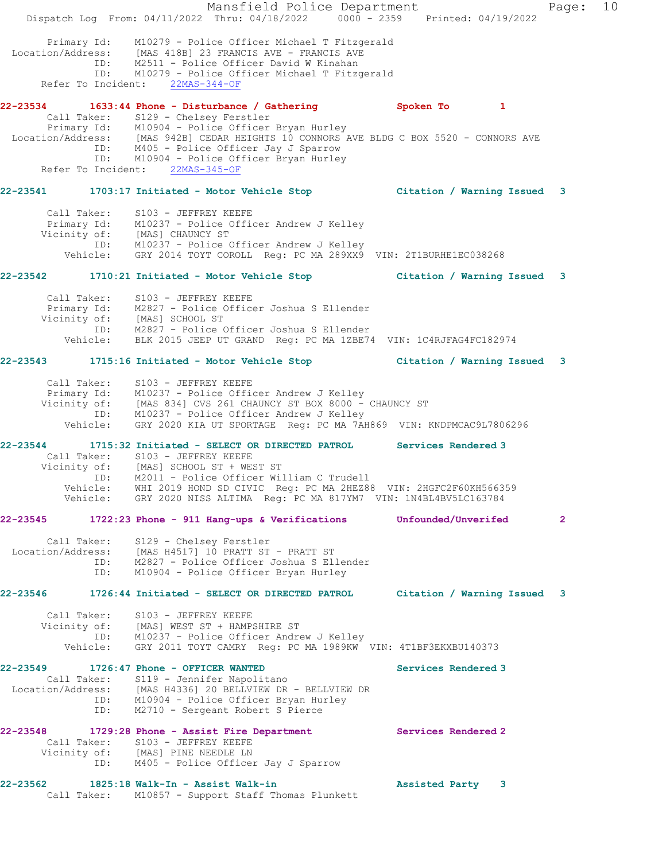|                         | Mansfield Police Department<br>Dispatch Log From: 04/11/2022 Thru: 04/18/2022 0000 - 2359 Printed: 04/19/2022                                                                                                                                                                                                                                              |                     | Page: 10     |  |
|-------------------------|------------------------------------------------------------------------------------------------------------------------------------------------------------------------------------------------------------------------------------------------------------------------------------------------------------------------------------------------------------|---------------------|--------------|--|
|                         | Primary Id: M10279 - Police Officer Michael T Fitzgerald<br>Location/Address: [MAS 418B] 23 FRANCIS AVE - FRANCIS AVE<br>ID: M2511 - Police Officer David W Kinahan<br>ID: M10279 - Police Officer Michael T Fitzgerald<br>Refer To Incident: 22MAS-344-OF                                                                                                 |                     |              |  |
|                         | 22-23534 1633:44 Phone - Disturbance / Gathering 30 Spoken To 1                                                                                                                                                                                                                                                                                            |                     |              |  |
|                         | Call Taker: S129 - Chelsey Ferstler<br>Extra Primary Id: M10904 - Police Officer Bryan Hurley<br>Location/Address: [MAS 942B] CEDAR HEIGHTS 10 CONNORS AVE BLDG C BOX 5520 - CONNORS AVE<br>ID: M405 - Police Officer Jay J Sparrow<br>ID: M10904 - Police Officer Bryan Hu<br>Refer To Incident: 22MAS-345-OF                                             |                     |              |  |
|                         | 22-23541 1703:17 Initiated - Motor Vehicle Stop Citation / Warning Issued 3                                                                                                                                                                                                                                                                                |                     |              |  |
|                         | Call Taker: S103 - JEFFREY KEEFE<br>Primary Id: M10237 - Police Officer Andrew J Kelley<br>Vicinity of: [MAS] CHAUNCY ST<br>ID: M10237 - Police Officer Andrew J Kelley<br>Vehicle: GRY 2014 TOYT COROLL Reg: PC MA 289XX9 VIN: 2T1BURHE1EC038268                                                                                                          |                     |              |  |
|                         | 22-23542 1710:21 Initiated - Motor Vehicle Stop Citation / Warning Issued 3                                                                                                                                                                                                                                                                                |                     |              |  |
|                         | Call Taker: S103 - JEFFREY KEEFE<br>Primary Id: M2827 - Police Officer Joshua S Ellender<br>Vicinity of: [MAS] SCHOOL ST<br>ID: M2827 - Police Officer Joshua S Ellender<br>Vehicle: BLK 2015 JEEP UT GRAND Reg: PC MA 1ZBE74 VIN: 1C4RJFAG4FC182974                                                                                                       |                     |              |  |
|                         | 22-23543 1715:16 Initiated - Motor Vehicle Stop Citation / Warning Issued 3                                                                                                                                                                                                                                                                                |                     |              |  |
|                         | Call Taker: S103 - JEFFREY KEEFE<br>Primary Id: M10237 - Police Officer Andrew J Kelley<br>Vicinity of: [MAS 834] CVS 261 CHAUNCY ST BOX 8000 - CHAUNCY ST<br>ID: M10237 - Police Officer Andrew J Kelley<br>Vehicle: GRY 2020 KIA UT SPORTAGE Reg: PC MA 7AH869 VIN: KNDPMCAC9L7806296                                                                    |                     |              |  |
| ID:                     | 22-23544 1715:32 Initiated - SELECT OR DIRECTED PATROL Services Rendered 3<br>Call Taker: S103 - JEFFREY KEEFE<br>Vicinity of: [MAS] SCHOOL ST + WEST ST<br>M2011 - Police Officer William C Trudell<br>Vehicle: WHI 2019 HOND SD CIVIC Reg: PC MA 2HEZ88 VIN: 2HGFC2F60KH566359<br>Vehicle: GRY 2020 NISS ALTIMA Reg: PC MA 817YM7 VIN: 1N4BL4BV5LC163784 |                     |              |  |
| 22-23545                | 1722:23 Phone - 911 Hang-ups & Verifications                                                                                                                                                                                                                                                                                                               | Unfounded/Unverifed | $\mathbf{2}$ |  |
|                         | Call Taker: S129 - Chelsey Ferstler<br>Location/Address: [MAS H4517] 10 PRATT ST - PRATT ST<br>ID: M2827 - Police Officer Joshua S Ellender<br>ID: M10904 - Police Officer Bryan Hurley                                                                                                                                                                    |                     |              |  |
| 22-23546                | 1726:44 Initiated - SELECT OR DIRECTED PATROL Citation / Warning Issued 3                                                                                                                                                                                                                                                                                  |                     |              |  |
| Call Taker:             | S103 - JEFFREY KEEFE<br>Vicinity of: [MAS] WEST ST + HAMPSHIRE ST<br>ID: M10237 - Police Officer Andrew J Kelley<br>Vehicle: GRY 2011 TOYT CAMRY Reg: PC MA 1989KW VIN: 4T1BF3EKXBU140373                                                                                                                                                                  |                     |              |  |
| 22-23549<br>ID:         | 1726:47 Phone - OFFICER WANTED<br>Call Taker: S119 - Jennifer Napolitano<br>Location/Address: [MAS H4336] 20 BELLVIEW DR - BELLVIEW DR<br>ID: M10904 - Police Officer Bryan Hurley<br>M2710 - Sergeant Robert S Pierce                                                                                                                                     | Services Rendered 3 |              |  |
|                         | 22-23548 1729:28 Phone - Assist Fire Department<br>Call Taker: S103 - JEFFREY KEEFE<br>Vicinity of: [MAS] PINE NEEDLE LN<br>ID: M405 - Police Officer Jay J Sparrow                                                                                                                                                                                        | Services Rendered 2 |              |  |
| 22-23562<br>Call Taker: | 1825:18 Walk-In - Assist Walk-in<br>M10857 - Support Staff Thomas Plunkett                                                                                                                                                                                                                                                                                 | Assisted Party 3    |              |  |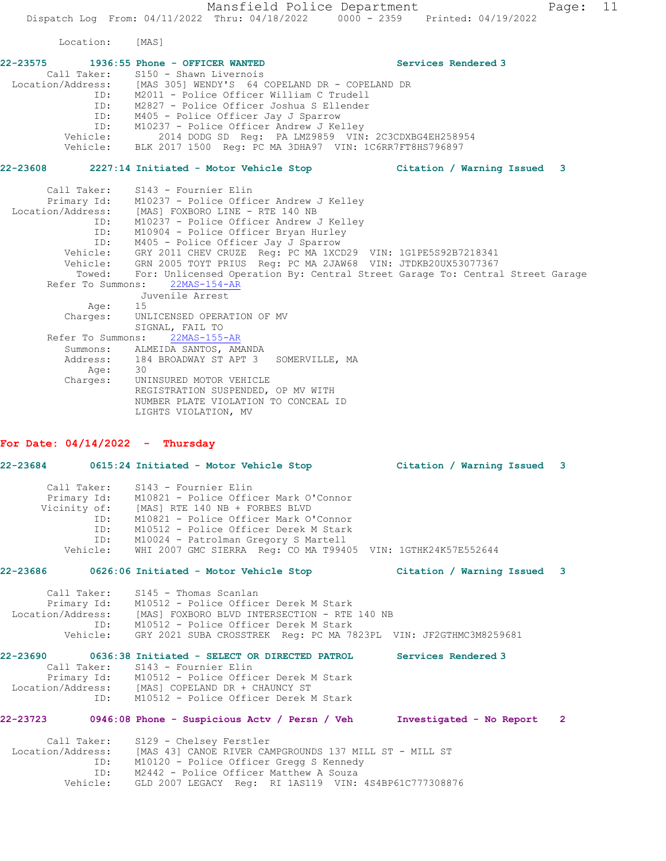Mansfield Police Department Fage: 11 Dispatch Log From: 04/11/2022 Thru: 04/18/2022 0000 - 2359 Printed: 04/19/2022

Location: [MAS]

|          |                                                                  | Services Rendered 3         |
|----------|------------------------------------------------------------------|-----------------------------|
|          | Call Taker: S150 - Shawn Livernois                               |                             |
|          | Location/Address: [MAS 305] WENDY'S 64 COPELAND DR - COPELAND DR |                             |
| ID:      | M2011 - Police Officer William C Trudell                         |                             |
| ID:      | M2827 - Police Officer Joshua S Ellender                         |                             |
| ID:      | M405 - Police Officer Jay J Sparrow                              |                             |
|          | ID: M10237 - Police Officer Andrew J Kelley                      |                             |
| Vehicle: | 2014 DODG SD Req: PA LMZ9859 VIN: 2C3CDXBG4EH258954              |                             |
| Vehicle: | BLK 2017 1500 Reg: PC MA 3DHA97 VIN: 1C6RR7FT8HS796897           |                             |
| 22-23608 | 2227:14 Initiated - Motor Vehicle Stop                           | Citation / Warning Issued 3 |

 Call Taker: S143 - Fournier Elin Primary Id: M10237 - Police Officer Andrew J Kelley Location/Address: [MAS] FOXBORO LINE - RTE 140 NB ID: M10237 - Police Officer Andrew J Kelley ID: M10904 - Police Officer Bryan Hurley ID: M405 - Police Officer Jay J Sparrow Vehicle: GRY 2011 CHEV CRUZE Reg: PC MA 1XCD29 VIN: 1G1PE5S92B7218341 Vehicle: GRN 2005 TOYT PRIUS Reg: PC MA 2JAW68 VIN: JTDKB20UX53077367 Towed: For: Unlicensed Operation By: Central Street Garage To: Central Street Garage Refer To Summons: 22MAS-154-AR Juvenile Arrest Age: 15 Charges: UNLICENSED OPERATION OF MV SIGNAL, FAIL TO Refer To Summons: 22MAS-155-AR Summons: ALMEIDA SANTOS, AMANDA<br>Address: 184 BROADWAY ST APT 3 184 BROADWAY ST APT 3 SOMERVILLE, MA<br>30 Age: Charges: UNINSURED MOTOR VEHICLE REGISTRATION SUSPENDED, OP MV WITH NUMBER PLATE VIOLATION TO CONCEAL ID LIGHTS VIOLATION, MV

### **For Date: 04/14/2022 - Thursday**

|                                              |                        | 22-23684 0615:24 Initiated - Motor Vehicle Stop Citation / Warning Issued 3                                                                                                                                                                                                                                            |                          |                |
|----------------------------------------------|------------------------|------------------------------------------------------------------------------------------------------------------------------------------------------------------------------------------------------------------------------------------------------------------------------------------------------------------------|--------------------------|----------------|
| Call Taker:                                  | ID:<br>ID:<br>Vehicle: | S143 - Fournier Elin<br>Primary Id: M10821 - Police Officer Mark O'Connor<br>Vicinity of: [MAS] RTE 140 NB + FORBES BLVD<br>M10821 - Police Officer Mark O'Connor<br>M10512 - Police Officer Derek M Stark<br>ID: M10024 - Patrolman Gregory S Martell<br>WHI 2007 GMC SIERRA Req: CO MA T99405 VIN: 1GTHK24K57E552644 |                          |                |
|                                              |                        | 22-23686 0626:06 Initiated - Motor Vehicle Stop Citation / Warning Issued 3                                                                                                                                                                                                                                            |                          |                |
|                                              |                        | Call Taker: S145 - Thomas Scanlan<br>Primary Id: M10512 - Police Officer Derek M Stark<br>Location/Address: [MAS] FOXBORO BLVD INTERSECTION - RTE 140 NB<br>ID: M10512 - Police Officer Derek M Stark<br>Vehicle: GRY 2021 SUBA CROSSTREK Reg: PC MA 7823PL VIN: JF2GTHMC3M8259681                                     |                          |                |
|                                              |                        | 22-23690 0636:38 Initiated - SELECT OR DIRECTED PATROL<br>Call Taker: S143 - Fournier Elin<br>Primary Id: M10512 - Police Officer Derek M Stark<br>Location/Address: [MAS] COPELAND DR + CHAUNCY ST<br>ID: M10512 - Police Officer Derek M Stark                                                                       | Services Rendered 3      |                |
| 22-23723                                     |                        | 0946:08 Phone - Suspicious Actv / Persn / Veh                                                                                                                                                                                                                                                                          | Investigated - No Report | $\overline{2}$ |
| Call Taker:<br>Location/Address:<br>Vehicle: | ID:<br>ID:             | S129 - Chelsey Ferstler<br>[MAS 43] CANOE RIVER CAMPGROUNDS 137 MILL ST - MILL ST<br>M10120 - Police Officer Gregg S Kennedy<br>M2442 - Police Officer Matthew A Souza<br>GLD 2007 LEGACY Req: RI 1AS119 VIN: 4S4BP61C777308876                                                                                        |                          |                |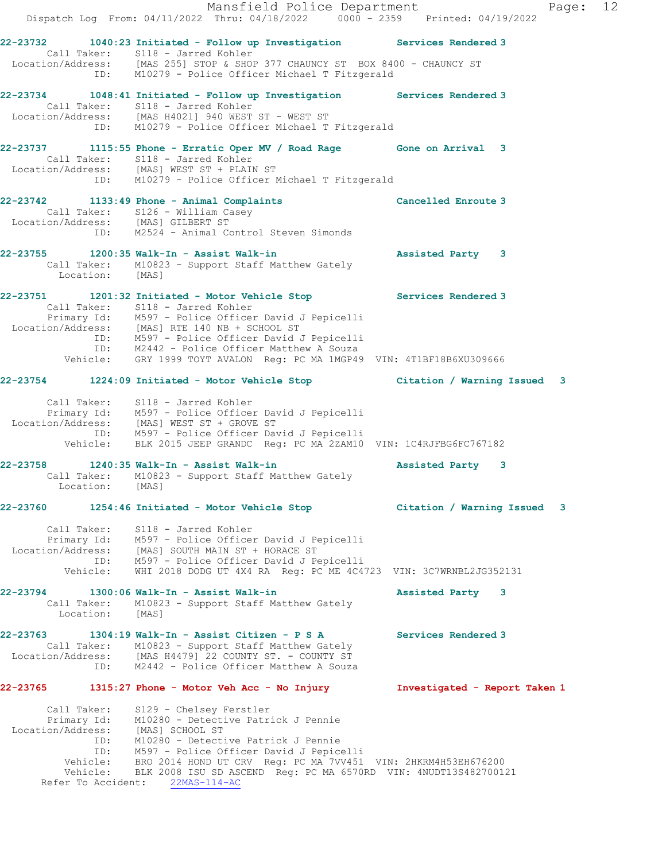Mansfield Police Department Page: 12 Dispatch Log From: 04/11/2022 Thru: 04/18/2022 0000 - 2359 Printed: 04/19/2022 **22-23732 1040:23 Initiated - Follow up Investigation Services Rendered 3**  Call Taker: S118 - Jarred Kohler Location/Address: [MAS 255] STOP & SHOP 377 CHAUNCY ST BOX 8400 - CHAUNCY ST ID: M10279 - Police Officer Michael T Fitzgerald **22-23734 1048:41 Initiated - Follow up Investigation Services Rendered 3**  Call Taker: S118 - Jarred Kohler Location/Address: [MAS H4021] 940 WEST ST - WEST ST ID: M10279 - Police Officer Michael T Fitzgerald **22-23737 1115:55 Phone - Erratic Oper MV / Road Rage Gone on Arrival 3**  Call Taker: S118 - Jarred Kohler Location/Address: [MAS] WEST ST + PLAIN ST ID: M10279 - Police Officer Michael T Fitzgerald **22-23742 1133:49 Phone - Animal Complaints Cancelled Enroute 3**  Call Taker: S126 - William Casey Location/Address: [MAS] GILBERT ST ID: M2524 - Animal Control Steven Simonds **22-23755 1200:35 Walk-In - Assist Walk-in Assisted Party 3**  Call Taker: M10823 - Support Staff Matthew Gately Location: [MAS] **22-23751 1201:32 Initiated - Motor Vehicle Stop Services Rendered 3**  Call Taker: S118 - Jarred Kohler Primary Id: M597 - Police Officer David J Pepicelli Location/Address: [MAS] RTE 140 NB + SCHOOL ST ID: M597 - Police Officer David J Pepicelli ID: M2442 - Police Officer Matthew A Souza Vehicle: GRY 1999 TOYT AVALON Reg: PC MA 1MGP49 VIN: 4T1BF18B6XU309666 **22-23754 1224:09 Initiated - Motor Vehicle Stop Citation / Warning Issued 3** Call Taker: S118 - Jarred Kohler Primary Id: M597 - Police Officer David J Pepicelli Location/Address: [MAS] WEST ST + GROVE ST ID: M597 - Police Officer David J Pepicelli Vehicle: BLK 2015 JEEP GRANDC Reg: PC MA 2ZAM10 VIN: 1C4RJFBG6FC767182 **22-23758 1240:35 Walk-In - Assist Walk-in Assisted Party 3**  Call Taker: M10823 - Support Staff Matthew Gately Location: [MAS] **22-23760 1254:46 Initiated - Motor Vehicle Stop Citation / Warning Issued 3** Call Taker: S118 - Jarred Kohler Primary Id: M597 - Police Officer David J Pepicelli Location/Address: [MAS] SOUTH MAIN ST + HORACE ST ID: M597 - Police Officer David J Pepicelli Vehicle: WHI 2018 DODG UT 4X4 RA Reg: PC ME 4C4723 VIN: 3C7WRNBL2JG352131 **22-23794 1300:06 Walk-In - Assist Walk-in Assisted Party 3**  Call Taker: M10823 - Support Staff Matthew Gately Location: [MAS] **22-23763 1304:19 Walk-In - Assist Citizen - P S A Services Rendered 3**  Call Taker: M10823 - Support Staff Matthew Gately Location/Address: [MAS H4479] 22 COUNTY ST. - COUNTY ST ID: M2442 - Police Officer Matthew A Souza **22-23765 1315:27 Phone - Motor Veh Acc - No Injury Investigated - Report Taken 1** Call Taker: S129 - Chelsey Ferstler Primary Id: M10280 - Detective Patrick J Pennie Location/Address: [MAS] SCHOOL ST ID: M10280 - Detective Patrick J Pennie ID: M597 - Police Officer David J Pepicelli Vehicle: BRO 2014 HOND UT CRV Reg: PC MA 7VV451 VIN: 2HKRM4H53EH676200 Vehicle: BLK 2008 ISU SD ASCEND Reg: PC MA 6570RD VIN: 4NUDT13S482700121 Refer To Accident: 22MAS-114-AC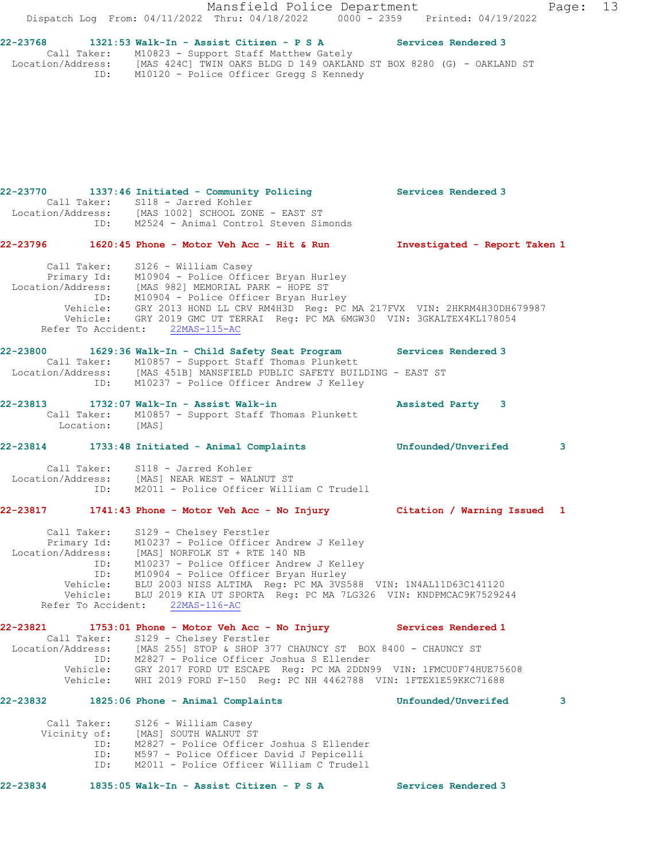Mansfield Police Department Fage: 13 Dispatch Log From: 04/11/2022 Thru: 04/18/2022 0000 - 2359 Printed: 04/19/2022 **22-23768 1321:53 Walk-In - Assist Citizen - P S A Services Rendered 3**  Call Taker: M10823 - Support Staff Matthew Gately Location/Address: [MAS 424C] TWIN OAKS BLDG D 149 OAKLAND ST BOX 8280 (G) - OAKLAND ST ID: M10120 - Police Officer Gregg S Kennedy **22-23770 1337:46 Initiated - Community Policing Services Rendered 3**  Call Taker: S118 - Jarred Kohler Location/Address: [MAS 1002] SCHOOL ZONE - EAST ST ID: M2524 - Animal Control Steven Simonds **22-23796 1620:45 Phone - Motor Veh Acc - Hit & Run Investigated - Report Taken 1** Call Taker: S126 - William Casey Primary Id: M10904 - Police Officer Bryan Hurley<br>ion/Address: Wis 2003 :- Location/Address: [MAS 982] MEMORIAL PARK - HOPE ST ID: M10904 - Police Officer Bryan Hurley Vehicle: GRY 2013 HOND LL CRV RM4H3D Reg: PC MA 217FVX VIN: 2HKRM4H30DH679987 Vehicle: GRY 2019 GMC UT TERRAI Reg: PC MA 6MGW30 VIN: 3GKALTEX4KL178054 Refer To Accident: 22MAS-115-AC **22-23800 1629:36 Walk-In - Child Safety Seat Program Services Rendered 3**  Call Taker: M10857 - Support Staff Thomas Plunkett Location/Address: [MAS 451B] MANSFIELD PUBLIC SAFETY BUILDING - EAST ST ID: M10237 - Police Officer Andrew J Kelley **22-23813 1732:07 Walk-In - Assist Walk-in Assisted Party 3**  Call Taker: M10857 - Support Staff Thomas Plunkett Location: [MAS] **22-23814 1733:48 Initiated - Animal Complaints Unfounded/Unverifed 3** Call Taker: S118 - Jarred Kohler Location/Address: [MAS] NEAR WEST - WALNUT ST ID: M2011 - Police Officer William C Trudell **22-23817 1741:43 Phone - Motor Veh Acc - No Injury Citation / Warning Issued 1** Call Taker: S129 - Chelsey Ferstler Primary Id: M10237 - Police Officer Andrew J Kelley Location/Address: [MAS] NORFOLK ST + RTE 140 NB ID: M10237 - Police Officer Andrew J Kelley ID: M10904 - Police Officer Bryan Hurley Vehicle: BLU 2003 NISS ALTIMA Reg: PC MA 3VS588 VIN: 1N4AL11D63C141120 Vehicle: BLU 2019 KIA UT SPORTA Reg: PC MA 7LG326 VIN: KNDPMCAC9K7529244 Refer To Accident: 22MAS-116-AC **22-23821 1753:01 Phone - Motor Veh Acc - No Injury Services Rendered 1**  Call Taker: S129 - Chelsey Ferstler Location/Address: [MAS 255] STOP & SHOP 377 CHAUNCY ST BOX 8400 - CHAUNCY ST ID: M2827 - Police Officer Joshua S Ellender Vehicle: GRY 2017 FORD UT ESCAPE Reg: PC MA 2DDN99 VIN: 1FMCU0F74HUE75608 Vehicle: WHI 2019 FORD F-150 Reg: PC NH 4462788 VIN: 1FTEX1E59KKC71688 **22-23832 1825:06 Phone - Animal Complaints Unfounded/Unverifed 3** Call Taker: S126 - William Casey Vicinity of: [MAS] SOUTH WALNUT ST ID: M2827 - Police Officer Joshua S Ellender ID: M597 - Police Officer David J Pepicelli ID: M2011 - Police Officer William C Trudell

**22-23834 1835:05 Walk-In - Assist Citizen - P S A Services Rendered 3**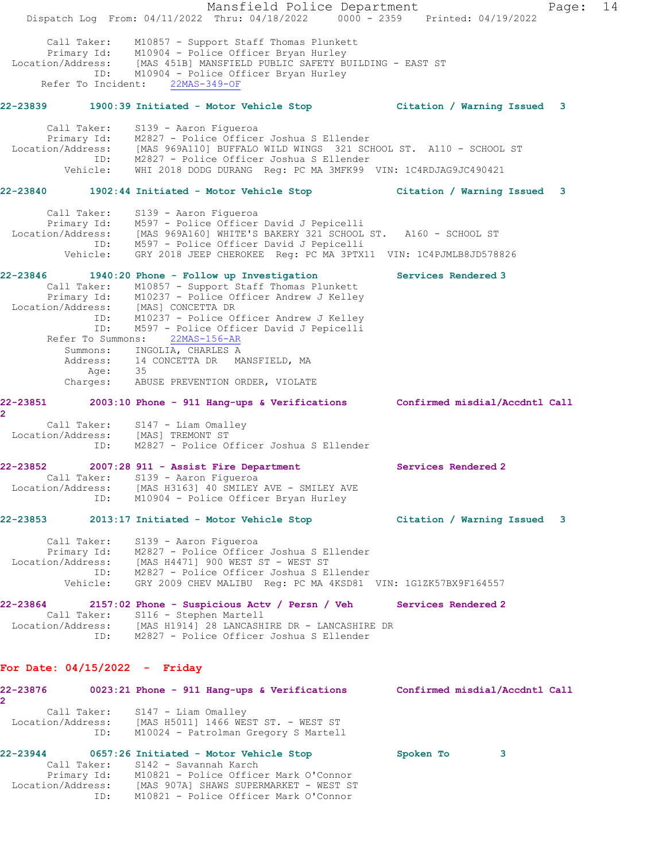|                                 |                    | Dispatch Log From: 04/11/2022 Thru: 04/18/2022 0000 - 2359 Printed: 04/19/2022                                                                                                                                                                                                                                                                                                                                                                                  | Mansfield Police Department |                             |   | Page: | 14 |
|---------------------------------|--------------------|-----------------------------------------------------------------------------------------------------------------------------------------------------------------------------------------------------------------------------------------------------------------------------------------------------------------------------------------------------------------------------------------------------------------------------------------------------------------|-----------------------------|-----------------------------|---|-------|----|
|                                 | Refer To Incident: | Call Taker: M10857 - Support Staff Thomas Plunkett<br>Primary Id: M10904 - Police Officer Bryan Hurley<br>Location/Address: [MAS 451B] MANSFIELD PUBLIC SAFETY BUILDING - EAST ST<br>ID: M10904 - Police Officer Bryan Hurley<br>$22MAS-349-OF$                                                                                                                                                                                                                 |                             |                             |   |       |    |
| 22-23839                        |                    |                                                                                                                                                                                                                                                                                                                                                                                                                                                                 |                             |                             |   |       |    |
|                                 | Call Taker:        | S139 - Aaron Figueroa<br>Primary Id: M2827 - Police Officer Joshua S Ellender<br>Location/Address: [MAS 969A110] BUFFALO WILD WINGS 321 SCHOOL ST. A110 - SCHOOL ST<br>ID: M2827 - Police Officer Joshua S Ellender<br>Vehicle: WHI 2018 DODG DURANG Reg: PC MA 3MFK99 VIN: 1C4RDJAG9JC490421                                                                                                                                                                   |                             |                             |   |       |    |
|                                 |                    | 22-23840  1902:44 Initiated - Motor Vehicle Stop                                                                                                                                                                                                                                                                                                                                                                                                                |                             | Citation / Warning Issued 3 |   |       |    |
|                                 | Call Taker:        | S139 - Aaron Figueroa<br>Primary Id: M597 - Police Officer David J Pepicelli<br>Location/Address: [MAS 969A160] WHITE'S BAKERY 321 SCHOOL ST. A160 - SCHOOL ST<br>ID: M597 - Police Officer David J Pepicelli<br>Vehicle: GRY 2018 JEEP CHEROKEE Reg: PC MA 3PTX11 VIN: 1C4PJMLB8JD578826                                                                                                                                                                       |                             |                             |   |       |    |
|                                 | ID:<br>Age:        | 22-23846 1940:20 Phone - Follow up Investigation<br>Call Taker: M10857 - Support Staff Thomas Plunkett<br>Primary Id: M10237 - Police Officer Andrew J Kelley<br>Location/Address: [MAS] CONCETTA DR<br>ID: M10237 - Police Officer Andrew J Kelley<br>M597 - Police Officer David J Pepicelli<br>Refer To Summons: 22MAS-156-AR<br>Summons: INGOLIA, CHARLES A<br>Address: 14 CONCETTA DR MANSFIELD, MA<br>Age: 35<br>Charges: ABUSE PREVENTION ORDER, VIOLATE |                             | Services Rendered 3         |   |       |    |
| 22-23851                        |                    | 2003:10 Phone - 911 Hang-ups & Verifications Confirmed misdial/Accdntl Call                                                                                                                                                                                                                                                                                                                                                                                     |                             |                             |   |       |    |
| $\overline{2}$                  |                    | Call Taker: S147 - Liam Omalley<br>Location/Address: [MAS] TREMONT ST<br>ID: M2827 - Police Officer Joshua S Ellender                                                                                                                                                                                                                                                                                                                                           |                             |                             |   |       |    |
| 22-23852                        | Call Taker:<br>ID: | 2007:28 911 - Assist Fire Department<br>S139 - Aaron Fiqueroa<br>Location/Address: [MAS H3163] 40 SMILEY AVE - SMILEY AVE<br>M10904 - Police Officer Bryan Hurley                                                                                                                                                                                                                                                                                               |                             | Services Rendered 2         |   |       |    |
| 22-23853                        |                    | 2013:17 Initiated - Motor Vehicle Stop Citation / Warning Issued 3                                                                                                                                                                                                                                                                                                                                                                                              |                             |                             |   |       |    |
|                                 | Call Taker:        | S139 - Aaron Figueroa<br>Primary Id: M2827 - Police Officer Joshua S Ellender<br>Location/Address: [MAS H4471] 900 WEST ST - WEST ST<br>ID: M2827 - Police Officer Joshua S Ellender<br>Vehicle: GRY 2009 CHEV MALIBU Req: PC MA 4KSD81 VIN: 1G1ZK57BX9F164557                                                                                                                                                                                                  |                             |                             |   |       |    |
| 22-23864                        | Call Taker:        | 2157:02 Phone - Suspicious Actv / Persn / Veh Services Rendered 2<br>S116 - Stephen Martell<br>Location/Address: [MAS H1914] 28 LANCASHIRE DR - LANCASHIRE DR<br>ID: M2827 - Police Officer Joshua S Ellender                                                                                                                                                                                                                                                   |                             |                             |   |       |    |
| For Date: $04/15/2022 -$ Friday |                    |                                                                                                                                                                                                                                                                                                                                                                                                                                                                 |                             |                             |   |       |    |
| $\mathbf{2}^{\circ}$            |                    | 22-23876 0023:21 Phone - 911 Hang-ups & Verifications Confirmed misdial/Accdntl Call                                                                                                                                                                                                                                                                                                                                                                            |                             |                             |   |       |    |
|                                 | ID:                | Call Taker: S147 - Liam Omalley<br>Location/Address: [MAS H5011] 1466 WEST ST. - WEST ST<br>M10024 - Patrolman Gregory S Martell                                                                                                                                                                                                                                                                                                                                |                             |                             |   |       |    |
|                                 | Call Taker:        | 22-23944 0657:26 Initiated - Motor Vehicle Stop<br>S142 - Savannah Karch<br>Primary Id: M10821 - Police Officer Mark O'Connor                                                                                                                                                                                                                                                                                                                                   |                             | Spoken To                   | 3 |       |    |
|                                 | ID:                | Location/Address: [MAS 907A] SHAWS SUPERMARKET - WEST ST<br>M10821 - Police Officer Mark O'Connor                                                                                                                                                                                                                                                                                                                                                               |                             |                             |   |       |    |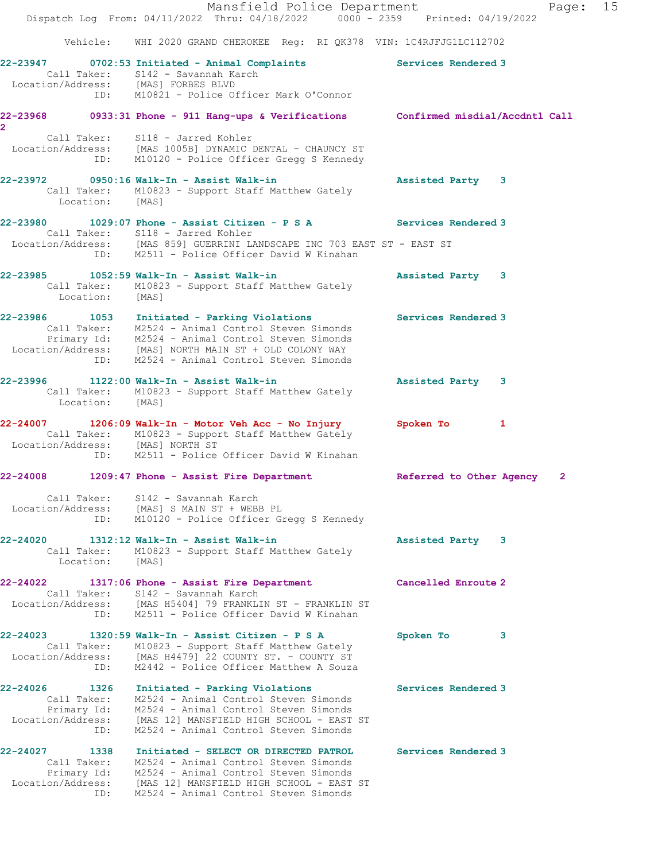|                                                                         | Mansfield Police Department<br>Dispatch Log From: 04/11/2022 Thru: 04/18/2022 0000 - 2359 Printed: 04/19/2022                                                                                                                                                 |                          | Page: 15     |
|-------------------------------------------------------------------------|---------------------------------------------------------------------------------------------------------------------------------------------------------------------------------------------------------------------------------------------------------------|--------------------------|--------------|
|                                                                         | Vehicle: WHI 2020 GRAND CHEROKEE Reg: RI QK378 VIN: 1C4RJFJG1LC112702                                                                                                                                                                                         |                          |              |
|                                                                         | 22-23947 0702:53 Initiated - Animal Complaints Services Rendered 3<br>Call Taker: S142 - Savannah Karch<br>Location/Address: [MAS] FORBES BLVD<br>ID: M10821 - Police Officer Mark O'Connor                                                                   |                          |              |
|                                                                         | 22-23968 0933:31 Phone - 911 Hang-ups & Verifications Confirmed misdial/Accdntl Call                                                                                                                                                                          |                          |              |
| $\overline{2}$                                                          | Call Taker: S118 - Jarred Kohler<br>Location/Address: [MAS 1005B] DYNAMIC DENTAL - CHAUNCY ST<br>ID: M10120 - Police Officer Gregg S Kennedy                                                                                                                  |                          |              |
| Location: [MAS]                                                         | 22-23972 0950:16 Walk-In - Assist Walk-in<br>Call Taker: M10823 - Support Staff Matthew Gately                                                                                                                                                                | Assisted Party 3         |              |
|                                                                         | 22-23980 1029:07 Phone - Assist Citizen - P S A Services Rendered 3<br>Call Taker: S118 - Jarred Kohler<br>Location/Address: [MAS 859] GUERRINI LANDSCAPE INC 703 EAST ST - EAST ST<br>ID: M2511 - Police Officer David W Kinahan                             |                          |              |
| Location: [MAS]                                                         | 22-23985 1052:59 Walk-In - Assist Walk-in<br>Call Taker: M10823 - Support Staff Matthew Gately                                                                                                                                                                | Assisted Party 3         |              |
|                                                                         | 22-23986 1053 Initiated - Parking Violations<br>Call Taker: M2524 - Animal Control Steven Simonds<br>Primary Id: M2524 - Animal Control Steven Simonds<br>Location/Address: [MAS] NORTH MAIN ST + OLD COLONY WAY<br>ID: M2524 - Animal Control Steven Simonds | Services Rendered 3      |              |
| Location: [MAS]                                                         | 22-23996 1122:00 Walk-In - Assist Walk-in<br>Call Taker: M10823 - Support Staff Matthew Gately                                                                                                                                                                | Assisted Party 3         |              |
|                                                                         | 22-24007 1206:09 Walk-In - Motor Veh Acc - No Injury<br>Call Taker: M10823 - Support Staff Matthew Gately<br>Location/Address: [MAS] NORTH ST<br>ID: M2511 - Police Officer David W Kinahan                                                                   | Spoken To 1              |              |
|                                                                         | 22-24008 1209:47 Phone - Assist Fire Department                                                                                                                                                                                                               | Referred to Other Agency | $\mathbf{2}$ |
| Location/Address:                                                       | Call Taker: S142 - Savannah Karch<br>[MAS] S MAIN ST + WEBB PL<br>ID: M10120 - Police Officer Gregg S Kennedy                                                                                                                                                 |                          |              |
| Call Taker:<br>Location:                                                | M10823 - Support Staff Matthew Gately<br>[MAS]                                                                                                                                                                                                                | Assisted Party 3         |              |
|                                                                         | 22-24022 1317:06 Phone - Assist Fire Department<br>Call Taker: S142 - Savannah Karch<br>Location/Address: [MAS H5404] 79 FRANKLIN ST - FRANKLIN ST<br>ID: M2511 - Police Officer David W Kinahan                                                              | Cancelled Enroute 2      |              |
| 22-24023<br>Call Taker:<br>ID:                                          | 1320:59 Walk-In - Assist Citizen - P S A<br>M10823 - Support Staff Matthew Gately<br>Location/Address: [MAS H4479] 22 COUNTY ST. - COUNTY ST<br>M2442 - Police Officer Matthew A Souza                                                                        | Spoken To<br>3           |              |
| 22-24026<br>1326<br>Call Taker:<br>Location/Address:<br>ID:             | Initiated - Parking Violations<br>M2524 - Animal Control Steven Simonds<br>Primary Id: M2524 - Animal Control Steven Simonds<br>[MAS 12] MANSFIELD HIGH SCHOOL - EAST ST<br>M2524 - Animal Control Steven Simonds                                             | Services Rendered 3      |              |
| 22-24027 1338<br>Call Taker:<br>Primary Id:<br>Location/Address:<br>ID: | Initiated - SELECT OR DIRECTED PATROL<br>M2524 - Animal Control Steven Simonds<br>M2524 - Animal Control Steven Simonds<br>[MAS 12] MANSFIELD HIGH SCHOOL - EAST ST<br>M2524 - Animal Control Steven Simonds                                                  | Services Rendered 3      |              |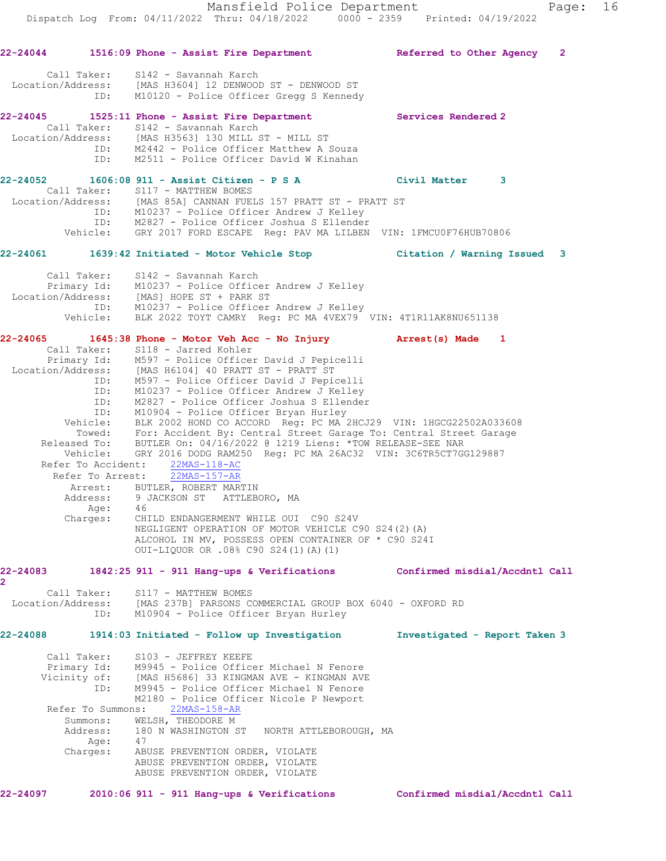**22-24044 1516:09 Phone - Assist Fire Department Referred to Other Agency 2** Call Taker: S142 - Savannah Karch Location/Address: [MAS H3604] 12 DENWOOD ST - DENWOOD ST ID: M10120 - Police Officer Gregg S Kennedy **22-24045 1525:11 Phone - Assist Fire Department Services Rendered 2**  Call Taker: S142 - Savannah Karch Location/Address: [MAS H3563] 130 MILL ST - MILL ST ID: M2442 - Police Officer Matthew A Souza ID: M2511 - Police Officer David W Kinahan **22-24052 1606:08 911 - Assist Citizen - P S A Civil Matter 3**  Call Taker: S117 - MATTHEW BOMES Location/Address: [MAS 85A] CANNAN FUELS 157 PRATT ST - PRATT ST ID: M10237 - Police Officer Andrew J Kelley ID: M2827 - Police Officer Joshua S Ellender Vehicle: GRY 2017 FORD ESCAPE Reg: PAV MA LILBEN VIN: 1FMCU0F76HUB70806 **22-24061 1639:42 Initiated - Motor Vehicle Stop Citation / Warning Issued 3** Call Taker: S142 - Savannah Karch Primary Id: M10237 - Police Officer Andrew J Kelley Location/Address: [MAS] HOPE ST + PARK ST ID: M10237 - Police Officer Andrew J Kelley Vehicle: BLK 2022 TOYT CAMRY Reg: PC MA 4VEX79 VIN: 4T1R11AK8NU651138 **22-24065 1645:38 Phone - Motor Veh Acc - No Injury Arrest(s) Made 1**  Call Taker: S118 - Jarred Kohler Primary Id: M597 - Police Officer David J Pepicelli Location/Address: [MAS H6104] 40 PRATT ST - PRATT ST ID: M597 - Police Officer David J Pepicelli ID: M10237 - Police Officer Andrew J Kelley ID: M2827 - Police Officer Joshua S Ellender ID: M10904 - Police Officer Bryan Hurley Vehicle: BLK 2002 HOND CO ACCORD Reg: PC MA 2HCJ29 VIN: 1HGCG22502A033608 Towed: For: Accident By: Central Street Garage To: Central Street Garage Released To: BUTLER On: 04/16/2022 @ 1219 Liens: \*TOW RELEASE-SEE NAR Vehicle: GRY 2016 DODG RAM250 Reg: PC MA 26AC32 VIN: 3C6TR5CT7GG129887 Refer To Accident: 22MAS-118-AC Refer To Arrest: 22MAS-157-AR Arrest: BUTLER, ROBERT MARTIN Address: 9 JACKSON ST ATTLEBORO, MA Age: 46<br>Charges: CHI CHILD ENDANGERMENT WHILE OUI C90 S24V NEGLIGENT OPERATION OF MOTOR VEHICLE C90 S24(2)(A) ALCOHOL IN MV, POSSESS OPEN CONTAINER OF \* C90 S24I OUI-LIQUOR OR .08% C90 S24(1)(A)(1) **22-24083 1842:25 911 - 911 Hang-ups & Verifications Confirmed misdial/Accdntl Call 2**  Call Taker: S117 - MATTHEW BOMES Location/Address: [MAS 237B] PARSONS COMMERCIAL GROUP BOX 6040 - OXFORD RD ID: M10904 - Police Officer Bryan Hurley **22-24088 1914:03 Initiated - Follow up Investigation Investigated - Report Taken 3** Call Taker: S103 - JEFFREY KEEFE Primary Id: M9945 - Police Officer Michael N Fenore<br>Vicinity of: [MAS H5686] 33 KINGMAN AVE - KINGMAN AVE [MAS H5686] 33 KINGMAN AVE - KINGMAN AVE ID: M9945 - Police Officer Michael N Fenore M2180 - Police Officer Nicole P Newport Refer To Summons: 22MAS-158-AR Summons: WELSH, THEODORE M Address: 180 N WASHINGTON ST NORTH ATTLEBOROUGH, MA Age: 47<br>Charges: ABU Charges: ABUSE PREVENTION ORDER, VIOLATE ABUSE PREVENTION ORDER, VIOLATE ABUSE PREVENTION ORDER, VIOLATE **22-24097 2010:06 911 - 911 Hang-ups & Verifications Confirmed misdial/Accdntl Call**

Dispatch Log From: 04/11/2022 Thru: 04/18/2022 0000 - 2359 Printed: 04/19/2022

Mansfield Police Department Page: 16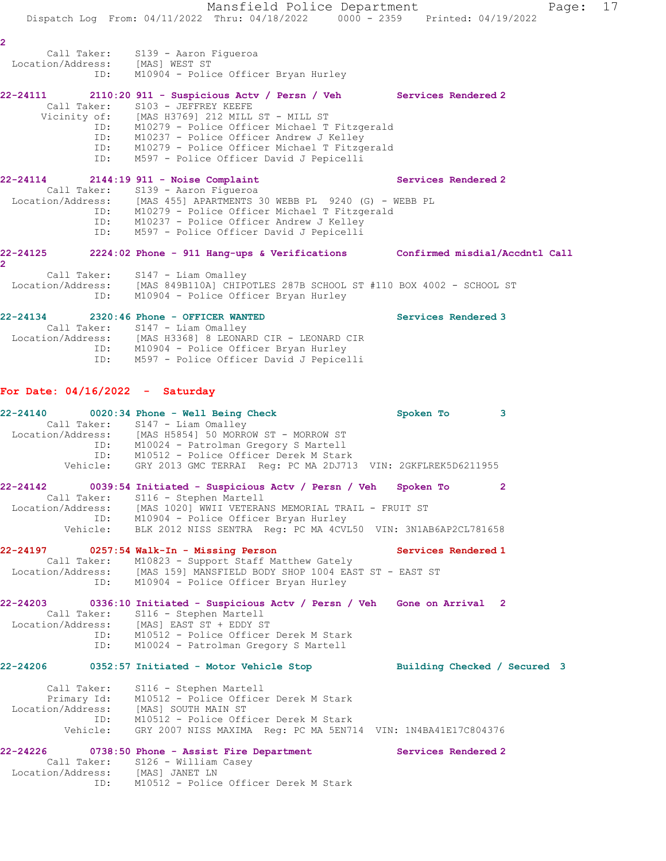Mansfield Police Department Fage: 17 Dispatch Log From: 04/11/2022 Thru: 04/18/2022 0000 - 2359 Printed: 04/19/2022 **2**  Call Taker: S139 - Aaron Figueroa Location/Address: [MAS] WEST ST ID: M10904 - Police Officer Bryan Hurley **22-24111 2110:20 911 - Suspicious Actv / Persn / Veh Services Rendered 2**  Call Taker: S103 - JEFFREY KEEFE Vicinity of: [MAS H3769] 212 MILL ST - MILL ST ID: M10279 - Police Officer Michael T Fitzgerald ID: M10237 - Police Officer Andrew J Kelley ID: M10279 - Police Officer Michael T Fitzgerald ID: M597 - Police Officer David J Pepicelli 22-24114 2144:19 911 - Noise Complaint **122-24114** Services Rendered 2 Call Taker: S139 - Aaron Figueroa Location/Address: [MAS 455] APARTMENTS 30 WEBB PL 9240 (G) - WEBB PL ID: M10279 - Police Officer Michael T Fitzgerald ID: M10237 - Police Officer Andrew J Kelley ID: M597 - Police Officer David J Pepicelli **22-24125 2224:02 Phone - 911 Hang-ups & Verifications Confirmed misdial/Accdntl Call 2**  Call Taker: S147 - Liam Omalley Location/Address: [MAS 849B110A] CHIPOTLES 287B SCHOOL ST #110 BOX 4002 - SCHOOL ST ID: M10904 - Police Officer Bryan Hurley **22-24134 2320:46 Phone - OFFICER WANTED Services Rendered 3**  Call Taker: S147 - Liam Omalley Location/Address: [MAS H3368] 8 LEONARD CIR - LEONARD CIR ID: M10904 - Police Officer Bryan Hurley ID: M597 - Police Officer David J Pepicelli **For Date: 04/16/2022 - Saturday 22-24140 0020:34 Phone - Well Being Check Spoken To 3**  Call Taker: S147 - Liam Omalley Location/Address: [MAS H5854] 50 MORROW ST - MORROW ST ID: M10024 - Patrolman Gregory S Martell ID: M10512 - Police Officer Derek M Stark Vehicle: GRY 2013 GMC TERRAI Reg: PC MA 2DJ713 VIN: 2GKFLREK5D6211955 **22-24142 0039:54 Initiated - Suspicious Actv / Persn / Veh Spoken To 2**  Call Taker: S116 - Stephen Martell Location/Address: [MAS 1020] WWII VETERANS MEMORIAL TRAIL - FRUIT ST ID: M10904 - Police Officer Bryan Hurley Vehicle: BLK 2012 NISS SENTRA Reg: PC MA 4CVL50 VIN: 3N1AB6AP2CL781658 **22-24197 0257:54 Walk-In - Missing Person Services Rendered 1**  Call Taker: M10823 - Support Staff Matthew Gately Location/Address: [MAS 159] MANSFIELD BODY SHOP 1004 EAST ST - EAST ST ID: M10904 - Police Officer Bryan Hurley **22-24203 0336:10 Initiated - Suspicious Actv / Persn / Veh Gone on Arrival 2**  Call Taker: S116 - Stephen Martell Location/Address: [MAS] EAST ST + EDDY ST ID: M10512 - Police Officer Derek M Stark ID: M10024 - Patrolman Gregory S Martell **22-24206 0352:57 Initiated - Motor Vehicle Stop Building Checked / Secured 3** Call Taker: S116 - Stephen Martell Primary Id: M10512 - Police Officer Derek M Stark Location/Address: [MAS] SOUTH MAIN ST ID: M10512 - Police Officer Derek M Stark Vehicle: GRY 2007 NISS MAXIMA Reg: PC MA 5EN714 VIN: 1N4BA41E17C804376 **22-24226 0738:50 Phone - Assist Fire Department Services Rendered 2**  Call Taker: S126 - William Casey Location/Address: [MAS] JANET LN ID: M10512 - Police Officer Derek M Stark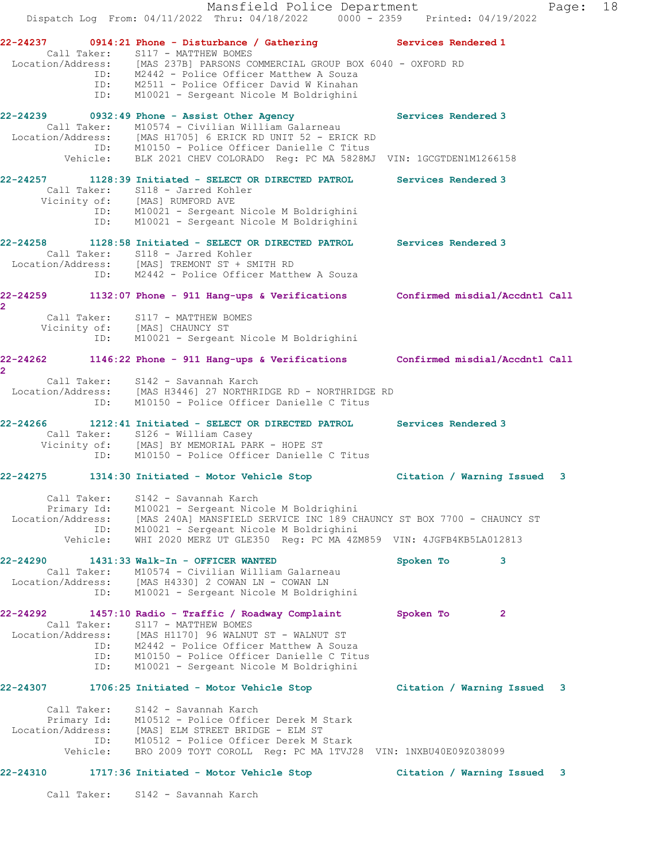|                                                             |                   | Mansfield Police Department<br>Dispatch Log From: 04/11/2022 Thru: 04/18/2022 0000 - 2359 Printed: 04/19/2022                                                                                                                                                                                                                |                             |              | Page: | 18 |
|-------------------------------------------------------------|-------------------|------------------------------------------------------------------------------------------------------------------------------------------------------------------------------------------------------------------------------------------------------------------------------------------------------------------------------|-----------------------------|--------------|-------|----|
|                                                             | ID:               | 22-24237 0914:21 Phone - Disturbance / Gathering Services Rendered 1<br>Call Taker: S117 - MATTHEW BOMES<br>Location/Address: [MAS 237B] PARSONS COMMERCIAL GROUP BOX 6040 - OXFORD RD<br>ID: M2442 - Police Officer Matthew A Souza<br>ID: M2511 - Police Officer David W Kinahan<br>M10021 - Sergeant Nicole M Boldrighini |                             |              |       |    |
| 22-24239<br>Call Taker:                                     |                   | 0932:49 Phone - Assist Other Agency<br>M10574 - Civilian William Galarneau<br>Location/Address: [MAS H1705] 6 ERICK RD UNIT 52 - ERICK RD<br>ID: M10150 - Police Officer Danielle C Titus<br>Vehicle: BLK 2021 CHEV COLORADO Reg: PC MA 5828MJ VIN: 1GCGTDEN1M1266158                                                        | Services Rendered 3         |              |       |    |
|                                                             | ID:               | 22-24257 1128:39 Initiated - SELECT OR DIRECTED PATROL<br>Call Taker: S118 - Jarred Kohler<br>Vicinity of: [MAS] RUMFORD AVE<br>ID: M10021 - Sergeant Nicole M Boldrighini<br>M10021 - Sergeant Nicole M Boldrighini                                                                                                         | <b>Services Rendered 3</b>  |              |       |    |
|                                                             |                   | 22-24258 1128:58 Initiated - SELECT OR DIRECTED PATROL<br>Call Taker: S118 - Jarred Kohler<br>Location/Address: [MAS] TREMONT ST + SMITH RD<br>ID: M2442 - Police Officer Matthew A Souza                                                                                                                                    | Services Rendered 3         |              |       |    |
| $\overline{2}$                                              | ID:               | 22-24259 1132:07 Phone - 911 Hang-ups & Verifications Confirmed misdial/Accdntl Call<br>Call Taker: S117 - MATTHEW BOMES<br>Vicinity of: [MAS] CHAUNCY ST<br>M10021 - Sergeant Nicole M Boldrighini                                                                                                                          |                             |              |       |    |
| $\mathbf{2}^-$                                              | ID:               | 22-24262 1146:22 Phone - 911 Hang-ups & Verifications Confirmed misdial/Accdntl Call<br>Call Taker: S142 - Savannah Karch<br>Location/Address: [MAS H3446] 27 NORTHRIDGE RD - NORTHRIDGE RD<br>M10150 - Police Officer Danielle C Titus                                                                                      |                             |              |       |    |
|                                                             |                   | 22-24266 1212:41 Initiated - SELECT OR DIRECTED PATROL<br>Call Taker: S126 - William Casey<br>Vicinity of: [MAS] BY MEMORIAL PARK - HOPE ST<br>ID: M10150 - Police Officer Danielle<br>M10150 - Police Officer Danielle C Titus                                                                                              | Services Rendered 3         |              |       |    |
|                                                             |                   | 22-24275 1314:30 Initiated - Motor Vehicle Stop                                                                                                                                                                                                                                                                              | Citation / Warning Issued 3 |              |       |    |
| Call Taker:<br>Primary Id:<br>Location/Address:<br>Vehicle: | ID:               | S142 - Savannah Karch<br>M10021 - Sergeant Nicole M Boldrighini<br>[MAS 240A] MANSFIELD SERVICE INC 189 CHAUNCY ST BOX 7700 - CHAUNCY ST<br>M10021 - Sergeant Nicole M Boldrighini<br>WHI 2020 MERZ UT GLE350 Req: PC MA 4ZM859 VIN: 4JGFB4KB5LA012813                                                                       |                             |              |       |    |
| Call Taker:<br>Location/Address:                            | ID:               | M10574 - Civilian William Galarneau<br>[MAS H4330] 2 COWAN LN - COWAN LN<br>M10021 - Sergeant Nicole M Boldrighini                                                                                                                                                                                                           | Spoken To                   | 3            |       |    |
| 22-24292<br>Call Taker:<br>Location/Address:                | ID:<br>ID:<br>ID: | 1457:10 Radio - Traffic / Roadway Complaint<br>S117 - MATTHEW BOMES<br>[MAS H1170] 96 WALNUT ST - WALNUT ST<br>M2442 - Police Officer Matthew A Souza<br>M10150 - Police Officer Danielle C Titus<br>M10021 - Sergeant Nicole M Boldrighini                                                                                  | Spoken To                   | $\mathbf{2}$ |       |    |
| 22-24307                                                    |                   | 1706:25 Initiated - Motor Vehicle Stop                                                                                                                                                                                                                                                                                       | Citation / Warning Issued 3 |              |       |    |
| Call Taker:<br>Primary Id:<br>Vehicle:                      | ID:               | S142 - Savannah Karch<br>M10512 - Police Officer Derek M Stark<br>Location/Address: [MAS] ELM STREET BRIDGE - ELM ST<br>M10512 - Police Officer Derek M Stark<br>BRO 2009 TOYT COROLL Req: PC MA 1TVJ28 VIN: 1NXBU40E09Z038099                                                                                               |                             |              |       |    |
| 22-24310                                                    |                   | 1717:36 Initiated - Motor Vehicle Stop                                                                                                                                                                                                                                                                                       | Citation / Warning Issued   |              | 3     |    |
|                                                             |                   |                                                                                                                                                                                                                                                                                                                              |                             |              |       |    |

Call Taker: S142 - Savannah Karch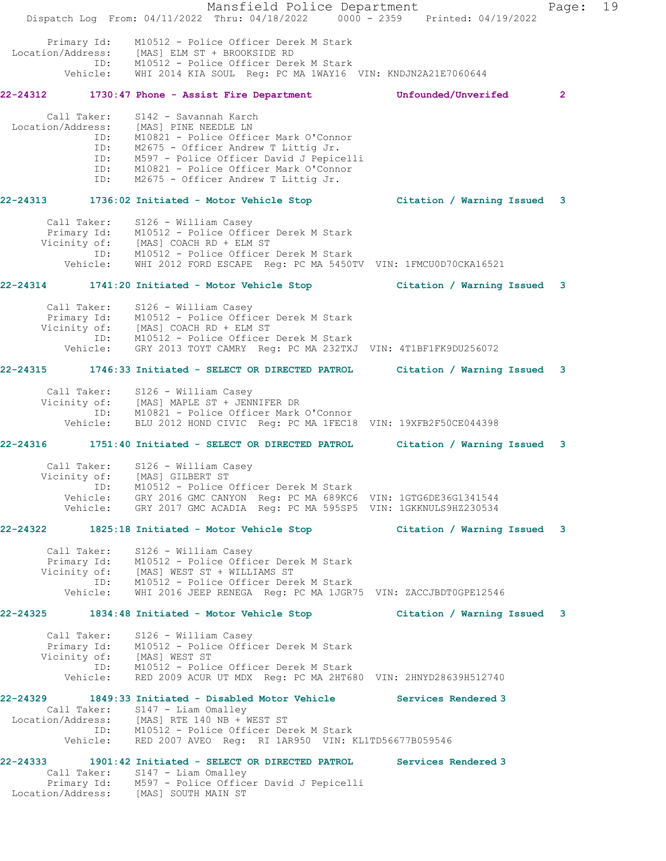Mansfield Police Department Fage: 19 Dispatch Log From: 04/11/2022 Thru: 04/18/2022 0000 - 2359 Printed: 04/19/2022 Primary Id: M10512 - Police Officer Derek M Stark Location/Address: [MAS] ELM ST + BROOKSIDE RD ID: M10512 - Police Officer Derek M Stark Vehicle: WHI 2014 KIA SOUL Reg: PC MA 1WAY16 VIN: KNDJN2A21E7060644 **22-24312 1730:47 Phone - Assist Fire Department Unfounded/Unverifed 2** Call Taker: S142 - Savannah Karch Location/Address: [MAS] PINE NEEDLE LN ID: M10821 - Police Officer Mark O'Connor ID: M2675 - Officer Andrew T Littig Jr. ID: M597 - Police Officer David J Pepicelli ID: M10821 - Police Officer Mark O'Connor ID: M2675 - Officer Andrew T Littig Jr. **22-24313 1736:02 Initiated - Motor Vehicle Stop Citation / Warning Issued 3** Call Taker: S126 - William Casey Primary Id: M10512 - Police Officer Derek M Stark Vicinity of: [MAS] COACH RD + ELM ST ID: M10512 - Police Officer Derek M Stark Vehicle: WHI 2012 FORD ESCAPE Reg: PC MA 5450TV VIN: 1FMCU0D70CKA16521 **22-24314 1741:20 Initiated - Motor Vehicle Stop Citation / Warning Issued 3** Call Taker: S126 - William Casey Primary Id: M10512 - Police Officer Derek M Stark Vicinity of: [MAS] COACH RD + ELM ST ID: M10512 - Police Officer Derek M Stark Vehicle: GRY 2013 TOYT CAMRY Reg: PC MA 232TXJ VIN: 4T1BF1FK9DU256072 **22-24315 1746:33 Initiated - SELECT OR DIRECTED PATROL Citation / Warning Issued 3** Call Taker: S126 - William Casey Vicinity of: [MAS] MAPLE ST + JENNIFER DR ID: M10821 - Police Officer Mark O'Connor Vehicle: BLU 2012 HOND CIVIC Reg: PC MA 1FEC18 VIN: 19XFB2F50CE044398 **22-24316 1751:40 Initiated - SELECT OR DIRECTED PATROL Citation / Warning Issued 3** Call Taker: S126 - William Casey Vicinity of: [MAS] GILBERT ST ID: M10512 - Police Officer Derek M Stark Vehicle: GRY 2016 GMC CANYON Reg: PC MA 689KC6 VIN: 1GTG6DE36G1341544 Vehicle: GRY 2017 GMC ACADIA Reg: PC MA 595SP5 VIN: 1GKKNULS9HZ230534 **22-24322 1825:18 Initiated - Motor Vehicle Stop Citation / Warning Issued 3** Call Taker: S126 - William Casey Primary Id: M10512 - Police Officer Derek M Stark Vicinity of: [MAS] WEST ST + WILLIAMS ST ID: M10512 - Police Officer Derek M Stark Vehicle: WHI 2016 JEEP RENEGA Reg: PC MA 1JGR75 VIN: ZACCJBDT0GPE12546 **22-24325 1834:48 Initiated - Motor Vehicle Stop Citation / Warning Issued 3** Call Taker: S126 - William Casey Primary Id: M10512 - Police Officer Derek M Stark Vicinity of: [MAS] WEST ST ID: M10512 - Police Officer Derek M Stark Vehicle: RED 2009 ACUR UT MDX Reg: PC MA 2HT680 VIN: 2HNYD28639H512740 **22-24329 1849:33 Initiated - Disabled Motor Vehicle Services Rendered 3**  Call Taker: S147 - Liam Omalley Location/Address: [MAS] RTE 140 NB + WEST ST ID: M10512 - Police Officer Derek M Stark Vehicle: RED 2007 AVEO Reg: RI 1AR950 VIN: KL1TD56677B059546 **22-24333 1901:42 Initiated - SELECT OR DIRECTED PATROL Services Rendered 3**  Call Taker: S147 - Liam Omalley Primary Id: M597 - Police Officer David J Pepicelli Location/Address: [MAS] SOUTH MAIN ST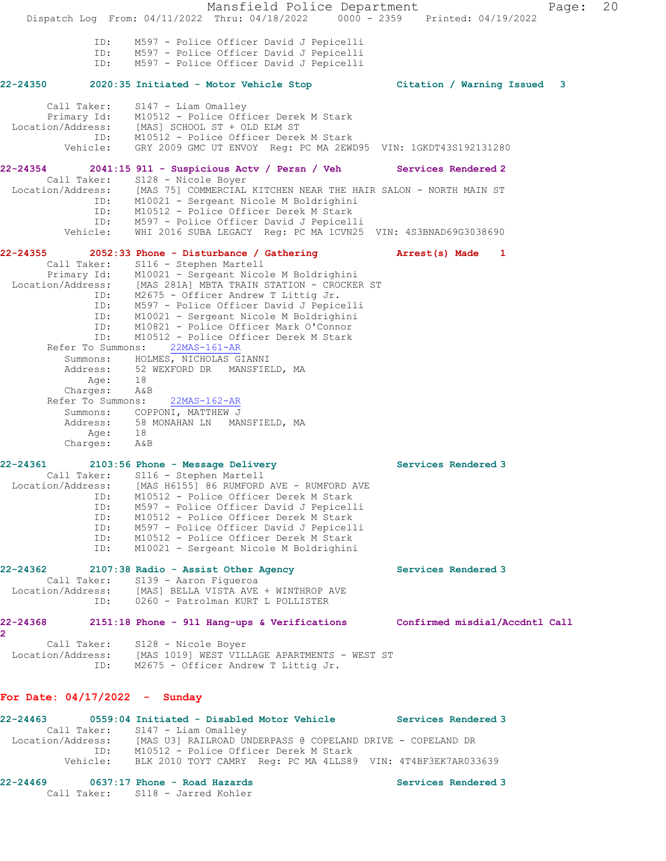Mansfield Police Department Fage: 20 Dispatch Log From: 04/11/2022 Thru: 04/18/2022 0000 - 2359 Printed: 04/19/2022 ID: M597 - Police Officer David J Pepicelli ID: M597 - Police Officer David J Pepicelli ID: M597 - Police Officer David J Pepicelli **22-24350 2020:35 Initiated - Motor Vehicle Stop Citation / Warning Issued 3** Call Taker: S147 - Liam Omalley Primary Id: M10512 - Police Officer Derek M Stark Location/Address: [MAS] SCHOOL ST + OLD ELM ST ID: M10512 - Police Officer Derek M Stark Vehicle: GRY 2009 GMC UT ENVOY Reg: PC MA 2EWD95 VIN: 1GKDT43S192131280 **22-24354 2041:15 911 - Suspicious Actv / Persn / Veh Services Rendered 2**  Call Taker: S128 - Nicole Boyer Location/Address: [MAS 75] COMMERCIAL KITCHEN NEAR THE HAIR SALON - NORTH MAIN ST ID: M10021 - Sergeant Nicole M Boldrighini ID: M10512 - Police Officer Derek M Stark ID: M597 - Police Officer David J Pepicelli Vehicle: WHI 2016 SUBA LEGACY Reg: PC MA 1CVN25 VIN: 4S3BNAD69G3038690 **22-24355 2052:33 Phone - Disturbance / Gathering Arrest(s) Made 1**  Call Taker: S116 - Stephen Martell Primary Id: M10021 - Sergeant Nicole M Boldrighini Location/Address: [MAS 281A] MBTA TRAIN STATION - CROCKER ST ID: M2675 - Officer Andrew T Littig Jr. ID: M597 - Police Officer David J Pepicelli ID: M10021 - Sergeant Nicole M Boldrighini ID: M10821 - Police Officer Mark O'Connor ID: M10512 - Police Officer Derek M Stark Refer To Summons: 22MAS-161-AR Summons: HOLMES, NICHOLAS GIANNI Address: 52 WEXFORD DR MANSFIELD, MA Age: 18 Charges: A&B Refer To Summons: 22MAS-162-AR Summons: COPPONI, MATTHEW J Address: 58 MONAHAN LN MANSFIELD, MA Age: 18 Charges: A&B 22-24361 2103:56 Phone - Message Delivery **Services Rendered 3**  Call Taker: S116 - Stephen Martell Location/Address: [MAS H6155] 86 RUMFORD AVE - RUMFORD AVE ID: M10512 - Police Officer Derek M Stark ID: M597 - Police Officer David J Pepicelli ID: M10512 - Police Officer Derek M Stark ID: M597 - Police Officer David J Pepicelli MJ97 - FOILCE OFFICER DEREK M Stark<br>M10512 - Police Officer Derek M Stark ID: M10021 - Sergeant Nicole M Boldrighini 22-24362 2107:38 Radio - Assist Other Agency **120 Services Rendered** 3 Call Taker: S139 - Aaron Figueroa Location/Address: [MAS] BELLA VISTA AVE + WINTHROP AVE ID: 0260 - Patrolman KURT L POLLISTER **22-24368 2151:18 Phone - 911 Hang-ups & Verifications Confirmed misdial/Accdntl Call 2**  Call Taker: S128 - Nicole Boyer Location/Address: [MAS 1019] WEST VILLAGE APARTMENTS - WEST ST ID: M2675 - Officer Andrew T Littig Jr. **For Date: 04/17/2022 - Sunday 22-24463 0559:04 Initiated - Disabled Motor Vehicle Services Rendered 3**  Call Taker: S147 - Liam Omalley Location/Address: [MAS U3] RAILROAD UNDERPASS @ COPELAND DRIVE - COPELAND DR ID: M10512 - Police Officer Derek M Stark Vehicle: BLK 2010 TOYT CAMRY Reg: PC MA 4LLS89 VIN: 4T4BF3EK7AR033639 22-24469 **0637:17 Phone - Road Hazards Services Rendered 3** Call Taker: S118 - Jarred Kohler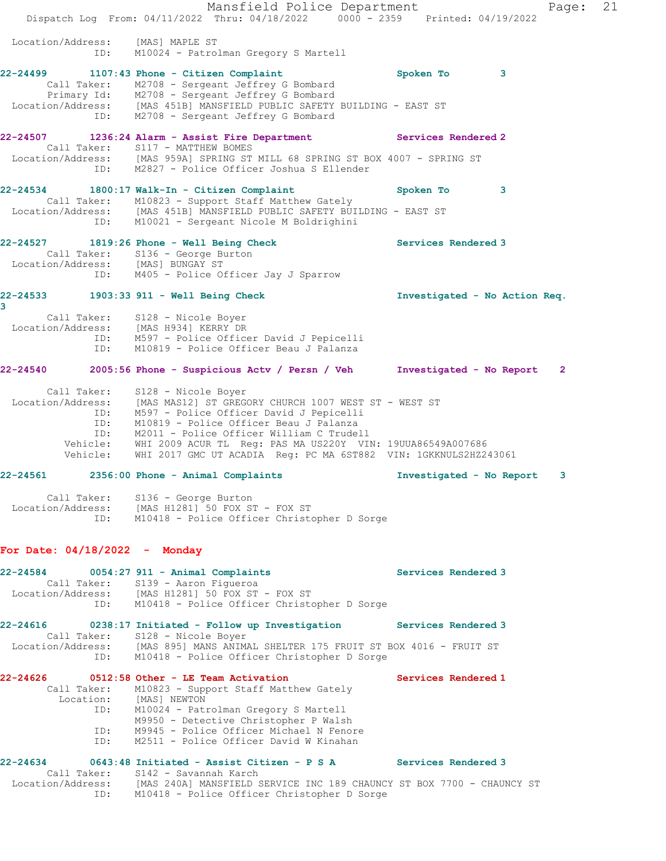|                                                    | Mansfield Police Department<br>Dispatch Log From: 04/11/2022 Thru: 04/18/2022 0000 - 2359 Printed: 04/19/2022                                                                                                                                                                                                                                                                |                               | Page:        | 21 |
|----------------------------------------------------|------------------------------------------------------------------------------------------------------------------------------------------------------------------------------------------------------------------------------------------------------------------------------------------------------------------------------------------------------------------------------|-------------------------------|--------------|----|
| Location/Address:<br>ID:                           | [MAS] MAPLE ST<br>M10024 - Patrolman Gregory S Martell                                                                                                                                                                                                                                                                                                                       |                               |              |    |
| 22-24499                                           | 1107:43 Phone - Citizen Complaint<br>Call Taker: M2708 - Sergeant Jeffrey G Bombard<br>Primary Id: M2708 - Sergeant Jeffrey G Bombard<br>Location/Address: [MAS 451B] MANSFIELD PUBLIC SAFETY BUILDING - EAST ST<br>ID: M2708 - Sergeant Jeffrey G Bombard                                                                                                                   | Spoken To<br>$\mathbf{3}$     |              |    |
| 22-24507                                           | 1236:24 Alarm - Assist Fire Department Services Rendered 2<br>Call Taker: S117 - MATTHEW BOMES<br>Location/Address: [MAS 959A] SPRING ST MILL 68 SPRING ST BOX 4007 - SPRING ST<br>ID: M2827 - Police Officer Joshua S Ellender                                                                                                                                              |                               |              |    |
| 22-24534                                           | 1800:17 Walk-In - Citizen Complaint<br>Call Taker: M10823 - Support Staff Matthew Gately<br>Location/Address: [MAS 451B] MANSFIELD PUBLIC SAFETY BUILDING - EAST ST<br>ID: M10021 - Sergeant Nicole M Boldrighini                                                                                                                                                            | 3<br>Spoken To                |              |    |
| 22-24527<br>Location/Address: [MAS] BUNGAY ST      | 1819:26 Phone - Well Being Check<br>Call Taker: S136 - George Burton<br>ID: M405 - Police Officer Jay J Sparrow                                                                                                                                                                                                                                                              | Services Rendered 3           |              |    |
| 3<br>ID:                                           | 22-24533 1903:33 911 - Well Being Check<br>Call Taker: S128 - Nicole Boyer<br>Location/Address: [MAS H934] KERRY DR<br>ID: M597 - Police Officer David J Pepicelli<br>M10819 - Police Officer Beau J Palanza                                                                                                                                                                 | Investigated - No Action Req. |              |    |
| 22-24540                                           | 2005:56 Phone - Suspicious Actv / Persn / Veh Investigated - No Report                                                                                                                                                                                                                                                                                                       |                               | $\mathbf{2}$ |    |
| Call Taker:<br>ID:<br>ID:<br>Vehicle:              | S128 - Nicole Boyer<br>Location/Address: [MAS MAS12] ST GREGORY CHURCH 1007 WEST ST - WEST ST<br>M597 - Police Officer David J Pepicelli<br>M10819 - Police Officer Beau J Palanza<br>ID: M2011 - Police Officer William C Trudell<br>Vehicle: WHI 2009 ACUR TL Req: PAS MA US220Y VIN: 19UUA86549A007686<br>WHI 2017 GMC UT ACADIA Reg: PC MA 6ST882 VIN: 1GKKNULS2HZ243061 |                               |              |    |
|                                                    | $22-24561$ $2356:00$ Phone - Animal Complaints                                                                                                                                                                                                                                                                                                                               | Investigated - No Report      | 3            |    |
|                                                    | Call Taker: S136 - George Burton<br>Location/Address: [MAS H1281] 50 FOX ST - FOX ST<br>ID: M10418 - Police Officer Christopher D Sorge                                                                                                                                                                                                                                      |                               |              |    |
| For Date: $04/18/2022 -$ Monday                    |                                                                                                                                                                                                                                                                                                                                                                              |                               |              |    |
|                                                    | 22-24584 0054:27 911 - Animal Complaints<br>Call Taker: S139 - Aaron Figueroa<br>Location/Address: [MAS H1281] 50 FOX ST - FOX ST<br>ID: M10418 - Police Officer Christopher D Sorge                                                                                                                                                                                         | Services Rendered 3           |              |    |
| <b>22-24616</b>                                    | 0238:17 Initiated - Follow up Investigation Services Rendered 3<br>Call Taker: S128 - Nicole Boyer<br>Location/Address: [MAS 895] MANS ANIMAL SHELTER 175 FRUIT ST BOX 4016 - FRUIT ST<br>ID: M10418 - Police Officer Christopher D Sorge                                                                                                                                    |                               |              |    |
| 22-24626<br>Call Taker:<br>Location:<br>ID:<br>ID: | 0512:58 Other - LE Team Activation<br>M10823 - Support Staff Matthew Gately<br>[MAS] NEWTON<br>M10024 - Patrolman Gregory S Martell<br>M9950 - Detective Christopher P Walsh<br>M9945 - Police Officer Michael N Fenore<br>ID: M2511 - Police Officer David W Kinahan                                                                                                        | Services Rendered 1           |              |    |
| 22-24634<br>ID:                                    | 0643:48 Initiated - Assist Citizen - P S A Services Rendered 3<br>Call Taker: S142 - Savannah Karch<br>Location/Address: [MAS 240A] MANSFIELD SERVICE INC 189 CHAUNCY ST BOX 7700 - CHAUNCY ST<br>M10418 - Police Officer Christopher D Sorge                                                                                                                                |                               |              |    |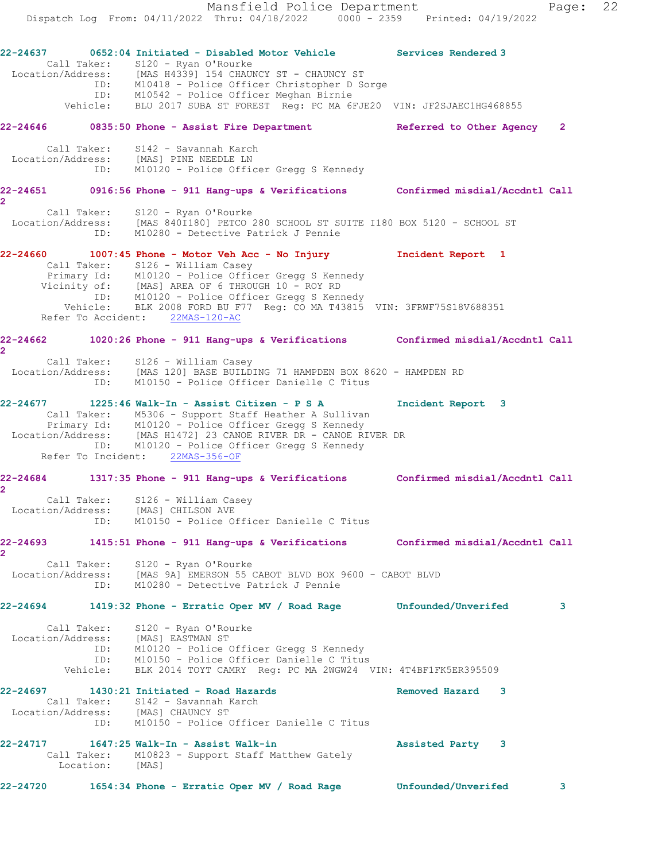**22-24637 0652:04 Initiated - Disabled Motor Vehicle Services Rendered 3**  Call Taker: S120 - Ryan O'Rourke Location/Address: [MAS H4339] 154 CHAUNCY ST - CHAUNCY ST ID: M10418 - Police Officer Christopher D Sorge ID: M10542 - Police Officer Meghan Birnie Vehicle: BLU 2017 SUBA ST FOREST Reg: PC MA 6FJE20 VIN: JF2SJAEC1HG468855 **22-24646 0835:50 Phone - Assist Fire Department Referred to Other Agency 2** Call Taker: S142 - Savannah Karch Location/Address: [MAS] PINE NEEDLE LN ID: M10120 - Police Officer Gregg S Kennedy **22-24651 0916:56 Phone - 911 Hang-ups & Verifications Confirmed misdial/Accdntl Call 2**  Call Taker: S120 - Ryan O'Rourke Location/Address: [MAS 840I180] PETCO 280 SCHOOL ST SUITE I180 BOX 5120 - SCHOOL ST ID: M10280 - Detective Patrick J Pennie **22-24660 1007:45 Phone - Motor Veh Acc - No Injury Incident Report 1**  Call Taker: S126 - William Casey Primary Id: M10120 - Police Officer Gregg S Kennedy Vicinity of: [MAS] AREA OF 6 THROUGH 10 - ROY RD ID: M10120 - Police Officer Gregg S Kennedy Vehicle: BLK 2008 FORD BU F77 Reg: CO MA T43815 VIN: 3FRWF75S18V688351 Refer To Accident: 22MAS-120-AC **22-24662 1020:26 Phone - 911 Hang-ups & Verifications Confirmed misdial/Accdntl Call 2**  Call Taker: S126 - William Casey Location/Address: [MAS 120] BASE BUILDING 71 HAMPDEN BOX 8620 - HAMPDEN RD ID: M10150 - Police Officer Danielle C Titus **22-24677 1225:46 Walk-In - Assist Citizen - P S A Incident Report 3**  Call Taker: M5306 - Support Staff Heather A Sullivan Primary Id: M10120 - Police Officer Gregg S Kennedy Location/Address: [MAS H1472] 23 CANOE RIVER DR - CANOE RIVER DR ID: M10120 - Police Officer Gregg S Kennedy Refer To Incident: 22MAS-356-OF **22-24684 1317:35 Phone - 911 Hang-ups & Verifications Confirmed misdial/Accdntl Call 2**  Call Taker: S126 - William Casey Location/Address: [MAS] CHILSON AVE ID: M10150 - Police Officer Danielle C Titus **22-24693 1415:51 Phone - 911 Hang-ups & Verifications Confirmed misdial/Accdntl Call 2**  Call Taker: S120 - Ryan O'Rourke Location/Address: [MAS 9A] EMERSON 55 CABOT BLVD BOX 9600 - CABOT BLVD ID: M10280 - Detective Patrick J Pennie **22-24694 1419:32 Phone - Erratic Oper MV / Road Rage Unfounded/Unverifed 3** Call Taker: S120 - Ryan O'Rourke Location/Address: [MAS] EASTMAN ST

 ID: M10120 - Police Officer Gregg S Kennedy ID: M10150 - Police Officer Danielle C Titus Vehicle: BLK 2014 TOYT CAMRY Reg: PC MA 2WGW24 VIN: 4T4BF1FK5ER395509

### **22-24697 1430:21 Initiated - Road Hazards Removed Hazard 3**  Call Taker: S142 - Savannah Karch Location/Address: [MAS] CHAUNCY ST ID: M10150 - Police Officer Danielle C Titus

**22-24717 1647:25 Walk-In - Assist Walk-in Assisted Party 3**  Call Taker: M10823 - Support Staff Matthew Gately Location: [MAS]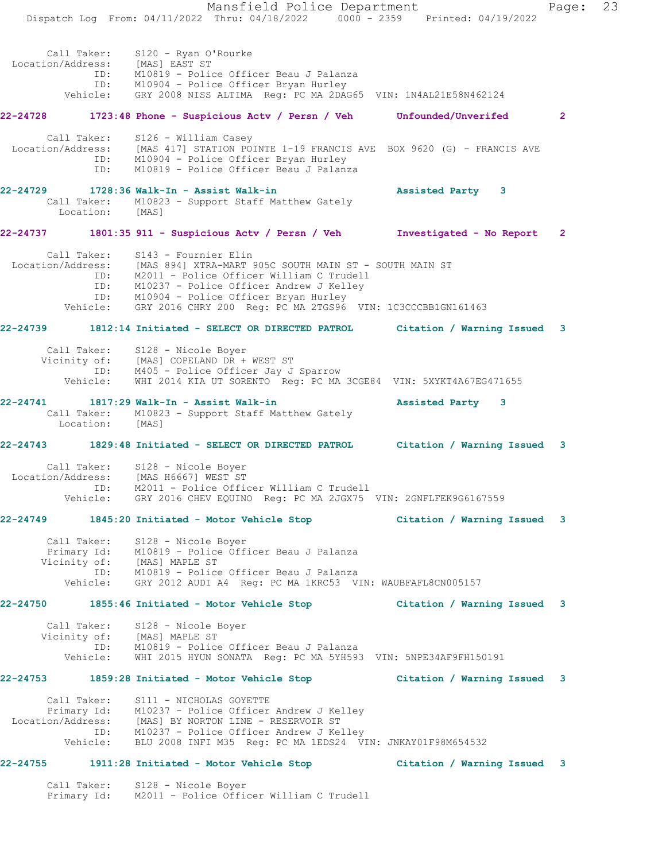Mansfield Police Department Fage: 23 Dispatch Log From: 04/11/2022 Thru: 04/18/2022 0000 - 2359 Printed: 04/19/2022 Call Taker: S120 - Ryan O'Rourke Location/Address: [MAS] EAST ST ID: M10819 - Police Officer Beau J Palanza ID: M10904 - Police Officer Bryan Hurley Vehicle: GRY 2008 NISS ALTIMA Reg: PC MA 2DAG65 VIN: 1N4AL21E58N462124 **22-24728 1723:48 Phone - Suspicious Actv / Persn / Veh Unfounded/Unverifed 2** Call Taker: S126 - William Casey Location/Address: [MAS 417] STATION POINTE 1-19 FRANCIS AVE BOX 9620 (G) - FRANCIS AVE ID: M10904 - Police Officer Bryan Hurley ID: M10819 - Police Officer Beau J Palanza **22-24729 1728:36 Walk-In - Assist Walk-in Assisted Party 3**  Call Taker: M10823 - Support Staff Matthew Gately Location: [MAS] **22-24737 1801:35 911 - Suspicious Actv / Persn / Veh Investigated - No Report 2** Call Taker: S143 - Fournier Elin Location/Address: [MAS 894] XTRA-MART 905C SOUTH MAIN ST - SOUTH MAIN ST ID: M2011 - Police Officer William C Trudell ID: M10237 - Police Officer Andrew J Kelley ID: M10904 - Police Officer Bryan Hurley Vehicle: GRY 2016 CHRY 200 Reg: PC MA 2TGS96 VIN: 1C3CCCBB1GN161463 **22-24739 1812:14 Initiated - SELECT OR DIRECTED PATROL Citation / Warning Issued 3** Call Taker: S128 - Nicole Boyer Vicinity of: [MAS] COPELAND DR + WEST ST ID: M405 - Police Officer Jay J Sparrow Vehicle: WHI 2014 KIA UT SORENTO Reg: PC MA 3CGE84 VIN: 5XYKT4A67EG471655 **22-24741 1817:29 Walk-In - Assist Walk-in Assisted Party 3**  Call Taker: M10823 - Support Staff Matthew Gately Location: [MAS] **22-24743 1829:48 Initiated - SELECT OR DIRECTED PATROL Citation / Warning Issued 3** Call Taker: S128 - Nicole Boyer Location/Address: [MAS H6667] WEST ST ID: M2011 - Police Officer William C Trudell Vehicle: GRY 2016 CHEV EQUINO Reg: PC MA 2JGX75 VIN: 2GNFLFEK9G6167559 **22-24749 1845:20 Initiated - Motor Vehicle Stop Citation / Warning Issued 3** Call Taker: S128 - Nicole Boyer Primary Id: M10819 - Police Officer Beau J Palanza Vicinity of: [MAS] MAPLE ST ID: M10819 - Police Officer Beau J Palanza Vehicle: GRY 2012 AUDI A4 Reg: PC MA 1KRC53 VIN: WAUBFAFL8CN005157 **22-24750 1855:46 Initiated - Motor Vehicle Stop Citation / Warning Issued 3** Call Taker: S128 - Nicole Boyer Vicinity of: [MAS] MAPLE ST ID: M10819 - Police Officer Beau J Palanza Vehicle: WHI 2015 HYUN SONATA Reg: PC MA 5YH593 VIN: 5NPE34AF9FH150191 **22-24753 1859:28 Initiated - Motor Vehicle Stop Citation / Warning Issued 3** Call Taker: S111 - NICHOLAS GOYETTE Primary Id: M10237 - Police Officer Andrew J Kelley Location/Address: [MAS] BY NORTON LINE - RESERVOIR ST ID: M10237 - Police Officer Andrew J Kelley Vehicle: BLU 2008 INFI M35 Reg: PC MA 1EDS24 VIN: JNKAY01F98M654532 **22-24755 1911:28 Initiated - Motor Vehicle Stop Citation / Warning Issued 3**

 Call Taker: S128 - Nicole Boyer Primary Id: M2011 - Police Officer William C Trudell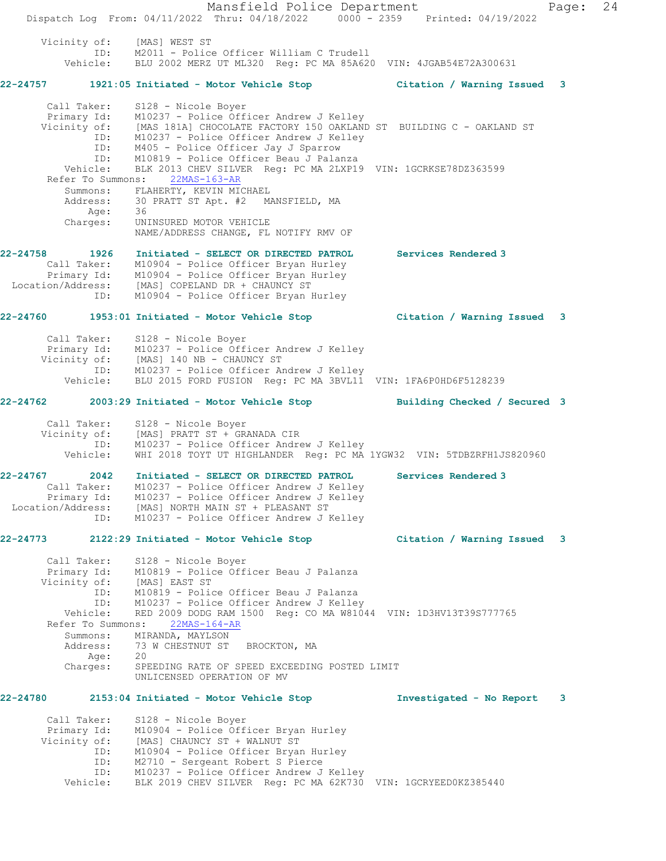Mansfield Police Department Fage: 24 Dispatch Log From: 04/11/2022 Thru: 04/18/2022 0000 - 2359 Printed: 04/19/2022 Vicinity of: [MAS] WEST ST ID: M2011 - Police Officer William C Trudell Vehicle: BLU 2002 MERZ UT ML320 Reg: PC MA 85A620 VIN: 4JGAB54E72A300631 **22-24757 1921:05 Initiated - Motor Vehicle Stop Citation / Warning Issued 3** Call Taker: S128 - Nicole Boyer Primary Id: M10237 - Police Officer Andrew J Kelley Vicinity of: [MAS 181A] CHOCOLATE FACTORY 150 OAKLAND ST BUILDING C - OAKLAND ST ID: M10237 - Police Officer Andrew J Kelley ID:  $M405 -$ Police Officer Jay J Sparrow ID: M10819 - Police Officer Beau J Palanza Vehicle: BLK 2013 CHEV SILVER Reg: PC MA 2LXP19 VIN: 1GCRKSE78DZ363599 Refer To Summons: 22MAS-163-AR Summons: FLAHERTY, KEVIN MICHAEL<br>Address: 30 PRATT ST Apt. #2 MANSFIELD, MA Address: 30 PRATT ST Apt. #2 MANSFIELD, MA Age: 36 Charges: UNINSURED MOTOR VEHICLE NAME/ADDRESS CHANGE, FL NOTIFY RMV OF **22-24758 1926 Initiated - SELECT OR DIRECTED PATROL Services Rendered 3**  Call Taker: M10904 - Police Officer Bryan Hurley Primary Id: M10904 - Police Officer Bryan Hurley Location/Address: [MAS] COPELAND DR + CHAUNCY ST ID: M10904 - Police Officer Bryan Hurley **22-24760 1953:01 Initiated - Motor Vehicle Stop Citation / Warning Issued 3** Call Taker: S128 - Nicole Boyer Primary Id: M10237 - Police Officer Andrew J Kelley Vicinity of: [MAS] 140 NB - CHAUNCY ST ID: M10237 - Police Officer Andrew J Kelley Vehicle: BLU 2015 FORD FUSION Reg: PC MA 3BVL11 VIN: 1FA6P0HD6F5128239 **22-24762 2003:29 Initiated - Motor Vehicle Stop Building Checked / Secured 3** Call Taker: S128 - Nicole Boyer Vicinity of: [MAS] PRATT ST + GRANADA CIR ID: M10237 - Police Officer Andrew J Kelley Vehicle: WHI 2018 TOYT UT HIGHLANDER Reg: PC MA 1YGW32 VIN: 5TDBZRFH1JS820960 **22-24767 2042 Initiated - SELECT OR DIRECTED PATROL Services Rendered 3**  Call Taker: M10237 - Police Officer Andrew J Kelley Primary Id: M10237 - Police Officer Andrew J Kelley Location/Address: [MAS] NORTH MAIN ST + PLEASANT ST ID: M10237 - Police Officer Andrew J Kelley **22-24773 2122:29 Initiated - Motor Vehicle Stop Citation / Warning Issued 3** Call Taker: S128 - Nicole Boyer Primary Id: M10819 - Police Officer Beau J Palanza Vicinity of: [MAS] EAST ST ID: M10819 - Police Officer Beau J Palanza ID: M10237 - Police Officer Andrew J Kelley Vehicle: RED 2009 DODG RAM 1500 Reg: CO MA W81044 VIN: 1D3HV13T39S777765 Refer To Summons: 22MAS-164-AR Summons: MIRANDA, MAYLSON<br>Address: 73 W CHESTNUT ST 73 W CHESTNUT ST BROCKTON, MA Age: 20 Charges: SPEEDING RATE OF SPEED EXCEEDING POSTED LIMIT UNLICENSED OPERATION OF MV **22-24780 2153:04 Initiated - Motor Vehicle Stop Investigated - No Report 3** Call Taker: S128 - Nicole Boyer Primary Id: M10904 - Police Officer Bryan Hurley Vicinity of: [MAS] CHAUNCY ST + WALNUT ST ID: M10904 - Police Officer Bryan Hurley ID: M2710 - Sergeant Robert S Pierce ID: M10237 - Police Officer Andrew J Kelley Vehicle: BLK 2019 CHEV SILVER Reg: PC MA 62K730 VIN: 1GCRYEED0KZ385440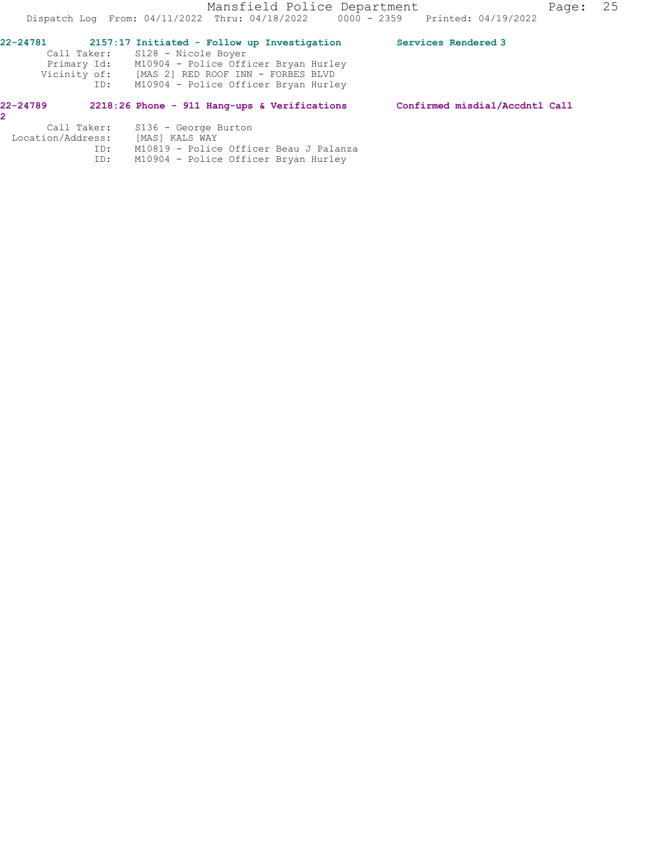| 22-24781<br>Vicinity of:<br>ID: | 2157:17 Initiated - Follow up Investigation<br>Call Taker: S128 - Nicole Boyer<br>Primary Id: M10904 - Police Officer Bryan Hurley<br>[MAS 2] RED ROOF INN - FORBES BLVD<br>M10904 - Police Officer Bryan Hurley | Services Rendered 3            |
|---------------------------------|------------------------------------------------------------------------------------------------------------------------------------------------------------------------------------------------------------------|--------------------------------|
| 22-24789                        | 2218:26 Phone - 911 Hang-ups & Verifications                                                                                                                                                                     | Confirmed misdial/Accdntl Call |
|                                 | Call Taker: S136 - George Burton                                                                                                                                                                                 |                                |

| VAII IANGI.       | <b>DIDA GEOLUE DUL CONT</b>            |
|-------------------|----------------------------------------|
| Location/Address: | [MAS] KALS WAY                         |
| ID:               | M10819 - Police Officer Beau J Palanza |
| TD:               | M10904 - Police Officer Bryan Hurley   |
|                   |                                        |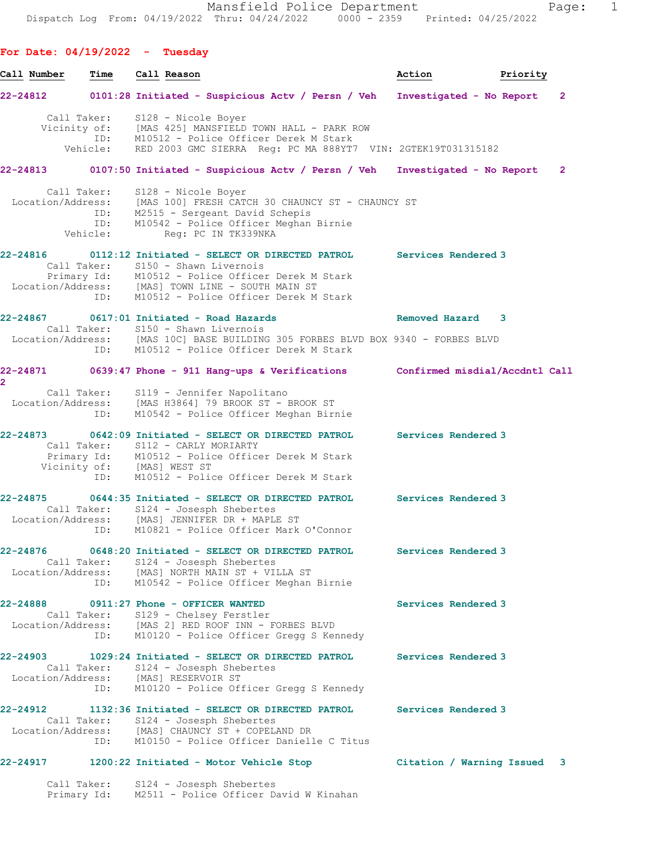**For Date: 04/19/2022 - Tuesday Call Number Time Call Reason Action Priority 22-24812 0101:28 Initiated - Suspicious Actv / Persn / Veh Investigated - No Report 2** Call Taker: S128 - Nicole Boyer Vicinity of: [MAS 425] MANSFIELD TOWN HALL - PARK ROW ID: M10512 - Police Officer Derek M Stark<br>Vehicle: RED 2003 GMC SIERRA Req: PC MA 888YT7 RED 2003 GMC SIERRA Reg: PC MA 888YT7 VIN: 2GTEK19T031315182 **22-24813 0107:50 Initiated - Suspicious Actv / Persn / Veh Investigated - No Report 2** Call Taker: S128 - Nicole Boyer Location/Address: [MAS 100] FRESH CATCH 30 CHAUNCY ST - CHAUNCY ST ID: M2515 - Sergeant David Schepis ID: M10542 - Police Officer Meghan Birnie Vehicle: Reg: PC IN TK339NKA **22-24816 0112:12 Initiated - SELECT OR DIRECTED PATROL Services Rendered 3**  Call Taker: S150 - Shawn Livernois Primary Id: M10512 - Police Officer Derek M Stark Location/Address: [MAS] TOWN LINE - SOUTH MAIN ST ID: M10512 - Police Officer Derek M Stark **22-24867 0617:01 Initiated - Road Hazards Removed Hazard 3**  Call Taker: S150 - Shawn Livernois Location/Address: [MAS 10C] BASE BUILDING 305 FORBES BLVD BOX 9340 - FORBES BLVD ID: M10512 - Police Officer Derek M Stark **22-24871 0639:47 Phone - 911 Hang-ups & Verifications Confirmed misdial/Accdntl Call 2**  Call Taker: S119 - Jennifer Napolitano Location/Address: [MAS H3864] 79 BROOK ST - BROOK ST ID: M10542 - Police Officer Meghan Birnie **22-24873 0642:09 Initiated - SELECT OR DIRECTED PATROL Services Rendered 3**  Call Taker: S112 - CARLY MORIARTY Primary Id: M10512 - Police Officer Derek M Stark Vicinity of: [MAS] WEST ST ID: M10512 - Police Officer Derek M Stark **22-24875 0644:35 Initiated - SELECT OR DIRECTED PATROL Services Rendered 3**  Call Taker: S124 - Josesph Shebertes Location/Address: [MAS] JENNIFER DR + MAPLE ST ID: M10821 - Police Officer Mark O'Connor **22-24876 0648:20 Initiated - SELECT OR DIRECTED PATROL Services Rendered 3**  Call Taker: S124 - Josesph Shebertes Location/Address: [MAS] NORTH MAIN ST + VILLA ST ID: M10542 - Police Officer Meghan Birnie **22-24888 0911:27 Phone - OFFICER WANTED Services Rendered 3**  Call Taker: S129 - Chelsey Ferstler Location/Address: [MAS 2] RED ROOF INN - FORBES BLVD ID: M10120 - Police Officer Gregg S Kennedy **22-24903 1029:24 Initiated - SELECT OR DIRECTED PATROL Services Rendered 3**  Call Taker: S124 - Josesph Shebertes Location/Address: [MAS] RESERVOIR ST ID: M10120 - Police Officer Gregg S Kennedy **22-24912 1132:36 Initiated - SELECT OR DIRECTED PATROL Services Rendered 3**  Call Taker: S124 - Josesph Shebertes Location/Address: [MAS] CHAUNCY ST + COPELAND DR ID: M10150 - Police Officer Danielle C Titus **22-24917 1200:22 Initiated - Motor Vehicle Stop Citation / Warning Issued 3** Call Taker: S124 - Josesph Shebertes Primary Id: M2511 - Police Officer David W Kinahan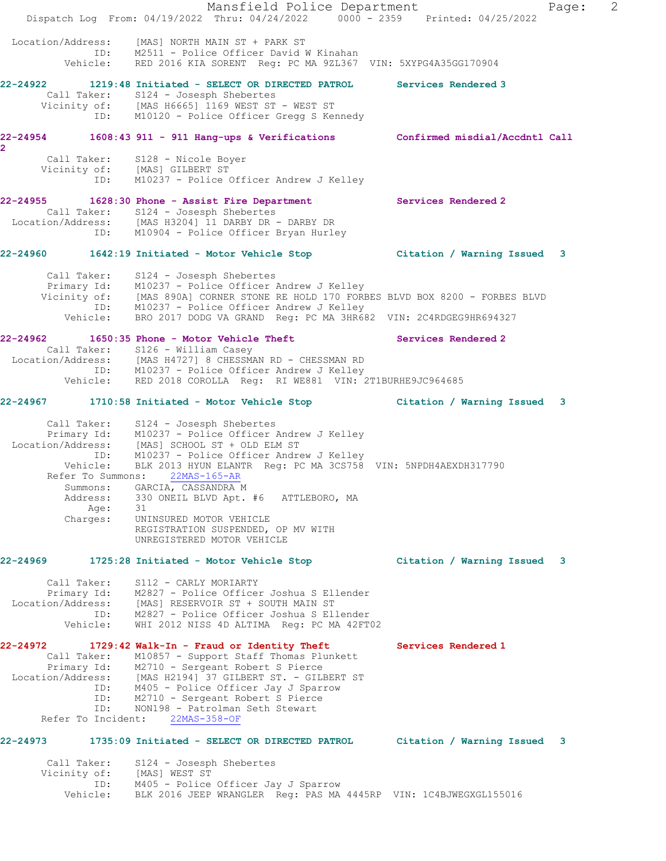Mansfield Police Department Fage: 2 Dispatch Log From: 04/19/2022 Thru: 04/24/2022 0000 - 2359 Printed: 04/25/2022 Location/Address: [MAS] NORTH MAIN ST + PARK ST ID: M2511 - Police Officer David W Kinahan Vehicle: RED 2016 KIA SORENT Reg: PC MA 9ZL367 VIN: 5XYPG4A35GG170904 **22-24922 1219:48 Initiated - SELECT OR DIRECTED PATROL Services Rendered 3**  Call Taker: S124 - Josesph Shebertes Vicinity of: [MAS H6665] 1169 WEST ST - WEST ST ID: M10120 - Police Officer Gregg S Kennedy **22-24954 1608:43 911 - 911 Hang-ups & Verifications Confirmed misdial/Accdntl Call 2**  Call Taker: S128 - Nicole Boyer Vicinity of: [MAS] GILBERT ST ID: M10237 - Police Officer Andrew J Kelley **22-24955 1628:30 Phone - Assist Fire Department Services Rendered 2**  Call Taker: S124 - Josesph Shebertes Location/Address: [MAS H3204] 11 DARBY DR - DARBY DR ID: M10904 - Police Officer Bryan Hurley **22-24960 1642:19 Initiated - Motor Vehicle Stop Citation / Warning Issued 3** Call Taker: S124 - Josesph Shebertes Primary Id: M10237 - Police Officer Andrew J Kelley Vicinity of: [MAS 890A] CORNER STONE RE HOLD 170 FORBES BLVD BOX 8200 - FORBES BLVD ID: M10237 - Police Officer Andrew J Kelley Vehicle: BRO 2017 DODG VA GRAND Reg: PC MA 3HR682 VIN: 2C4RDGEG9HR694327 22-24962 1650:35 Phone - Motor Vehicle Theft **Services Rendered 2**  Call Taker: S126 - William Casey Location/Address: [MAS H4727] 8 CHESSMAN RD - CHESSMAN RD ID: M10237 - Police Officer Andrew J Kelley Vehicle: RED 2018 COROLLA Reg: RI WE881 VIN: 2T1BURHE9JC964685 **22-24967 1710:58 Initiated - Motor Vehicle Stop Citation / Warning Issued 3** Call Taker: S124 - Josesph Shebertes Primary Id: M10237 - Police Officer Andrew J Kelley Location/Address: [MAS] SCHOOL ST + OLD ELM ST ID: M10237 - Police Officer Andrew J Kelley Vehicle: BLK 2013 HYUN ELANTR Reg: PC MA 3CS758 VIN: 5NPDH4AEXDH317790 Refer To Summons: 22MAS-165-AR Summons: GARCIA, CASSANDRA M Address: 330 ONEIL BLVD Apt. #6 ATTLEBORO, MA Age: 31 Charges: UNINSURED MOTOR VEHICLE REGISTRATION SUSPENDED, OP MV WITH UNREGISTERED MOTOR VEHICLE **22-24969 1725:28 Initiated - Motor Vehicle Stop Citation / Warning Issued 3** Call Taker: S112 - CARLY MORIARTY Primary Id: M2827 - Police Officer Joshua S Ellender Location/Address: [MAS] RESERVOIR ST + SOUTH MAIN ST ID: M2827 - Police Officer Joshua S Ellender Vehicle: WHI 2012 NISS 4D ALTIMA Reg: PC MA 42FT02 **22-24972 1729:42 Walk-In - Fraud or Identity Theft Services Rendered 1**  Call Taker: M10857 - Support Staff Thomas Plunkett Primary Id: M2710 - Sergeant Robert S Pierce Location/Address: [MAS H2194] 37 GILBERT ST. - GILBERT ST ID: M405 - Police Officer Jay J Sparrow ID: M2710 - Sergeant Robert S Pierce ID: NON198 - Patrolman Seth Stewart Refer To Incident: 22MAS-358-OF **22-24973 1735:09 Initiated - SELECT OR DIRECTED PATROL Citation / Warning Issued 3** Call Taker: S124 - Josesph Shebertes Vicinity of: [MAS] WEST ST ID: M405 - Police Officer Jay J Sparrow Vehicle: BLK 2016 JEEP WRANGLER Reg: PAS MA 4445RP VIN: 1C4BJWEGXGL155016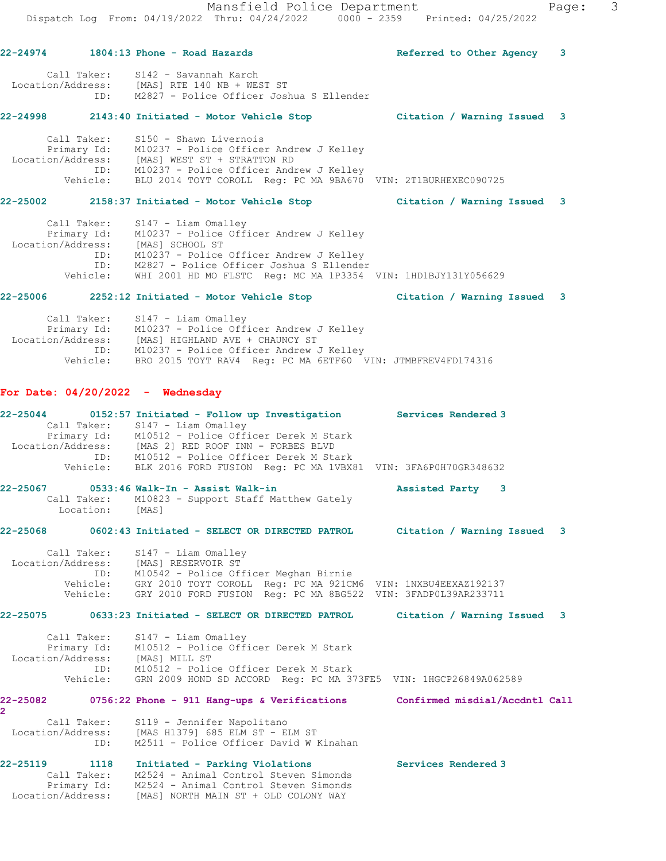Mansfield Police Department Fage: 3 Dispatch Log From: 04/19/2022 Thru: 04/24/2022 0000 - 2359 Printed: 04/25/2022 **22-24974 1804:13 Phone - Road Hazards Referred to Other Agency 3** Call Taker: S142 - Savannah Karch Location/Address: [MAS] RTE 140 NB + WEST ST ID: M2827 - Police Officer Joshua S Ellender **22-24998 2143:40 Initiated - Motor Vehicle Stop Citation / Warning Issued 3** Call Taker: S150 - Shawn Livernois Primary Id: M10237 - Police Officer Andrew J Kelley Location/Address: [MAS] WEST ST + STRATTON RD ID: M10237 - Police Officer Andrew J Kelley Vehicle: BLU 2014 TOYT COROLL Reg: PC MA 9BA670 VIN: 2T1BURHEXEC090725 **22-25002 2158:37 Initiated - Motor Vehicle Stop Citation / Warning Issued 3** Call Taker: S147 - Liam Omalley Primary Id: M10237 - Police Officer Andrew J Kelley Location/Address: [MAS] SCHOOL ST ID: M10237 - Police Officer Andrew J Kelley ID: M2827 - Police Officer Joshua S Ellender Vehicle: WHI 2001 HD MO FLSTC Reg: MC MA 1P3354 VIN: 1HD1BJY131Y056629 **22-25006 2252:12 Initiated - Motor Vehicle Stop Citation / Warning Issued 3** Call Taker: S147 - Liam Omalley Primary Id: M10237 - Police Officer Andrew J Kelley Location/Address: [MAS] HIGHLAND AVE + CHAUNCY ST ID: M10237 - Police Officer Andrew J Kelley Vehicle: BRO 2015 TOYT RAV4 Reg: PC MA 6ETF60 VIN: JTMBFREV4FD174316 **For Date: 04/20/2022 - Wednesday 22-25044 0152:57 Initiated - Follow up Investigation Services Rendered 3**  Call Taker: S147 - Liam Omalley Primary Id: M10512 - Police Officer Derek M Stark Location/Address: [MAS 2] RED ROOF INN - FORBES BLVD ID: M10512 - Police Officer Derek M Stark Vehicle: BLK 2016 FORD FUSION Reg: PC MA 1VBX81 VIN: 3FA6P0H70GR348632 **22-25067 0533:46 Walk-In - Assist Walk-in Assisted Party 3**  Call Taker: M10823 - Support Staff Matthew Gately Location: [MAS] **22-25068 0602:43 Initiated - SELECT OR DIRECTED PATROL Citation / Warning Issued 3** Call Taker: S147 - Liam Omalley Location/Address: [MAS] RESERVOIR ST ID: M10542 - Police Officer Meghan Birnie Vehicle: GRY 2010 TOYT COROLL Reg: PC MA 921CM6 VIN: 1NXBU4EEXAZ192137 Vehicle: GRY 2010 FORD FUSION Reg: PC MA 8BG522 VIN: 3FADP0L39AR233711 **22-25075 0633:23 Initiated - SELECT OR DIRECTED PATROL Citation / Warning Issued 3** Call Taker: S147 - Liam Omalley Primary Id: M10512 - Police Officer Derek M Stark Location/Address: [MAS] MILL ST ID: M10512 - Police Officer Derek M Stark Vehicle: GRN 2009 HOND SD ACCORD Reg: PC MA 373FE5 VIN: 1HGCP26849A062589 **22-25082 0756:22 Phone - 911 Hang-ups & Verifications Confirmed misdial/Accdntl Call 2**  Call Taker: S119 - Jennifer Napolitano Location/Address: [MAS H1379] 685 ELM ST - ELM ST ID: M2511 - Police Officer David W Kinahan **22-25119 1118 Initiated - Parking Violations Services Rendered 3**  Call Taker: M2524 - Animal Control Steven Simonds

 Primary Id: M2524 - Animal Control Steven Simonds Location/Address: [MAS] NORTH MAIN ST + OLD COLONY WAY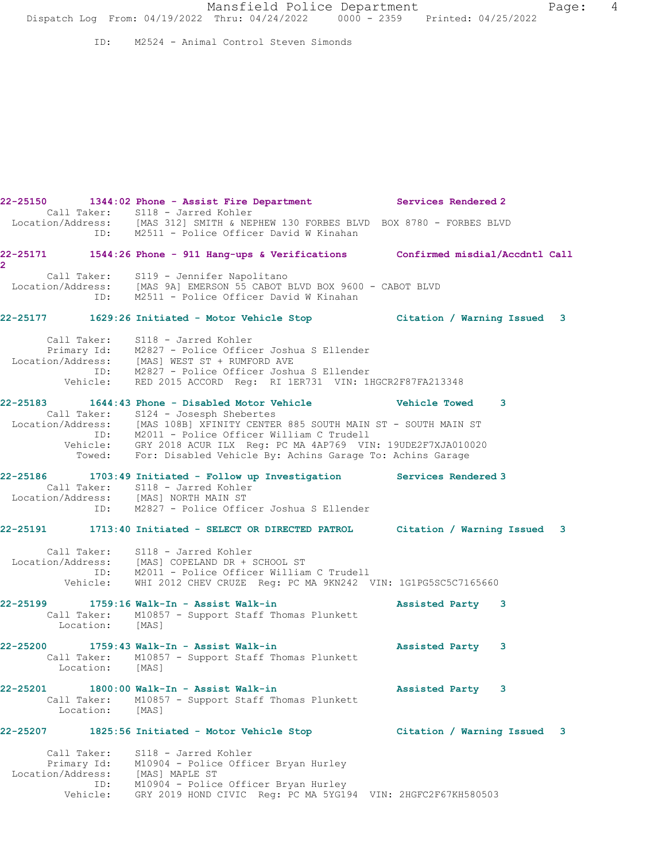Mansfield Police Department Fage: 4 Dispatch Log From: 04/19/2022 Thru: 04/24/2022 0000 - 2359 Printed: 04/25/2022

ID: M2524 - Animal Control Steven Simonds

**22-25150 1344:02 Phone - Assist Fire Department Services Rendered 2**  Call Taker: S118 - Jarred Kohler Location/Address: [MAS 312] SMITH & NEPHEW 130 FORBES BLVD BOX 8780 - FORBES BLVD ID: M2511 - Police Officer David W Kinahan **22-25171 1544:26 Phone - 911 Hang-ups & Verifications Confirmed misdial/Accdntl Call** Call Taker: S119 - Jennifer Napolitano Location/Address: [MAS 9A] EMERSON 55 CABOT BLVD BOX 9600 - CABOT BLVD ID: M2511 - Police Officer David W Kinahan **22-25177 1629:26 Initiated - Motor Vehicle Stop Citation / Warning Issued 3** Call Taker: S118 - Jarred Kohler Primary Id: M2827 - Police Officer Joshua S Ellender Location/Address: [MAS] WEST ST + RUMFORD AVE ID: M2827 - Police Officer Joshua S Ellender Vehicle: RED 2015 ACCORD Reg: RI 1ER731 VIN: 1HGCR2F87FA213348 **22-25183 1644:43 Phone - Disabled Motor Vehicle Vehicle Towed 3**  Call Taker: S124 - Josesph Shebertes Location/Address: [MAS 108B] XFINITY CENTER 885 SOUTH MAIN ST - SOUTH MAIN ST ID: M2011 - Police Officer William C Trudell Vehicle: GRY 2018 ACUR ILX Reg: PC MA 4AP769 VIN: 19UDE2F7XJA010020 Towed: For: Disabled Vehicle By: Achins Garage To: Achins Garage

### **22-25186 1703:49 Initiated - Follow up Investigation Services Rendered 3**  Call Taker: S118 - Jarred Kohler Location/Address: [MAS] NORTH MAIN ST

**2** 

# ID: M2827 - Police Officer Joshua S Ellender

### **22-25191 1713:40 Initiated - SELECT OR DIRECTED PATROL Citation / Warning Issued 3**

 Call Taker: S118 - Jarred Kohler Location/Address: [MAS] COPELAND DR + SCHOOL ST ID: M2011 - Police Officer William C Trudell Vehicle: WHI 2012 CHEV CRUZE Reg: PC MA 9KN242 VIN: 1G1PG5SC5C7165660

### **22-25199 1759:16 Walk-In - Assist Walk-in Assisted Party 3**  Call Taker: M10857 - Support Staff Thomas Plunkett Location: [MAS]

### **22-25200 1759:43 Walk-In - Assist Walk-in Assisted Party 3**  Call Taker: M10857 - Support Staff Thomas Plunkett Location: [MAS]

### **22-25201 1800:00 Walk-In - Assist Walk-in Assisted Party 3**  Call Taker: M10857 - Support Staff Thomas Plunkett Location: [MAS]

# **22-25207 1825:56 Initiated - Motor Vehicle Stop Citation / Warning Issued 3**

 Call Taker: S118 - Jarred Kohler Primary Id: M10904 - Police Officer Bryan Hurley Location/Address: [MAS] MAPLE ST ID: M10904 - Police Officer Bryan Hurley Vehicle: GRY 2019 HOND CIVIC Reg: PC MA 5YG194 VIN: 2HGFC2F67KH580503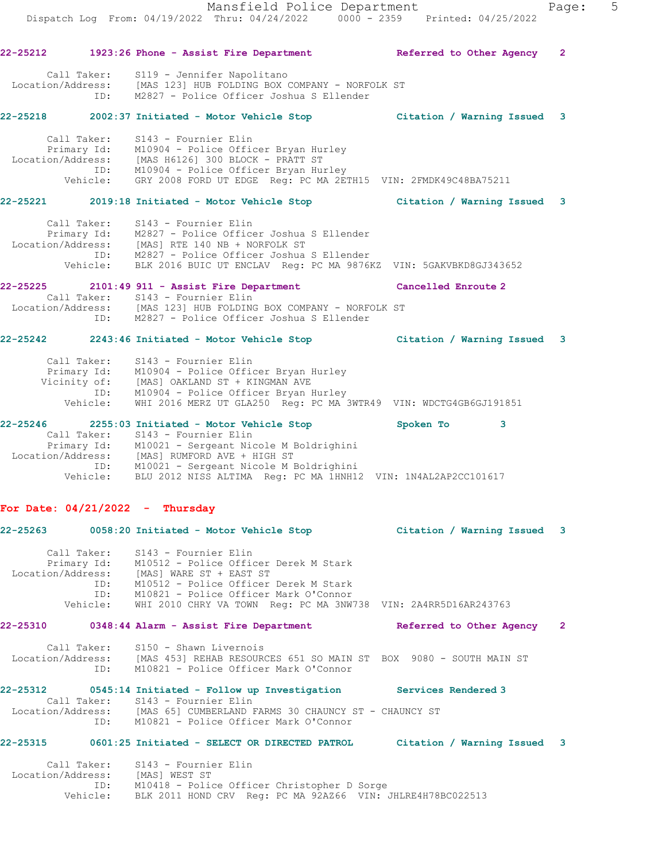Mansfield Police Department Fage: 5 Dispatch Log From: 04/19/2022 Thru: 04/24/2022 0000 - 2359 Printed: 04/25/2022 **22-25212 1923:26 Phone - Assist Fire Department Referred to Other Agency 2** Call Taker: S119 - Jennifer Napolitano Location/Address: [MAS 123] HUB FOLDING BOX COMPANY - NORFOLK ST ID: M2827 - Police Officer Joshua S Ellender **22-25218 2002:37 Initiated - Motor Vehicle Stop Citation / Warning Issued 3** Primary Id: M10904 - Police Officer Bryan Hurley Location/Address: [MAS H6126] 300 BLOCK - PRATT ST ID: M10904 - Police Officer Bryan Hurley Vehicle: GRY 2008 FORD UT EDGE Reg: PC MA 2ETH15 VIN: 2FMDK49C48BA75211 **22-25221 2019:18 Initiated - Motor Vehicle Stop Citation / Warning Issued 3** Call Taker: S143 - Fournier Elin Primary Id: M2827 - Police Officer Joshua S Ellender Location/Address: [MAS] RTE 140 NB + NORFOLK ST ID: M2827 - Police Officer Joshua S Ellender Vehicle: BLK 2016 BUIC UT ENCLAV Reg: PC MA 9876KZ VIN: 5GAKVBKD8GJ343652 **22-25225 2101:49 911 - Assist Fire Department Cancelled Enroute 2**  Call Taker: S143 - Fournier Elin Location/Address: [MAS 123] HUB FOLDING BOX COMPANY - NORFOLK ST ID: M2827 - Police Officer Joshua S Ellender **22-25242 2243:46 Initiated - Motor Vehicle Stop Citation / Warning Issued 3** Call Taker: S143 - Fournier Elin Primary Id: M10904 - Police Officer Bryan Hurley Vicinity of: [MAS] OAKLAND ST + KINGMAN AVE ID: M10904 - Police Officer Bryan Hurley Vehicle: WHI 2016 MERZ UT GLA250 Reg: PC MA 3WTR49 VIN: WDCTG4GB6GJ191851 **22-25312 0545:14 Initiated - Follow up Investigation Services Rendered 3**  Call Taker: S143 - Fournier Elin Location/Address: [MAS 65] CUMBERLAND FARMS 30 CHAUNCY ST - CHAUNCY ST ID: M10821 - Police Officer Mark O'Connor **22-25315 0601:25 Initiated - SELECT OR DIRECTED PATROL Citation / Warning Issued 3** Call Taker: S143 - Fournier Elin Location/Address: [MAS] WEST ST ID: M10418 - Police Officer Christopher D Sorge

Call Taker: S143 - Fournier Elin

| 22-25246          |             | 2255:03 Initiated - Motor Vehicle Stop                        | Spoken To | -3 |
|-------------------|-------------|---------------------------------------------------------------|-----------|----|
|                   |             | Call Taker: S143 - Fournier Elin                              |           |    |
|                   | Primary Id: | M10021 - Sergeant Nicole M Boldrighini                        |           |    |
| Location/Address: |             | [MAS] RUMFORD AVE + HIGH ST                                   |           |    |
|                   | ID:         | M10021 - Sergeant Nicole M Boldrighini                        |           |    |
|                   | Vehicle:    | BLU 2012 NISS ALTIMA Req: PC MA 1HNH12 VIN: 1N4AL2AP2CC101617 |           |    |

## **For Date: 04/21/2022 - Thursday**

| $22 - 25263$      |                                       | 0058:20 Initiated - Motor Vehicle Stop                                                                                                                                                                                                                   | Citation / Warning Issued 3 |   |
|-------------------|---------------------------------------|----------------------------------------------------------------------------------------------------------------------------------------------------------------------------------------------------------------------------------------------------------|-----------------------------|---|
| Location/Address: | Call Taker:<br>ID:<br>ID:<br>Vehicle: | S143 - Fournier Elin<br>Primary Id: M10512 - Police Officer Derek M Stark<br>[MAS] WARE ST + EAST ST<br>M10512 - Police Officer Derek M Stark<br>M10821 - Police Officer Mark O'Connor<br>WHI 2010 CHRY VA TOWN Req: PC MA 3NW738 VIN: 2A4RR5D16AR243763 |                             |   |
| 22-25310          |                                       | 0348:44 Alarm - Assist Fire Department                                                                                                                                                                                                                   | Referred to Other Agency    | 2 |
| Location/Address: | Call Taker:<br>ID:                    | S150 - Shawn Livernois<br>[MAS 453] REHAB RESOURCES 651 SO MAIN ST BOX 9080 - SOUTH MAIN ST<br>M10821 - Police Officer Mark O'Connor                                                                                                                     |                             |   |

Vehicle: BLK 2011 HOND CRV Reg: PC MA 92AZ66 VIN: JHLRE4H78BC022513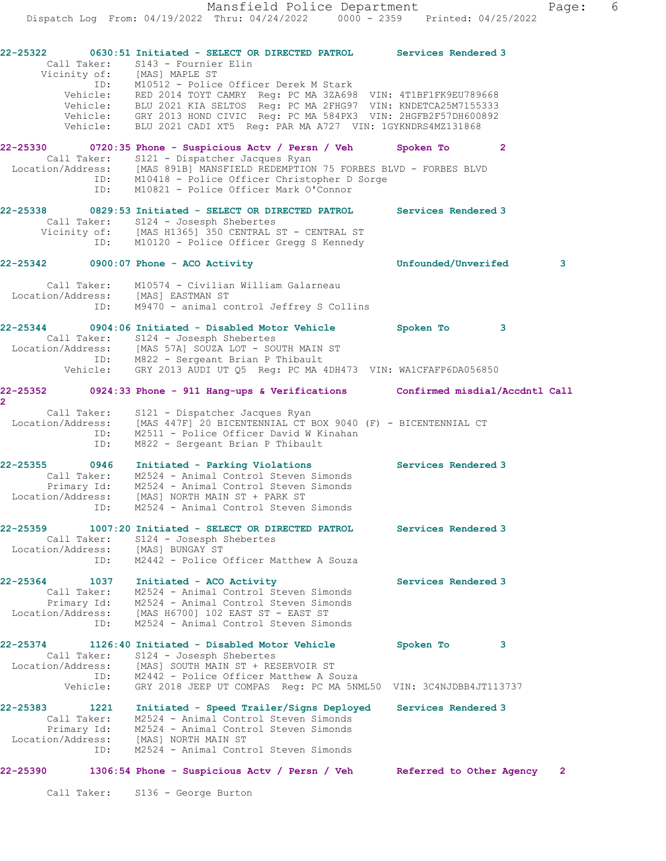**22-25322 0630:51 Initiated - SELECT OR DIRECTED PATROL Services Rendered 3**  Call Taker: S143 - Fournier Elin Vicinity of: [MAS] MAPLE ST ID: M10512 - Police Officer Derek M Stark Vehicle: RED 2014 TOYT CAMRY Reg: PC MA 3ZA698 VIN: 4T1BF1FK9EU789668 Vehicle: BLU 2021 KIA SELTOS Reg: PC MA 2FHG97 VIN: KNDETCA25M7155333 Vehicle: GRY 2013 HOND CIVIC Reg: PC MA 584PX3 VIN: 2HGFB2F57DH600892 Vehicle: BLU 2021 CADI XT5 Reg: PAR MA A727 VIN: 1GYKNDRS4MZ131868 **22-25330 0720:35 Phone - Suspicious Actv / Persn / Veh Spoken To 2**  Call Taker: S121 - Dispatcher Jacques Ryan Location/Address: [MAS 891B] MANSFIELD REDEMPTION 75 FORBES BLVD - FORBES BLVD ID: M10418 - Police Officer Christopher D Sorge ID: M10821 - Police Officer Mark O'Connor **22-25338 0829:53 Initiated - SELECT OR DIRECTED PATROL Services Rendered 3**  Call Taker: S124 - Josesph Shebertes Vicinity of: [MAS H1365] 350 CENTRAL ST - CENTRAL ST ID: M10120 - Police Officer Gregg S Kennedy **22-25342 0900:07 Phone - ACO Activity Unfounded/Unverifed 3** Call Taker: M10574 - Civilian William Galarneau Location/Address: [MAS] EASTMAN ST ID: M9470 - animal control Jeffrey S Collins **22-25344 0904:06 Initiated - Disabled Motor Vehicle Spoken To 3**  Call Taker: S124 - Josesph Shebertes Location/Address: [MAS 57A] SOUZA LOT - SOUTH MAIN ST ID: M822 - Sergeant Brian P Thibault Vehicle: GRY 2013 AUDI UT Q5 Reg: PC MA 4DH473 VIN: WA1CFAFP6DA056850 **22-25352 0924:33 Phone - 911 Hang-ups & Verifications Confirmed misdial/Accdntl Call 2**  Call Taker: S121 - Dispatcher Jacques Ryan Location/Address: [MAS 447F] 20 BICENTENNIAL CT BOX 9040 (F) - BICENTENNIAL CT ID: M2511 - Police Officer David W Kinahan ID: M822 - Sergeant Brian P Thibault **22-25355 0946 Initiated - Parking Violations Services Rendered 3**  Call Taker: M2524 - Animal Control Steven Simonds Primary Id: M2524 - Animal Control Steven Simonds Location/Address: [MAS] NORTH MAIN ST + PARK ST ID: M2524 - Animal Control Steven Simonds **22-25359 1007:20 Initiated - SELECT OR DIRECTED PATROL Services Rendered 3**  Call Taker: S124 - Josesph Shebertes Location/Address: [MAS] BUNGAY ST ID: M2442 - Police Officer Matthew A Souza 22-25364 1037 Initiated - ACO Activity **Services Rendered 3**  Call Taker: M2524 - Animal Control Steven Simonds Primary Id: M2524 - Animal Control Steven Simonds Location/Address: [MAS H6700] 102 EAST ST - EAST ST ID: M2524 - Animal Control Steven Simonds **22-25374 1126:40 Initiated - Disabled Motor Vehicle Spoken To 3**  Call Taker: S124 - Josesph Shebertes Location/Address: [MAS] SOUTH MAIN ST + RESERVOIR ST ID: M2442 - Police Officer Matthew A Souza Vehicle: GRY 2018 JEEP UT COMPAS Reg: PC MA 5NML50 VIN: 3C4NJDBB4JT113737 **22-25383 1221 Initiated - Speed Trailer/Signs Deployed Services Rendered 3**  Call Taker: M2524 - Animal Control Steven Simonds Primary Id: M2524 - Animal Control Steven Simonds Location/Address: [MAS] NORTH MAIN ST ID: M2524 - Animal Control Steven Simonds **22-25390 1306:54 Phone - Suspicious Actv / Persn / Veh Referred to Other Agency 2** Call Taker: S136 - George Burton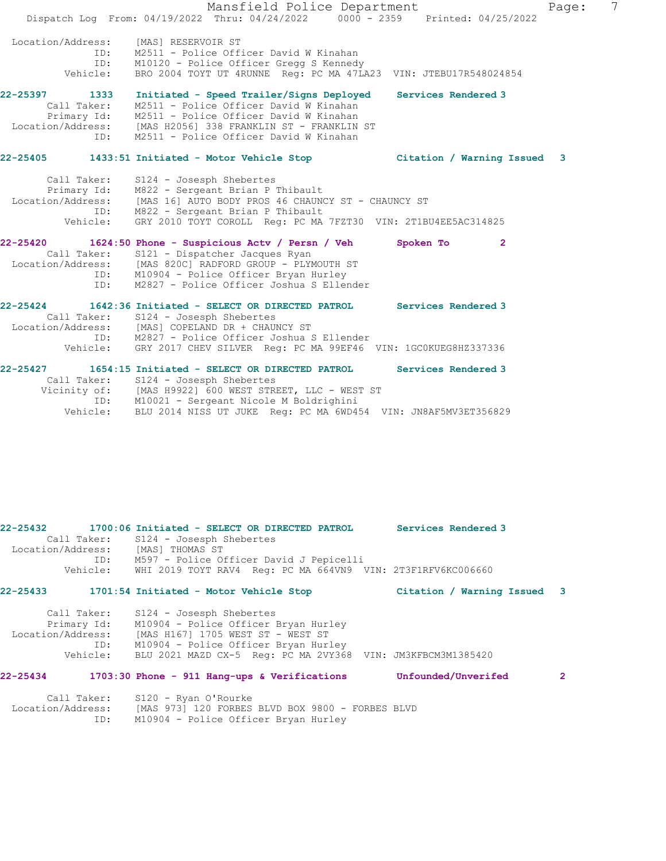|                   | Mansfield Police Department<br>Page:                                                                              | 7 |
|-------------------|-------------------------------------------------------------------------------------------------------------------|---|
|                   | Dispatch Log From: 04/19/2022 Thru: 04/24/2022 0000 - 2359 Printed: 04/25/2022                                    |   |
| Location/Address: | [MAS] RESERVOIR ST                                                                                                |   |
| ID:               | M2511 - Police Officer David W Kinahan                                                                            |   |
| ID:               | M10120 - Police Officer Gregg S Kennedy                                                                           |   |
| Vehicle:          | BRO 2004 TOYT UT 4RUNNE Req: PC MA 47LA23 VIN: JTEBU17R548024854                                                  |   |
| 22-25397 1333     | Initiated - Speed Trailer/Signs Deployed<br>Services Rendered 3                                                   |   |
| Call Taker:       | M2511 - Police Officer David W Kinahan                                                                            |   |
|                   | Primary Id: M2511 - Police Officer David W Kinahan<br>Location/Address: [MAS H2056] 338 FRANKLIN ST - FRANKLIN ST |   |
|                   |                                                                                                                   |   |
| ID:               | M2511 - Police Officer David W Kinahan                                                                            |   |
|                   | 22-25405 1433:51 Initiated - Motor Vehicle Stop<br>Citation / Warning Issued<br>3                                 |   |
| Call Taker:       | S124 - Josesph Shebertes                                                                                          |   |
|                   | Primary Id: M822 - Sergeant Brian P Thibault                                                                      |   |
| Location/Address: | [MAS 16] AUTO BODY PROS 46 CHAUNCY ST - CHAUNCY ST                                                                |   |
|                   | ID: M822 - Sergeant Brian P Thibault                                                                              |   |
| Vehicle:          | GRY 2010 TOYT COROLL Reg: PC MA 7FZT30 VIN: 2T1BU4EE5AC314825                                                     |   |
|                   | 22-25420 1624:50 Phone - Suspicious Actv / Persn / Veh<br>Spoken To<br>$\overline{2}$                             |   |
|                   | Call Taker: S121 - Dispatcher Jacques Ryan                                                                        |   |
|                   | Location/Address: [MAS 820C] RADFORD GROUP - PLYMOUTH ST                                                          |   |
| ID:               | ID: M10904 - Police Officer Bryan Hurley                                                                          |   |
|                   | M2827 - Police Officer Joshua S Ellender                                                                          |   |
| $22 - 25424$      | 1642:36 Initiated - SELECT OR DIRECTED PATROL<br>Services Rendered 3                                              |   |
|                   | Call Taker: S124 - Josesph Shebertes                                                                              |   |
|                   | Location/Address: [MAS] COPELAND DR + CHAUNCY ST                                                                  |   |
|                   | ID: M2827 - Police Officer Joshua S Ellender                                                                      |   |
|                   | Vehicle: GRY 2017 CHEV SILVER Reg: PC MA 99EF46 VIN: 1GC0KUEG8HZ337336                                            |   |
|                   | 22-25427 1654:15 Initiated - SELECT OR DIRECTED PATROL<br>Services Rendered 3                                     |   |
|                   | Call Taker: S124 - Josesph Shebertes                                                                              |   |
|                   | Vicinity of: [MAS H9922] 600 WEST STREET, LLC - WEST ST                                                           |   |
|                   | ID: M10021 - Sergeant Nicole M Boldrighini                                                                        |   |
| Vehicle:          | BLU 2014 NISS UT JUKE Req: PC MA 6WD454 VIN: JN8AF5MV3ET356829                                                    |   |

**22-25432 1700:06 Initiated - SELECT OR DIRECTED PATROL Services Rendered 3**  Call Taker: S124 - Josesph Shebertes Location/Address: [MAS] THOMAS ST ID: M597 - Police Officer David J Pepicelli Vehicle: WHI 2019 TOYT RAV4 Reg: PC MA 664VN9 VIN: 2T3F1RFV6KC006660 **22-25433 1701:54 Initiated - Motor Vehicle Stop Citation / Warning Issued 3** Call Taker: S124 - Josesph Shebertes

| PIST OUSESPIL DIEDELLES                                     |
|-------------------------------------------------------------|
| M10904 - Police Officer Bryan Hurley                        |
| [MAS H167] 1705 WEST ST - WEST ST                           |
| M10904 - Police Officer Bryan Hurley                        |
| BLU 2021 MAZD CX-5 Req: PC MA 2VY368 VIN: JM3KFBCM3M1385420 |
| CATT TAVET.                                                 |

# **22-25434 1703:30 Phone - 911 Hang-ups & Verifications Unfounded/Unverifed 2**

| Call Taker:       | S120 - Ryan O'Rourke                             |  |
|-------------------|--------------------------------------------------|--|
| Location/Address: | [MAS 973] 120 FORBES BLVD BOX 9800 - FORBES BLVD |  |
| ID:               | M10904 - Police Officer Bryan Hurley             |  |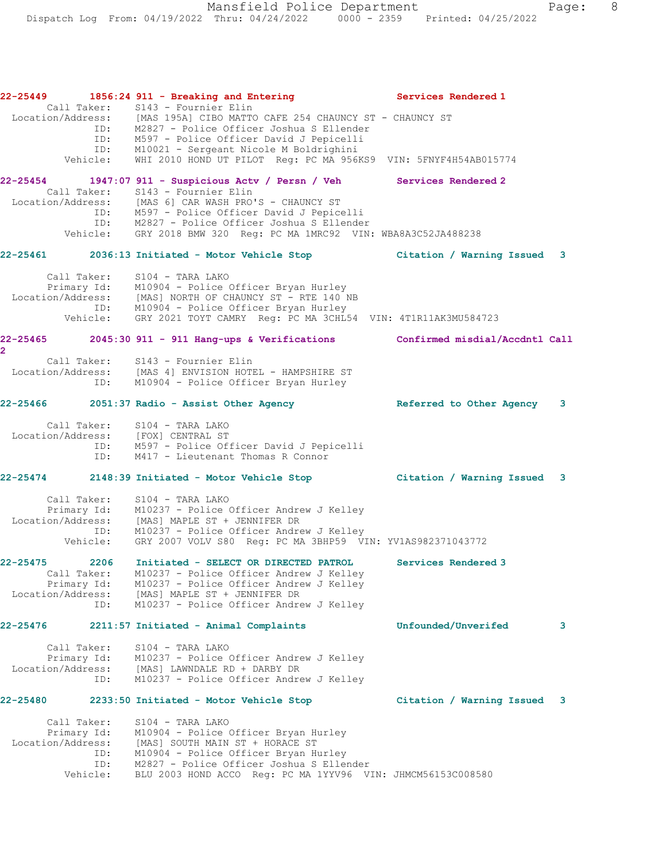**22-25449 1856:24 911 - Breaking and Entering Services Rendered 1**  Call Taker: S143 - Fournier Elin Location/Address: [MAS 195A] CIBO MATTO CAFE 254 CHAUNCY ST - CHAUNCY ST ID: M2827 - Police Officer Joshua S Ellender ID: M597 - Police Officer David J Pepicelli ID: M10021 - Sergeant Nicole M Boldrighini Vehicle: WHI 2010 HOND UT PILOT Reg: PC MA 956KS9 VIN: 5FNYF4H54AB015774 **22-25454 1947:07 911 - Suspicious Actv / Persn / Veh Services Rendered 2**  Call Taker: S143 - Fournier Elin Location/Address: [MAS 6] CAR WASH PRO'S - CHAUNCY ST ID: M597 - Police Officer David J Pepicelli ID: M2827 - Police Officer Joshua S Ellender Vehicle: GRY 2018 BMW 320 Reg: PC MA 1MRC92 VIN: WBA8A3C52JA488238 **22-25461 2036:13 Initiated - Motor Vehicle Stop Citation / Warning Issued 3** Call Taker: S104 - TARA LAKO Primary Id: M10904 - Police Officer Bryan Hurley Location/Address: [MAS] NORTH OF CHAUNCY ST - RTE 140 NB ID: M10904 - Police Officer Bryan Hurley Vehicle: GRY 2021 TOYT CAMRY Reg: PC MA 3CHL54 VIN: 4T1R11AK3MU584723 **22-25465 2045:30 911 - 911 Hang-ups & Verifications Confirmed misdial/Accdntl Call 2**  Call Taker: S143 - Fournier Elin Location/Address: [MAS 4] ENVISION HOTEL - HAMPSHIRE ST ID: M10904 - Police Officer Bryan Hurley **22-25466 2051:37 Radio - Assist Other Agency Referred to Other Agency 3** Call Taker: S104 - TARA LAKO Location/Address: [FOX] CENTRAL ST ID: M597 - Police Officer David J Pepicelli ID: M417 - Lieutenant Thomas R Connor **22-25474 2148:39 Initiated - Motor Vehicle Stop Citation / Warning Issued 3** Call Taker: S104 - TARA LAKO Primary Id: M10237 - Police Officer Andrew J Kelley Location/Address: [MAS] MAPLE ST + JENNIFER DR ID: M10237 - Police Officer Andrew J Kelley Vehicle: GRY 2007 VOLV S80 Reg: PC MA 3BHP59 VIN: YV1AS982371043772 **22-25475 2206 Initiated - SELECT OR DIRECTED PATROL Services Rendered 3**  Call Taker: M10237 - Police Officer Andrew J Kelley Primary Id: M10237 - Police Officer Andrew J Kelley Location/Address: [MAS] MAPLE ST + JENNIFER DR ID: M10237 - Police Officer Andrew J Kelley **22-25476 2211:57 Initiated - Animal Complaints Unfounded/Unverifed 3** Call Taker: S104 - TARA LAKO Primary Id: M10237 - Police Officer Andrew J Kelley Location/Address: [MAS] LAWNDALE RD + DARBY DR ID: M10237 - Police Officer Andrew J Kelley **22-25480 2233:50 Initiated - Motor Vehicle Stop Citation / Warning Issued 3** Call Taker: S104 - TARA LAKO Primary Id: M10904 - Police Officer Bryan Hurley Location/Address: [MAS] SOUTH MAIN ST + HORACE ST ID: M10904 - Police Officer Bryan Hurley ID: M2827 - Police Officer Joshua S Ellender Vehicle: BLU 2003 HOND ACCO Reg: PC MA 1YYV96 VIN: JHMCM56153C008580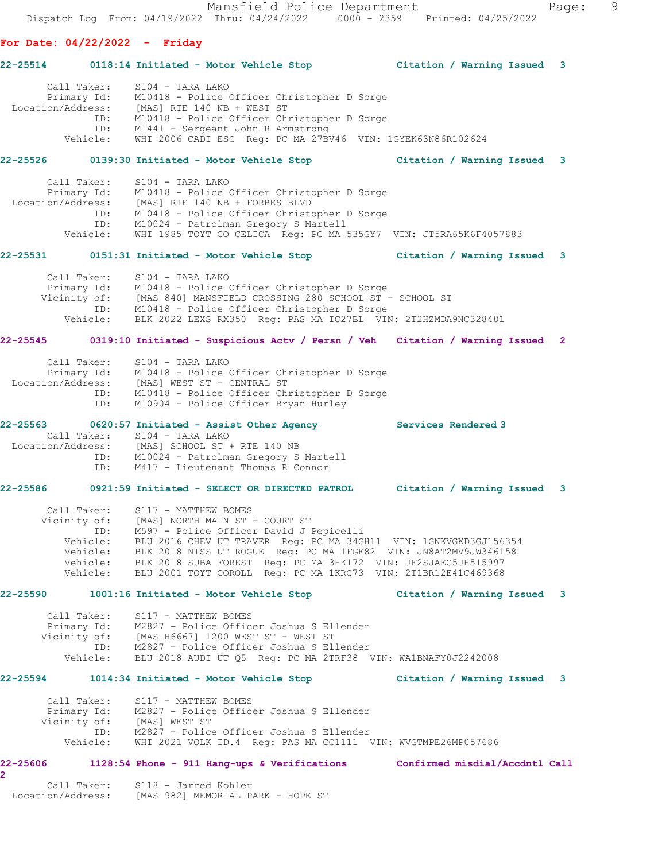Mansfield Police Department Page: 9 Dispatch Log From: 04/19/2022 Thru: 04/24/2022 0000 - 2359 Printed: 04/25/2022 **For Date: 04/22/2022 - Friday 22-25514 0118:14 Initiated - Motor Vehicle Stop Citation / Warning Issued 3** Call Taker: S104 - TARA LAKO Primary Id: M10418 - Police Officer Christopher D Sorge Location/Address: [MAS] RTE 140 NB + WEST ST ID: M10418 - Police Officer Christopher D Sorge ID: M1441 - Sergeant John R Armstrong Vehicle: WHI 2006 CADI ESC Reg: PC MA 27BV46 VIN: 1GYEK63N86R102624 **22-25526 0139:30 Initiated - Motor Vehicle Stop Citation / Warning Issued 3** Call Taker: S104 - TARA LAKO Primary Id: M10418 - Police Officer Christopher D Sorge Location/Address: [MAS] RTE 140 NB + FORBES BLVD ID: M10418 - Police Officer Christopher D Sorge ID: M10024 - Patrolman Gregory S Martell Vehicle: WHI 1985 TOYT CO CELICA Reg: PC MA 535GY7 VIN: JT5RA65K6F4057883 **22-25531 0151:31 Initiated - Motor Vehicle Stop Citation / Warning Issued 3** Call Taker: S104 - TARA LAKO Primary Id: M10418 - Police Officer Christopher D Sorge Vicinity of: [MAS 840] MANSFIELD CROSSING 280 SCHOOL ST - SCHOOL ST ID: M10418 - Police Officer Christopher D Sorge Vehicle: BLK 2022 LEXS RX350 Reg: PAS MA IC27BL VIN: 2T2HZMDA9NC328481 **22-25545 0319:10 Initiated - Suspicious Actv / Persn / Veh Citation / Warning Issued 2** Call Taker: S104 - TARA LAKO Primary Id: M10418 - Police Officer Christopher D Sorge Location/Address: [MAS] WEST ST + CENTRAL ST ID: M10418 - Police Officer Christopher D Sorge ID: M10904 - Police Officer Bryan Hurley **22-25563 0620:57 Initiated - Assist Other Agency Services Rendered 3**  Call Taker: S104 - TARA LAKO Location/Address: [MAS] SCHOOL ST + RTE 140 NB ID: M10024 - Patrolman Gregory S Martell ID: M417 - Lieutenant Thomas R Connor **22-25586 0921:59 Initiated - SELECT OR DIRECTED PATROL Citation / Warning Issued 3** Call Taker: S117 - MATTHEW BOMES Vicinity of: [MAS] NORTH MAIN ST + COURT ST ID: M597 - Police Officer David J Pepicelli Vehicle: BLU 2016 CHEV UT TRAVER Reg: PC MA 34GH11 VIN: 1GNKVGKD3GJ156354 Vehicle: BLK 2018 NISS UT ROGUE Reg: PC MA 1FGE82 VIN: JN8AT2MV9JW346158 Vehicle: BLK 2018 SUBA FOREST Reg: PC MA 3HK172 VIN: JF2SJAEC5JH515997 Vehicle: BLU 2001 TOYT COROLL Reg: PC MA 1KRC73 VIN: 2T1BR12E41C469368 **22-25590 1001:16 Initiated - Motor Vehicle Stop Citation / Warning Issued 3** Call Taker: S117 - MATTHEW BOMES

 Primary Id: M2827 - Police Officer Joshua S Ellender Vicinity of: [MAS H6667] 1200 WEST ST - WEST ST ID: M2827 - Police Officer Joshua S Ellender Vehicle: BLU 2018 AUDI UT Q5 Reg: PC MA 2TRF38 VIN: WA1BNAFY0J2242008

### **22-25594 1014:34 Initiated - Motor Vehicle Stop Citation / Warning Issued 3**

 Call Taker: S117 - MATTHEW BOMES Primary Id: M2827 - Police Officer Joshua S Ellender Vicinity of: [MAS] WEST ST ID: M2827 - Police Officer Joshua S Ellender Vehicle: WHI 2021 VOLK ID.4 Reg: PAS MA CC1111 VIN: WVGTMPE26MP057686

### **22-25606 1128:54 Phone - 911 Hang-ups & Verifications Confirmed misdial/Accdntl Call**

 Call Taker: S118 - Jarred Kohler Location/Address: [MAS 982] MEMORIAL PARK - HOPE ST

**2**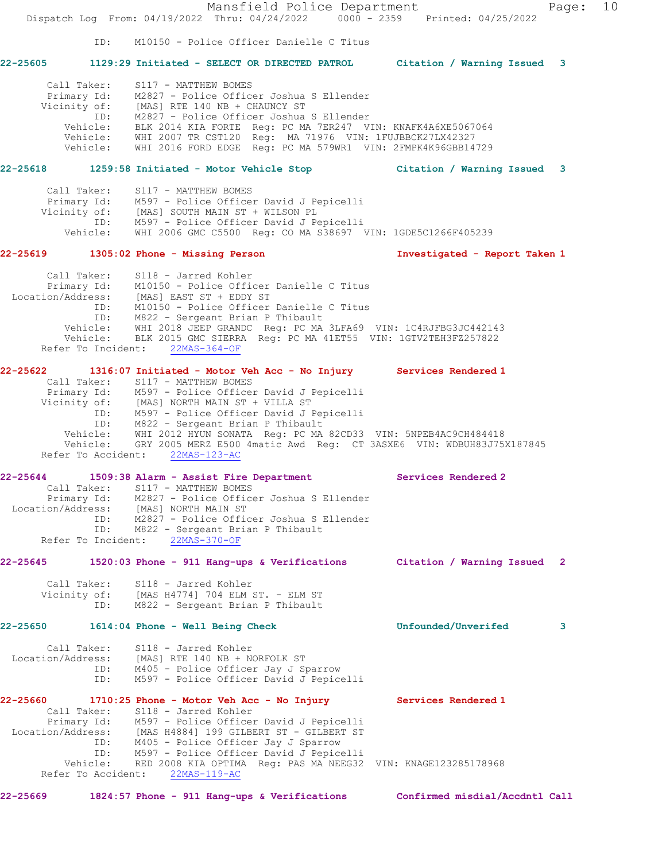Mansfield Police Department Fage: 10 Dispatch Log From: 04/19/2022 Thru: 04/24/2022 0000 - 2359 Printed: 04/25/2022 ID: M10150 - Police Officer Danielle C Titus **22-25605 1129:29 Initiated - SELECT OR DIRECTED PATROL Citation / Warning Issued 3** Call Taker: S117 - MATTHEW BOMES Primary Id: M2827 - Police Officer Joshua S Ellender Vicinity of: [MAS] RTE 140 NB + CHAUNCY ST ID: M2827 - Police Officer Joshua S Ellender Vehicle: BLK 2014 KIA FORTE Reg: PC MA 7ER247 VIN: KNAFK4A6XE5067064 Vehicle: WHI 2007 TR CST120 Reg: MA 71976 VIN: 1FUJBBCK27LX42327 Vehicle: WHI 2016 FORD EDGE Reg: PC MA 579WR1 VIN: 2FMPK4K96GBB14729 **22-25618 1259:58 Initiated - Motor Vehicle Stop Citation / Warning Issued 3** Call Taker: S117 - MATTHEW BOMES Primary Id: M597 - Police Officer David J Pepicelli Vicinity of: [MAS] SOUTH MAIN ST + WILSON PL ID: M597 - Police Officer David J Pepicelli Vehicle: WHI 2006 GMC C5500 Reg: CO MA S38697 VIN: 1GDE5C1266F405239 **22-25619 1305:02 Phone - Missing Person Investigated - Report Taken 1** Call Taker: S118 - Jarred Kohler Primary Id: M10150 - Police Officer Danielle C Titus Location/Address: [MAS] EAST ST + EDDY ST ID: M10150 - Police Officer Danielle C Titus ID: M822 - Sergeant Brian P Thibault Vehicle: WHI 2018 JEEP GRANDC Reg: PC MA 3LFA69 VIN: 1C4RJFBG3JC442143 Vehicle: BLK 2015 GMC SIERRA Reg: PC MA 41ET55 VIN: 1GTV2TEH3FZ257822 Refer To Incident: 22MAS-364-OF **22-25622 1316:07 Initiated - Motor Veh Acc - No Injury Services Rendered 1**  Call Taker: S117 - MATTHEW BOMES Primary Id: M597 - Police Officer David J Pepicelli Vicinity of: [MAS] NORTH MAIN ST + VILLA ST ID: M597 - Police Officer David J Pepicelli ID: M822 - Sergeant Brian P Thibault Vehicle: WHI 2012 HYUN SONATA Reg: PC MA 82CD33 VIN: 5NPEB4AC9CH484418 Vehicle: GRY 2005 MERZ E500 4matic Awd Reg: CT 3ASXE6 VIN: WDBUH83J75X187845 Refer To Accident: 22MAS-123-AC **22-25644 1509:38 Alarm - Assist Fire Department Services Rendered 2**  Call Taker: S117 - MATTHEW BOMES Primary Id: M2827 - Police Officer Joshua S Ellender Location/Address: [MAS] NORTH MAIN ST ID: M2827 - Police Officer Joshua S Ellender ID: M822 - Sergeant Brian P Thibault Refer To Incident: 22MAS-370-OF **22-25645 1520:03 Phone - 911 Hang-ups & Verifications Citation / Warning Issued 2** Call Taker: S118 - Jarred Kohler Vicinity of: [MAS H4774] 704 ELM ST. - ELM ST ID: M822 - Sergeant Brian P Thibault **22-25650 1614:04 Phone - Well Being Check Unfounded/Unverifed 3** Call Taker: S118 - Jarred Kohler Location/Address: [MAS] RTE 140 NB + NORFOLK ST ID: M405 - Police Officer Jay J Sparrow ID: M597 - Police Officer David J Pepicelli **22-25660 1710:25 Phone - Motor Veh Acc - No Injury Services Rendered 1**  Call Taker: S118 - Jarred Kohler Primary Id: M597 - Police Officer David J Pepicelli Location/Address: [MAS H4884] 199 GILBERT ST - GILBERT ST ID: M405 - Police Officer Jay J Sparrow ID: M597 - Police Officer David J Pepicelli Vehicle: RED 2008 KIA OPTIMA Reg: PAS MA NEEG32 VIN: KNAGE123285178968 Refer To Accident: 22MAS-119-AC

**22-25669 1824:57 Phone - 911 Hang-ups & Verifications Confirmed misdial/Accdntl Call**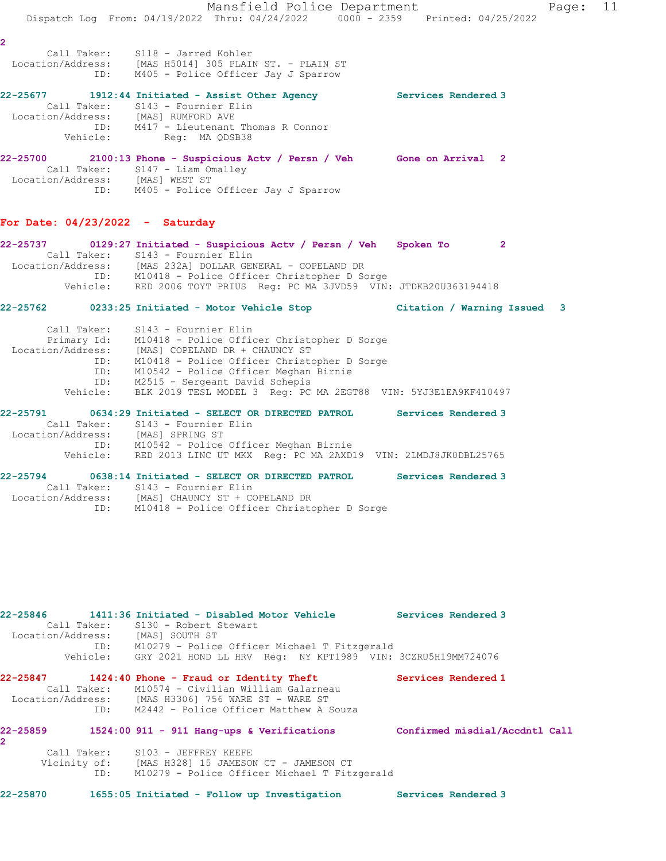Mansfield Police Department Fage: 11 Dispatch Log From: 04/19/2022 Thru: 04/24/2022 0000 - 2359 Printed: 04/25/2022 **2**  Call Taker: S118 - Jarred Kohler Location/Address: [MAS H5014] 305 PLAIN ST. - PLAIN ST ID: M405 - Police Officer Jay J Sparrow **22-25677 1912:44 Initiated - Assist Other Agency Services Rendered 3**  Call Taker: S143 - Fournier Elin Location/Address: [MAS] RUMFORD AVE ID: M417 - Lieutenant Thomas R Connor Vehicle: Reg: MA QDSB38 **22-25700 2100:13 Phone - Suspicious Actv / Persn / Veh Gone on Arrival 2**  Call Taker: S147 - Liam Omalley Location/Address: [MAS] WEST ST ID: M405 - Police Officer Jay J Sparrow **For Date: 04/23/2022 - Saturday 22-25737 0129:27 Initiated - Suspicious Actv / Persn / Veh Spoken To 2**  Call Taker: S143 - Fournier Elin Location/Address: [MAS 232A] DOLLAR GENERAL - COPELAND DR ID: M10418 - Police Officer Christopher D Sorge Vehicle: RED 2006 TOYT PRIUS Reg: PC MA 3JVD59 VIN: JTDKB20U363194418 **22-25762 0233:25 Initiated - Motor Vehicle Stop Citation / Warning Issued 3** Call Taker: S143 - Fournier Elin Primary Id: M10418 - Police Officer Christopher D Sorge Location/Address: [MAS] COPELAND DR + CHAUNCY ST ID: M10418 - Police Officer Christopher D Sorge ID: M10542 - Police Officer Meghan Birnie ID: M2515 - Sergeant David Schepis Vehicle: BLK 2019 TESL MODEL 3 Reg: PC MA 2EGT88 VIN: 5YJ3E1EA9KF410497 **22-25791 0634:29 Initiated - SELECT OR DIRECTED PATROL Services Rendered 3**  Call Taker: S143 - Fournier Elin Location/Address: [MAS] SPRING ST ID: M10542 - Police Officer Meghan Birnie Vehicle: RED 2013 LINC UT MKX Reg: PC MA 2AXD19 VIN: 2LMDJ8JK0DBL25765 **22-25794 0638:14 Initiated - SELECT OR DIRECTED PATROL Services Rendered 3**  Call Taker: S143 - Fournier Elin Location/Address: [MAS] CHAUNCY ST + COPELAND DR ID: M10418 - Police Officer Christopher D Sorge

**22-25846 1411:36 Initiated - Disabled Motor Vehicle Services Rendered 3**  Call Taker: S130 - Robert Stewart Location/Address: [MAS] SOUTH ST ID: M10279 - Police Officer Michael T Fitzgerald Vehicle: GRY 2021 HOND LL HRV Reg: NY KPT1989 VIN: 3CZRU5H19MM724076 **22-25847 1424:40 Phone - Fraud or Identity Theft Services Rendered 1**  Call Taker: M10574 - Civilian William Galarneau Location/Address: [MAS H3306] 756 WARE ST - WARE ST ID: M2442 - Police Officer Matthew A Souza **22-25859 1524:00 911 - 911 Hang-ups & Verifications Confirmed misdial/Accdntl Call 2**  Call Taker: S103 - JEFFREY KEEFE Vicinity of: [MAS H328] 15 JAMESON CT - JAMESON CT ID: M10279 - Police Officer Michael T Fitzgerald

**22-25870 1655:05 Initiated - Follow up Investigation Services Rendered 3**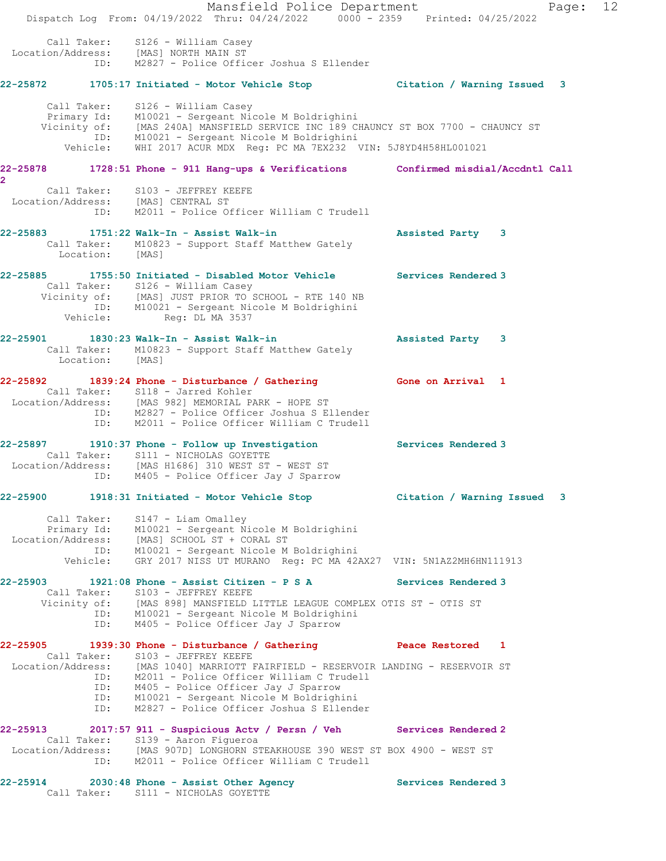Mansfield Police Department Page: 12 Dispatch Log From: 04/19/2022 Thru: 04/24/2022 0000 - 2359 Printed: 04/25/2022 Call Taker: S126 - William Casey Location/Address: [MAS] NORTH MAIN ST ID: M2827 - Police Officer Joshua S Ellender **22-25872 1705:17 Initiated - Motor Vehicle Stop Citation / Warning Issued 3** Call Taker: S126 - William Casey Primary Id: M10021 - Sergeant Nicole M Boldrighini Vicinity of: [MAS 240A] MANSFIELD SERVICE INC 189 CHAUNCY ST BOX 7700 - CHAUNCY ST ID: M10021 - Sergeant Nicole M Boldrighini Vehicle: WHI 2017 ACUR MDX Reg: PC MA 7EX232 VIN: 5J8YD4H58HL001021 **22-25878 1728:51 Phone - 911 Hang-ups & Verifications Confirmed misdial/Accdntl Call 2**  Call Taker: S103 - JEFFREY KEEFE Location/Address: [MAS] CENTRAL ST ID: M2011 - Police Officer William C Trudell **22-25883 1751:22 Walk-In - Assist Walk-in Assisted Party 3**  Call Taker: M10823 - Support Staff Matthew Gately Location: [MAS] **22-25885 1755:50 Initiated - Disabled Motor Vehicle Services Rendered 3**  Call Taker: S126 - William Casey Vicinity of: [MAS] JUST PRIOR TO SCHOOL - RTE 140 NB ID: M10021 - Sergeant Nicole M Boldrighini Vehicle: Reg: DL MA 3537 **22-25901 1830:23 Walk-In - Assist Walk-in Assisted Party 3**  Call Taker: M10823 - Support Staff Matthew Gately Location: [MAS] **22-25892 1839:24 Phone - Disturbance / Gathering Gone on Arrival 1**  Call Taker: S118 - Jarred Kohler Location/Address: [MAS 982] MEMORIAL PARK - HOPE ST ID: M2827 - Police Officer Joshua S Ellender ID: M2011 - Police Officer William C Trudell **22-25897 1910:37 Phone - Follow up Investigation Services Rendered 3**  Call Taker: S111 - NICHOLAS GOYETTE Location/Address: [MAS H1686] 310 WEST ST - WEST ST ID: M405 - Police Officer Jay J Sparrow **22-25900 1918:31 Initiated - Motor Vehicle Stop Citation / Warning Issued 3** Call Taker: S147 - Liam Omalley Primary Id: M10021 - Sergeant Nicole M Boldrighini Location/Address: [MAS] SCHOOL ST + CORAL ST ID: M10021 - Sergeant Nicole M Boldrighini Vehicle: GRY 2017 NISS UT MURANO Reg: PC MA 42AX27 VIN: 5N1AZ2MH6HN111913 **22-25903 1921:08 Phone - Assist Citizen - P S A Services Rendered 3**  Call Taker: S103 - JEFFREY KEEFE Vicinity of: [MAS 898] MANSFIELD LITTLE LEAGUE COMPLEX OTIS ST - OTIS ST ID: M10021 - Sergeant Nicole M Boldrighini ID: M405 - Police Officer Jay J Sparrow **22-25905 1939:30 Phone - Disturbance / Gathering Peace Restored 1**  Call Taker: S103 - JEFFREY KEEFE Location/Address: [MAS 1040] MARRIOTT FAIRFIELD - RESERVOIR LANDING - RESERVOIR ST ID: M2011 - Police Officer William C Trudell ID: M2011 - Police Officer William C Tru<br>ID: M405 - Police Officer Jay J Sparrow ID: M10021 - Sergeant Nicole M Boldrighini ID: M2827 - Police Officer Joshua S Ellender **22-25913 2017:57 911 - Suspicious Actv / Persn / Veh Services Rendered 2**  Call Taker: S139 - Aaron Figueroa Location/Address: [MAS 907D] LONGHORN STEAKHOUSE 390 WEST ST BOX 4900 - WEST ST ID: M2011 - Police Officer William C Trudell **22-25914 2030:48 Phone - Assist Other Agency Services Rendered 3**  Call Taker: S111 - NICHOLAS GOYETTE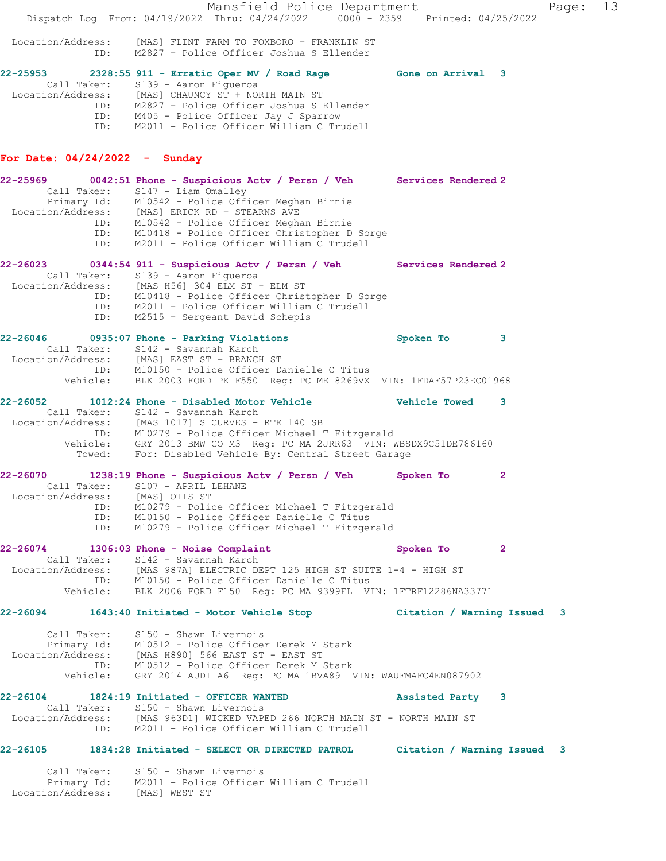Mansfield Police Department Fage: 13 Dispatch Log From: 04/19/2022 Thru: 04/24/2022 0000 - 2359 Printed: 04/25/2022 Location/Address: [MAS] FLINT FARM TO FOXBORO - FRANKLIN ST ID: M2827 - Police Officer Joshua S Ellender **22-25953 2328:55 911 - Erratic Oper MV / Road Rage Gone on Arrival 3**  Call Taker: S139 - Aaron Figueroa Location/Address: [MAS] CHAUNCY ST + NORTH MAIN ST ID: M2827 - Police Officer Joshua S Ellender ID: M405 - Police Officer Jay J Sparrow ID: M2011 - Police Officer William C Trudell **For Date: 04/24/2022 - Sunday 22-25969 0042:51 Phone - Suspicious Actv / Persn / Veh Services Rendered 2**  Call Taker: S147 - Liam Omalley Primary Id: M10542 - Police Officer Meghan Birnie Location/Address: [MAS] ERICK RD + STEARNS AVE ID: M10542 - Police Officer Meghan Birnie ID: M10418 - Police Officer Christopher D Sorge ID: M2011 - Police Officer William C Trudell **22-26023 0344:54 911 - Suspicious Actv / Persn / Veh Services Rendered 2**  Call Taker: S139 - Aaron Figueroa Location/Address: [MAS H56] 304 ELM ST - ELM ST ID: M10418 - Police Officer Christopher D Sorge ID: M2011 - Police Officer William C Trudell ID: M2515 - Sergeant David Schepis **22-26046 0935:07 Phone - Parking Violations Spoken To 3**  Call Taker: S142 - Savannah Karch Location/Address: [MAS] EAST ST + BRANCH ST ID: M10150 - Police Officer Danielle C Titus Vehicle: BLK 2003 FORD PK F550 Reg: PC ME 8269VX VIN: 1FDAF57P23EC01968 **22-26052 1012:24 Phone - Disabled Motor Vehicle Vehicle Towed 3**  Call Taker: S142 - Savannah Karch Location/Address: [MAS 1017] S CURVES - RTE 140 SB ID: M10279 - Police Officer Michael T Fitzgerald Vehicle: GRY 2013 BMW CO M3 Reg: PC MA 2JRR63 VIN: WBSDX9C51DE786160 Towed: For: Disabled Vehicle By: Central Street Garage **22-26070 1238:19 Phone - Suspicious Actv / Persn / Veh Spoken To 2**  Call Taker: S107 - APRIL LEHANE Location/Address: [MAS] OTIS ST ID: M10279 - Police Officer Michael T Fitzgerald ID: M10150 - Police Officer Danielle C Titus ID: M10279 - Police Officer Michael T Fitzgerald **22-26074 1306:03 Phone - Noise Complaint Spoken To 2**  Call Taker: S142 - Savannah Karch Location/Address: [MAS 987A] ELECTRIC DEPT 125 HIGH ST SUITE 1-4 - HIGH ST ID: M10150 - Police Officer Danielle C Titus Vehicle: BLK 2006 FORD F150 Reg: PC MA 9399FL VIN: 1FTRF12286NA33771 **22-26094 1643:40 Initiated - Motor Vehicle Stop Citation / Warning Issued 3** Call Taker: S150 - Shawn Livernois Primary Id: M10512 - Police Officer Derek M Stark Location/Address: [MAS H890] 566 EAST ST - EAST ST ID: M10512 - Police Officer Derek M Stark Vehicle: GRY 2014 AUDI A6 Reg: PC MA 1BVA89 VIN: WAUFMAFC4EN087902 **22-26104 1824:19 Initiated - OFFICER WANTED Assisted Party 3**  Call Taker: S150 - Shawn Livernois Location/Address: [MAS 963D1] WICKED VAPED 266 NORTH MAIN ST - NORTH MAIN ST ID: M2011 - Police Officer William C Trudell **22-26105 1834:28 Initiated - SELECT OR DIRECTED PATROL Citation / Warning Issued 3** Call Taker: S150 - Shawn Livernois Primary Id: M2011 - Police Officer William C Trudell

Location/Address: [MAS] WEST ST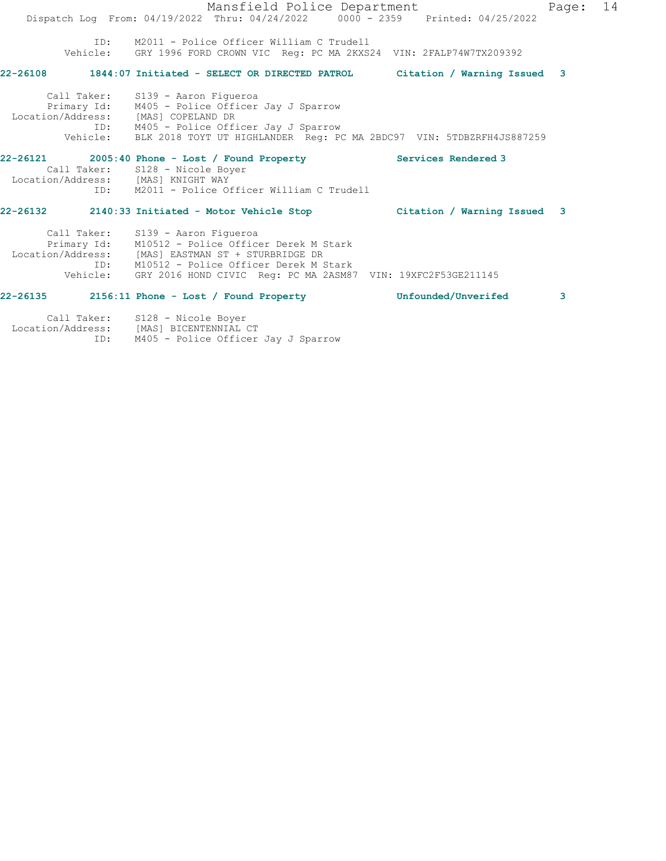Mansfield Police Department Fage: 14 Dispatch Log From: 04/19/2022 Thru: 04/24/2022 0000 - 2359 Printed: 04/25/2022 ID: M2011 - Police Officer William C Trudell Vehicle: GRY 1996 FORD CROWN VIC Reg: PC MA 2KXS24 VIN: 2FALP74W7TX209392 **22-26108 1844:07 Initiated - SELECT OR DIRECTED PATROL Citation / Warning Issued 3** Call Taker: S139 - Aaron Figueroa Primary Id: M405 - Police Officer Jay J Sparrow Location/Address: [MAS] COPELAND DR ID: M405 - Police Officer Jay J Sparrow Vehicle: BLK 2018 TOYT UT HIGHLANDER Reg: PC MA 2BDC97 VIN: 5TDBZRFH4JS887259 **22-26121 2005:40 Phone - Lost / Found Property Services Rendered 3**  Call Taker: S128 - Nicole Boyer Location/Address: [MAS] KNIGHT WAY ID: M2011 - Police Officer William C Trudell **22-26132 2140:33 Initiated - Motor Vehicle Stop Citation / Warning Issued 3** Call Taker: S139 - Aaron Figueroa Primary Id: M10512 - Police Officer Derek M Stark Location/Address: [MAS] EASTMAN ST + STURBRIDGE DR ID: M10512 - Police Officer Derek M Stark Vehicle: GRY 2016 HOND CIVIC Reg: PC MA 2ASM87 VIN: 19XFC2F53GE211145 **22-26135 2156:11 Phone - Lost / Found Property Unfounded/Unverifed 3**

 Call Taker: S128 - Nicole Boyer Location/Address: [MAS] BICENTENNIAL CT ID: M405 - Police Officer Jay J Sparrow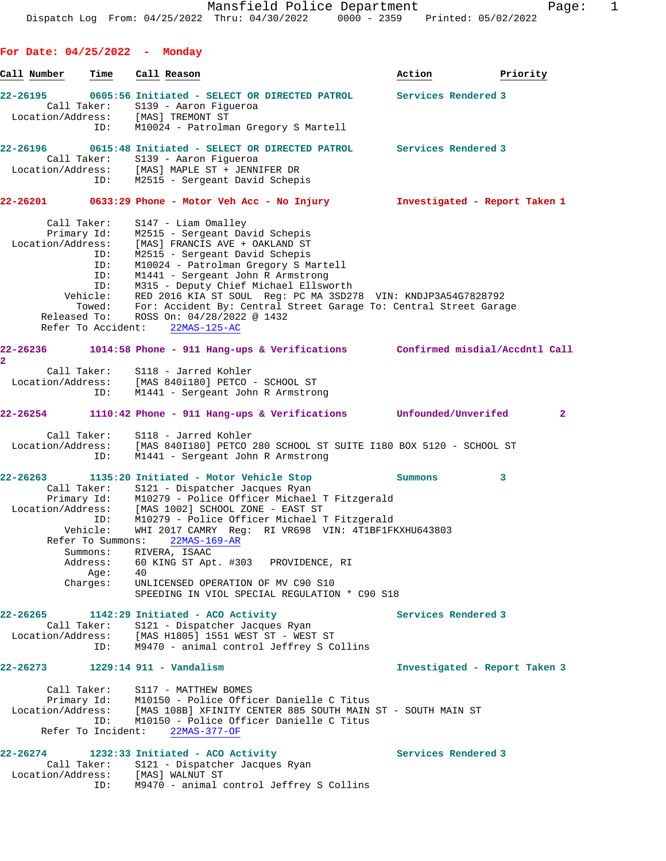**For Date: 04/25/2022 - Monday Call Number Time Call Reason Action Priority 22-26195 0605:56 Initiated - SELECT OR DIRECTED PATROL Services Rendered 3**  Call Taker: S139 - Aaron Figueroa Location/Address: [MAS] TREMONT ST ID: M10024 - Patrolman Gregory S Martell **22-26196 0615:48 Initiated - SELECT OR DIRECTED PATROL Services Rendered 3**  Call Taker: S139 - Aaron Figueroa Location/Address: [MAS] MAPLE ST + JENNIFER DR ID: M2515 - Sergeant David Schepis **22-26201 0633:29 Phone - Motor Veh Acc - No Injury Investigated - Report Taken 1** Call Taker: S147 - Liam Omalley Primary Id: M2515 - Sergeant David Schepis Location/Address: [MAS] FRANCIS AVE + OAKLAND ST ID: M2515 - Sergeant David Schepis ID: M10024 - Patrolman Gregory S Martell ID: M1441 - Sergeant John R Armstrong ID: M315 - Deputy Chief Michael Ellsworth Vehicle: RED 2016 KIA ST SOUL Reg: PC MA 3SD278 VIN: KNDJP3A54G7828792 Towed: For: Accident By: Central Street Garage To: Central Street Garage Released To: ROSS On: 04/28/2022 @ 1432 Refer To Accident: 22MAS-125-AC **22-26236 1014:58 Phone - 911 Hang-ups & Verifications Confirmed misdial/Accdntl Call 2**  Call Taker: S118 - Jarred Kohler Location/Address: [MAS 840i180] PETCO - SCHOOL ST ID: M1441 - Sergeant John R Armstrong **22-26254 1110:42 Phone - 911 Hang-ups & Verifications Unfounded/Unverifed 2** Call Taker: S118 - Jarred Kohler Location/Address: [MAS 840I180] PETCO 280 SCHOOL ST SUITE I180 BOX 5120 - SCHOOL ST ID: M1441 - Sergeant John R Armstrong **22-26263 1135:20 Initiated - Motor Vehicle Stop Summons 3**  Call Taker: S121 - Dispatcher Jacques Ryan Primary Id: M10279 - Police Officer Michael T Fitzgerald Location/Address: [MAS 1002] SCHOOL ZONE - EAST ST ID: M10279 - Police Officer Michael T Fitzgerald Vehicle: WHI 2017 CAMRY Reg: RI VR698 VIN: 4T1BF1FKXHU643803 Refer To Summons: 22MAS-169-AR Summons: RIVERA, ISAAC Address: 60 KING ST Apt. #303 PROVIDENCE, RI Age: 40 Charges: UNLICENSED OPERATION OF MV C90 S10 SPEEDING IN VIOL SPECIAL REGULATION \* C90 S18 **22-26265 1142:29 Initiated - ACO Activity Services Rendered 3**  Call Taker: S121 - Dispatcher Jacques Ryan Location/Address: [MAS H1805] 1551 WEST ST - WEST ST ID: M9470 - animal control Jeffrey S Collins **22-26273 1229:14 911 - Vandalism Investigated - Report Taken 3** Call Taker: S117 - MATTHEW BOMES Primary Id: M10150 - Police Officer Danielle C Titus Location/Address: [MAS 108B] XFINITY CENTER 885 SOUTH MAIN ST - SOUTH MAIN ST ID: M10150 - Police Officer Danielle C Titus Refer To Incident: 22MAS-377-OF 22-26274 1232:33 Initiated - ACO Activity **Services Rendered 3**  Call Taker: S121 - Dispatcher Jacques Ryan Location/Address: [MAS] WALNUT ST

ID: M9470 - animal control Jeffrey S Collins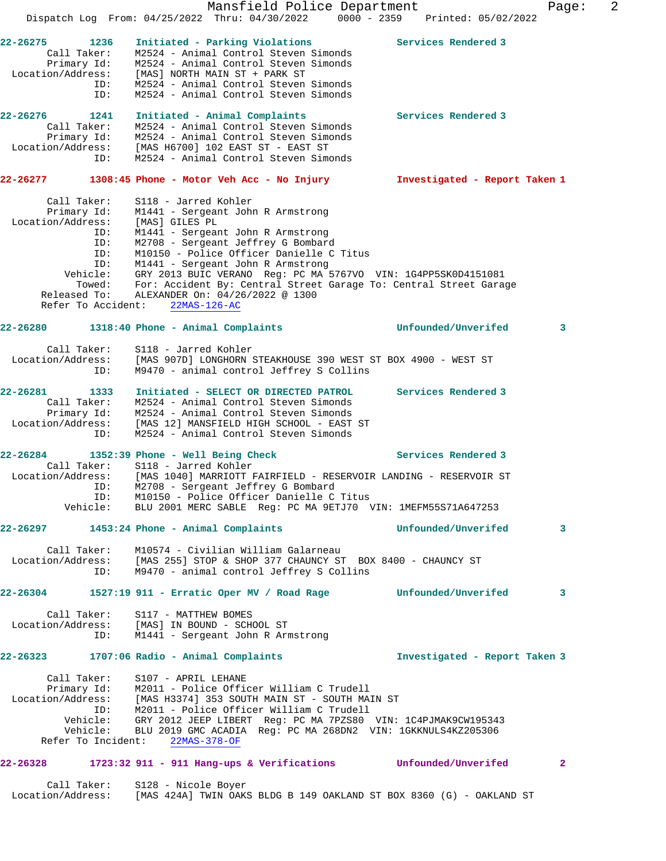Mansfield Police Department Fage: 2 Dispatch Log From: 04/25/2022 Thru: 04/30/2022 0000 - 2359 Printed: 05/02/2022 **22-26275 1236 Initiated - Parking Violations Services Rendered 3**  Call Taker: M2524 - Animal Control Steven Simonds Primary Id: M2524 - Animal Control Steven Simonds Location/Address: [MAS] NORTH MAIN ST + PARK ST ID: M2524 - Animal Control Steven Simonds ID: M2524 - Animal Control Steven Simonds **22-26276 1241 Initiated - Animal Complaints Services Rendered 3**  Call Taker: M2524 - Animal Control Steven Simonds Primary Id: M2524 - Animal Control Steven Simonds Location/Address: [MAS H6700] 102 EAST ST - EAST ST ID: M2524 - Animal Control Steven Simonds **22-26277 1308:45 Phone - Motor Veh Acc - No Injury Investigated - Report Taken 1** Call Taker: S118 - Jarred Kohler Primary Id: M1441 - Sergeant John R Armstrong Location/Address: [MAS] GILES PL ID: M1441 - Sergeant John R Armstrong ID: M2708 - Sergeant Jeffrey G Bombard ID: M10150 - Police Officer Danielle C Titus ID: M1441 - Sergeant John R Armstrong Vehicle: GRY 2013 BUIC VERANO Reg: PC MA 5767VO VIN: 1G4PP5SK0D4151081 Towed: For: Accident By: Central Street Garage To: Central Street Garage Released To: ALEXANDER On: 04/26/2022 @ 1300 Refer To Accident: 22MAS-126-AC **22-26280 1318:40 Phone - Animal Complaints Unfounded/Unverifed 3** Call Taker: S118 - Jarred Kohler Location/Address: [MAS 907D] LONGHORN STEAKHOUSE 390 WEST ST BOX 4900 - WEST ST ID: M9470 - animal control Jeffrey S Collins **22-26281 1333 Initiated - SELECT OR DIRECTED PATROL Services Rendered 3**  Call Taker: M2524 - Animal Control Steven Simonds Primary Id: M2524 - Animal Control Steven Simonds Location/Address: [MAS 12] MANSFIELD HIGH SCHOOL - EAST ST ID: M2524 - Animal Control Steven Simonds **22-26284 1352:39 Phone - Well Being Check Services Rendered 3**  Call Taker: S118 - Jarred Kohler Location/Address: [MAS 1040] MARRIOTT FAIRFIELD - RESERVOIR LANDING - RESERVOIR ST ID: M2708 - Sergeant Jeffrey G Bombard ID: M10150 - Police Officer Danielle C Titus Vehicle: BLU 2001 MERC SABLE Reg: PC MA 9ETJ70 VIN: 1MEFM55S71A647253 **22-26297 1453:24 Phone - Animal Complaints Unfounded/Unverifed 3** Call Taker: M10574 - Civilian William Galarneau Location/Address: [MAS 255] STOP & SHOP 377 CHAUNCY ST BOX 8400 - CHAUNCY ST ID: M9470 - animal control Jeffrey S Collins **22-26304 1527:19 911 - Erratic Oper MV / Road Rage Unfounded/Unverifed 3** Call Taker: S117 - MATTHEW BOMES Location/Address: [MAS] IN BOUND - SCHOOL ST ID: M1441 - Sergeant John R Armstrong **22-26323 1707:06 Radio - Animal Complaints Investigated - Report Taken 3** Call Taker: S107 - APRIL LEHANE Primary Id: M2011 - Police Officer William C Trudell Location/Address: [MAS H3374] 353 SOUTH MAIN ST - SOUTH MAIN ST ID: M2011 - Police Officer William C Trudell Vehicle: GRY 2012 JEEP LIBERT Reg: PC MA 7PZS80 VIN: 1C4PJMAK9CW195343 Vehicle: BLU 2019 GMC ACADIA Reg: PC MA 268DN2 VIN: 1GKKNULS4KZ205306 Refer To Incident: 22MAS-378-OF **22-26328 1723:32 911 - 911 Hang-ups & Verifications Unfounded/Unverifed 2**

 Call Taker: S128 - Nicole Boyer Location/Address: [MAS 424A] TWIN OAKS BLDG B 149 OAKLAND ST BOX 8360 (G) - OAKLAND ST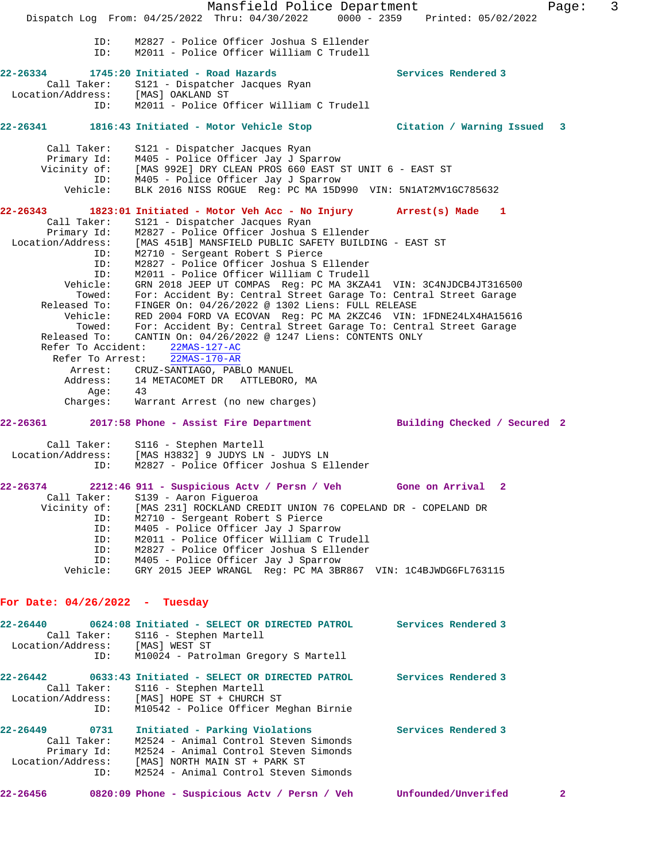Mansfield Police Department Fage: 3 Dispatch Log From: 04/25/2022 Thru: 04/30/2022 0000 - 2359 Printed: 05/02/2022 ID: M2827 - Police Officer Joshua S Ellender ID: M2011 - Police Officer William C Trudell **22-26334 1745:20 Initiated - Road Hazards Services Rendered 3**  Call Taker: S121 - Dispatcher Jacques Ryan Location/Address: [MAS] OAKLAND ST ID: M2011 - Police Officer William C Trudell **22-26341 1816:43 Initiated - Motor Vehicle Stop Citation / Warning Issued 3** Call Taker: S121 - Dispatcher Jacques Ryan Primary Id: M405 - Police Officer Jay J Sparrow Vicinity of: [MAS 992E] DRY CLEAN PROS 660 EAST ST UNIT 6 - EAST ST ID: M405 - Police Officer Jay J Sparrow Vehicle: BLK 2016 NISS ROGUE Reg: PC MA 15D990 VIN: 5N1AT2MV1GC785632 **22-26343 1823:01 Initiated - Motor Veh Acc - No Injury Arrest(s) Made 1**  Call Taker: S121 - Dispatcher Jacques Ryan Primary Id: M2827 - Police Officer Joshua S Ellender Location/Address: [MAS 451B] MANSFIELD PUBLIC SAFETY BUILDING - EAST ST ID: M2710 - Sergeant Robert S Pierce ID: M2827 - Police Officer Joshua S Ellender ID: M2011 - Police Officer William C Trudell Vehicle: GRN 2018 JEEP UT COMPAS Reg: PC MA 3KZA41 VIN: 3C4NJDCB4JT316500 Towed: For: Accident By: Central Street Garage To: Central Street Garage Released To: FINGER On: 04/26/2022 @ 1302 Liens: FULL RELEASE Vehicle: RED 2004 FORD VA ECOVAN Reg: PC MA 2KZC46 VIN: 1FDNE24LX4HA15616 Towed: For: Accident By: Central Street Garage To: Central Street Garage Released To: CANTIN On: 04/26/2022 @ 1247 Liens: CONTENTS ONLY Refer To Accident: 22MAS-127-AC Refer To Arrest: 22MAS-170-AR Arrest: CRUZ-SANTIAGO, PABLO MANUEL Address: 14 METACOMET DR ATTLEBORO, MA Age: 43 Charges: Warrant Arrest (no new charges) **22-26361 2017:58 Phone - Assist Fire Department Building Checked / Secured 2** Call Taker: S116 - Stephen Martell Location/Address: [MAS H3832] 9 JUDYS LN - JUDYS LN ID: M2827 - Police Officer Joshua S Ellender **22-26374 2212:46 911 - Suspicious Actv / Persn / Veh Gone on Arrival 2**  Call Taker: S139 - Aaron Figueroa Vicinity of: [MAS 231] ROCKLAND CREDIT UNION 76 COPELAND DR - COPELAND DR ID: M2710 - Sergeant Robert S Pierce M405 - Police Officer Jay J Sparrow ID: M2011 - Police Officer William C Trudell ID: M2827 - Police Officer Joshua S Ellender ID: M405 - Police Officer Jay J Sparrow Vehicle: GRY 2015 JEEP WRANGL Reg: PC MA 3BR867 VIN: 1C4BJWDG6FL763115 **For Date: 04/26/2022 - Tuesday 22-26440 0624:08 Initiated - SELECT OR DIRECTED PATROL Services Rendered 3**  Call Taker: S116 - Stephen Martell Location/Address: [MAS] WEST ST ID: M10024 - Patrolman Gregory S Martell **22-26442 0633:43 Initiated - SELECT OR DIRECTED PATROL Services Rendered 3**  Call Taker: S116 - Stephen Martell Location/Address: [MAS] HOPE ST + CHURCH ST ID: M10542 - Police Officer Meghan Birnie **22-26449 0731 Initiated - Parking Violations Services Rendered 3**  Call Taker: M2524 - Animal Control Steven Simonds Primary Id: M2524 - Animal Control Steven Simonds Location/Address: [MAS] NORTH MAIN ST + PARK ST ID: M2524 - Animal Control Steven Simonds **22-26456 0820:09 Phone - Suspicious Actv / Persn / Veh Unfounded/Unverifed 2**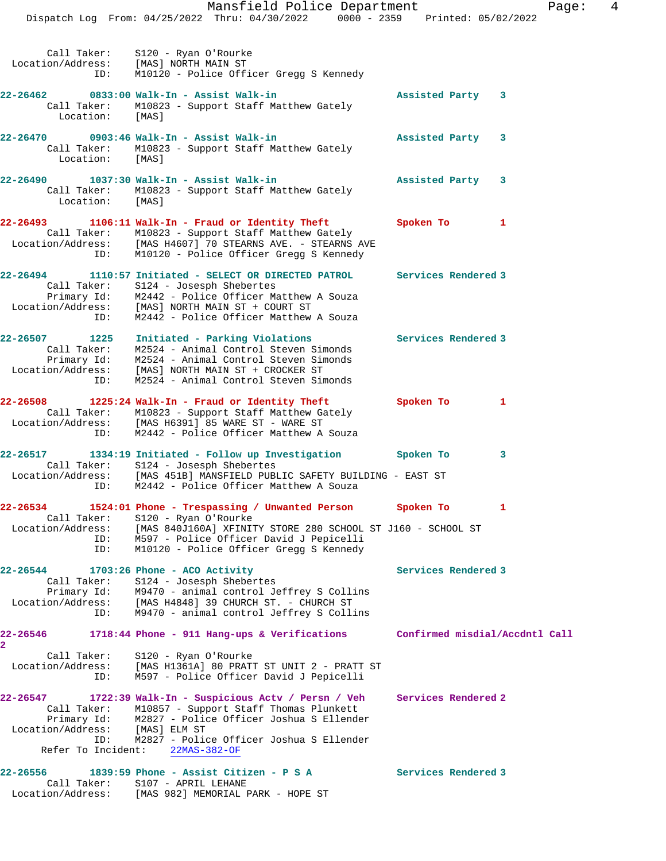Mansfield Police Department Fage: 4 Dispatch Log From: 04/25/2022 Thru: 04/30/2022 0000 - 2359 Printed: 05/02/2022 Call Taker: S120 - Ryan O'Rourke Location/Address: [MAS] NORTH MAIN ST ID: M10120 - Police Officer Gregg S Kennedy **22-26462 0833:00 Walk-In - Assist Walk-in Assisted Party 3**  Call Taker: M10823 - Support Staff Matthew Gately Location: [MAS] **22-26470 0903:46 Walk-In - Assist Walk-in Assisted Party 3**  Call Taker: M10823 - Support Staff Matthew Gately Location: [MAS] **22-26490 1037:30 Walk-In - Assist Walk-in Assisted Party 3**  Call Taker: M10823 - Support Staff Matthew Gately Location: [MAS] **22-26493 1106:11 Walk-In - Fraud or Identity Theft Spoken To 1**  Call Taker: M10823 - Support Staff Matthew Gately Location/Address: [MAS H4607] 70 STEARNS AVE. - STEARNS AVE ID: M10120 - Police Officer Gregg S Kennedy **22-26494 1110:57 Initiated - SELECT OR DIRECTED PATROL Services Rendered 3**  Call Taker: S124 - Josesph Shebertes Primary Id: M2442 - Police Officer Matthew A Souza Location/Address: [MAS] NORTH MAIN ST + COURT ST ID: M2442 - Police Officer Matthew A Souza **22-26507 1225 Initiated - Parking Violations Services Rendered 3**  Call Taker: M2524 - Animal Control Steven Simonds Primary Id: M2524 - Animal Control Steven Simonds Location/Address: [MAS] NORTH MAIN ST + CROCKER ST ID: M2524 - Animal Control Steven Simonds **22-26508 1225:24 Walk-In - Fraud or Identity Theft Spoken To 1**  Call Taker: M10823 - Support Staff Matthew Gately Location/Address: [MAS H6391] 85 WARE ST - WARE ST ID: M2442 - Police Officer Matthew A Souza **22-26517 1334:19 Initiated - Follow up Investigation Spoken To 3**  Call Taker: S124 - Josesph Shebertes Location/Address: [MAS 451B] MANSFIELD PUBLIC SAFETY BUILDING - EAST ST ID: M2442 - Police Officer Matthew A Souza **22-26534 1524:01 Phone - Trespassing / Unwanted Person Spoken To 1**  Call Taker: S120 - Ryan O'Rourke Location/Address: [MAS 840J160A] XFINITY STORE 280 SCHOOL ST J160 - SCHOOL ST ID: M597 - Police Officer David J Pepicelli ID: M10120 - Police Officer Gregg S Kennedy 22-26544 1703:26 Phone - ACO Activity **Services Rendered 3**  Call Taker: S124 - Josesph Shebertes Primary Id: M9470 - animal control Jeffrey S Collins Location/Address: [MAS H4848] 39 CHURCH ST. - CHURCH ST ID: M9470 - animal control Jeffrey S Collins **22-26546 1718:44 Phone - 911 Hang-ups & Verifications Confirmed misdial/Accdntl Call 2**  Call Taker: S120 - Ryan O'Rourke Location/Address: [MAS H1361A] 80 PRATT ST UNIT 2 - PRATT ST ID: M597 - Police Officer David J Pepicelli **22-26547 1722:39 Walk-In - Suspicious Actv / Persn / Veh Services Rendered 2**  Call Taker: M10857 - Support Staff Thomas Plunkett Primary Id: M2827 - Police Officer Joshua S Ellender Location/Address: [MAS] ELM ST ID: M2827 - Police Officer Joshua S Ellender Refer To Incident: 22MAS-382-OF **22-26556 1839:59 Phone - Assist Citizen - P S A Services Rendered 3** 

Call Taker: S107 - APRIL LEHANE

Location/Address: [MAS 982] MEMORIAL PARK - HOPE ST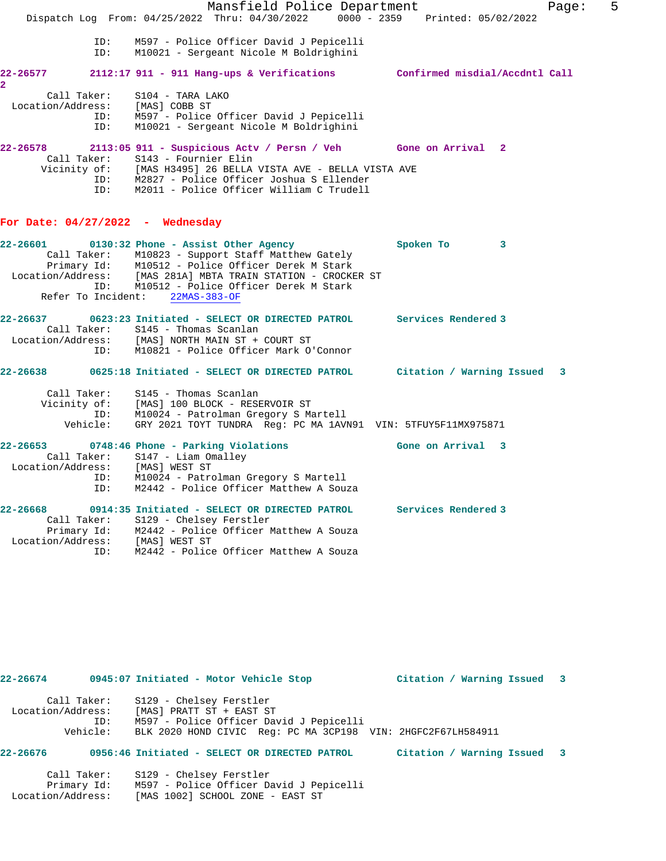|                                     |                    | Mansfield Police Department                                                                       | Page:                                | 5 |
|-------------------------------------|--------------------|---------------------------------------------------------------------------------------------------|--------------------------------------|---|
|                                     |                    | Dispatch Log From: 04/25/2022 Thru: 04/30/2022 0000 - 2359 Printed: 05/02/2022                    |                                      |   |
|                                     | ID:<br>ID:         | M597 - Police Officer David J Pepicelli<br>M10021 - Sergeant Nicole M Boldrighini                 |                                      |   |
| 22-26577<br>$\overline{\mathbf{2}}$ |                    | 2112:17 911 - 911 Hang-ups & Verifications Confirmed misdial/Accdntl Call                         |                                      |   |
|                                     | Call Taker:        | S104 - TARA LAKO                                                                                  |                                      |   |
|                                     |                    | Location/Address: [MAS] COBB ST                                                                   |                                      |   |
|                                     | ID:                | ID: M597 - Police Officer David J Pepicelli<br>M10021 - Sergeant Nicole M Boldrighini             |                                      |   |
| 22-26578                            |                    | 2113:05 911 - Suspicious Actv / Persn / Veh Gone on Arrival 2                                     |                                      |   |
|                                     |                    | Call Taker: S143 - Fournier Elin<br>Vicinity of: [MAS H3495] 26 BELLA VISTA AVE - BELLA VISTA AVE |                                      |   |
|                                     |                    | ID: M2827 - Police Officer Joshua S Ellender                                                      |                                      |   |
|                                     |                    | ID: M2011 - Police Officer William C Trudell                                                      |                                      |   |
|                                     |                    | For Date: $04/27/2022 -$ Wednesday                                                                |                                      |   |
| 22-26601                            |                    | 0130:32 Phone - Assist Other Agency                                                               | Spoken To<br>$\overline{\mathbf{3}}$ |   |
|                                     |                    | Call Taker: M10823 - Support Staff Matthew Gately                                                 |                                      |   |
|                                     |                    | Primary Id: M10512 - Police Officer Derek M Stark                                                 |                                      |   |
|                                     |                    | Location/Address: [MAS 281A] MBTA TRAIN STATION - CROCKER ST                                      |                                      |   |
|                                     | Refer To Incident: | ID: M10512 - Police Officer Derek M Stark<br>22MAS-383-OF                                         |                                      |   |
|                                     |                    |                                                                                                   |                                      |   |
| 22-26637                            |                    | 0623:23 Initiated - SELECT OR DIRECTED PATROL Services Rendered 3                                 |                                      |   |
|                                     |                    | Call Taker: S145 - Thomas Scanlan                                                                 |                                      |   |
|                                     | ID:                | Location/Address: [MAS] NORTH MAIN ST + COURT ST<br>M10821 - Police Officer Mark O'Connor         |                                      |   |
|                                     |                    |                                                                                                   |                                      |   |
| 22-26638                            |                    | 0625:18 Initiated - SELECT OR DIRECTED PATROL         Citation / Warning Issued                   | 3                                    |   |
|                                     |                    | Call Taker: S145 - Thomas Scanlan                                                                 |                                      |   |
|                                     |                    | Vicinity of: [MAS] 100 BLOCK - RESERVOIR ST                                                       |                                      |   |
|                                     |                    | ID: M10024 - Patrolman Gregory S Martell                                                          |                                      |   |
|                                     | Vehicle:           | GRY 2021 TOYT TUNDRA Reg: PC MA 1AVN91 VIN: 5TFUY5F11MX975871                                     |                                      |   |
| 22-26653                            |                    | 0748:46 Phone - Parking Violations                                                                | Gone on Arrival 3                    |   |
|                                     |                    | Call Taker: S147 - Liam Omalley                                                                   |                                      |   |
|                                     |                    | Location/Address: [MAS] WEST ST                                                                   |                                      |   |
|                                     | ID:                | ID: M10024 - Patrolman Gregory S Martell<br>M2442 - Police Officer Matthew A Souza                |                                      |   |
| 22-26668                            |                    | 0914:35 Initiated - SELECT OR DIRECTED PATROL                                                     | Services Rendered 3                  |   |
|                                     |                    | Call Taker: S129 - Chelsey Ferstler                                                               |                                      |   |
|                                     |                    | Primary Id: M2442 - Police Officer Matthew A Souza                                                |                                      |   |
|                                     | ID:                | Location/Address: [MAS] WEST ST<br>M2442 - Police Officer Matthew A Souza                         |                                      |   |
|                                     |                    |                                                                                                   |                                      |   |

| Call Taker:       | S129 - Chelsey Ferstler                                      |
|-------------------|--------------------------------------------------------------|
| Location/Address: | [MAS] PRATT ST + EAST ST                                     |
| ID:               | M597 - Police Officer David J Pepicelli                      |
| Vehicle:          | BLK 2020 HOND CIVIC Reg: PC MA 3CP198 VIN: 2HGFC2F67LH584911 |

**22-26674 0945:07 Initiated - Motor Vehicle Stop Citation / Warning Issued 3**

### **22-26676 0956:46 Initiated - SELECT OR DIRECTED PATROL Citation / Warning Issued 3**

 Call Taker: S129 - Chelsey Ferstler Primary Id: M597 - Police Officer David J Pepicelli Location/Address: [MAS 1002] SCHOOL ZONE - EAST ST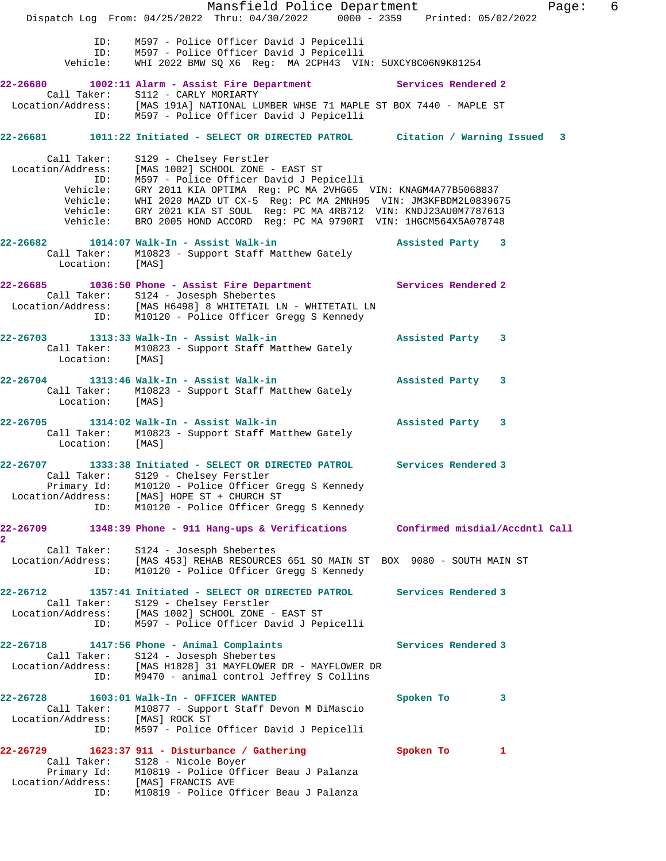Mansfield Police Department Fage: 6 Dispatch Log From: 04/25/2022 Thru: 04/30/2022 0000 - 2359 Printed: 05/02/2022 ID: M597 - Police Officer David J Pepicelli ID: M597 - Police Officer David J Pepicelli Vehicle: WHI 2022 BMW SQ X6 Reg: MA 2CPH43 VIN: 5UXCY8C06N9K81254 **22-26680 1002:11 Alarm - Assist Fire Department Services Rendered 2**  Call Taker: S112 - CARLY MORIARTY Location/Address: [MAS 191A] NATIONAL LUMBER WHSE 71 MAPLE ST BOX 7440 - MAPLE ST ID: M597 - Police Officer David J Pepicelli **22-26681 1011:22 Initiated - SELECT OR DIRECTED PATROL Citation / Warning Issued 3** Call Taker: S129 - Chelsey Ferstler Location/Address: [MAS 1002] SCHOOL ZONE - EAST ST ID: M597 - Police Officer David J Pepicelli Vehicle: GRY 2011 KIA OPTIMA Reg: PC MA 2VHG65 VIN: KNAGM4A77B5068837 Vehicle: WHI 2020 MAZD UT CX-5 Reg: PC MA 2MNH95 VIN: JM3KFBDM2L0839675 Vehicle: GRY 2021 KIA ST SOUL Reg: PC MA 4RB712 VIN: KNDJ23AU0M7787613 Vehicle: BRO 2005 HOND ACCORD Reg: PC MA 9790RI VIN: 1HGCM564X5A078748 **22-26682 1014:07 Walk-In - Assist Walk-in Assisted Party 3**  Call Taker: M10823 - Support Staff Matthew Gately Location: [MAS] **22-26685 1036:50 Phone - Assist Fire Department Services Rendered 2**  Call Taker: S124 - Josesph Shebertes Location/Address: [MAS H6498] 8 WHITETAIL LN - WHITETAIL LN ID: M10120 - Police Officer Gregg S Kennedy **22-26703 1313:33 Walk-In - Assist Walk-in Assisted Party 3**  Call Taker: M10823 - Support Staff Matthew Gately Location: [MAS] **22-26704 1313:46 Walk-In - Assist Walk-in Assisted Party 3**  Call Taker: M10823 - Support Staff Matthew Gately<br>Location: [MAS] Location: **22-26705 1314:02 Walk-In - Assist Walk-in Assisted Party 3**  Call Taker: M10823 - Support Staff Matthew Gately Location: [MAS] **22-26707 1333:38 Initiated - SELECT OR DIRECTED PATROL Services Rendered 3**  Call Taker: S129 - Chelsey Ferstler Primary Id: M10120 - Police Officer Gregg S Kennedy Location/Address: [MAS] HOPE ST + CHURCH ST ID: M10120 - Police Officer Gregg S Kennedy **22-26709 1348:39 Phone - 911 Hang-ups & Verifications Confirmed misdial/Accdntl Call 2**  Call Taker: S124 - Josesph Shebertes Location/Address: [MAS 453] REHAB RESOURCES 651 SO MAIN ST BOX 9080 - SOUTH MAIN ST ID: M10120 - Police Officer Gregg S Kennedy **22-26712 1357:41 Initiated - SELECT OR DIRECTED PATROL Services Rendered 3**  Call Taker: S129 - Chelsey Ferstler Location/Address: [MAS 1002] SCHOOL ZONE - EAST ST ID: M597 - Police Officer David J Pepicelli **22-26718 1417:56 Phone - Animal Complaints Services Rendered 3**  Call Taker: S124 - Josesph Shebertes Location/Address: [MAS H1828] 31 MAYFLOWER DR - MAYFLOWER DR ID: M9470 - animal control Jeffrey S Collins **22-26728 1603:01 Walk-In - OFFICER WANTED Spoken To 3**  Call Taker: M10877 - Support Staff Devon M DiMascio Location/Address: [MAS] ROCK ST ID: M597 - Police Officer David J Pepicelli **22-26729 1623:37 911 - Disturbance / Gathering Spoken To 1**  Call Taker: S128 - Nicole Boyer Primary Id: M10819 - Police Officer Beau J Palanza Location/Address: [MAS] FRANCIS AVE ID: M10819 - Police Officer Beau J Palanza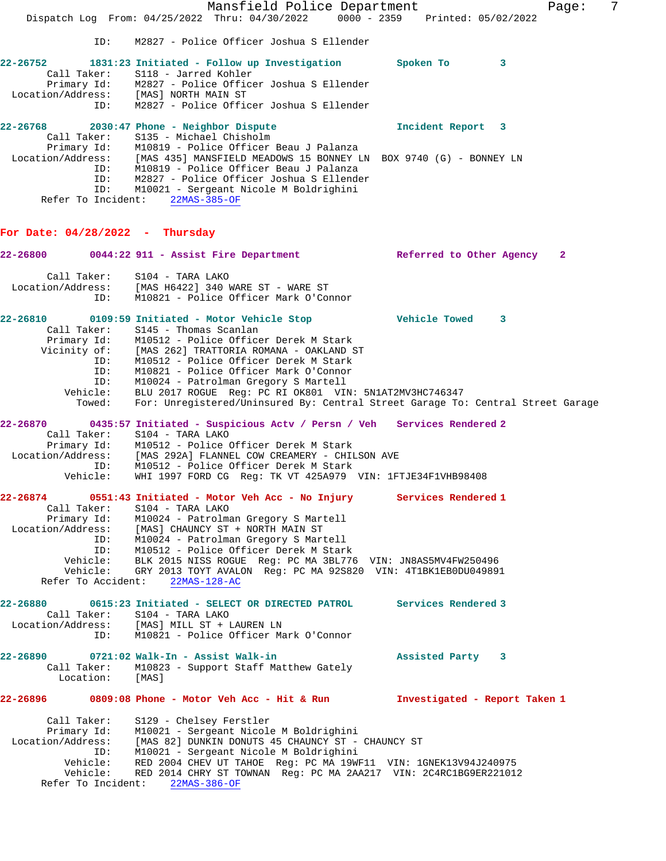Mansfield Police Department Fage: 7 Dispatch Log From: 04/25/2022 Thru: 04/30/2022 0000 - 2359 Printed: 05/02/2022 ID: M2827 - Police Officer Joshua S Ellender **22-26752 1831:23 Initiated - Follow up Investigation Spoken To 3**  Call Taker: S118 - Jarred Kohler Primary Id: M2827 - Police Officer Joshua S Ellender Location/Address: [MAS] NORTH MAIN ST ID: M2827 - Police Officer Joshua S Ellender **22-26768 2030:47 Phone - Neighbor Dispute Incident Report 3**  Call Taker: S135 - Michael Chisholm Primary Id: M10819 - Police Officer Beau J Palanza Location/Address: [MAS 435] MANSFIELD MEADOWS 15 BONNEY LN BOX 9740 (G) - BONNEY LN ID: M10819 - Police Officer Beau J Palanza ID: M2827 - Police Officer Joshua S Ellender ID: M10021 - Sergeant Nicole M Boldrighini Refer To Incident: 22MAS-385-OF **For Date: 04/28/2022 - Thursday 22-26800 0044:22 911 - Assist Fire Department Referred to Other Agency 2** Call Taker: S104 - TARA LAKO Location/Address: [MAS H6422] 340 WARE ST - WARE ST ID: M10821 - Police Officer Mark O'Connor **22-26810 0109:59 Initiated - Motor Vehicle Stop Vehicle Towed 3**  Call Taker: S145 - Thomas Scanlan Primary Id: M10512 - Police Officer Derek M Stark Vicinity of: [MAS 262] TRATTORIA ROMANA - OAKLAND ST ID: M10512 - Police Officer Derek M Stark ID: M10821 - Police Officer Mark O'Connor ID: M10024 - Patrolman Gregory S Martell Vehicle: BLU 2017 ROGUE Reg: PC RI OK801 VIN: 5N1AT2MV3HC746347 Towed: For: Unregistered/Uninsured By: Central Street Garage To: Central Street Garage **22-26870 0435:57 Initiated - Suspicious Actv / Persn / Veh Services Rendered 2**  Call Taker: S104 - TARA LAKO Primary Id: M10512 - Police Officer Derek M Stark Location/Address: [MAS 292A] FLANNEL COW CREAMERY - CHILSON AVE ID: M10512 - Police Officer Derek M Stark Vehicle: WHI 1997 FORD CG Reg: TK VT 425A979 VIN: 1FTJE34F1VHB98408 **22-26874 0551:43 Initiated - Motor Veh Acc - No Injury Services Rendered 1**  Call Taker: S104 - TARA LAKO Primary Id: M10024 - Patrolman Gregory S Martell Location/Address: [MAS] CHAUNCY ST + NORTH MAIN ST ID: M10024 - Patrolman Gregory S Martell ID: M10512 - Police Officer Derek M Stark Vehicle: BLK 2015 NISS ROGUE Reg: PC MA 3BL776 VIN: JN8AS5MV4FW250496 Vehicle: GRY 2013 TOYT AVALON Reg: PC MA 92S820 VIN: 4T1BK1EB0DU049891 Refer To Accident: 22MAS-128-AC **22-26880 0615:23 Initiated - SELECT OR DIRECTED PATROL Services Rendered 3**  Call Taker: S104 - TARA LAKO Location/Address: [MAS] MILL ST + LAUREN LN ID: M10821 - Police Officer Mark O'Connor **22-26890 0721:02 Walk-In - Assist Walk-in Assisted Party 3**  Call Taker: M10823 - Support Staff Matthew Gately<br>Location: [MAS] Location: **22-26896 0809:08 Phone - Motor Veh Acc - Hit & Run Investigated - Report Taken 1** Call Taker: S129 - Chelsey Ferstler Primary Id: M10021 - Sergeant Nicole M Boldrighini Location/Address: [MAS 82] DUNKIN DONUTS 45 CHAUNCY ST - CHAUNCY ST ID: M10021 - Sergeant Nicole M Boldrighini Vehicle: RED 2004 CHEV UT TAHOE Reg: PC MA 19WF11 VIN: 1GNEK13V94J240975 Vehicle: RED 2014 CHRY ST TOWNAN Reg: PC MA 2AA217 VIN: 2C4RC1BG9ER221012 Refer To Incident: 22MAS-386-OF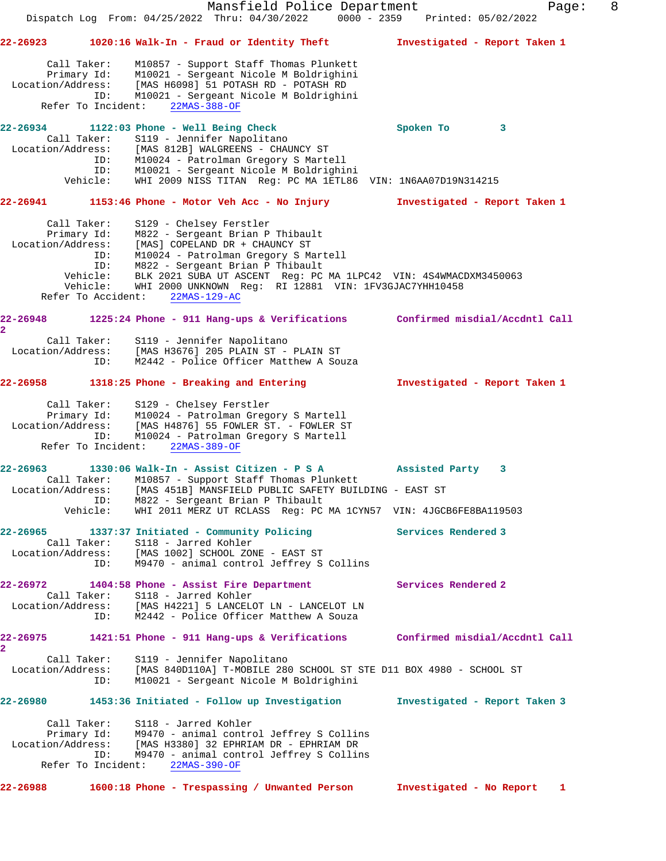Mansfield Police Department Form Page: 8 Dispatch Log From: 04/25/2022 Thru: 04/30/2022 0000 - 2359 Printed: 05/02/2022 **22-26923 1020:16 Walk-In - Fraud or Identity Theft Investigated - Report Taken 1** Call Taker: M10857 - Support Staff Thomas Plunkett Primary Id: M10021 - Sergeant Nicole M Boldrighini Location/Address: [MAS H6098] 51 POTASH RD - POTASH RD ID: M10021 - Sergeant Nicole M Boldrighini Refer To Incident: 22MAS-388-OF **22-26934 1122:03 Phone - Well Being Check Spoken To 3**  Call Taker: S119 - Jennifer Napolitano Location/Address: [MAS 812B] WALGREENS - CHAUNCY ST ID: M10024 - Patrolman Gregory S Martell ID: M10021 - Sergeant Nicole M Boldrighini Vehicle: WHI 2009 NISS TITAN Reg: PC MA 1ETL86 VIN: 1N6AA07D19N314215 **22-26941 1153:46 Phone - Motor Veh Acc - No Injury Investigated - Report Taken 1** Call Taker: S129 - Chelsey Ferstler Primary Id: M822 - Sergeant Brian P Thibault Location/Address: [MAS] COPELAND DR + CHAUNCY ST ID: M10024 - Patrolman Gregory S Martell ID: M822 - Sergeant Brian P Thibault Vehicle: BLK 2021 SUBA UT ASCENT Reg: PC MA 1LPC42 VIN: 4S4WMACDXM3450063 Vehicle: WHI 2000 UNKNOWN Reg: RI 12881 VIN: 1FV3GJAC7YHH10458 Refer To Accident: 22MAS-129-AC **22-26948 1225:24 Phone - 911 Hang-ups & Verifications Confirmed misdial/Accdntl Call 2**  Call Taker: S119 - Jennifer Napolitano Location/Address: [MAS H3676] 205 PLAIN ST - PLAIN ST ID: M2442 - Police Officer Matthew A Souza **22-26958 1318:25 Phone - Breaking and Entering Investigated - Report Taken 1** Call Taker: S129 - Chelsey Ferstler Primary Id: M10024 - Patrolman Gregory S Martell Location/Address: [MAS H4876] 55 FOWLER ST. - FOWLER ST ID: M10024 - Patrolman Gregory S Martell Refer To Incident: 22MAS-389-OF **22-26963 1330:06 Walk-In - Assist Citizen - P S A Assisted Party 3**  Call Taker: M10857 - Support Staff Thomas Plunkett Location/Address: [MAS 451B] MANSFIELD PUBLIC SAFETY BUILDING - EAST ST ID: M822 - Sergeant Brian P Thibault Vehicle: WHI 2011 MERZ UT RCLASS Reg: PC MA 1CYN57 VIN: 4JGCB6FE8BA119503 **22-26965 1337:37 Initiated - Community Policing Services Rendered 3**  Call Taker: S118 - Jarred Kohler Location/Address: [MAS 1002] SCHOOL ZONE - EAST ST ID: M9470 - animal control Jeffrey S Collins **22-26972 1404:58 Phone - Assist Fire Department Services Rendered 2**  Call Taker: S118 - Jarred Kohler Location/Address: [MAS H4221] 5 LANCELOT LN - LANCELOT LN ID: M2442 - Police Officer Matthew A Souza **22-26975 1421:51 Phone - 911 Hang-ups & Verifications Confirmed misdial/Accdntl Call 2**  Call Taker: S119 - Jennifer Napolitano<br>Location/Address: [MAS 840D110Al m MORRECO [MAS 840D110A] T-MOBILE 280 SCHOOL ST STE D11 BOX 4980 - SCHOOL ST ID: M10021 - Sergeant Nicole M Boldrighini **22-26980 1453:36 Initiated - Follow up Investigation Investigated - Report Taken 3** Call Taker: S118 - Jarred Kohler Primary Id: M9470 - animal control Jeffrey S Collins Location/Address: [MAS H3380] 32 EPHRIAM DR - EPHRIAM DR ID: M9470 - animal control Jeffrey S Collins Refer To Incident: 22MAS-390-OF **22-26988 1600:18 Phone - Trespassing / Unwanted Person Investigated - No Report 1**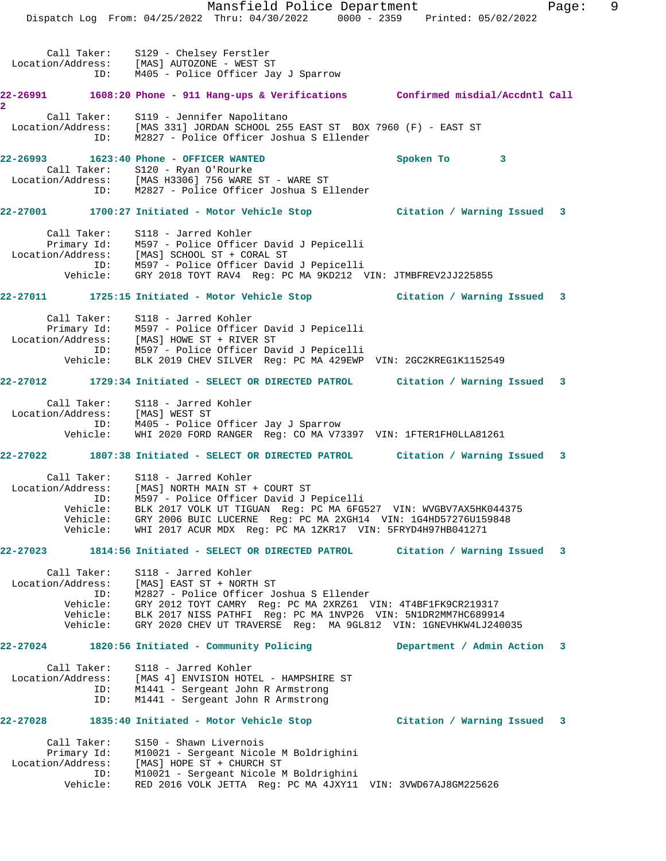Mansfield Police Department Fage: 9 Dispatch Log From: 04/25/2022 Thru: 04/30/2022 0000 - 2359 Printed: 05/02/2022 Call Taker: S129 - Chelsey Ferstler Location/Address: [MAS] AUTOZONE - WEST ST ID: M405 - Police Officer Jay J Sparrow **22-26991 1608:20 Phone - 911 Hang-ups & Verifications Confirmed misdial/Accdntl Call 2**  Call Taker: S119 - Jennifer Napolitano Location/Address: [MAS 331] JORDAN SCHOOL 255 EAST ST BOX 7960 (F) - EAST ST ID: M2827 - Police Officer Joshua S Ellender **22-26993 1623:40 Phone - OFFICER WANTED Spoken To 3**  Call Taker: S120 - Ryan O'Rourke Location/Address: [MAS H3306] 756 WARE ST - WARE ST ID: M2827 - Police Officer Joshua S Ellender **22-27001 1700:27 Initiated - Motor Vehicle Stop Citation / Warning Issued 3** Call Taker: S118 - Jarred Kohler Primary Id: M597 - Police Officer David J Pepicelli Location/Address: [MAS] SCHOOL ST + CORAL ST ID: M597 - Police Officer David J Pepicelli Vehicle: GRY 2018 TOYT RAV4 Reg: PC MA 9KD212 VIN: JTMBFREV2JJ225855 **22-27011 1725:15 Initiated - Motor Vehicle Stop Citation / Warning Issued 3** Call Taker: S118 - Jarred Kohler Primary Id: M597 - Police Officer David J Pepicelli Location/Address: [MAS] HOWE ST + RIVER ST ID: M597 - Police Officer David J Pepicelli Vehicle: BLK 2019 CHEV SILVER Reg: PC MA 429EWP VIN: 2GC2KREG1K1152549 **22-27012 1729:34 Initiated - SELECT OR DIRECTED PATROL Citation / Warning Issued 3** Call Taker: S118 - Jarred Kohler Location/Address: [MAS] WEST ST ID: M405 - Police Officer Jay J Sparrow Vehicle: WHI 2020 FORD RANGER Reg: CO MA V73397 VIN: 1FTER1FH0LLA81261 **22-27022 1807:38 Initiated - SELECT OR DIRECTED PATROL Citation / Warning Issued 3** Call Taker: S118 - Jarred Kohler Location/Address: [MAS] NORTH MAIN ST + COURT ST ID: M597 - Police Officer David J Pepicelli Vehicle: BLK 2017 VOLK UT TIGUAN Reg: PC MA 6FG527 VIN: WVGBV7AX5HK044375 Vehicle: GRY 2006 BUIC LUCERNE Reg: PC MA 2XGH14 VIN: 1G4HD57276U159848 Vehicle: WHI 2017 ACUR MDX Reg: PC MA 1ZKR17 VIN: 5FRYD4H97HB041271 **22-27023 1814:56 Initiated - SELECT OR DIRECTED PATROL Citation / Warning Issued 3** Call Taker: S118 - Jarred Kohler Location/Address: [MAS] EAST ST + NORTH ST ID: M2827 - Police Officer Joshua S Ellender Vehicle: GRY 2012 TOYT CAMRY Reg: PC MA 2XRZ61 VIN: 4T4BF1FK9CR219317 Vehicle: BLK 2017 NISS PATHFI Reg: PC MA 1NVP26 VIN: 5N1DR2MM7HC689914 Vehicle: GRY 2020 CHEV UT TRAVERSE Reg: MA 9GL812 VIN: 1GNEVHKW4LJ240035 **22-27024 1820:56 Initiated - Community Policing Department / Admin Action 3** Call Taker: S118 - Jarred Kohler Location/Address: [MAS 4] ENVISION HOTEL - HAMPSHIRE ST ID: M1441 - Sergeant John R Armstrong ID: M1441 - Sergeant John R Armstrong **22-27028 1835:40 Initiated - Motor Vehicle Stop Citation / Warning Issued 3** Call Taker: S150 - Shawn Livernois Primary Id: M10021 - Sergeant Nicole M Boldrighini Location/Address: [MAS] HOPE ST + CHURCH ST ID: M10021 - Sergeant Nicole M Boldrighini Vehicle: RED 2016 VOLK JETTA Reg: PC MA 4JXY11 VIN: 3VWD67AJ8GM225626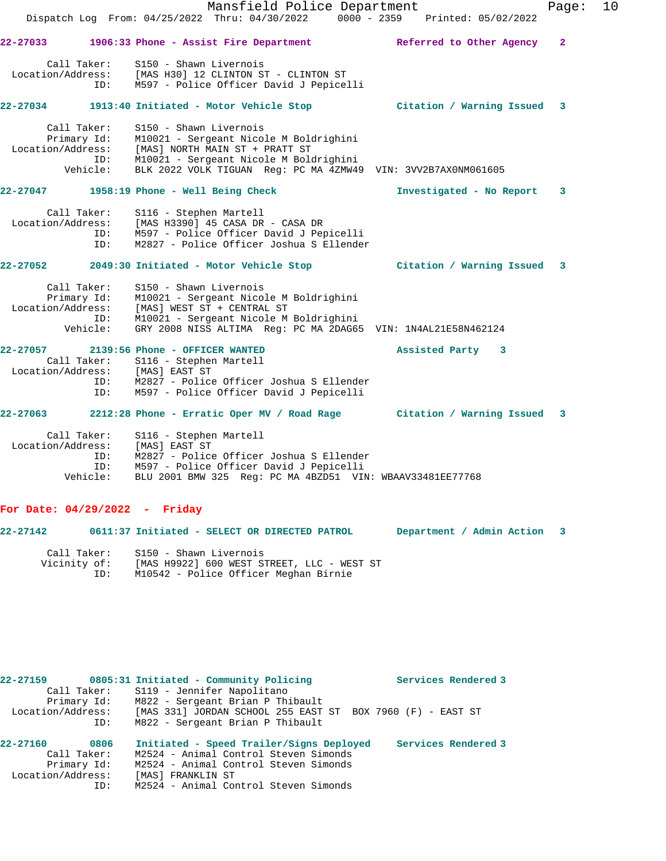|                                                           | Mansfield Police Department                                                                                                                                                                                                                                                                    |                            | Page:          | 10 |
|-----------------------------------------------------------|------------------------------------------------------------------------------------------------------------------------------------------------------------------------------------------------------------------------------------------------------------------------------------------------|----------------------------|----------------|----|
|                                                           | Dispatch Log From: 04/25/2022 Thru: 04/30/2022 0000 - 2359 Printed: 05/02/2022                                                                                                                                                                                                                 |                            |                |    |
|                                                           | 22-27033 1906:33 Phone - Assist Fire Department Referred to Other Agency                                                                                                                                                                                                                       |                            | $\overline{2}$ |    |
|                                                           | Call Taker: S150 - Shawn Livernois<br>Location/Address: [MAS H30] 12 CLINTON ST - CLINTON ST<br>ID: M597 - Police Officer David J Pepicelli                                                                                                                                                    |                            |                |    |
|                                                           | 22-27034 1913:40 Initiated - Motor Vehicle Stop                 Citation / Warning Issued   3                                                                                                                                                                                                  |                            |                |    |
| Call Taker:                                               | S150 - Shawn Livernois<br>Call Taker: S150 - Shawn Livernois<br>Primary Id: M10021 - Sergeant Nicole M Boldrighini<br>Location/Address: [MAS] NORTH MAIN ST + PRATT ST<br>ID: M10021 - Sergeant Nicole M Boldrighini<br>Vehicle: BLK 2022 VOLK TIGUAN Reg: PC MA 4ZMW49 VIN: 3VV2B7AX0NM061605 |                            |                |    |
|                                                           | 22-27047 1958:19 Phone - Well Being Check                                                                                                                                                                                                                                                      | Investigated - No Report 3 |                |    |
| Call Taker:<br>ID:                                        | S116 - Stephen Martell<br>Location/Address: [MAS H3390] 45 CASA DR - CASA DR<br>ID: M597 - Police Officer David J Per<br>M597 - Police Officer David J Pepicelli<br>M2827 - Police Officer Joshua S Ellender                                                                                   |                            |                |    |
|                                                           | 22-27052 2049:30 Initiated - Motor Vehicle Stop Citation / Warning Issued 3                                                                                                                                                                                                                    |                            |                |    |
| Call Taker:<br>Location/Address:                          | S150 - Shawn Livernois<br>Primary Id: M10021 - Sergeant Nicole M Boldrighini<br>[MAS] WEST ST + CENTRAL ST<br>ID: M10021 - Sergeant Nicole M Boldrighini<br>Vehicle: GRY 2008 NISS ALTIMA Reg: PC MA 2DAG65 VIN: 1N4AL21E58N462124                                                             |                            |                |    |
|                                                           |                                                                                                                                                                                                                                                                                                | Assisted Party 3           |                |    |
| Location/Address: [MAS] EAST ST<br>ID:<br>ID:             | Call Taker: S116 - Stephen Martell<br>M2827 - Police Officer Joshua S Ellender<br>M597 - Police Officer David J Pepicelli                                                                                                                                                                      |                            |                |    |
|                                                           | 22-27063 2212:28 Phone - Erratic Oper MV / Road Rage Citation / Warning Issued 3                                                                                                                                                                                                               |                            |                |    |
| Location/Address: [MAS] EAST ST<br>ID:<br>ID:<br>Vehicle: | Call Taker: S116 - Stephen Martell<br>M2827 - Police Officer Joshua S Ellender<br>M597 - Police Officer David J Pepicelli<br>BLU 2001 BMW 325 Reg: PC MA 4BZD51 VIN: WBAAV33481EE77768                                                                                                         |                            |                |    |

## **For Date: 04/29/2022 - Friday**

ID: M10542 - Police Officer Meghan Birnie

| 22-27142                    | 0611:37 Initiated - SELECT OR DIRECTED PATROL                        | Department / Admin Action 3 |  |
|-----------------------------|----------------------------------------------------------------------|-----------------------------|--|
| Call Taker:<br>Vicinity of: | S150 - Shawn Livernois<br>[MAS H9922] 600 WEST STREET, LLC - WEST ST |                             |  |

| 22-27159          | 0805:31 Initiated - Community Policing                     | Services Rendered 3 |
|-------------------|------------------------------------------------------------|---------------------|
| Call Taker:       | S119 - Jennifer Napolitano                                 |                     |
| Primary Id:       | M822 - Sergeant Brian P Thibault                           |                     |
| Location/Address: | [MAS 331] JORDAN SCHOOL 255 EAST ST BOX 7960 (F) - EAST ST |                     |
| ID:               | M822 - Sergeant Brian P Thibault                           |                     |
| 22-27160<br>0806  | Initiated - Speed Trailer/Signs Deployed                   | Services Rendered 3 |
| Call Taker:       | M2524 - Animal Control Steven Simonds                      |                     |
| Primary Id:       | M2524 - Animal Control Steven Simonds                      |                     |
| Location/Address: | [MAS] FRANKLIN ST                                          |                     |
| ID:               | M2524 - Animal Control Steven Simonds                      |                     |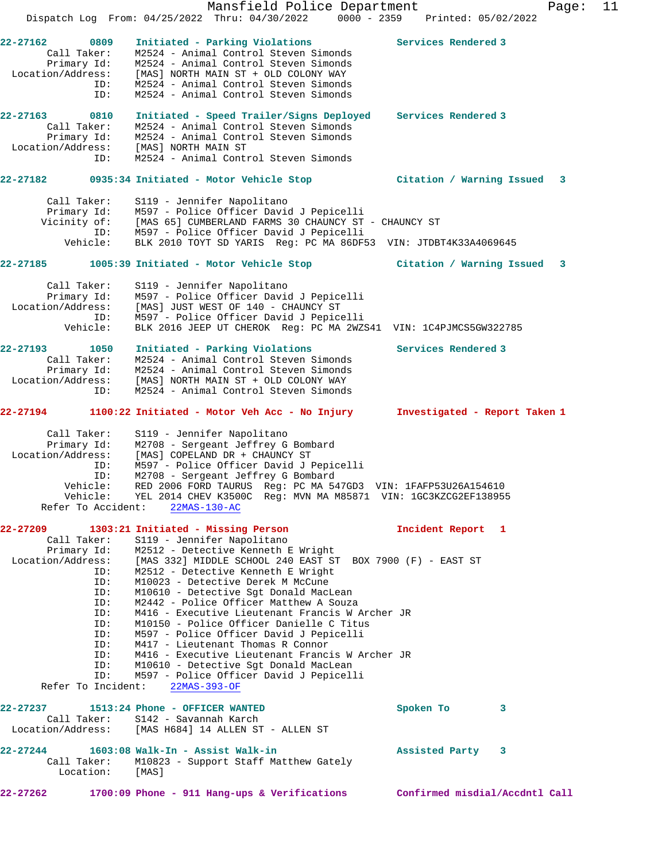|                                                                                                                                                    | Mansfield Police Department<br>Dispatch Log From: 04/25/2022 Thru: 04/30/2022 0000 - 2359 Printed: 05/02/2022                                                                                                                                                                                                                                                                                                                                                                                                                                                                                                                        |                                | Page: | 11 |
|----------------------------------------------------------------------------------------------------------------------------------------------------|--------------------------------------------------------------------------------------------------------------------------------------------------------------------------------------------------------------------------------------------------------------------------------------------------------------------------------------------------------------------------------------------------------------------------------------------------------------------------------------------------------------------------------------------------------------------------------------------------------------------------------------|--------------------------------|-------|----|
|                                                                                                                                                    |                                                                                                                                                                                                                                                                                                                                                                                                                                                                                                                                                                                                                                      |                                |       |    |
| 22-27162<br>0809<br>Call Taker:<br>Primary Id:<br>Location/Address:                                                                                | Initiated - Parking Violations<br>M2524 - Animal Control Steven Simonds<br>M2524 - Animal Control Steven Simonds<br>[MAS] NORTH MAIN ST + OLD COLONY WAY                                                                                                                                                                                                                                                                                                                                                                                                                                                                             | Services Rendered 3            |       |    |
| ID:<br>ID:                                                                                                                                         | M2524 - Animal Control Steven Simonds<br>M2524 - Animal Control Steven Simonds                                                                                                                                                                                                                                                                                                                                                                                                                                                                                                                                                       |                                |       |    |
| 22-27163<br>0810<br>Call Taker:<br>Primary Id:<br>Location/Address:                                                                                | Initiated - Speed Trailer/Signs Deployed<br>M2524 - Animal Control Steven Simonds<br>M2524 - Animal Control Steven Simonds<br>[MAS] NORTH MAIN ST                                                                                                                                                                                                                                                                                                                                                                                                                                                                                    | Services Rendered 3            |       |    |
| ID:                                                                                                                                                | M2524 - Animal Control Steven Simonds                                                                                                                                                                                                                                                                                                                                                                                                                                                                                                                                                                                                |                                |       |    |
|                                                                                                                                                    | 22-27182 0935:34 Initiated - Motor Vehicle Stop                                                                                                                                                                                                                                                                                                                                                                                                                                                                                                                                                                                      | Citation / Warning Issued      | 3     |    |
| Call Taker:<br>Primary Id:<br>Vicinity of:<br>ID:<br>Vehicle:                                                                                      | S119 - Jennifer Napolitano<br>M597 - Police Officer David J Pepicelli<br>[MAS 65] CUMBERLAND FARMS 30 CHAUNCY ST - CHAUNCY ST<br>M597 - Police Officer David J Pepicelli<br>BLK 2010 TOYT SD YARIS Reg: PC MA 86DF53 VIN: JTDBT4K33A4069645                                                                                                                                                                                                                                                                                                                                                                                          |                                |       |    |
| 22-27185                                                                                                                                           | 1005:39 Initiated - Motor Vehicle Stop                                                                                                                                                                                                                                                                                                                                                                                                                                                                                                                                                                                               | Citation / Warning Issued      | 3     |    |
| Call Taker:<br>Primary Id:<br>Location/Address:<br>ID:<br>Vehicle:                                                                                 | S119 - Jennifer Napolitano<br>M597 - Police Officer David J Pepicelli<br>[MAS] JUST WEST OF 140 - CHAUNCY ST<br>M597 - Police Officer David J Pepicelli<br>BLK 2016 JEEP UT CHEROK Req: PC MA 2WZS41 VIN: 1C4PJMCS5GW322785                                                                                                                                                                                                                                                                                                                                                                                                          |                                |       |    |
| 22-27193<br>1050<br>Call Taker:<br>Location/Address:<br>ID:                                                                                        | Initiated - Parking Violations<br>M2524 - Animal Control Steven Simonds<br>Primary Id: M2524 - Animal Control Steven Simonds<br>[MAS] NORTH MAIN ST + OLD COLONY WAY<br>M2524 - Animal Control Steven Simonds                                                                                                                                                                                                                                                                                                                                                                                                                        | Services Rendered 3            |       |    |
| 22-27194                                                                                                                                           | 1100:22 Initiated - Motor Veh Acc - No Injury                                                                                                                                                                                                                                                                                                                                                                                                                                                                                                                                                                                        | Investigated - Report Taken 1  |       |    |
| Call Taker:<br>Primary Id:<br>Location/Address:<br>ID:<br>ID:<br>Vehicle:<br>Refer To Accident:                                                    | S119 - Jennifer Napolitano<br>M2708 - Sergeant Jeffrey G Bombard<br>[MAS] COPELAND DR + CHAUNCY ST<br>M597 - Police Officer David J Pepicelli<br>M2708 - Sergeant Jeffrey G Bombard<br>RED 2006 FORD TAURUS Req: PC MA 547GD3 VIN: 1FAFP53U26A154610<br>Vehicle: YEL 2014 CHEV K3500C Reg: MVN MA M85871 VIN: 1GC3KZCG2EF138955<br>$22MAS-130-AC$                                                                                                                                                                                                                                                                                    |                                |       |    |
| 22-27209                                                                                                                                           | 1303:21 Initiated - Missing Person                                                                                                                                                                                                                                                                                                                                                                                                                                                                                                                                                                                                   | Incident Report 1              |       |    |
| Call Taker:<br>Primary Id:<br>Location/Address:<br>ID:<br>ID:<br>ID:<br>ID:<br>ID:<br>ID:<br>ID:<br>ID:<br>ID:<br>ID:<br>ID:<br>Refer To Incident: | S119 - Jennifer Napolitano<br>M2512 - Detective Kenneth E Wright<br>[MAS 332] MIDDLE SCHOOL 240 EAST ST BOX 7900 (F) - EAST ST<br>M2512 - Detective Kenneth E Wright<br>M10023 - Detective Derek M McCune<br>M10610 - Detective Sqt Donald MacLean<br>M2442 - Police Officer Matthew A Souza<br>M416 - Executive Lieutenant Francis W Archer JR<br>M10150 - Police Officer Danielle C Titus<br>M597 - Police Officer David J Pepicelli<br>M417 - Lieutenant Thomas R Connor<br>M416 - Executive Lieutenant Francis W Archer JR<br>M10610 - Detective Sqt Donald MacLean<br>M597 - Police Officer David J Pepicelli<br>$22MAS-393-OF$ |                                |       |    |
| 22-27237<br>Call Taker:                                                                                                                            | 1513:24 Phone - OFFICER WANTED<br>S142 - Savannah Karch<br>Location/Address: [MAS H684] 14 ALLEN ST - ALLEN ST                                                                                                                                                                                                                                                                                                                                                                                                                                                                                                                       | Spoken To<br>3                 |       |    |
| 22-27244<br>Call Taker:<br>Location:                                                                                                               | 1603:08 Walk-In - Assist Walk-in<br>M10823 - Support Staff Matthew Gately<br>[MAS]                                                                                                                                                                                                                                                                                                                                                                                                                                                                                                                                                   | Assisted Party<br>$\mathbf{3}$ |       |    |
| 22-27262                                                                                                                                           | 1700:09 Phone - 911 Hang-ups & Verifications                                                                                                                                                                                                                                                                                                                                                                                                                                                                                                                                                                                         | Confirmed misdial/Accdntl Call |       |    |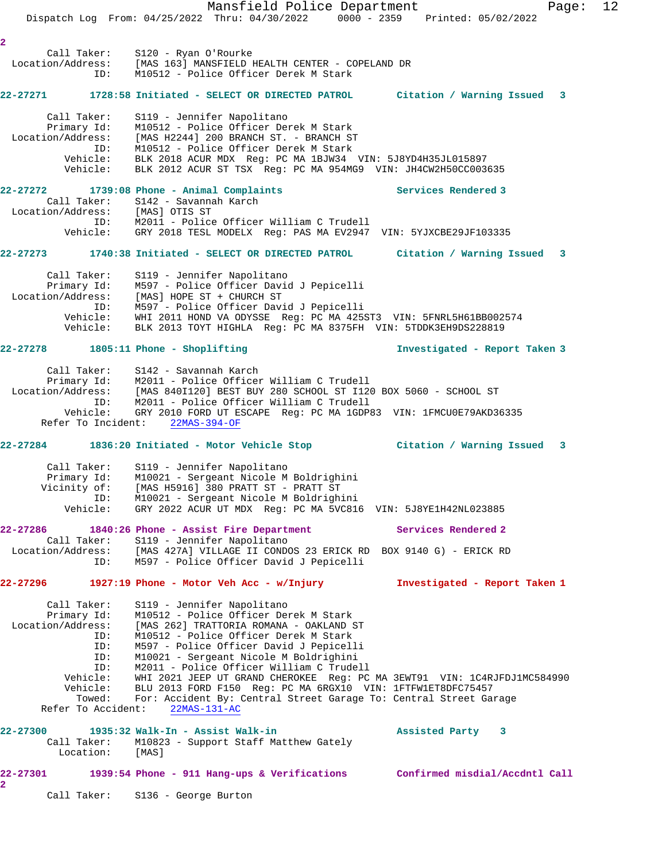Mansfield Police Department Page: 12 Dispatch Log From: 04/25/2022 Thru: 04/30/2022 0000 - 2359 Printed: 05/02/2022 **2**  Call Taker: S120 - Ryan O'Rourke Location/Address: [MAS 163] MANSFIELD HEALTH CENTER - COPELAND DR ID: M10512 - Police Officer Derek M Stark **22-27271 1728:58 Initiated - SELECT OR DIRECTED PATROL Citation / Warning Issued 3** Call Taker: S119 - Jennifer Napolitano Primary Id: M10512 - Police Officer Derek M Stark Location/Address: [MAS H2244] 200 BRANCH ST. - BRANCH ST ID: M10512 - Police Officer Derek M Stark Vehicle: BLK 2018 ACUR MDX Reg: PC MA 1BJW34 VIN: 5J8YD4H35JL015897 Vehicle: BLK 2012 ACUR ST TSX Reg: PC MA 954MG9 VIN: JH4CW2H50CC003635 **22-27272 1739:08 Phone - Animal Complaints Services Rendered 3**  Call Taker: S142 - Savannah Karch Location/Address: [MAS] OTIS ST ID: M2011 - Police Officer William C Trudell Vehicle: GRY 2018 TESL MODELX Reg: PAS MA EV2947 VIN: 5YJXCBE29JF103335 **22-27273 1740:38 Initiated - SELECT OR DIRECTED PATROL Citation / Warning Issued 3** Call Taker: S119 - Jennifer Napolitano Primary Id: M597 - Police Officer David J Pepicelli Location/Address: [MAS] HOPE ST + CHURCH ST ID: M597 - Police Officer David J Pepicelli Vehicle: WHI 2011 HOND VA ODYSSE Reg: PC MA 425ST3 VIN: 5FNRL5H61BB002574 Vehicle: BLK 2013 TOYT HIGHLA Reg: PC MA 8375FH VIN: 5TDDK3EH9DS228819 **22-27278 1805:11 Phone - Shoplifting Investigated - Report Taken 3** Call Taker: S142 - Savannah Karch Primary Id: M2011 - Police Officer William C Trudell Location/Address: [MAS 840I120] BEST BUY 280 SCHOOL ST I120 BOX 5060 - SCHOOL ST ID: M2011 - Police Officer William C Trudell Vehicle: GRY 2010 FORD UT ESCAPE Reg: PC MA 1GDP83 VIN: 1FMCU0E79AKD36335 Refer To Incident: 22MAS-394-OF **22-27284 1836:20 Initiated - Motor Vehicle Stop Citation / Warning Issued 3** Call Taker: S119 - Jennifer Napolitano Primary Id: M10021 - Sergeant Nicole M Boldrighini Vicinity of: [MAS H5916] 380 PRATT ST - PRATT ST ID: M10021 - Sergeant Nicole M Boldrighini Vehicle: GRY 2022 ACUR UT MDX Reg: PC MA 5VC816 VIN: 5J8YE1H42NL023885 **22-27286 1840:26 Phone - Assist Fire Department Services Rendered 2**  Call Taker: S119 - Jennifer Napolitano Location/Address: [MAS 427A] VILLAGE II CONDOS 23 ERICK RD BOX 9140 G) - ERICK RD ID: M597 - Police Officer David J Pepicelli **22-27296 1927:19 Phone - Motor Veh Acc - w/Injury Investigated - Report Taken 1** Call Taker: S119 - Jennifer Napolitano Primary Id: M10512 - Police Officer Derek M Stark Location/Address: [MAS 262] TRATTORIA ROMANA - OAKLAND ST ID: M10512 - Police Officer Derek M Stark ID: M597 - Police Officer David J Pepicelli ID: M10021 - Sergeant Nicole M Boldrighini ID: M2011 - Police Officer William C Trudell Vehicle: WHI 2021 JEEP UT GRAND CHEROKEE Reg: PC MA 3EWT91 VIN: 1C4RJFDJ1MC584990 Vehicle: BLU 2013 FORD F150 Reg: PC MA 6RGX10 VIN: 1FTFW1ET8DFC75457 Towed: For: Accident By: Central Street Garage To: Central Street Garage Refer To Accident: 22MAS-131-AC **22-27300 1935:32 Walk-In - Assist Walk-in Assisted Party 3**  Call Taker: M10823 - Support Staff Matthew Gately Location: [MAS] **22-27301 1939:54 Phone - 911 Hang-ups & Verifications Confirmed misdial/Accdntl Call 2**  Call Taker: S136 - George Burton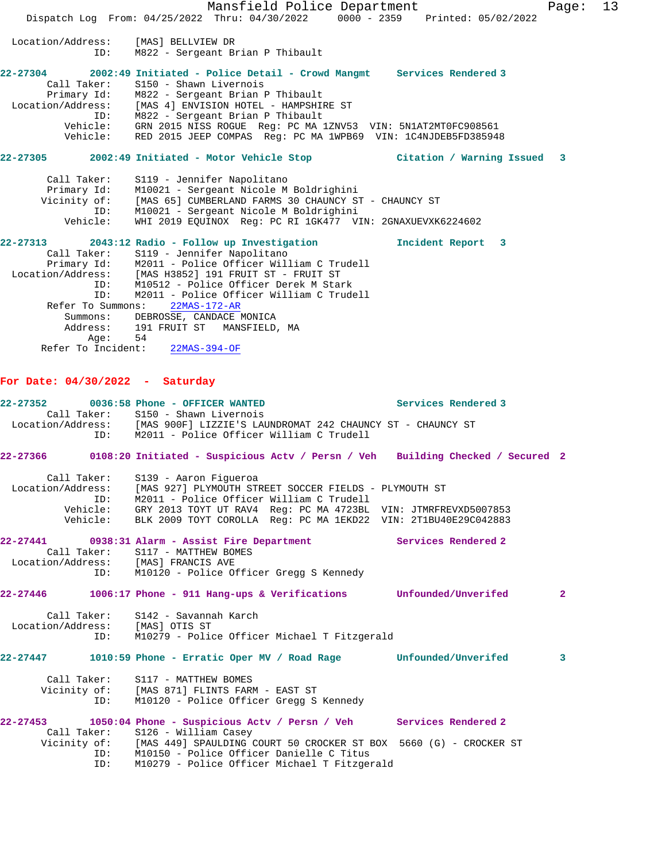Mansfield Police Department Page: 13 Dispatch Log From: 04/25/2022 Thru: 04/30/2022 0000 - 2359 Printed: 05/02/2022 Location/Address: [MAS] BELLVIEW DR ID: M822 - Sergeant Brian P Thibault **22-27304 2002:49 Initiated - Police Detail - Crowd Mangmt Services Rendered 3**  Call Taker: S150 - Shawn Livernois Primary Id: M822 - Sergeant Brian P Thibault Location/Address: [MAS 4] ENVISION HOTEL - HAMPSHIRE ST ID: M822 - Sergeant Brian P Thibault Vehicle: GRN 2015 NISS ROGUE Reg: PC MA 1ZNV53 VIN: 5N1AT2MT0FC908561 Vehicle: RED 2015 JEEP COMPAS Reg: PC MA 1WPB69 VIN: 1C4NJDEB5FD385948 **22-27305 2002:49 Initiated - Motor Vehicle Stop Citation / Warning Issued 3** Call Taker: S119 - Jennifer Napolitano Primary Id: M10021 - Sergeant Nicole M Boldrighini Vicinity of: [MAS 65] CUMBERLAND FARMS 30 CHAUNCY ST - CHAUNCY ST ID: M10021 - Sergeant Nicole M Boldrighini Vehicle: WHI 2019 EQUINOX Reg: PC RI 1GK477 VIN: 2GNAXUEVXK6224602 **22-27313 2043:12 Radio - Follow up Investigation Incident Report 3**  Call Taker: S119 - Jennifer Napolitano Primary Id: M2011 - Police Officer William C Trudell Location/Address: [MAS H3852] 191 FRUIT ST - FRUIT ST ID: M10512 - Police Officer Derek M Stark ID: M2011 - Police Officer William C Trudell Refer To Summons: 22MAS-172-AR Summons: DEBROSSE, CANDACE MONICA 191 FRUIT ST MANSFIELD, MA Address: 191<br>Age: 54 Refer To Incident: 22MAS-394-OF **For Date: 04/30/2022 - Saturday 22-27352 0036:58 Phone - OFFICER WANTED Services Rendered 3**  Call Taker: S150 - Shawn Livernois<br>Location/Address: [MAS 900F] LIZZIE'S LAT<br>ID: M2011 - Police Officer [MAS 900F] LIZZIE'S LAUNDROMAT 242 CHAUNCY ST - CHAUNCY ST M2011 - Police Officer William C Trudell **22-27366 0108:20 Initiated - Suspicious Actv / Persn / Veh Building Checked / Secured 2** Call Taker: S139 - Aaron Figueroa Location/Address: [MAS 927] PLYMOUTH STREET SOCCER FIELDS - PLYMOUTH ST ID: M2011 - Police Officer William C Trudell Vehicle: GRY 2013 TOYT UT RAV4 Reg: PC MA 4723BL VIN: JTMRFREVXD5007853 Vehicle: BLK 2009 TOYT COROLLA Reg: PC MA 1EKD22 VIN: 2T1BU40E29C042883 **22-27441 0938:31 Alarm - Assist Fire Department Services Rendered 2**  Call Taker: S117 - MATTHEW BOMES<br>ion/Address: [MAS] FRANCIS AVE Location/Address: ID: M10120 - Police Officer Gregg S Kennedy **22-27446 1006:17 Phone - 911 Hang-ups & Verifications Unfounded/Unverifed 2** Call Taker: S142 - Savannah Karch Location/Address: [MAS] OTIS ST ID: M10279 - Police Officer Michael T Fitzgerald **22-27447 1010:59 Phone - Erratic Oper MV / Road Rage Unfounded/Unverifed 3** Call Taker: S117 - MATTHEW BOMES Vicinity of: [MAS 871] FLINTS FARM - EAST ST ID: M10120 - Police Officer Gregg S Kennedy **22-27453 1050:04 Phone - Suspicious Actv / Persn / Veh Services Rendered 2**  Call Taker: S126 - William Casey Vicinity of: [MAS 449] SPAULDING COURT 50 CROCKER ST BOX 5660 (G) - CROCKER ST ID: M10150 - Police Officer Danielle C Titus ID: M10279 - Police Officer Michael T Fitzgerald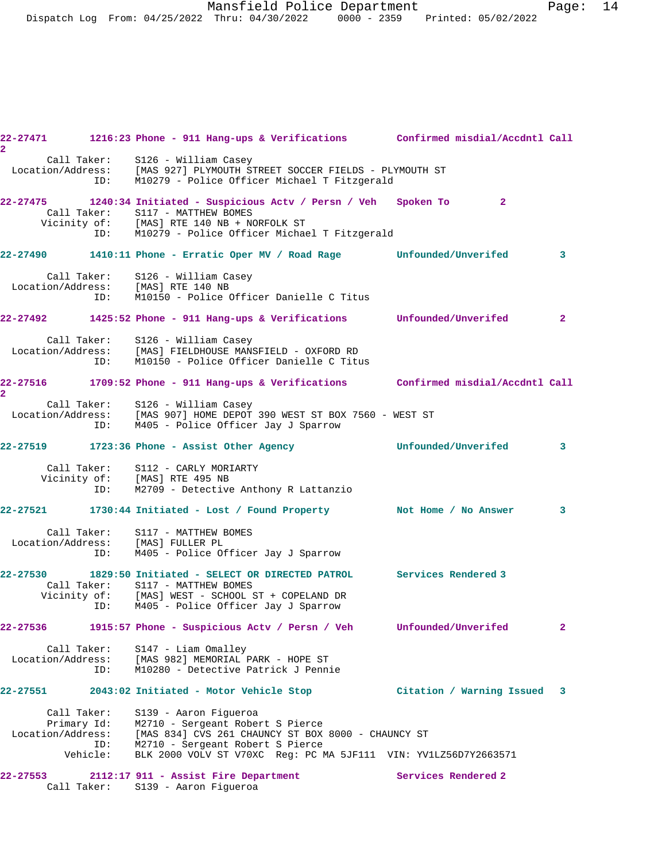Mansfield Police Department Page: 14 Dispatch Log From: 04/25/2022 Thru: 04/30/2022 0000 - 2359 Printed: 05/02/2022

| $\mathbf{2}$                                    |                 | 22-27471 1216:23 Phone - 911 Hang-ups & Verifications Confirmed misdial/Accdntl Call                                                                                                                                   |                     |                             |                            |
|-------------------------------------------------|-----------------|------------------------------------------------------------------------------------------------------------------------------------------------------------------------------------------------------------------------|---------------------|-----------------------------|----------------------------|
|                                                 |                 | Call Taker: S126 - William Casey<br>Location/Address: [MAS 927] PLYMOUTH STREET SOCCER FIELDS - PLYMOUTH ST<br>ID: M10279 - Police Officer Michael T Fitzgerald<br>M10279 - Police Officer Michael T Fitzgerald        |                     |                             |                            |
|                                                 |                 | 22-27475 1240:34 Initiated - Suspicious Actv / Persn / Veh Spoken To<br>Call Taker: S117 - MATTHEW BOMES<br>Vicinity of: [MAS] RTE 140 NB + NORFOLK ST<br>ID: M10279 - Police Officer Michae                           |                     | $\sim$ 2                    |                            |
|                                                 |                 | M10279 - Police Officer Michael T Fitzgerald                                                                                                                                                                           |                     |                             |                            |
|                                                 |                 | 22-27490 1410:11 Phone - Erratic Oper MV / Road Rage Unfounded/Unverifed                                                                                                                                               |                     |                             | $\overline{\phantom{a}}$ 3 |
|                                                 |                 | Call Taker: S126 - William Casey<br>Location/Address: [MAS] RTE 140 NB<br>ID: M10150 - Police Offic<br>M10150 - Police Officer Danielle C Titus                                                                        |                     |                             |                            |
|                                                 |                 | 22-27492 1425:52 Phone - 911 Hang-ups & Verifications Unfounded/Unverifed                                                                                                                                              |                     |                             | $\sim$ 2                   |
|                                                 | ID:             | Call Taker: S126 - William Casey<br>Location/Address: [MAS] FIELDHOUSE MANSFIELD - OXFORD RD<br>M10150 - Police Officer Danielle C Titus                                                                               |                     |                             |                            |
| $\mathbf{2}^-$                                  |                 | 22-27516 1709:52 Phone - 911 Hang-ups & Verifications Confirmed misdial/Accdntl Call                                                                                                                                   |                     |                             |                            |
|                                                 | ID:             | Call Taker: S126 - William Casey<br>Location/Address: [MAS 907] HOME DEPOT 390 WEST ST BOX 7560 - WEST ST<br>M405 - Police Officer Jay J Sparrow                                                                       |                     |                             |                            |
|                                                 |                 | 22-27519 1723:36 Phone - Assist Other Agency 6 Unfounded/Unverifed 3                                                                                                                                                   |                     |                             |                            |
|                                                 |                 | Call Taker: S112 - CARLY MORIARTY<br>Vicinity of: [MAS] RTE 495 NB<br>ID: M2709 - Detective<br>M2709 - Detective Anthony R Lattanzio                                                                                   |                     |                             |                            |
|                                                 |                 | 22-27521 1730:44 Initiated - Lost / Found Property Not Home / No Answer                                                                                                                                                |                     |                             | $\sim$ 3                   |
|                                                 | ID:             | Call Taker: S117 - MATTHEW BOMES<br>Location/Address: [MAS] FULLER PL<br>ID: M405 - Police Of<br>M405 - Police Officer Jay J Sparrow                                                                                   |                     |                             |                            |
|                                                 |                 | 22-27530 1829:50 Initiated - SELECT OR DIRECTED PATROL Services Rendered 3<br>Call Taker: S117 - MATTHEW BOMES<br>Vicinity of: [MAS] WEST - SCHOOL ST + COPELAND DR<br>ID: M405 - Police Officer Jay J Sparrow         |                     |                             |                            |
| 22-27536                                        |                 | 1915:57 Phone - Suspicious Actv / Persn / Veh                                                                                                                                                                          |                     | Unfounded/Unverifed         | $\mathbf{2}$               |
| Call Taker:<br>Location/Address:                | ID:             | S147 - Liam Omalley<br>[MAS 982] MEMORIAL PARK - HOPE ST<br>M10280 - Detective Patrick J Pennie                                                                                                                        |                     |                             |                            |
| 22-27551                                        |                 | 2043:02 Initiated - Motor Vehicle Stop                                                                                                                                                                                 |                     | Citation / Warning Issued 3 |                            |
| Call Taker:<br>Primary Id:<br>Location/Address: | ID:<br>Vehicle: | S139 - Aaron Figueroa<br>M2710 - Sergeant Robert S Pierce<br>[MAS 834] CVS 261 CHAUNCY ST BOX 8000 - CHAUNCY ST<br>M2710 - Sergeant Robert S Pierce<br>BLK 2000 VOLV ST V70XC Req: PC MA 5JF111 VIN: YV1LZ56D7Y2663571 |                     |                             |                            |
| 22-27553<br>Call Taker:                         |                 | 2112:17 911 - Assist Fire Department<br>S139 - Aaron Figueroa                                                                                                                                                          | Services Rendered 2 |                             |                            |